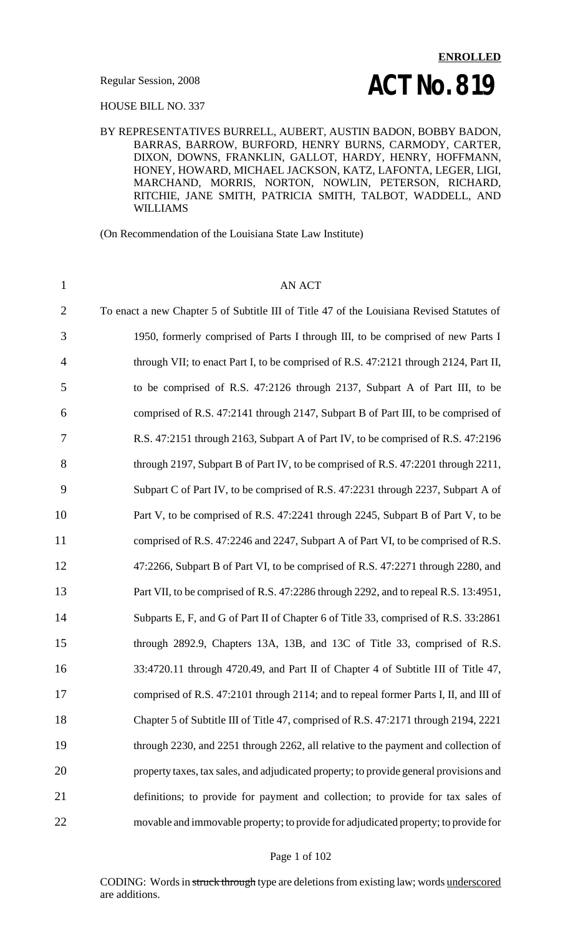HOUSE BILL NO. 337

BY REPRESENTATIVES BURRELL, AUBERT, AUSTIN BADON, BOBBY BADON, BARRAS, BARROW, BURFORD, HENRY BURNS, CARMODY, CARTER, DIXON, DOWNS, FRANKLIN, GALLOT, HARDY, HENRY, HOFFMANN, HONEY, HOWARD, MICHAEL JACKSON, KATZ, LAFONTA, LEGER, LIGI, MARCHAND, MORRIS, NORTON, NOWLIN, PETERSON, RICHARD, RITCHIE, JANE SMITH, PATRICIA SMITH, TALBOT, WADDELL, AND WILLIAMS

(On Recommendation of the Louisiana State Law Institute)

1 AN ACT To enact a new Chapter 5 of Subtitle III of Title 47 of the Louisiana Revised Statutes of 1950, formerly comprised of Parts I through III, to be comprised of new Parts I through VII; to enact Part I, to be comprised of R.S. 47:2121 through 2124, Part II, to be comprised of R.S. 47:2126 through 2137, Subpart A of Part III, to be comprised of R.S. 47:2141 through 2147, Subpart B of Part III, to be comprised of R.S. 47:2151 through 2163, Subpart A of Part IV, to be comprised of R.S. 47:2196 through 2197, Subpart B of Part IV, to be comprised of R.S. 47:2201 through 2211, Subpart C of Part IV, to be comprised of R.S. 47:2231 through 2237, Subpart A of 10 Part V, to be comprised of R.S. 47:2241 through 2245, Subpart B of Part V, to be comprised of R.S. 47:2246 and 2247, Subpart A of Part VI, to be comprised of R.S. 47:2266, Subpart B of Part VI, to be comprised of R.S. 47:2271 through 2280, and Part VII, to be comprised of R.S. 47:2286 through 2292, and to repeal R.S. 13:4951, Subparts E, F, and G of Part II of Chapter 6 of Title 33, comprised of R.S. 33:2861 through 2892.9, Chapters 13A, 13B, and 13C of Title 33, comprised of R.S. 33:4720.11 through 4720.49, and Part II of Chapter 4 of Subtitle III of Title 47, comprised of R.S. 47:2101 through 2114; and to repeal former Parts I, II, and III of Chapter 5 of Subtitle III of Title 47, comprised of R.S. 47:2171 through 2194, 2221 through 2230, and 2251 through 2262, all relative to the payment and collection of property taxes, tax sales, and adjudicated property; to provide general provisions and definitions; to provide for payment and collection; to provide for tax sales of movable and immovable property; to provide for adjudicated property; to provide for

#### Page 1 of 102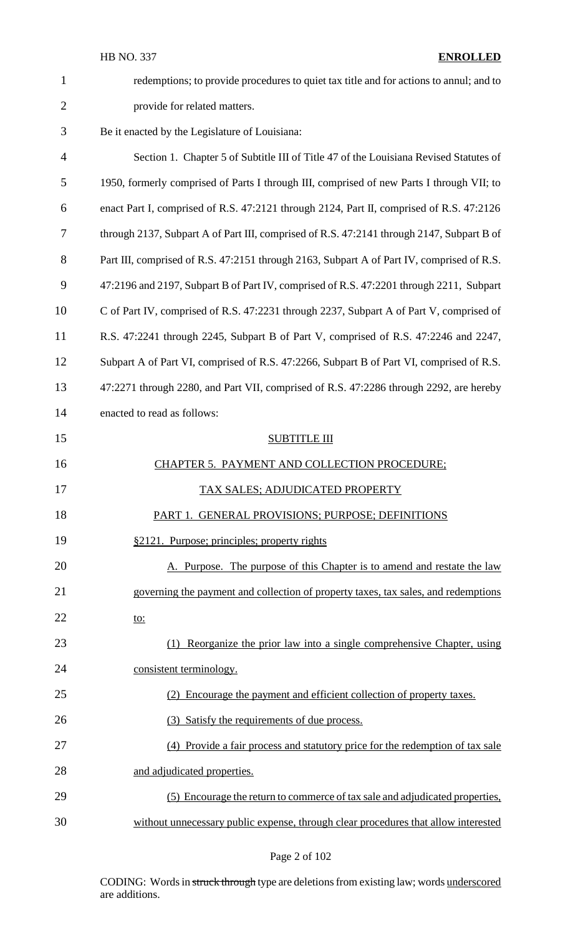| $\mathbf{1}$   | redemptions; to provide procedures to quiet tax title and for actions to annul; and to    |
|----------------|-------------------------------------------------------------------------------------------|
| $\overline{2}$ | provide for related matters.                                                              |
| 3              | Be it enacted by the Legislature of Louisiana:                                            |
| $\overline{4}$ | Section 1. Chapter 5 of Subtitle III of Title 47 of the Louisiana Revised Statutes of     |
| 5              | 1950, formerly comprised of Parts I through III, comprised of new Parts I through VII; to |
| 6              | enact Part I, comprised of R.S. 47:2121 through 2124, Part II, comprised of R.S. 47:2126  |
| 7              | through 2137, Subpart A of Part III, comprised of R.S. 47:2141 through 2147, Subpart B of |
| 8              | Part III, comprised of R.S. 47:2151 through 2163, Subpart A of Part IV, comprised of R.S. |
| 9              | 47:2196 and 2197, Subpart B of Part IV, comprised of R.S. 47:2201 through 2211, Subpart   |
| 10             | C of Part IV, comprised of R.S. 47:2231 through 2237, Subpart A of Part V, comprised of   |
| 11             | R.S. 47:2241 through 2245, Subpart B of Part V, comprised of R.S. 47:2246 and 2247,       |
| 12             | Subpart A of Part VI, comprised of R.S. 47:2266, Subpart B of Part VI, comprised of R.S.  |
| 13             | 47:2271 through 2280, and Part VII, comprised of R.S. 47:2286 through 2292, are hereby    |
| 14             | enacted to read as follows:                                                               |
| 15             | <b>SUBTITLE III</b>                                                                       |
| 16             | CHAPTER 5. PAYMENT AND COLLECTION PROCEDURE;                                              |
| 17             | TAX SALES; ADJUDICATED PROPERTY                                                           |
| 18             | PART 1. GENERAL PROVISIONS; PURPOSE; DEFINITIONS                                          |
| 19             | §2121. Purpose; principles; property rights                                               |
| 20             | A. Purpose. The purpose of this Chapter is to amend and restate the law                   |
| 21             | governing the payment and collection of property taxes, tax sales, and redemptions        |
| 22             | <u>to:</u>                                                                                |
| 23             | (1) Reorganize the prior law into a single comprehensive Chapter, using                   |
| 24             | consistent terminology.                                                                   |
| 25             | (2) Encourage the payment and efficient collection of property taxes.                     |
| 26             | (3) Satisfy the requirements of due process.                                              |
| 27             | (4) Provide a fair process and statutory price for the redemption of tax sale             |
| 28             | and adjudicated properties.                                                               |
| 29             | (5) Encourage the return to commerce of tax sale and adjudicated properties,              |
| 30             | without unnecessary public expense, through clear procedures that allow interested        |

Page 2 of 102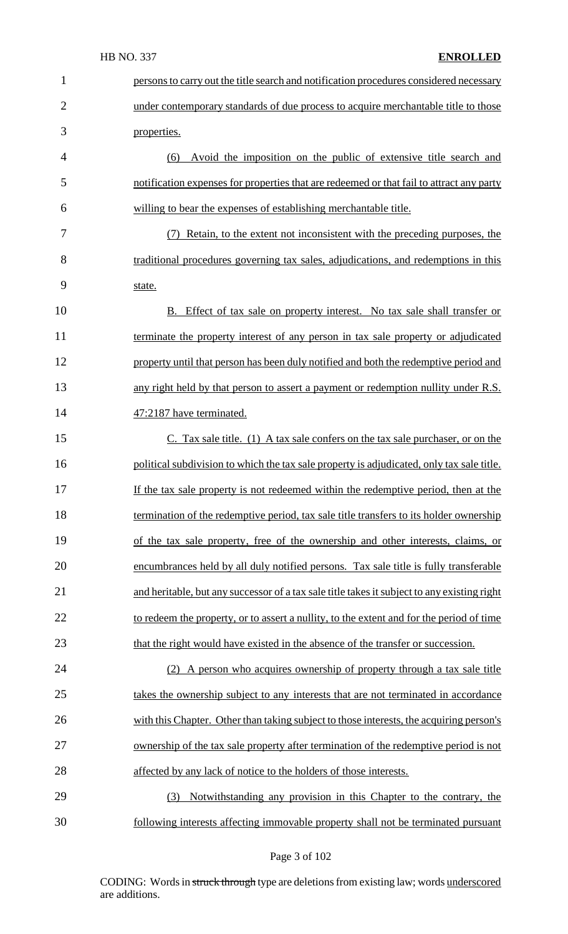| $\mathbf{1}$   | persons to carry out the title search and notification procedures considered necessary      |
|----------------|---------------------------------------------------------------------------------------------|
| $\overline{2}$ | under contemporary standards of due process to acquire merchantable title to those          |
| 3              | properties.                                                                                 |
| $\overline{4}$ | Avoid the imposition on the public of extensive title search and<br>(6)                     |
| 5              | notification expenses for properties that are redeemed or that fail to attract any party    |
| 6              | willing to bear the expenses of establishing merchantable title.                            |
| 7              | (7) Retain, to the extent not inconsistent with the preceding purposes, the                 |
| 8              | traditional procedures governing tax sales, adjudications, and redemptions in this          |
| 9              | state.                                                                                      |
| 10             | <b>B.</b> Effect of tax sale on property interest. No tax sale shall transfer or            |
| 11             | terminate the property interest of any person in tax sale property or adjudicated           |
| 12             | property until that person has been duly notified and both the redemptive period and        |
| 13             | any right held by that person to assert a payment or redemption nullity under R.S.          |
| 14             | 47:2187 have terminated.                                                                    |
| 15             | $C.$ Tax sale title. (1) A tax sale confers on the tax sale purchaser, or on the            |
| 16             | political subdivision to which the tax sale property is adjudicated, only tax sale title.   |
| 17             | If the tax sale property is not redeemed within the redemptive period, then at the          |
| 18             | termination of the redemptive period, tax sale title transfers to its holder ownership      |
| 19             | of the tax sale property, free of the ownership and other interests, claims, or             |
| 20             | encumbrances held by all duly notified persons. Tax sale title is fully transferable        |
| 21             | and heritable, but any successor of a tax sale title takes it subject to any existing right |
| 22             | to redeem the property, or to assert a nullity, to the extent and for the period of time    |
| 23             | that the right would have existed in the absence of the transfer or succession.             |
| 24             | (2) A person who acquires ownership of property through a tax sale title                    |
| 25             | takes the ownership subject to any interests that are not terminated in accordance          |
| 26             | with this Chapter. Other than taking subject to those interests, the acquiring person's     |
| 27             | ownership of the tax sale property after termination of the redemptive period is not        |
| 28             | affected by any lack of notice to the holders of those interests.                           |
| 29             | Notwithstanding any provision in this Chapter to the contrary, the<br>(3)                   |
| 30             | following interests affecting immovable property shall not be terminated pursuant           |

Page 3 of 102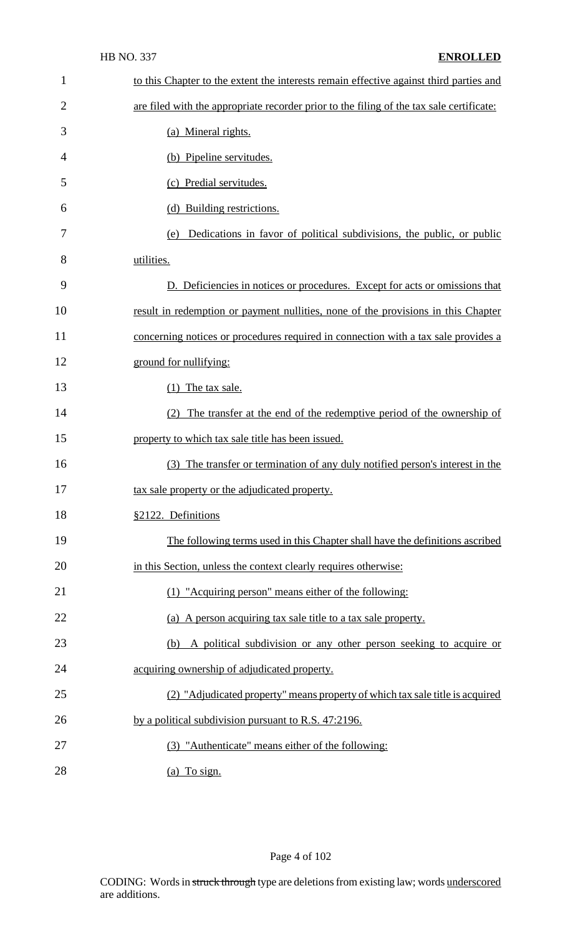| $\mathbf{1}$   | to this Chapter to the extent the interests remain effective against third parties and   |
|----------------|------------------------------------------------------------------------------------------|
| $\overline{2}$ | are filed with the appropriate recorder prior to the filing of the tax sale certificate: |
| 3              | (a) Mineral rights.                                                                      |
| 4              | (b) Pipeline servitudes.                                                                 |
| 5              | (c) Predial servitudes.                                                                  |
| 6              | (d) Building restrictions.                                                               |
| 7              | Dedications in favor of political subdivisions, the public, or public<br>(e)             |
| 8              | utilities.                                                                               |
| 9              | D. Deficiencies in notices or procedures. Except for acts or omissions that              |
| 10             | result in redemption or payment nullities, none of the provisions in this Chapter        |
| 11             | concerning notices or procedures required in connection with a tax sale provides a       |
| 12             | ground for nullifying:                                                                   |
| 13             | $(1)$ The tax sale.                                                                      |
| 14             | The transfer at the end of the redemptive period of the ownership of                     |
| 15             | property to which tax sale title has been issued.                                        |
| 16             | (3) The transfer or termination of any duly notified person's interest in the            |
| 17             | tax sale property or the adjudicated property.                                           |
| 18             | §2122. Definitions                                                                       |
| 19             | The following terms used in this Chapter shall have the definitions ascribed             |
| 20             | in this Section, unless the context clearly requires otherwise:                          |
| 21             | (1) "Acquiring person" means either of the following:                                    |
| 22             | (a) A person acquiring tax sale title to a tax sale property.                            |
| 23             | A political subdivision or any other person seeking to acquire or<br>(b)                 |
| 24             | acquiring ownership of adjudicated property.                                             |
| 25             | (2) "Adjudicated property" means property of which tax sale title is acquired            |
| 26             | by a political subdivision pursuant to R.S. 47:2196.                                     |
| 27             | (3) "Authenticate" means either of the following:                                        |
| 28             | (a) To sign.                                                                             |

Page 4 of 102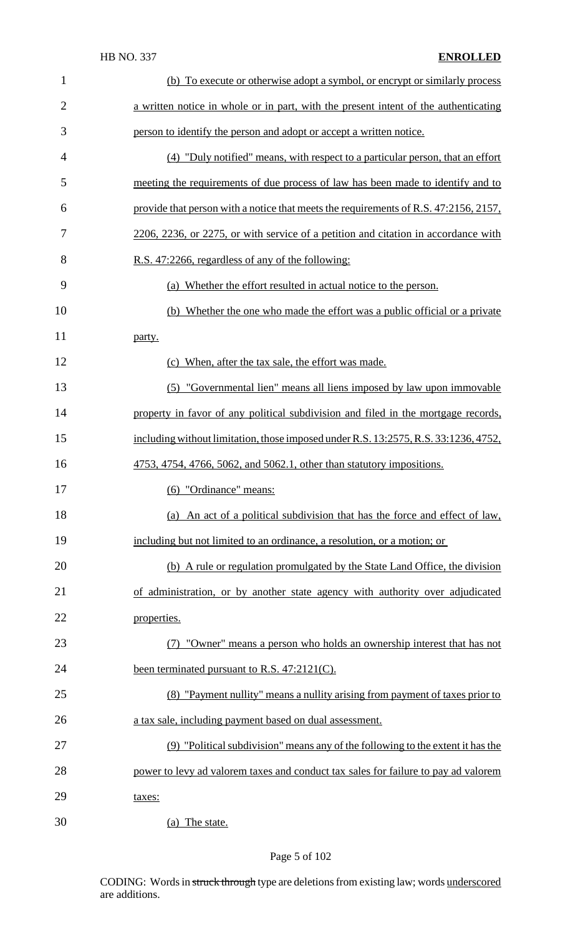| $\mathbf{1}$   | (b) To execute or otherwise adopt a symbol, or encrypt or similarly process          |
|----------------|--------------------------------------------------------------------------------------|
| $\overline{2}$ | a written notice in whole or in part, with the present intent of the authenticating  |
| 3              | person to identify the person and adopt or accept a written notice.                  |
| $\overline{4}$ | (4) "Duly notified" means, with respect to a particular person, that an effort       |
| 5              | meeting the requirements of due process of law has been made to identify and to      |
| 6              | provide that person with a notice that meets the requirements of R.S. 47:2156, 2157, |
| 7              | 2206, 2236, or 2275, or with service of a petition and citation in accordance with   |
| 8              | R.S. 47:2266, regardless of any of the following:                                    |
| 9              | (a) Whether the effort resulted in actual notice to the person.                      |
| 10             | (b) Whether the one who made the effort was a public official or a private           |
| 11             | party.                                                                               |
| 12             | (c) When, after the tax sale, the effort was made.                                   |
| 13             | (5) "Governmental lien" means all liens imposed by law upon immovable                |
| 14             | property in favor of any political subdivision and filed in the mortgage records,    |
| 15             | including without limitation, those imposed under R.S. 13:2575, R.S. 33:1236, 4752,  |
| 16             | 4753, 4754, 4766, 5062, and 5062.1, other than statutory impositions.                |
| 17             | (6) "Ordinance" means:                                                               |
| 18             | (a) An act of a political subdivision that has the force and effect of law,          |
| 19             | including but not limited to an ordinance, a resolution, or a motion; or             |
| 20             | (b) A rule or regulation promulgated by the State Land Office, the division          |
| 21             | of administration, or by another state agency with authority over adjudicated        |
| 22             | properties.                                                                          |
| 23             | (7) "Owner" means a person who holds an ownership interest that has not              |
| 24             | been terminated pursuant to R.S. 47:2121(C).                                         |
| 25             | (8) "Payment nullity" means a nullity arising from payment of taxes prior to         |
|                | a tax sale, including payment based on dual assessment.                              |
| 26             | (9) "Political subdivision" means any of the following to the extent it has the      |
| 27             | power to levy ad valorem taxes and conduct tax sales for failure to pay ad valorem   |
| 28             |                                                                                      |
| 29             | taxes:                                                                               |

# Page 5 of 102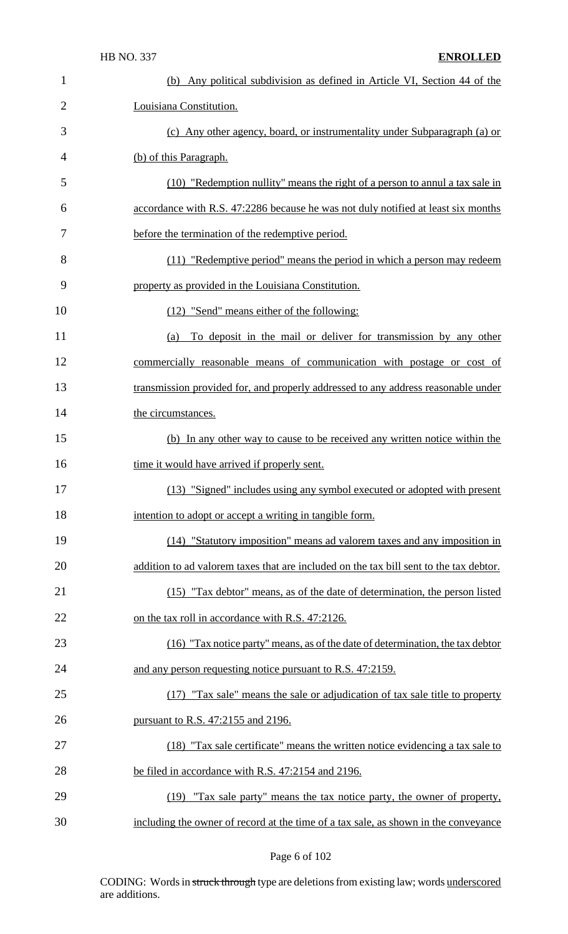| 1              | (b) Any political subdivision as defined in Article VI, Section 44 of the              |
|----------------|----------------------------------------------------------------------------------------|
| $\overline{2}$ | Louisiana Constitution.                                                                |
| 3              | (c) Any other agency, board, or instrumentality under Subparagraph (a) or              |
| 4              | (b) of this Paragraph.                                                                 |
| 5              | (10) "Redemption nullity" means the right of a person to annul a tax sale in           |
| 6              | accordance with R.S. 47:2286 because he was not duly notified at least six months      |
| 7              | before the termination of the redemptive period.                                       |
| 8              | (11) "Redemptive period" means the period in which a person may redeem                 |
| 9              | property as provided in the Louisiana Constitution.                                    |
| 10             | (12) "Send" means either of the following:                                             |
| 11             | To deposit in the mail or deliver for transmission by any other<br>(a)                 |
| 12             | commercially reasonable means of communication with postage or cost of                 |
| 13             | transmission provided for, and properly addressed to any address reasonable under      |
| 14             | the circumstances.                                                                     |
| 15             | (b) In any other way to cause to be received any written notice within the             |
| 16             | time it would have arrived if properly sent.                                           |
| 17             | (13) "Signed" includes using any symbol executed or adopted with present               |
| 18             | intention to adopt or accept a writing in tangible form.                               |
| 19             | (14) "Statutory imposition" means ad valorem taxes and any imposition in               |
| 20             | addition to ad valorem taxes that are included on the tax bill sent to the tax debtor. |
| 21             | (15) "Tax debtor" means, as of the date of determination, the person listed            |
| 22             | on the tax roll in accordance with R.S. 47:2126.                                       |
| 23             | (16) "Tax notice party" means, as of the date of determination, the tax debtor         |
| 24             | and any person requesting notice pursuant to R.S. 47:2159.                             |
| 25             | (17) "Tax sale" means the sale or adjudication of tax sale title to property           |
| 26             | pursuant to R.S. 47:2155 and 2196.                                                     |
| 27             | (18) "Tax sale certificate" means the written notice evidencing a tax sale to          |
| 28             | be filed in accordance with R.S. 47:2154 and 2196.                                     |
| 29             | (19) "Tax sale party" means the tax notice party, the owner of property,               |
| 30             | including the owner of record at the time of a tax sale, as shown in the conveyance    |

# Page 6 of 102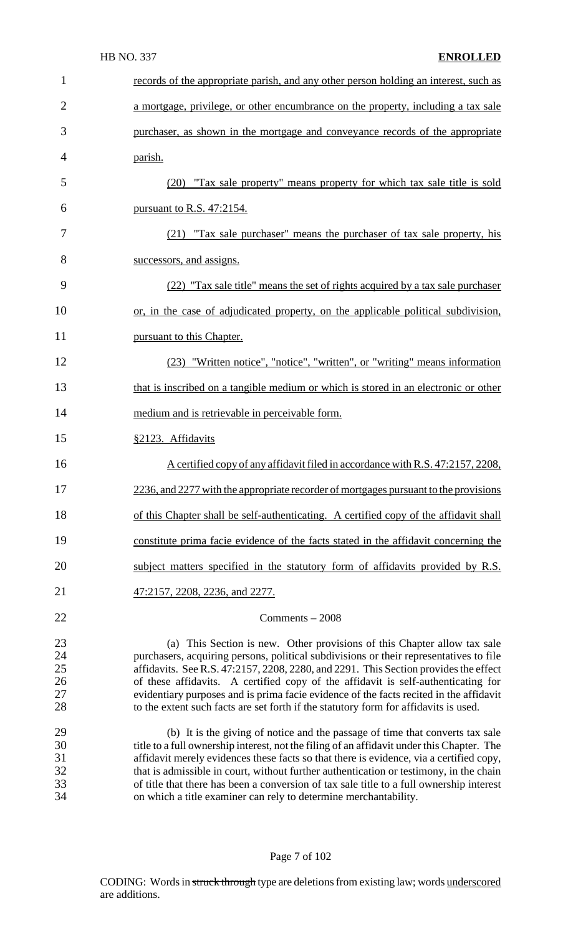| $\mathbf{1}$                     | records of the appropriate parish, and any other person holding an interest, such as                                                                                                                                                                                                                                                                                                                                                                                                                                              |
|----------------------------------|-----------------------------------------------------------------------------------------------------------------------------------------------------------------------------------------------------------------------------------------------------------------------------------------------------------------------------------------------------------------------------------------------------------------------------------------------------------------------------------------------------------------------------------|
| $\overline{2}$                   | a mortgage, privilege, or other encumbrance on the property, including a tax sale                                                                                                                                                                                                                                                                                                                                                                                                                                                 |
| 3                                | purchaser, as shown in the mortgage and conveyance records of the appropriate                                                                                                                                                                                                                                                                                                                                                                                                                                                     |
| 4                                | parish.                                                                                                                                                                                                                                                                                                                                                                                                                                                                                                                           |
| 5                                | (20) "Tax sale property" means property for which tax sale title is sold                                                                                                                                                                                                                                                                                                                                                                                                                                                          |
| 6                                | <u>pursuant to R.S. 47:2154.</u>                                                                                                                                                                                                                                                                                                                                                                                                                                                                                                  |
| 7                                | (21) "Tax sale purchaser" means the purchaser of tax sale property, his                                                                                                                                                                                                                                                                                                                                                                                                                                                           |
| 8                                | successors, and assigns.                                                                                                                                                                                                                                                                                                                                                                                                                                                                                                          |
| 9                                | (22) "Tax sale title" means the set of rights acquired by a tax sale purchaser                                                                                                                                                                                                                                                                                                                                                                                                                                                    |
| 10                               | or, in the case of adjudicated property, on the applicable political subdivision,                                                                                                                                                                                                                                                                                                                                                                                                                                                 |
| 11                               | pursuant to this Chapter.                                                                                                                                                                                                                                                                                                                                                                                                                                                                                                         |
| 12                               | (23) "Written notice", "notice", "written", or "writing" means information                                                                                                                                                                                                                                                                                                                                                                                                                                                        |
| 13                               | that is inscribed on a tangible medium or which is stored in an electronic or other                                                                                                                                                                                                                                                                                                                                                                                                                                               |
| 14                               | medium and is retrievable in perceivable form.                                                                                                                                                                                                                                                                                                                                                                                                                                                                                    |
| 15                               | §2123. Affidavits                                                                                                                                                                                                                                                                                                                                                                                                                                                                                                                 |
| 16                               | A certified copy of any affidavit filed in accordance with R.S. 47:2157, 2208,                                                                                                                                                                                                                                                                                                                                                                                                                                                    |
| 17                               | 2236, and 2277 with the appropriate recorder of mortgages pursuant to the provisions                                                                                                                                                                                                                                                                                                                                                                                                                                              |
| 18                               | of this Chapter shall be self-authenticating. A certified copy of the affidavit shall                                                                                                                                                                                                                                                                                                                                                                                                                                             |
| 19                               | constitute prima facie evidence of the facts stated in the affidavit concerning the                                                                                                                                                                                                                                                                                                                                                                                                                                               |
| 20                               | subject matters specified in the statutory form of affidavits provided by R.S.                                                                                                                                                                                                                                                                                                                                                                                                                                                    |
| 21                               | 47:2157, 2208, 2236, and 2277.                                                                                                                                                                                                                                                                                                                                                                                                                                                                                                    |
| 22                               | $Comments - 2008$                                                                                                                                                                                                                                                                                                                                                                                                                                                                                                                 |
| 23<br>24<br>25<br>26<br>27<br>28 | (a) This Section is new. Other provisions of this Chapter allow tax sale<br>purchasers, acquiring persons, political subdivisions or their representatives to file<br>affidavits. See R.S. 47:2157, 2208, 2280, and 2291. This Section provides the effect<br>of these affidavits. A certified copy of the affidavit is self-authenticating for<br>evidentiary purposes and is prima facie evidence of the facts recited in the affidavit<br>to the extent such facts are set forth if the statutory form for affidavits is used. |
| 29<br>30<br>31<br>32<br>33<br>34 | (b) It is the giving of notice and the passage of time that converts tax sale<br>title to a full ownership interest, not the filing of an affidavit under this Chapter. The<br>affidavit merely evidences these facts so that there is evidence, via a certified copy,<br>that is admissible in court, without further authentication or testimony, in the chain<br>of title that there has been a conversion of tax sale title to a full ownership interest<br>on which a title examiner can rely to determine merchantability.  |

Page 7 of 102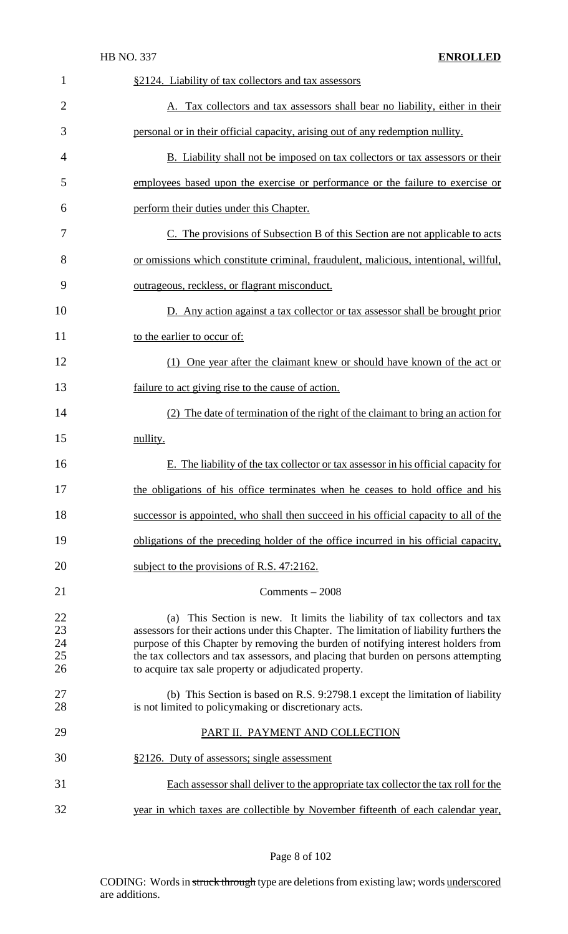|                                   | <b>HB NO. 337</b><br><b>ENROLLED</b>                                                                                                                                                                                                                                                                                                                                                                        |
|-----------------------------------|-------------------------------------------------------------------------------------------------------------------------------------------------------------------------------------------------------------------------------------------------------------------------------------------------------------------------------------------------------------------------------------------------------------|
| 1                                 | §2124. Liability of tax collectors and tax assessors                                                                                                                                                                                                                                                                                                                                                        |
| $\overline{2}$                    | A. Tax collectors and tax assessors shall bear no liability, either in their                                                                                                                                                                                                                                                                                                                                |
| 3                                 | personal or in their official capacity, arising out of any redemption nullity.                                                                                                                                                                                                                                                                                                                              |
| 4                                 | B. Liability shall not be imposed on tax collectors or tax assessors or their                                                                                                                                                                                                                                                                                                                               |
| 5                                 | employees based upon the exercise or performance or the failure to exercise or                                                                                                                                                                                                                                                                                                                              |
| 6                                 | perform their duties under this Chapter.                                                                                                                                                                                                                                                                                                                                                                    |
| 7                                 | C. The provisions of Subsection B of this Section are not applicable to acts                                                                                                                                                                                                                                                                                                                                |
| 8                                 | or omissions which constitute criminal, fraudulent, malicious, intentional, willful,                                                                                                                                                                                                                                                                                                                        |
| 9                                 | outrageous, reckless, or flagrant misconduct.                                                                                                                                                                                                                                                                                                                                                               |
| 10                                | D. Any action against a tax collector or tax assessor shall be brought prior                                                                                                                                                                                                                                                                                                                                |
| 11                                | to the earlier to occur of:                                                                                                                                                                                                                                                                                                                                                                                 |
| 12                                | (1) One year after the claimant knew or should have known of the act or                                                                                                                                                                                                                                                                                                                                     |
| 13                                | failure to act giving rise to the cause of action.                                                                                                                                                                                                                                                                                                                                                          |
| 14                                | (2) The date of termination of the right of the claimant to bring an action for                                                                                                                                                                                                                                                                                                                             |
| 15                                | nullity.                                                                                                                                                                                                                                                                                                                                                                                                    |
| 16                                | E. The liability of the tax collector or tax assessor in his official capacity for                                                                                                                                                                                                                                                                                                                          |
| 17                                | the obligations of his office terminates when he ceases to hold office and his                                                                                                                                                                                                                                                                                                                              |
| 18                                | successor is appointed, who shall then succeed in his official capacity to all of the                                                                                                                                                                                                                                                                                                                       |
| 19                                | obligations of the preceding holder of the office incurred in his official capacity,                                                                                                                                                                                                                                                                                                                        |
| 20                                | subject to the provisions of R.S. 47:2162.                                                                                                                                                                                                                                                                                                                                                                  |
| 21                                | $Comments - 2008$                                                                                                                                                                                                                                                                                                                                                                                           |
| <b>22</b><br>23<br>24<br>25<br>26 | (a) This Section is new. It limits the liability of tax collectors and tax<br>assessors for their actions under this Chapter. The limitation of liability furthers the<br>purpose of this Chapter by removing the burden of notifying interest holders from<br>the tax collectors and tax assessors, and placing that burden on persons attempting<br>to acquire tax sale property or adjudicated property. |
| 27<br>28                          | (b) This Section is based on R.S. 9:2798.1 except the limitation of liability<br>is not limited to policymaking or discretionary acts.                                                                                                                                                                                                                                                                      |
| 29                                | PART II. PAYMENT AND COLLECTION                                                                                                                                                                                                                                                                                                                                                                             |
| 30                                | §2126. Duty of assessors; single assessment                                                                                                                                                                                                                                                                                                                                                                 |
| 31                                | Each assessor shall deliver to the appropriate tax collector the tax roll for the                                                                                                                                                                                                                                                                                                                           |
| 32                                | year in which taxes are collectible by November fifteenth of each calendar year,                                                                                                                                                                                                                                                                                                                            |

Page 8 of 102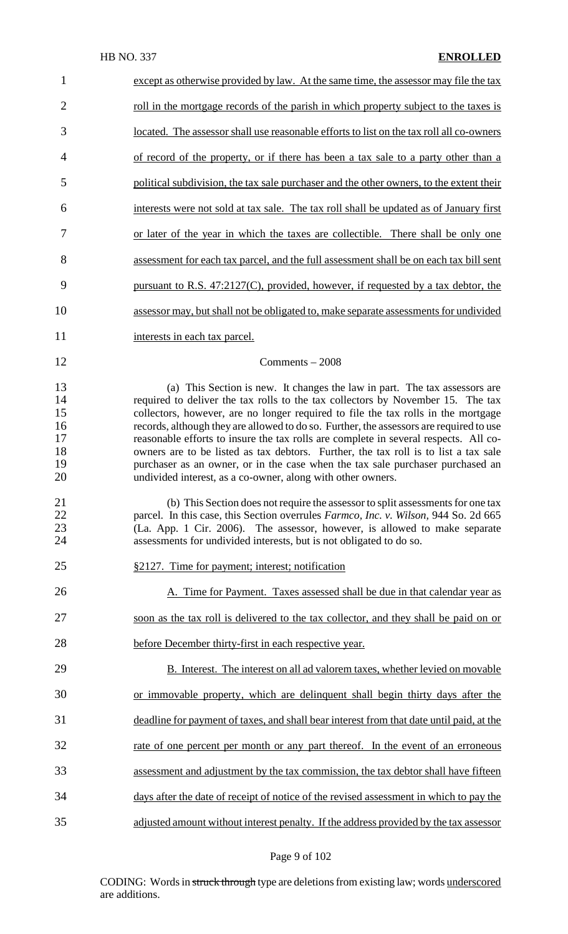| $\mathbf{1}$                                 | except as otherwise provided by law. At the same time, the assessor may file the tax                                                                                                                                                                                                                                                                                                                                                                                                                                                                                                                                                                                          |
|----------------------------------------------|-------------------------------------------------------------------------------------------------------------------------------------------------------------------------------------------------------------------------------------------------------------------------------------------------------------------------------------------------------------------------------------------------------------------------------------------------------------------------------------------------------------------------------------------------------------------------------------------------------------------------------------------------------------------------------|
| $\overline{2}$                               | <u>roll in the mortgage records of the parish in which property subject to the taxes is</u>                                                                                                                                                                                                                                                                                                                                                                                                                                                                                                                                                                                   |
| 3                                            | located. The assessor shall use reasonable efforts to list on the tax roll all co-owners                                                                                                                                                                                                                                                                                                                                                                                                                                                                                                                                                                                      |
| $\overline{4}$                               | of record of the property, or if there has been a tax sale to a party other than a                                                                                                                                                                                                                                                                                                                                                                                                                                                                                                                                                                                            |
| 5                                            | political subdivision, the tax sale purchaser and the other owners, to the extent their                                                                                                                                                                                                                                                                                                                                                                                                                                                                                                                                                                                       |
| 6                                            | interests were not sold at tax sale. The tax roll shall be updated as of January first                                                                                                                                                                                                                                                                                                                                                                                                                                                                                                                                                                                        |
| 7                                            | or later of the year in which the taxes are collectible. There shall be only one                                                                                                                                                                                                                                                                                                                                                                                                                                                                                                                                                                                              |
| 8                                            | assessment for each tax parcel, and the full assessment shall be on each tax bill sent                                                                                                                                                                                                                                                                                                                                                                                                                                                                                                                                                                                        |
| 9                                            | pursuant to R.S. $47:2127(C)$ , provided, however, if requested by a tax debtor, the                                                                                                                                                                                                                                                                                                                                                                                                                                                                                                                                                                                          |
| 10                                           | assessor may, but shall not be obligated to, make separate assessments for undivided                                                                                                                                                                                                                                                                                                                                                                                                                                                                                                                                                                                          |
| 11                                           | interests in each tax parcel.                                                                                                                                                                                                                                                                                                                                                                                                                                                                                                                                                                                                                                                 |
| 12                                           | Comments $-2008$                                                                                                                                                                                                                                                                                                                                                                                                                                                                                                                                                                                                                                                              |
| 13<br>14<br>15<br>16<br>17<br>18<br>19<br>20 | (a) This Section is new. It changes the law in part. The tax assessors are<br>required to deliver the tax rolls to the tax collectors by November 15. The tax<br>collectors, however, are no longer required to file the tax rolls in the mortgage<br>records, although they are allowed to do so. Further, the assessors are required to use<br>reasonable efforts to insure the tax rolls are complete in several respects. All co-<br>owners are to be listed as tax debtors. Further, the tax roll is to list a tax sale<br>purchaser as an owner, or in the case when the tax sale purchaser purchased an<br>undivided interest, as a co-owner, along with other owners. |
| 21<br>22<br>23<br>24                         | (b) This Section does not require the assessor to split assessments for one tax<br>parcel. In this case, this Section overrules Farmco, Inc. v. Wilson, 944 So. 2d 665<br>(La. App. 1 Cir. 2006). The assessor, however, is allowed to make separate<br>assessments for undivided interests, but is not obligated to do so.                                                                                                                                                                                                                                                                                                                                                   |
| 25                                           | §2127. Time for payment; interest; notification                                                                                                                                                                                                                                                                                                                                                                                                                                                                                                                                                                                                                               |
| 26                                           | A. Time for Payment. Taxes assessed shall be due in that calendar year as                                                                                                                                                                                                                                                                                                                                                                                                                                                                                                                                                                                                     |
| 27                                           | soon as the tax roll is delivered to the tax collector, and they shall be paid on or                                                                                                                                                                                                                                                                                                                                                                                                                                                                                                                                                                                          |
| 28                                           | before December thirty-first in each respective year.                                                                                                                                                                                                                                                                                                                                                                                                                                                                                                                                                                                                                         |
| 29                                           | B. Interest. The interest on all ad valorem taxes, whether levied on movable                                                                                                                                                                                                                                                                                                                                                                                                                                                                                                                                                                                                  |
| 30                                           | or immovable property, which are delinquent shall begin thirty days after the                                                                                                                                                                                                                                                                                                                                                                                                                                                                                                                                                                                                 |
| 31                                           | deadline for payment of taxes, and shall bear interest from that date until paid, at the                                                                                                                                                                                                                                                                                                                                                                                                                                                                                                                                                                                      |
| 32                                           | rate of one percent per month or any part thereof. In the event of an erroneous                                                                                                                                                                                                                                                                                                                                                                                                                                                                                                                                                                                               |
| 33                                           | assessment and adjustment by the tax commission, the tax debtor shall have fifteen                                                                                                                                                                                                                                                                                                                                                                                                                                                                                                                                                                                            |
| 34                                           | days after the date of receipt of notice of the revised assessment in which to pay the                                                                                                                                                                                                                                                                                                                                                                                                                                                                                                                                                                                        |
| 35                                           | adjusted amount without interest penalty. If the address provided by the tax assessor                                                                                                                                                                                                                                                                                                                                                                                                                                                                                                                                                                                         |

# Page 9 of 102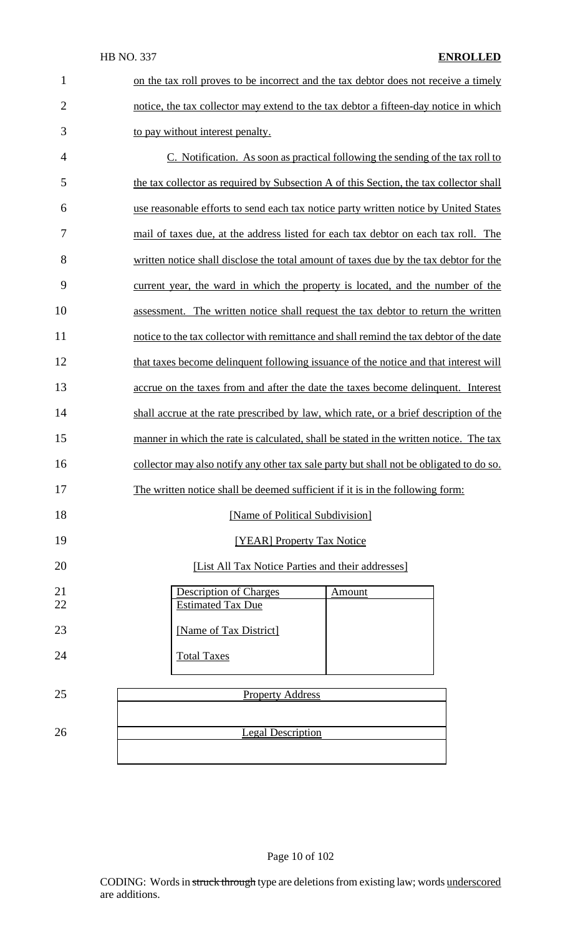| on the tax roll proves to be incorrect and the tax debtor does not receive a timely  |
|--------------------------------------------------------------------------------------|
| notice, the tax collector may extend to the tax debtor a fifteen-day notice in which |
| to pay without interest penalty.                                                     |

 C. Notification. As soon as practical following the sending of the tax roll to 5 the tax collector as required by Subsection A of this Section, the tax collector shall use reasonable efforts to send each tax notice party written notice by United States mail of taxes due, at the address listed for each tax debtor on each tax roll. The written notice shall disclose the total amount of taxes due by the tax debtor for the current year, the ward in which the property is located, and the number of the assessment. The written notice shall request the tax debtor to return the written notice to the tax collector with remittance and shall remind the tax debtor of the date 12 that taxes become delinquent following issuance of the notice and that interest will accrue on the taxes from and after the date the taxes become delinquent. Interest shall accrue at the rate prescribed by law, which rate, or a brief description of the 15 manner in which the rate is calculated, shall be stated in the written notice. The tax 16 collector may also notify any other tax sale party but shall not be obligated to do so. The written notice shall be deemed sufficient if it is in the following form: **IMame of Political Subdivision** 

# **ISBN** [YEAR] Property Tax Notice

## [List All Tax Notice Parties and their addresses]

| 21 | <b>Description of Charges</b> | Amount |
|----|-------------------------------|--------|
| 22 | <b>Estimated Tax Due</b>      |        |
| 23 | [Name of Tax District]        |        |
|    |                               |        |
| 24 | <b>Total Taxes</b>            |        |
|    |                               |        |

# 25 Property Address **Legal Description**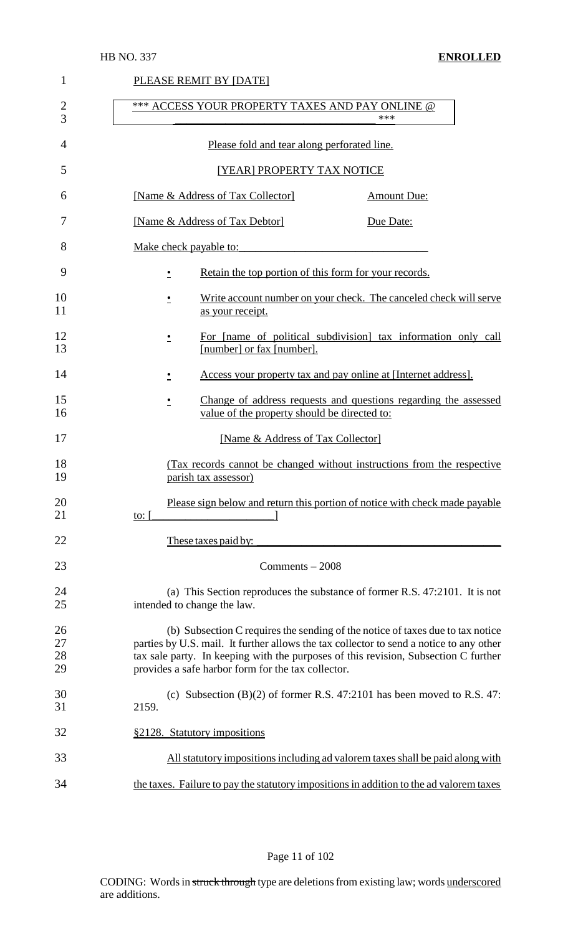| 1                    | PLEASE REMIT BY [DATE]                                                                                                                                                                                                                                                                                                 |
|----------------------|------------------------------------------------------------------------------------------------------------------------------------------------------------------------------------------------------------------------------------------------------------------------------------------------------------------------|
| $\overline{2}$<br>3  | *** ACCESS YOUR PROPERTY TAXES AND PAY ONLINE @<br>***                                                                                                                                                                                                                                                                 |
| 4                    | Please fold and tear along perforated line.                                                                                                                                                                                                                                                                            |
| 5                    | [YEAR] PROPERTY TAX NOTICE                                                                                                                                                                                                                                                                                             |
| 6                    | [Name & Address of Tax Collector]<br><b>Amount Due:</b>                                                                                                                                                                                                                                                                |
| 7                    | [Name & Address of Tax Debtor]<br>Due Date:                                                                                                                                                                                                                                                                            |
| 8                    | Make check payable to:                                                                                                                                                                                                                                                                                                 |
| 9                    | Retain the top portion of this form for your records.                                                                                                                                                                                                                                                                  |
| 10<br>11             | Write account number on your check. The canceled check will serve<br>$\overline{\phantom{a}}$<br>as your receipt.                                                                                                                                                                                                      |
| 12<br>13             | For [name of political subdivision] tax information only call<br>٠<br>[number] or fax [number].                                                                                                                                                                                                                        |
| 14                   | Access your property tax and pay online at [Internet address].<br>$\cdot$                                                                                                                                                                                                                                              |
| 15<br>16             | Change of address requests and questions regarding the assessed<br>$\cdot$<br>value of the property should be directed to:                                                                                                                                                                                             |
| 17                   | [Name & Address of Tax Collector]                                                                                                                                                                                                                                                                                      |
| 18<br>19             | (Tax records cannot be changed without instructions from the respective<br>parish tax assessor)                                                                                                                                                                                                                        |
| 20<br>21             | Please sign below and return this portion of notice with check made payable<br>to: $\lceil$                                                                                                                                                                                                                            |
| 22                   | These taxes paid by:                                                                                                                                                                                                                                                                                                   |
| 23                   | Comments $-2008$                                                                                                                                                                                                                                                                                                       |
| 24<br>25             | (a) This Section reproduces the substance of former R.S. 47:2101. It is not<br>intended to change the law.                                                                                                                                                                                                             |
| 26<br>27<br>28<br>29 | (b) Subsection C requires the sending of the notice of taxes due to tax notice<br>parties by U.S. mail. It further allows the tax collector to send a notice to any other<br>tax sale party. In keeping with the purposes of this revision, Subsection C further<br>provides a safe harbor form for the tax collector. |
| 30<br>31             | (c) Subsection $(B)(2)$ of former R.S. 47:2101 has been moved to R.S. 47:<br>2159.                                                                                                                                                                                                                                     |
| 32                   | §2128. Statutory impositions                                                                                                                                                                                                                                                                                           |
| 33                   | All statutory impositions including ad valorem taxes shall be paid along with                                                                                                                                                                                                                                          |
| 34                   | the taxes. Failure to pay the statutory impositions in addition to the ad valorem taxes                                                                                                                                                                                                                                |

Page 11 of 102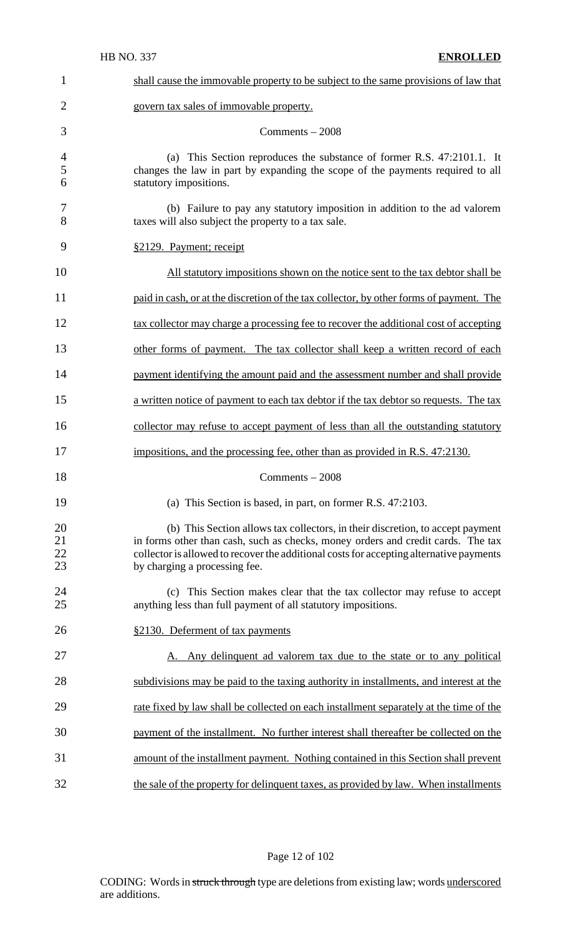| 1                    | shall cause the immovable property to be subject to the same provisions of law that                                                                                                                                                                                                            |
|----------------------|------------------------------------------------------------------------------------------------------------------------------------------------------------------------------------------------------------------------------------------------------------------------------------------------|
| $\overline{2}$       | govern tax sales of immovable property.                                                                                                                                                                                                                                                        |
| 3                    | Comments $-2008$                                                                                                                                                                                                                                                                               |
| 4<br>5<br>6          | (a) This Section reproduces the substance of former R.S. 47:2101.1. It<br>changes the law in part by expanding the scope of the payments required to all<br>statutory impositions.                                                                                                             |
| 7<br>8               | (b) Failure to pay any statutory imposition in addition to the ad valorem<br>taxes will also subject the property to a tax sale.                                                                                                                                                               |
| 9                    | §2129. Payment; receipt                                                                                                                                                                                                                                                                        |
| 10                   | All statutory impositions shown on the notice sent to the tax debtor shall be                                                                                                                                                                                                                  |
| 11                   | paid in cash, or at the discretion of the tax collector, by other forms of payment. The                                                                                                                                                                                                        |
| 12                   | tax collector may charge a processing fee to recover the additional cost of accepting                                                                                                                                                                                                          |
| 13                   | other forms of payment. The tax collector shall keep a written record of each                                                                                                                                                                                                                  |
| 14                   | payment identifying the amount paid and the assessment number and shall provide                                                                                                                                                                                                                |
| 15                   | a written notice of payment to each tax debtor if the tax debtor so requests. The tax                                                                                                                                                                                                          |
| 16                   | collector may refuse to accept payment of less than all the outstanding statutory                                                                                                                                                                                                              |
| 17                   | impositions, and the processing fee, other than as provided in R.S. 47:2130.                                                                                                                                                                                                                   |
| 18                   | $Comments - 2008$                                                                                                                                                                                                                                                                              |
| 19                   | (a) This Section is based, in part, on former R.S. 47:2103.                                                                                                                                                                                                                                    |
| 20<br>21<br>22<br>23 | (b) This Section allows tax collectors, in their discretion, to accept payment<br>in forms other than cash, such as checks, money orders and credit cards. The tax<br>collector is allowed to recover the additional costs for accepting alternative payments<br>by charging a processing fee. |
| 24<br>25             | (c) This Section makes clear that the tax collector may refuse to accept<br>anything less than full payment of all statutory impositions.                                                                                                                                                      |
| 26                   | §2130. Deferment of tax payments                                                                                                                                                                                                                                                               |
| 27                   | A. Any delinquent ad valorem tax due to the state or to any political                                                                                                                                                                                                                          |
| 28                   | subdivisions may be paid to the taxing authority in installments, and interest at the                                                                                                                                                                                                          |
| 29                   | rate fixed by law shall be collected on each installment separately at the time of the                                                                                                                                                                                                         |
| 30                   | payment of the installment. No further interest shall thereafter be collected on the                                                                                                                                                                                                           |
| 31                   | amount of the installment payment. Nothing contained in this Section shall prevent                                                                                                                                                                                                             |
| 32                   | the sale of the property for delinquent taxes, as provided by law. When installments                                                                                                                                                                                                           |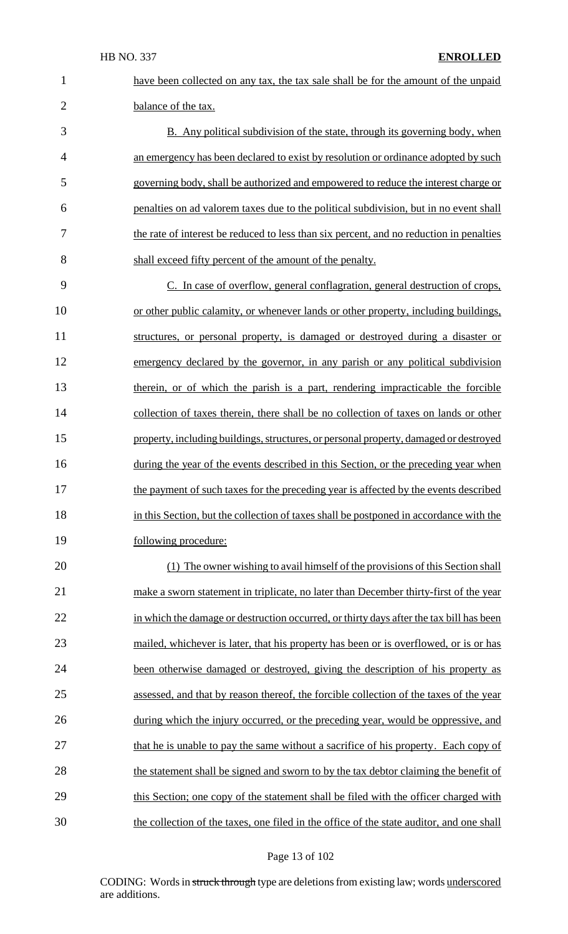19 following procedure:

 have been collected on any tax, the tax sale shall be for the amount of the unpaid balance of the tax. B. Any political subdivision of the state, through its governing body, when an emergency has been declared to exist by resolution or ordinance adopted by such governing body, shall be authorized and empowered to reduce the interest charge or penalties on ad valorem taxes due to the political subdivision, but in no event shall the rate of interest be reduced to less than six percent, and no reduction in penalties shall exceed fifty percent of the amount of the penalty. C. In case of overflow, general conflagration, general destruction of crops, or other public calamity, or whenever lands or other property, including buildings, structures, or personal property, is damaged or destroyed during a disaster or emergency declared by the governor, in any parish or any political subdivision 13 therein, or of which the parish is a part, rendering impracticable the forcible collection of taxes therein, there shall be no collection of taxes on lands or other 15 property, including buildings, structures, or personal property, damaged or destroyed 16 during the year of the events described in this Section, or the preceding year when 17 the payment of such taxes for the preceding year is affected by the events described 18 in this Section, but the collection of taxes shall be postponed in accordance with the

20 (1) The owner wishing to avail himself of the provisions of this Section shall 21 make a sworn statement in triplicate, no later than December thirty-first of the year 22 in which the damage or destruction occurred, or thirty days after the tax bill has been 23 mailed, whichever is later, that his property has been or is overflowed, or is or has 24 been otherwise damaged or destroyed, giving the description of his property as 25 assessed, and that by reason thereof, the forcible collection of the taxes of the year 26 during which the injury occurred, or the preceding year, would be oppressive, and 27 that he is unable to pay the same without a sacrifice of his property. Each copy of 28 the statement shall be signed and sworn to by the tax debtor claiming the benefit of 29 this Section; one copy of the statement shall be filed with the officer charged with 30 the collection of the taxes, one filed in the office of the state auditor, and one shall

#### Page 13 of 102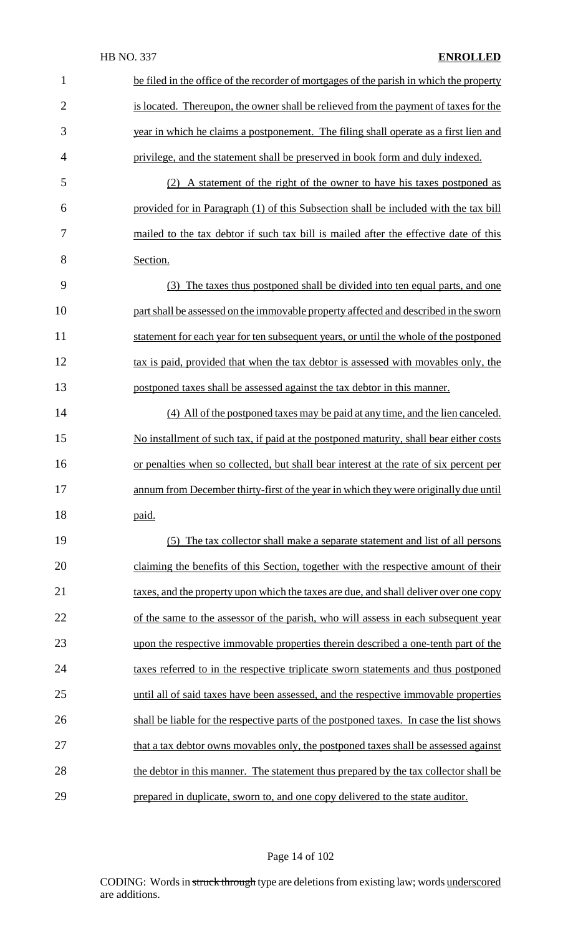| $\mathbf{1}$   | be filed in the office of the recorder of mortgages of the parish in which the property |
|----------------|-----------------------------------------------------------------------------------------|
| $\overline{2}$ | is located. Thereupon, the owner shall be relieved from the payment of taxes for the    |
| 3              | year in which he claims a postponement. The filing shall operate as a first lien and    |
| $\overline{4}$ | privilege, and the statement shall be preserved in book form and duly indexed.          |
| 5              | (2) A statement of the right of the owner to have his taxes postponed as                |
| 6              | provided for in Paragraph (1) of this Subsection shall be included with the tax bill    |
| 7              | mailed to the tax debtor if such tax bill is mailed after the effective date of this    |
| 8              | Section.                                                                                |
| 9              | (3) The taxes thus postponed shall be divided into ten equal parts, and one             |
| 10             | part shall be assessed on the immovable property affected and described in the sworn    |
| 11             | statement for each year for ten subsequent years, or until the whole of the postponed   |
| 12             | tax is paid, provided that when the tax debtor is assessed with movables only, the      |
| 13             | postponed taxes shall be assessed against the tax debtor in this manner.                |
| 14             | (4) All of the postponed taxes may be paid at any time, and the lien canceled.          |
| 15             | No installment of such tax, if paid at the postponed maturity, shall bear either costs  |
| 16             | or penalties when so collected, but shall bear interest at the rate of six percent per  |
| 17             | annum from December thirty-first of the year in which they were originally due until    |
| 18             | paid.                                                                                   |
| 19             | (5) The tax collector shall make a separate statement and list of all persons           |
| 20             | claiming the benefits of this Section, together with the respective amount of their     |
| 21             | taxes, and the property upon which the taxes are due, and shall deliver over one copy   |
| 22             | of the same to the assessor of the parish, who will assess in each subsequent year      |
| 23             | upon the respective immovable properties therein described a one-tenth part of the      |
| 24             | taxes referred to in the respective triplicate sworn statements and thus postponed      |
| 25             | until all of said taxes have been assessed, and the respective immovable properties     |
| 26             | shall be liable for the respective parts of the postponed taxes. In case the list shows |
| 27             | that a tax debtor owns movables only, the postponed taxes shall be assessed against     |
| 28             | the debtor in this manner. The statement thus prepared by the tax collector shall be    |
| 29             | prepared in duplicate, sworn to, and one copy delivered to the state auditor.           |

# Page 14 of 102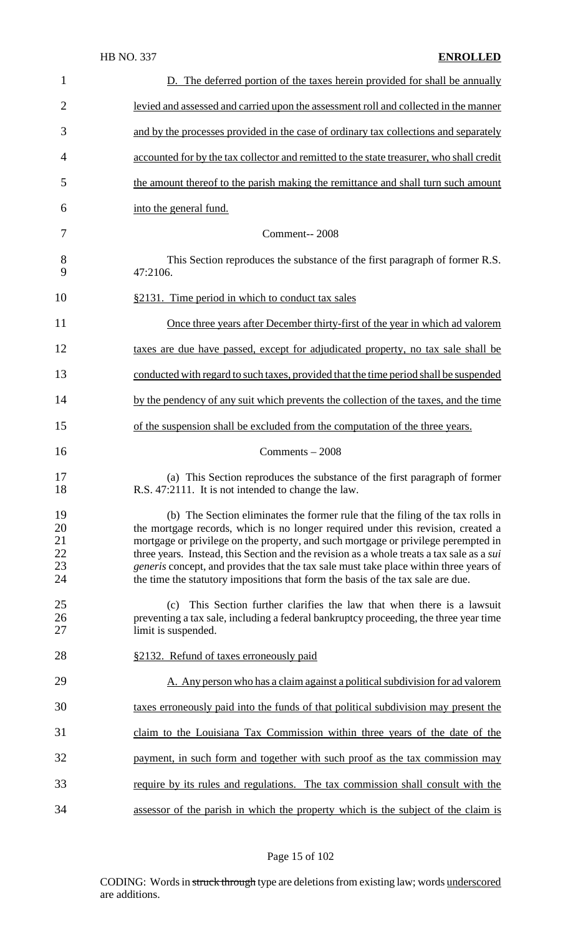| 1                                | D. The deferred portion of the taxes herein provided for shall be annually                                                                                                                                                                                                                                                                                                                                                                                                                                                        |
|----------------------------------|-----------------------------------------------------------------------------------------------------------------------------------------------------------------------------------------------------------------------------------------------------------------------------------------------------------------------------------------------------------------------------------------------------------------------------------------------------------------------------------------------------------------------------------|
| $\overline{2}$                   | levied and assessed and carried upon the assessment roll and collected in the manner                                                                                                                                                                                                                                                                                                                                                                                                                                              |
| 3                                | and by the processes provided in the case of ordinary tax collections and separately                                                                                                                                                                                                                                                                                                                                                                                                                                              |
| 4                                | accounted for by the tax collector and remitted to the state treasurer, who shall credit                                                                                                                                                                                                                                                                                                                                                                                                                                          |
| 5                                | the amount thereof to the parish making the remittance and shall turn such amount                                                                                                                                                                                                                                                                                                                                                                                                                                                 |
| 6                                | into the general fund.                                                                                                                                                                                                                                                                                                                                                                                                                                                                                                            |
| 7                                | Comment-- 2008                                                                                                                                                                                                                                                                                                                                                                                                                                                                                                                    |
| $8\phantom{1}$<br>9              | This Section reproduces the substance of the first paragraph of former R.S.<br>47:2106.                                                                                                                                                                                                                                                                                                                                                                                                                                           |
| 10                               | §2131. Time period in which to conduct tax sales                                                                                                                                                                                                                                                                                                                                                                                                                                                                                  |
| 11                               | Once three years after December thirty-first of the year in which ad valorem                                                                                                                                                                                                                                                                                                                                                                                                                                                      |
| 12                               | taxes are due have passed, except for adjudicated property, no tax sale shall be                                                                                                                                                                                                                                                                                                                                                                                                                                                  |
| 13                               | conducted with regard to such taxes, provided that the time period shall be suspended                                                                                                                                                                                                                                                                                                                                                                                                                                             |
| 14                               | by the pendency of any suit which prevents the collection of the taxes, and the time                                                                                                                                                                                                                                                                                                                                                                                                                                              |
| 15                               | of the suspension shall be excluded from the computation of the three years.                                                                                                                                                                                                                                                                                                                                                                                                                                                      |
| 16                               | $Comments - 2008$                                                                                                                                                                                                                                                                                                                                                                                                                                                                                                                 |
| 17<br>18                         | (a) This Section reproduces the substance of the first paragraph of former<br>R.S. 47:2111. It is not intended to change the law.                                                                                                                                                                                                                                                                                                                                                                                                 |
| 19<br>20<br>21<br>22<br>23<br>24 | (b) The Section eliminates the former rule that the filing of the tax rolls in<br>the mortgage records, which is no longer required under this revision, created a<br>mortgage or privilege on the property, and such mortgage or privilege perempted in<br>three years. Instead, this Section and the revision as a whole treats a tax sale as a sui<br>generis concept, and provides that the tax sale must take place within three years of<br>the time the statutory impositions that form the basis of the tax sale are due. |
| 25<br>26<br>27                   | This Section further clarifies the law that when there is a lawsuit<br>(c)<br>preventing a tax sale, including a federal bankruptcy proceeding, the three year time<br>limit is suspended.                                                                                                                                                                                                                                                                                                                                        |
| 28                               | §2132. Refund of taxes erroneously paid                                                                                                                                                                                                                                                                                                                                                                                                                                                                                           |
| 29                               | A. Any person who has a claim against a political subdivision for ad valorem                                                                                                                                                                                                                                                                                                                                                                                                                                                      |
| 30                               | taxes erroneously paid into the funds of that political subdivision may present the                                                                                                                                                                                                                                                                                                                                                                                                                                               |
| 31                               | claim to the Louisiana Tax Commission within three years of the date of the                                                                                                                                                                                                                                                                                                                                                                                                                                                       |
| 32                               | payment, in such form and together with such proof as the tax commission may                                                                                                                                                                                                                                                                                                                                                                                                                                                      |
| 33                               | require by its rules and regulations. The tax commission shall consult with the                                                                                                                                                                                                                                                                                                                                                                                                                                                   |
| 34                               | assessor of the parish in which the property which is the subject of the claim is                                                                                                                                                                                                                                                                                                                                                                                                                                                 |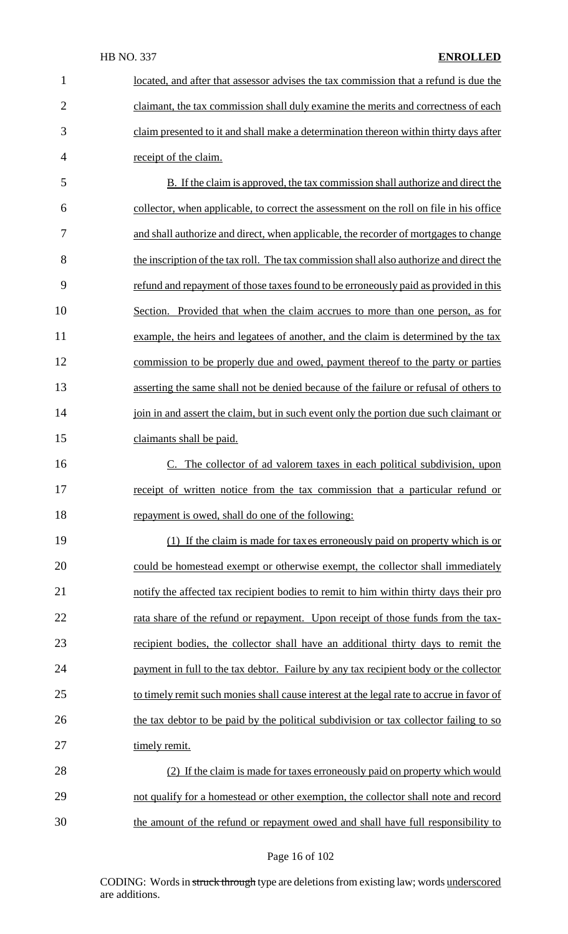located, and after that assessor advises the tax commission that a refund is due the claimant, the tax commission shall duly examine the merits and correctness of each claim presented to it and shall make a determination thereon within thirty days after receipt of the claim. B. If the claim is approved, the tax commission shall authorize and direct the collector, when applicable, to correct the assessment on the roll on file in his office and shall authorize and direct, when applicable, the recorder of mortgages to change the inscription of the tax roll. The tax commission shall also authorize and direct the refund and repayment of those taxesfound to be erroneously paid as provided in this Section. Provided that when the claim accrues to more than one person, as for 11 example, the heirs and legatees of another, and the claim is determined by the tax commission to be properly due and owed, payment thereof to the party or parties asserting the same shall not be denied because of the failure or refusal of others to 14 join in and assert the claim, but in such event only the portion due such claimant or 15 claimants shall be paid.

16 C. The collector of ad valorem taxes in each political subdivision, upon 17 receipt of written notice from the tax commission that a particular refund or 18 repayment is owed, shall do one of the following:

19 (1) If the claim is made for taxes erroneously paid on property which is or 20 could be homestead exempt or otherwise exempt, the collector shall immediately 21 notify the affected tax recipient bodies to remit to him within thirty days their pro 22 rata share of the refund or repayment. Upon receipt of those funds from the tax-23 recipient bodies, the collector shall have an additional thirty days to remit the 24 payment in full to the tax debtor. Failure by any tax recipient body or the collector 25 to timely remit such monies shall cause interest at the legal rate to accrue in favor of 26 the tax debtor to be paid by the political subdivision or tax collector failing to so 27 timely remit.

28 (2) If the claim is made for taxes erroneously paid on property which would 29 not qualify for a homestead or other exemption, the collector shall note and record 30 the amount of the refund or repayment owed and shall have full responsibility to

#### Page 16 of 102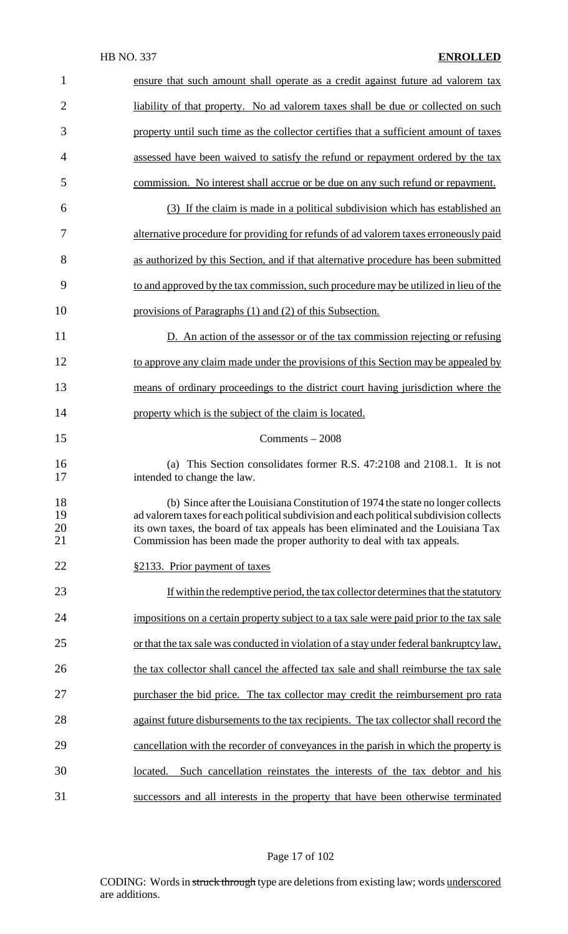| $\mathbf{1}$         | ensure that such amount shall operate as a credit against future ad valorem tax                                                                                                                                                                                                                                                            |
|----------------------|--------------------------------------------------------------------------------------------------------------------------------------------------------------------------------------------------------------------------------------------------------------------------------------------------------------------------------------------|
| $\overline{2}$       | liability of that property. No ad valorem taxes shall be due or collected on such                                                                                                                                                                                                                                                          |
| 3                    | property until such time as the collector certifies that a sufficient amount of taxes                                                                                                                                                                                                                                                      |
| 4                    | assessed have been waived to satisfy the refund or repayment ordered by the tax                                                                                                                                                                                                                                                            |
| 5                    | commission. No interest shall accrue or be due on any such refund or repayment.                                                                                                                                                                                                                                                            |
| 6                    | (3) If the claim is made in a political subdivision which has established an                                                                                                                                                                                                                                                               |
| 7                    | alternative procedure for providing for refunds of ad valorem taxes erroneously paid                                                                                                                                                                                                                                                       |
| 8                    | as authorized by this Section, and if that alternative procedure has been submitted                                                                                                                                                                                                                                                        |
| 9                    | to and approved by the tax commission, such procedure may be utilized in lieu of the                                                                                                                                                                                                                                                       |
| 10                   | provisions of Paragraphs (1) and (2) of this Subsection.                                                                                                                                                                                                                                                                                   |
| 11                   | D. An action of the assessor or of the tax commission rejecting or refusing                                                                                                                                                                                                                                                                |
| 12                   | to approve any claim made under the provisions of this Section may be appealed by                                                                                                                                                                                                                                                          |
| 13                   | means of ordinary proceedings to the district court having jurisdiction where the                                                                                                                                                                                                                                                          |
| 14                   | property which is the subject of the claim is located.                                                                                                                                                                                                                                                                                     |
| 15                   | $Comments - 2008$                                                                                                                                                                                                                                                                                                                          |
| 16<br>17             | (a) This Section consolidates former R.S. 47:2108 and 2108.1. It is not<br>intended to change the law.                                                                                                                                                                                                                                     |
| 18<br>19<br>20<br>21 | (b) Since after the Louisiana Constitution of 1974 the state no longer collects<br>ad valorem taxes for each political subdivision and each political subdivision collects<br>its own taxes, the board of tax appeals has been eliminated and the Louisiana Tax<br>Commission has been made the proper authority to deal with tax appeals. |
| 22                   | §2133. Prior payment of taxes                                                                                                                                                                                                                                                                                                              |
| 23                   | If within the redemptive period, the tax collector determines that the statutory                                                                                                                                                                                                                                                           |
| 24                   | impositions on a certain property subject to a tax sale were paid prior to the tax sale                                                                                                                                                                                                                                                    |
| 25                   | or that the tax sale was conducted in violation of a stay under federal bankruptcy law,                                                                                                                                                                                                                                                    |
| 26                   | the tax collector shall cancel the affected tax sale and shall reimburse the tax sale                                                                                                                                                                                                                                                      |
| 27                   | purchaser the bid price. The tax collector may credit the reimbursement pro rata                                                                                                                                                                                                                                                           |
| 28                   | against future disbursements to the tax recipients. The tax collector shall record the                                                                                                                                                                                                                                                     |
| 29                   | cancellation with the recorder of conveyances in the parish in which the property is                                                                                                                                                                                                                                                       |
| 30                   | Such cancellation reinstates the interests of the tax debtor and his<br>located.                                                                                                                                                                                                                                                           |
| 31                   | successors and all interests in the property that have been otherwise terminated                                                                                                                                                                                                                                                           |

Page 17 of 102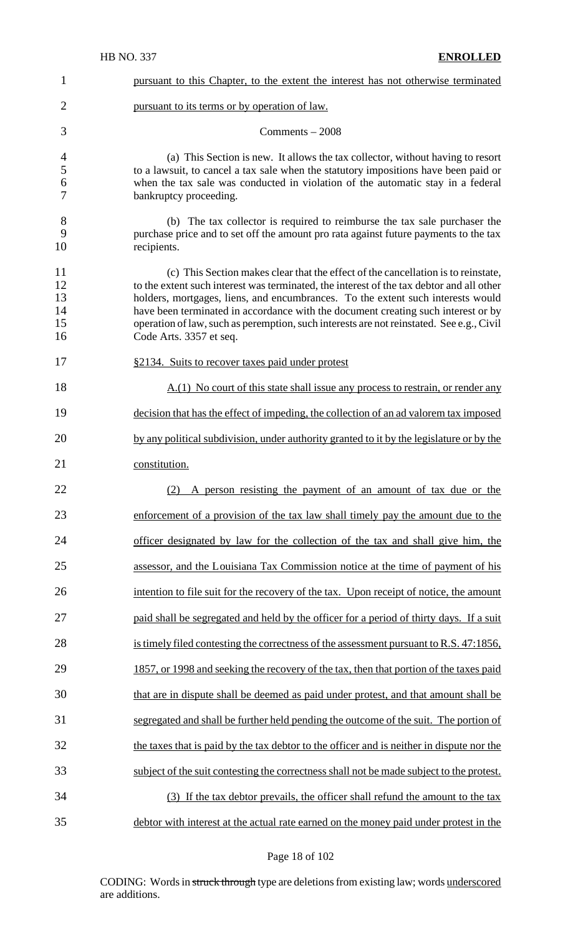| $\mathbf 1$                      | pursuant to this Chapter, to the extent the interest has not otherwise terminated                                                                                                                                                                                                                                                                                                                                                                                            |
|----------------------------------|------------------------------------------------------------------------------------------------------------------------------------------------------------------------------------------------------------------------------------------------------------------------------------------------------------------------------------------------------------------------------------------------------------------------------------------------------------------------------|
| $\overline{2}$                   | pursuant to its terms or by operation of law.                                                                                                                                                                                                                                                                                                                                                                                                                                |
| 3                                | Comments $-2008$                                                                                                                                                                                                                                                                                                                                                                                                                                                             |
| $\overline{4}$<br>5<br>6<br>7    | (a) This Section is new. It allows the tax collector, without having to resort<br>to a lawsuit, to cancel a tax sale when the statutory impositions have been paid or<br>when the tax sale was conducted in violation of the automatic stay in a federal<br>bankruptcy proceeding.                                                                                                                                                                                           |
| 8<br>9<br>10                     | (b) The tax collector is required to reimburse the tax sale purchaser the<br>purchase price and to set off the amount pro rata against future payments to the tax<br>recipients.                                                                                                                                                                                                                                                                                             |
| 11<br>12<br>13<br>14<br>15<br>16 | (c) This Section makes clear that the effect of the cancellation is to reinstate,<br>to the extent such interest was terminated, the interest of the tax debtor and all other<br>holders, mortgages, liens, and encumbrances. To the extent such interests would<br>have been terminated in accordance with the document creating such interest or by<br>operation of law, such as peremption, such interests are not reinstated. See e.g., Civil<br>Code Arts. 3357 et seq. |
| 17                               | §2134. Suits to recover taxes paid under protest                                                                                                                                                                                                                                                                                                                                                                                                                             |
| 18                               | A.(1) No court of this state shall issue any process to restrain, or render any                                                                                                                                                                                                                                                                                                                                                                                              |
| 19                               | decision that has the effect of impeding, the collection of an ad valorem tax imposed                                                                                                                                                                                                                                                                                                                                                                                        |
| 20                               | by any political subdivision, under authority granted to it by the legislature or by the                                                                                                                                                                                                                                                                                                                                                                                     |
| 21                               | constitution.                                                                                                                                                                                                                                                                                                                                                                                                                                                                |
| 22                               | A person resisting the payment of an amount of tax due or the<br>(2)                                                                                                                                                                                                                                                                                                                                                                                                         |
| 23                               | enforcement of a provision of the tax law shall timely pay the amount due to the                                                                                                                                                                                                                                                                                                                                                                                             |
| 24                               | officer designated by law for the collection of the tax and shall give him, the                                                                                                                                                                                                                                                                                                                                                                                              |
| 25                               | assessor, and the Louisiana Tax Commission notice at the time of payment of his                                                                                                                                                                                                                                                                                                                                                                                              |
| 26                               | intention to file suit for the recovery of the tax. Upon receipt of notice, the amount                                                                                                                                                                                                                                                                                                                                                                                       |
| 27                               | paid shall be segregated and held by the officer for a period of thirty days. If a suit                                                                                                                                                                                                                                                                                                                                                                                      |
| 28                               | is timely filed contesting the correctness of the assessment pursuant to R.S. 47:1856,                                                                                                                                                                                                                                                                                                                                                                                       |
| 29                               | 1857, or 1998 and seeking the recovery of the tax, then that portion of the taxes paid                                                                                                                                                                                                                                                                                                                                                                                       |
| 30                               | that are in dispute shall be deemed as paid under protest, and that amount shall be                                                                                                                                                                                                                                                                                                                                                                                          |
| 31                               | segregated and shall be further held pending the outcome of the suit. The portion of                                                                                                                                                                                                                                                                                                                                                                                         |
| 32                               | the taxes that is paid by the tax debtor to the officer and is neither in dispute nor the                                                                                                                                                                                                                                                                                                                                                                                    |
| 33                               | subject of the suit contesting the correctness shall not be made subject to the protest.                                                                                                                                                                                                                                                                                                                                                                                     |
| 34                               |                                                                                                                                                                                                                                                                                                                                                                                                                                                                              |
|                                  | (3) If the tax debtor prevails, the officer shall refund the amount to the tax                                                                                                                                                                                                                                                                                                                                                                                               |

Page 18 of 102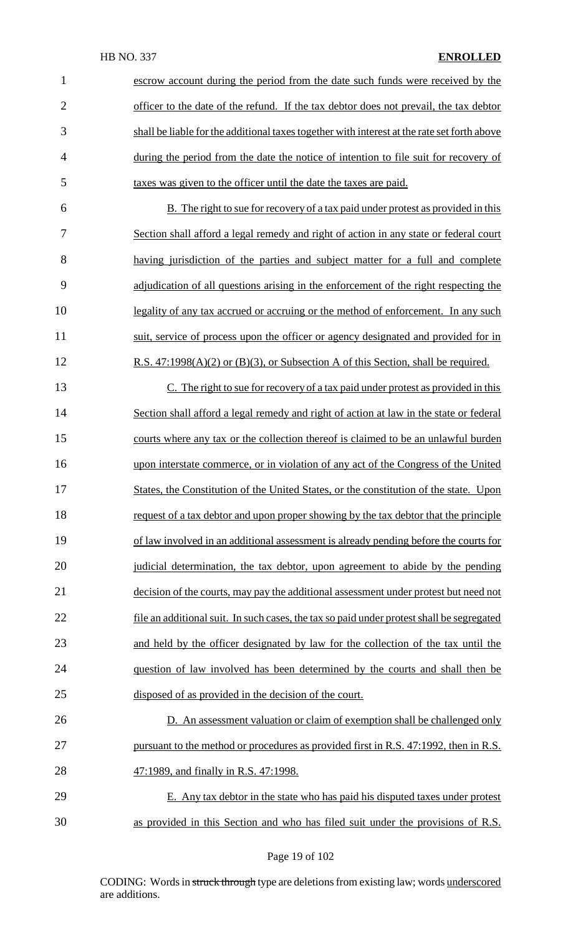| 1              | escrow account during the period from the date such funds were received by the              |
|----------------|---------------------------------------------------------------------------------------------|
| $\overline{2}$ | officer to the date of the refund. If the tax debtor does not prevail, the tax debtor       |
| 3              | shall be liable for the additional taxes together with interest at the rate set forth above |
| $\overline{4}$ | during the period from the date the notice of intention to file suit for recovery of        |
| 5              | taxes was given to the officer until the date the taxes are paid.                           |
| 6              | B. The right to sue for recovery of a tax paid under protest as provided in this            |
| 7              | Section shall afford a legal remedy and right of action in any state or federal court       |
| 8              | having jurisdiction of the parties and subject matter for a full and complete               |
| 9              | adjudication of all questions arising in the enforcement of the right respecting the        |
| 10             | legality of any tax accrued or accruing or the method of enforcement. In any such           |
| 11             | suit, service of process upon the officer or agency designated and provided for in          |
| 12             | R.S. $47:1998(A)(2)$ or (B)(3), or Subsection A of this Section, shall be required.         |
| 13             | C. The right to sue for recovery of a tax paid under protest as provided in this            |
| 14             | Section shall afford a legal remedy and right of action at law in the state or federal      |
| 15             | courts where any tax or the collection thereof is claimed to be an unlawful burden          |
| 16             | upon interstate commerce, or in violation of any act of the Congress of the United          |
| 17             | States, the Constitution of the United States, or the constitution of the state. Upon       |
| 18             | request of a tax debtor and upon proper showing by the tax debtor that the principle        |
| 19             | of law involved in an additional assessment is already pending before the courts for        |
| 20             | judicial determination, the tax debtor, upon agreement to abide by the pending              |
| 21             | decision of the courts, may pay the additional assessment under protest but need not        |
| 22             | file an additional suit. In such cases, the tax so paid under protest shall be segregated   |
| 23             | and held by the officer designated by law for the collection of the tax until the           |
| 24             | question of law involved has been determined by the courts and shall then be                |
| 25             | disposed of as provided in the decision of the court.                                       |
| 26             | D. An assessment valuation or claim of exemption shall be challenged only                   |
| 27             | pursuant to the method or procedures as provided first in R.S. 47:1992, then in R.S.        |
| 28             | 47:1989, and finally in R.S. 47:1998.                                                       |
| 29             | E. Any tax debtor in the state who has paid his disputed taxes under protest                |
| 30             | as provided in this Section and who has filed suit under the provisions of R.S.             |

Page 19 of 102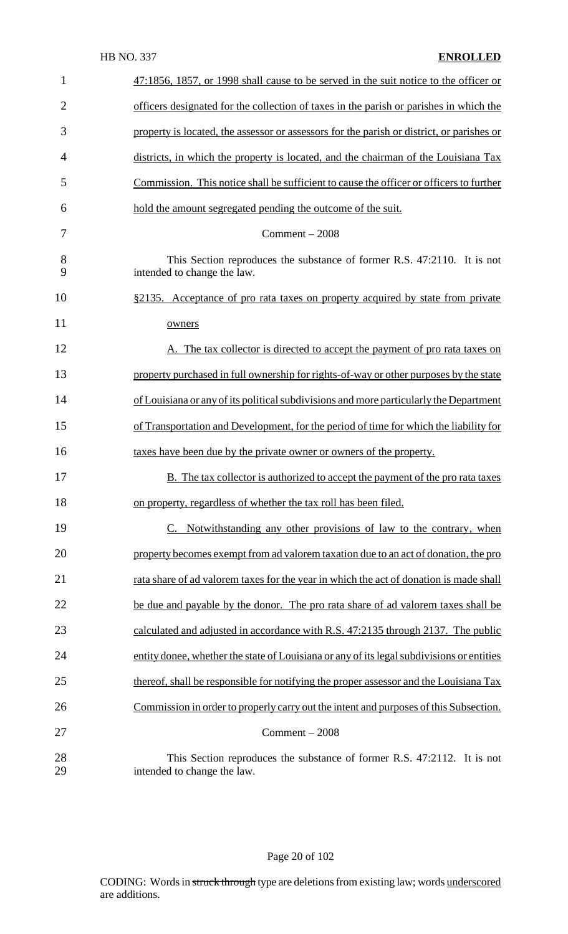| $\mathbf{1}$   | 47:1856, 1857, or 1998 shall cause to be served in the suit notice to the officer or                   |
|----------------|--------------------------------------------------------------------------------------------------------|
| $\overline{2}$ | officers designated for the collection of taxes in the parish or parishes in which the                 |
| 3              | property is located, the assessor or assessors for the parish or district, or parishes or              |
| $\overline{4}$ | districts, in which the property is located, and the chairman of the Louisiana Tax                     |
| 5              | Commission. This notice shall be sufficient to cause the officer or officers to further                |
| 6              | hold the amount segregated pending the outcome of the suit.                                            |
| 7              | $Comment - 2008$                                                                                       |
| 8<br>9         | This Section reproduces the substance of former R.S. 47:2110. It is not<br>intended to change the law. |
| 10             | <u>§2135. Acceptance of pro rata taxes on property acquired by state from private</u>                  |
| 11             | owners                                                                                                 |
| 12             | A. The tax collector is directed to accept the payment of pro rata taxes on                            |
| 13             | property purchased in full ownership for rights-of-way or other purposes by the state                  |
| 14             | of Louisiana or any of its political subdivisions and more particularly the Department                 |
| 15             | of Transportation and Development, for the period of time for which the liability for                  |
| 16             | taxes have been due by the private owner or owners of the property.                                    |
| 17             | <b>B.</b> The tax collector is authorized to accept the payment of the pro rata taxes                  |
| 18             | on property, regardless of whether the tax roll has been filed.                                        |
| 19             | C. Notwithstanding any other provisions of law to the contrary, when                                   |
| 20             | property becomes exempt from ad valorem taxation due to an act of donation, the pro                    |
| 21             | rata share of ad valorem taxes for the year in which the act of donation is made shall                 |
| 22             | be due and payable by the donor. The pro rata share of ad valorem taxes shall be                       |
| 23             | calculated and adjusted in accordance with R.S. 47:2135 through 2137. The public                       |
| 24             | entity donee, whether the state of Louisiana or any of its legal subdivisions or entities              |
| 25             | thereof, shall be responsible for notifying the proper assessor and the Louisiana Tax                  |
| 26             | Commission in order to properly carry out the intent and purposes of this Subsection.                  |
| 27             | $Comment - 2008$                                                                                       |
| 28<br>29       | This Section reproduces the substance of former R.S. 47:2112. It is not<br>intended to change the law. |

# Page 20 of 102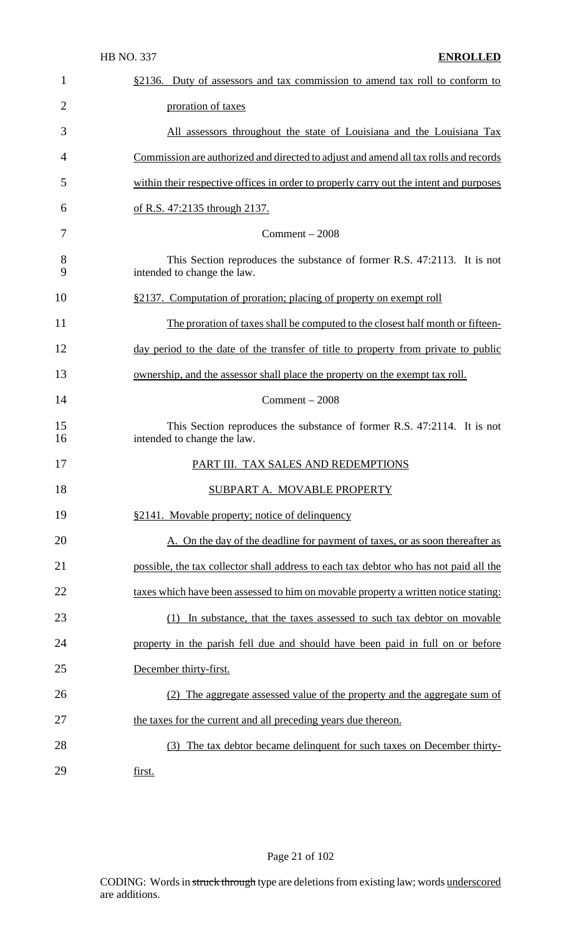| 1              | §2136. Duty of assessors and tax commission to amend tax roll to conform to                            |
|----------------|--------------------------------------------------------------------------------------------------------|
| $\overline{2}$ | proration of taxes                                                                                     |
| 3              | All assessors throughout the state of Louisiana and the Louisiana Tax                                  |
| 4              | Commission are authorized and directed to adjust and amend all tax rolls and records                   |
| 5              | within their respective offices in order to properly carry out the intent and purposes                 |
| 6              | of R.S. 47:2135 through 2137.                                                                          |
| 7              | $Comment - 2008$                                                                                       |
| 8<br>9         | This Section reproduces the substance of former R.S. 47:2113. It is not<br>intended to change the law. |
| 10             | §2137. Computation of proration; placing of property on exempt roll                                    |
| 11             | The proration of taxes shall be computed to the closest half month or fifteen-                         |
| 12             | day period to the date of the transfer of title to property from private to public                     |
| 13             | ownership, and the assessor shall place the property on the exempt tax roll.                           |
| 14             | $Comment - 2008$                                                                                       |
| 15<br>16       | This Section reproduces the substance of former R.S. 47:2114. It is not<br>intended to change the law. |
| 17             | PART III. TAX SALES AND REDEMPTIONS                                                                    |
| 18             | SUBPART A. MOVABLE PROPERTY                                                                            |
| 19             | §2141. Movable property; notice of delinquency                                                         |
| 20             | A. On the day of the deadline for payment of taxes, or as soon thereafter as                           |
| 21             | possible, the tax collector shall address to each tax debtor who has not paid all the                  |
| 22             | taxes which have been assessed to him on movable property a written notice stating:                    |
| 23             | (1) In substance, that the taxes assessed to such tax debtor on movable                                |
| 24             | property in the parish fell due and should have been paid in full on or before                         |
| 25             | December thirty-first.                                                                                 |
| 26             | (2) The aggregate assessed value of the property and the aggregate sum of                              |
| 27             | the taxes for the current and all preceding years due thereon.                                         |
| 28             | (3) The tax debtor became delinquent for such taxes on December thirty-                                |
| 29             | first.                                                                                                 |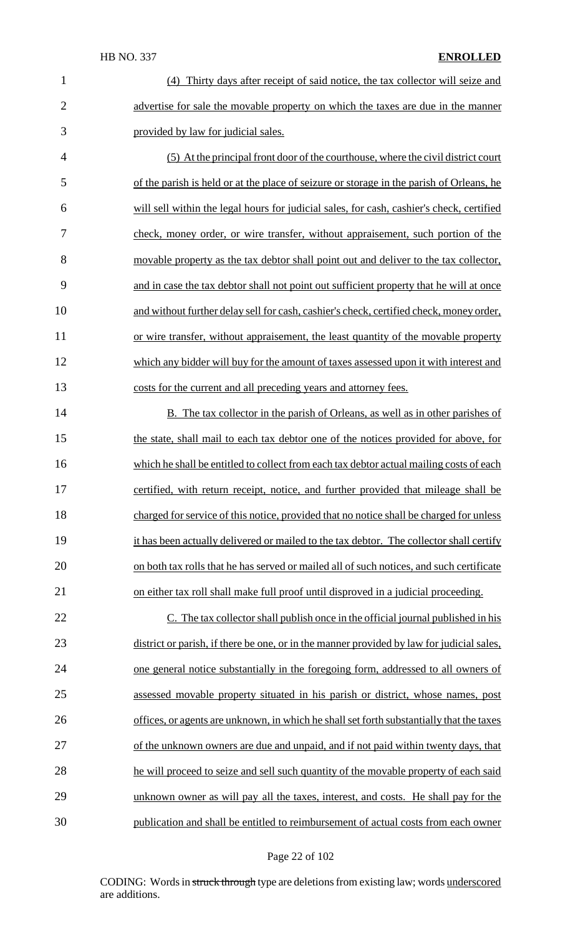(4) Thirty days after receipt of said notice, the tax collector will seize and 2 advertise for sale the movable property on which the taxes are due in the manner provided by law for judicial sales.

 (5) At the principal front door of the courthouse, where the civil district court of the parish is held or at the place of seizure or storage in the parish of Orleans, he will sell within the legal hours for judicial sales, for cash, cashier's check, certified check, money order, or wire transfer, without appraisement, such portion of the movable property as the tax debtor shall point out and deliver to the tax collector, and in case the tax debtor shall not point out sufficient property that he will at once and without further delay sell for cash, cashier's check, certified check, money order, or wire transfer, without appraisement, the least quantity of the movable property which any bidder will buy for the amount of taxes assessed upon it with interest and costs for the current and all preceding years and attorney fees.

14 B. The tax collector in the parish of Orleans, as well as in other parishes of 15 the state, shall mail to each tax debtor one of the notices provided for above, for 16 which he shall be entitled to collect from each tax debtor actual mailing costs of each certified, with return receipt, notice, and further provided that mileage shall be charged for service of this notice, provided that no notice shall be charged for unless it has been actually delivered or mailed to the tax debtor. The collector shall certify on both tax rolls that he has served or mailed all of such notices, and such certificate on either tax roll shall make full proof until disproved in a judicial proceeding.

22 C. The tax collector shall publish once in the official journal published in his 23 district or parish, if there be one, or in the manner provided by law for judicial sales, one general notice substantially in the foregoing form, addressed to all owners of assessed movable property situated in his parish or district, whose names, post 26 offices, or agents are unknown, in which he shall set forth substantially that the taxes of the unknown owners are due and unpaid, and if not paid within twenty days, that he will proceed to seize and sell such quantity of the movable property of each said unknown owner as will pay all the taxes, interest, and costs. He shall pay for the publication and shall be entitled to reimbursement of actual costs from each owner

#### Page 22 of 102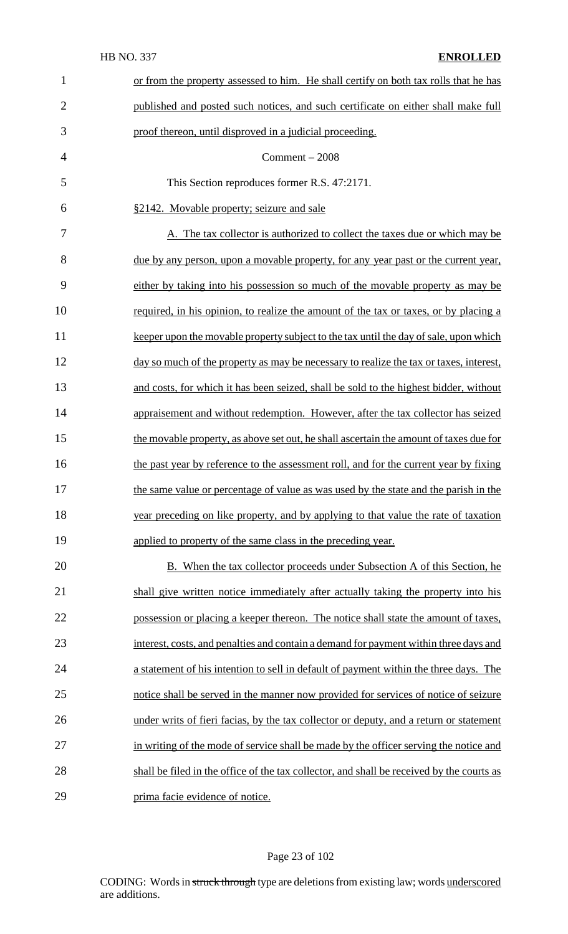| $\mathbf{1}$   | or from the property assessed to him. He shall certify on both tax rolls that he has      |
|----------------|-------------------------------------------------------------------------------------------|
| $\overline{2}$ | published and posted such notices, and such certificate on either shall make full         |
| 3              | proof thereon, until disproved in a judicial proceeding.                                  |
| $\overline{4}$ | $Comment - 2008$                                                                          |
| 5              | This Section reproduces former R.S. 47:2171.                                              |
| 6              | §2142. Movable property; seizure and sale                                                 |
| 7              | A. The tax collector is authorized to collect the taxes due or which may be               |
| 8              | due by any person, upon a movable property, for any year past or the current year,        |
| 9              | either by taking into his possession so much of the movable property as may be            |
| 10             | required, in his opinion, to realize the amount of the tax or taxes, or by placing a      |
| 11             | keeper upon the movable property subject to the tax until the day of sale, upon which     |
| 12             | day so much of the property as may be necessary to realize the tax or taxes, interest,    |
| 13             | and costs, for which it has been seized, shall be sold to the highest bidder, without     |
| 14             | appraisement and without redemption. However, after the tax collector has seized          |
| 15             | the movable property, as above set out, he shall ascertain the amount of taxes due for    |
| 16             | the past year by reference to the assessment roll, and for the current year by fixing     |
| 17             | the same value or percentage of value as was used by the state and the parish in the      |
| 18             | year preceding on like property, and by applying to that value the rate of taxation       |
| 19             | applied to property of the same class in the preceding year.                              |
| 20             | <b>B.</b> When the tax collector proceeds under Subsection A of this Section, he          |
| 21             | shall give written notice immediately after actually taking the property into his         |
| 22             | possession or placing a keeper thereon. The notice shall state the amount of taxes,       |
| 23             | interest, costs, and penalties and contain a demand for payment within three days and     |
| 24             | a statement of his intention to sell in default of payment within the three days. The     |
| 25             | notice shall be served in the manner now provided for services of notice of seizure       |
| 26             | under writs of fieri facias, by the tax collector or deputy, and a return or statement    |
| 27             | in writing of the mode of service shall be made by the officer serving the notice and     |
| 28             | shall be filed in the office of the tax collector, and shall be received by the courts as |
| 29             | prima facie evidence of notice.                                                           |

# Page 23 of 102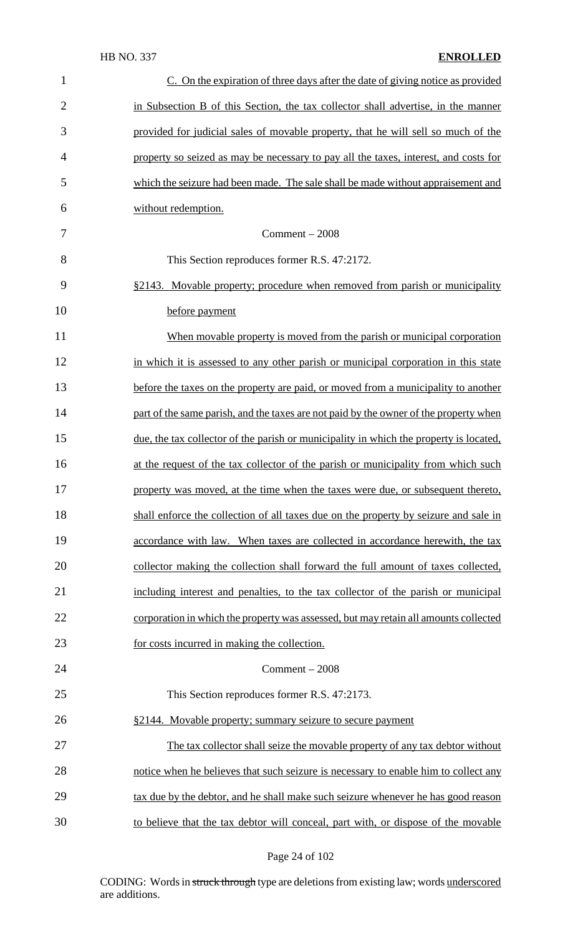| $\mathbf{1}$   | C. On the expiration of three days after the date of giving notice as provided         |
|----------------|----------------------------------------------------------------------------------------|
| $\overline{2}$ | in Subsection B of this Section, the tax collector shall advertise, in the manner      |
| 3              | provided for judicial sales of movable property, that he will sell so much of the      |
| 4              | property so seized as may be necessary to pay all the taxes, interest, and costs for   |
| 5              | which the seizure had been made. The sale shall be made without appraisement and       |
| 6              | without redemption.                                                                    |
| 7              | $Comment - 2008$                                                                       |
| 8              | This Section reproduces former R.S. 47:2172.                                           |
| 9              | §2143. Movable property; procedure when removed from parish or municipality            |
| 10             | before payment                                                                         |
| 11             | When movable property is moved from the parish or municipal corporation                |
| 12             | in which it is assessed to any other parish or municipal corporation in this state     |
| 13             | before the taxes on the property are paid, or moved from a municipality to another     |
| 14             | part of the same parish, and the taxes are not paid by the owner of the property when  |
| 15             | due, the tax collector of the parish or municipality in which the property is located, |
| 16             | at the request of the tax collector of the parish or municipality from which such      |
| 17             | property was moved, at the time when the taxes were due, or subsequent thereto,        |
| 18             | shall enforce the collection of all taxes due on the property by seizure and sale in   |
| 19             | accordance with law. When taxes are collected in accordance herewith, the tax          |
| 20             | collector making the collection shall forward the full amount of taxes collected,      |
| 21             | including interest and penalties, to the tax collector of the parish or municipal      |
| 22             | corporation in which the property was assessed, but may retain all amounts collected   |
| 23             | for costs incurred in making the collection.                                           |
| 24             | $Comment - 2008$                                                                       |
| 25             | This Section reproduces former R.S. 47:2173.                                           |
| 26             | §2144. Movable property; summary seizure to secure payment                             |
| 27             | The tax collector shall seize the movable property of any tax debtor without           |
| 28             | notice when he believes that such seizure is necessary to enable him to collect any    |
| 29             | tax due by the debtor, and he shall make such seizure whenever he has good reason      |
| 30             | to believe that the tax debtor will conceal, part with, or dispose of the movable      |

Page 24 of 102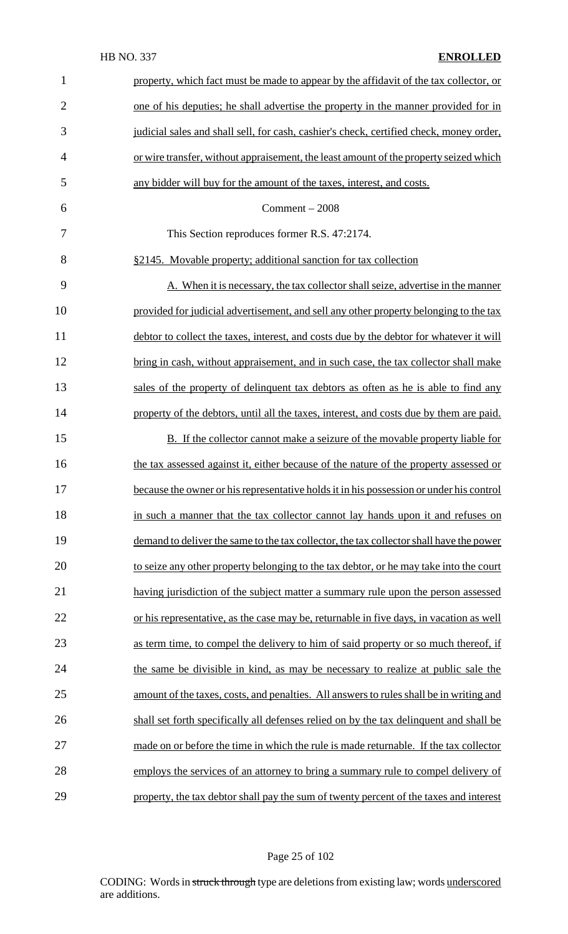| $\mathbf{1}$   | property, which fact must be made to appear by the affidavit of the tax collector, or   |
|----------------|-----------------------------------------------------------------------------------------|
| $\overline{2}$ | one of his deputies; he shall advertise the property in the manner provided for in      |
| 3              | judicial sales and shall sell, for cash, cashier's check, certified check, money order, |
| $\overline{4}$ | or wire transfer, without appraisement, the least amount of the property seized which   |
| 5              | any bidder will buy for the amount of the taxes, interest, and costs.                   |
| 6              | $Comment - 2008$                                                                        |
| 7              | This Section reproduces former R.S. 47:2174.                                            |
| 8              | §2145. Movable property; additional sanction for tax collection                         |
| 9              | A. When it is necessary, the tax collector shall seize, advertise in the manner         |
| 10             | provided for judicial advertisement, and sell any other property belonging to the tax   |
| 11             | debtor to collect the taxes, interest, and costs due by the debtor for whatever it will |
| 12             | bring in cash, without appraisement, and in such case, the tax collector shall make     |
| 13             | sales of the property of delinquent tax debtors as often as he is able to find any      |
| 14             | property of the debtors, until all the taxes, interest, and costs due by them are paid. |
| 15             | <b>B.</b> If the collector cannot make a seizure of the movable property liable for     |
| 16             | the tax assessed against it, either because of the nature of the property assessed or   |
| 17             | because the owner or his representative holds it in his possession or under his control |
| 18             | in such a manner that the tax collector cannot lay hands upon it and refuses on         |
| 19             | demand to deliver the same to the tax collector, the tax collector shall have the power |
| 20             | to seize any other property belonging to the tax debtor, or he may take into the court  |
| 21             | having jurisdiction of the subject matter a summary rule upon the person assessed       |
| 22             | or his representative, as the case may be, returnable in five days, in vacation as well |
| 23             | as term time, to compel the delivery to him of said property or so much thereof, if     |
| 24             | the same be divisible in kind, as may be necessary to realize at public sale the        |
| 25             | amount of the taxes, costs, and penalties. All answers to rules shall be in writing and |
| 26             | shall set forth specifically all defenses relied on by the tax delinquent and shall be  |
| 27             | made on or before the time in which the rule is made returnable. If the tax collector   |
| 28             | employs the services of an attorney to bring a summary rule to compel delivery of       |
| 29             | property, the tax debtor shall pay the sum of twenty percent of the taxes and interest  |

Page 25 of 102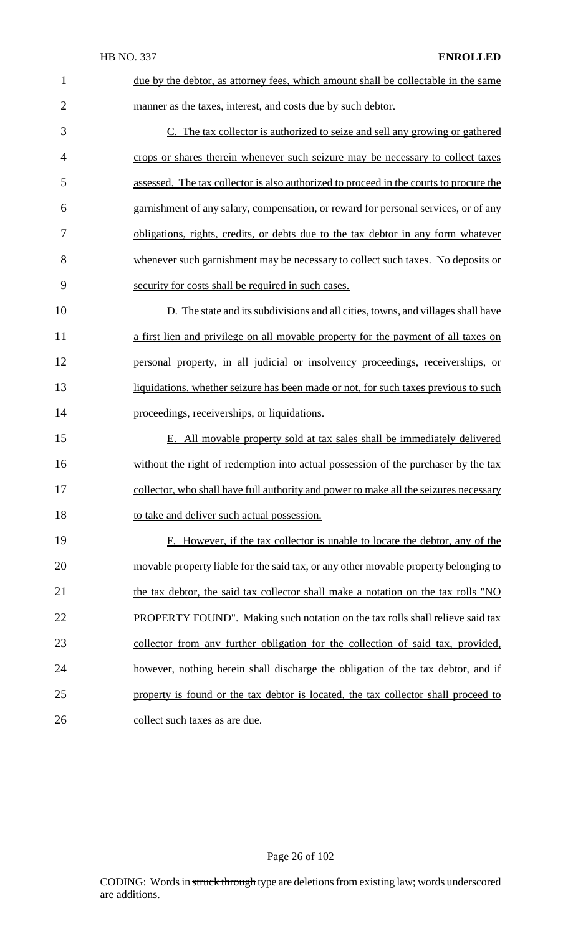| $\mathbf{1}$   | due by the debtor, as attorney fees, which amount shall be collectable in the same     |
|----------------|----------------------------------------------------------------------------------------|
| $\overline{2}$ | manner as the taxes, interest, and costs due by such debtor.                           |
| 3              | C. The tax collector is authorized to seize and sell any growing or gathered           |
| 4              | crops or shares therein whenever such seizure may be necessary to collect taxes        |
| 5              | assessed. The tax collector is also authorized to proceed in the courts to procure the |
| 6              | garnishment of any salary, compensation, or reward for personal services, or of any    |
| 7              | obligations, rights, credits, or debts due to the tax debtor in any form whatever      |
| 8              | whenever such garnishment may be necessary to collect such taxes. No deposits or       |
| 9              | security for costs shall be required in such cases.                                    |
| 10             | D. The state and its subdivisions and all cities, towns, and villages shall have       |
| 11             | a first lien and privilege on all movable property for the payment of all taxes on     |
| 12             | personal property, in all judicial or insolvency proceedings, receiverships, or        |
| 13             | liquidations, whether seizure has been made or not, for such taxes previous to such    |
|                |                                                                                        |
| 14             | proceedings, receiverships, or liquidations.                                           |
| 15             | E. All movable property sold at tax sales shall be immediately delivered               |
| 16             | without the right of redemption into actual possession of the purchaser by the tax     |
| 17             | collector, who shall have full authority and power to make all the seizures necessary  |
| 18             | to take and deliver such actual possession.                                            |
| 19             | F. However, if the tax collector is unable to locate the debtor, any of the            |
| 20             | movable property liable for the said tax, or any other movable property belonging to   |
| 21             | the tax debtor, the said tax collector shall make a notation on the tax rolls "NO      |
| 22             | <b>PROPERTY FOUND".</b> Making such notation on the tax rolls shall relieve said tax   |
| 23             | collector from any further obligation for the collection of said tax, provided,        |
| 24             | however, nothing herein shall discharge the obligation of the tax debtor, and if       |
| 25             | property is found or the tax debtor is located, the tax collector shall proceed to     |

# Page 26 of 102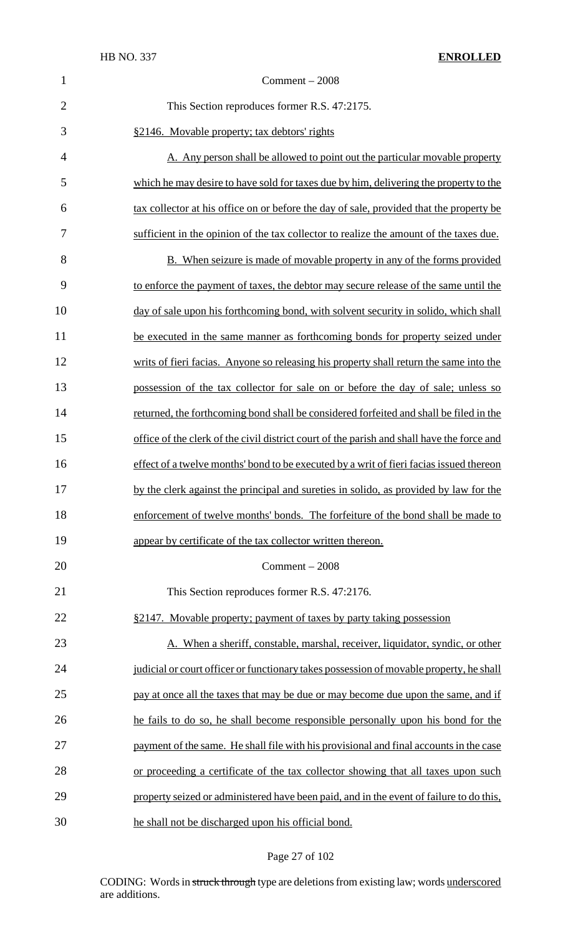| $\mathbf{1}$   | $Comment - 2008$                                                                           |
|----------------|--------------------------------------------------------------------------------------------|
| $\overline{2}$ | This Section reproduces former R.S. 47:2175.                                               |
| 3              | §2146. Movable property; tax debtors' rights                                               |
| $\overline{4}$ | A. Any person shall be allowed to point out the particular movable property                |
| 5              | which he may desire to have sold for taxes due by him, delivering the property to the      |
| 6              | tax collector at his office on or before the day of sale, provided that the property be    |
| 7              | sufficient in the opinion of the tax collector to realize the amount of the taxes due.     |
| 8              | <b>B.</b> When seizure is made of movable property in any of the forms provided            |
| 9              | to enforce the payment of taxes, the debtor may secure release of the same until the       |
| 10             | day of sale upon his forthcoming bond, with solvent security in solido, which shall        |
| 11             | be executed in the same manner as forthcoming bonds for property seized under              |
| 12             | writs of fieri facias. Anyone so releasing his property shall return the same into the     |
| 13             | possession of the tax collector for sale on or before the day of sale; unless so           |
| 14             | returned, the forthcoming bond shall be considered forfeited and shall be filed in the     |
| 15             | office of the clerk of the civil district court of the parish and shall have the force and |
| 16             | effect of a twelve months' bond to be executed by a writ of fieri facias issued thereon    |
| 17             | by the clerk against the principal and sureties in solido, as provided by law for the      |
| 18             | enforcement of twelve months' bonds. The forfeiture of the bond shall be made to           |
| 19             | appear by certificate of the tax collector written thereon.                                |
| 20             | Comment $-2008$                                                                            |
| 21             | This Section reproduces former R.S. 47:2176.                                               |
| 22             | §2147. Movable property; payment of taxes by party taking possession                       |
| 23             | A. When a sheriff, constable, marshal, receiver, liquidator, syndic, or other              |
| 24             | judicial or court officer or functionary takes possession of movable property, he shall    |
| 25             | pay at once all the taxes that may be due or may become due upon the same, and if          |
| 26             | he fails to do so, he shall become responsible personally upon his bond for the            |
| 27             | payment of the same. He shall file with his provisional and final accounts in the case     |
| 28             | or proceeding a certificate of the tax collector showing that all taxes upon such          |
| 29             | property seized or administered have been paid, and in the event of failure to do this,    |
| 30             | he shall not be discharged upon his official bond.                                         |

# Page 27 of 102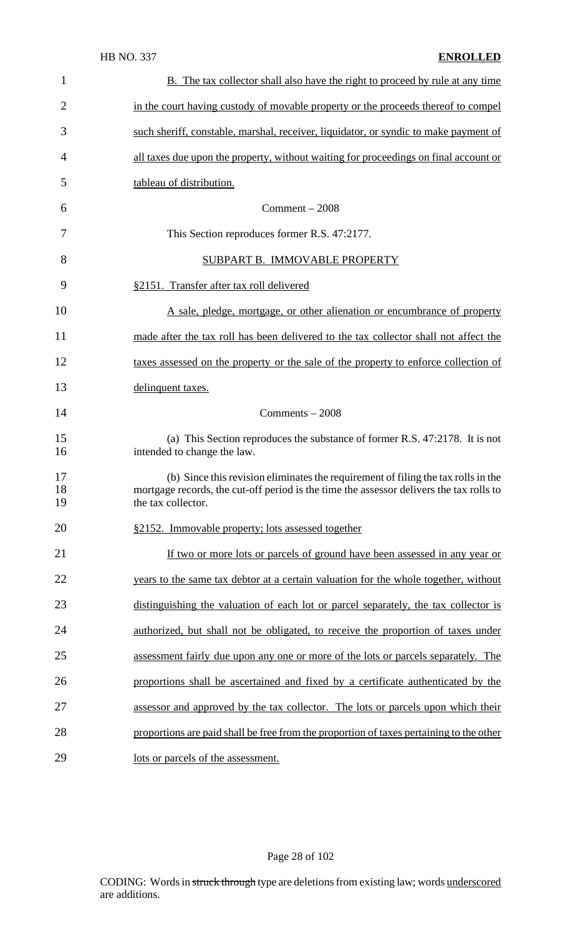| $\mathbf{1}$   | <b>B.</b> The tax collector shall also have the right to proceed by rule at any time                                                                                                               |
|----------------|----------------------------------------------------------------------------------------------------------------------------------------------------------------------------------------------------|
| $\overline{2}$ | in the court having custody of movable property or the proceeds thereof to compel                                                                                                                  |
| 3              | such sheriff, constable, marshal, receiver, liquidator, or syndic to make payment of                                                                                                               |
| 4              | all taxes due upon the property, without waiting for proceedings on final account or                                                                                                               |
| 5              | tableau of distribution.                                                                                                                                                                           |
| 6              | $Comment - 2008$                                                                                                                                                                                   |
| 7              | This Section reproduces former R.S. 47:2177.                                                                                                                                                       |
| 8              | SUBPART B. IMMOVABLE PROPERTY                                                                                                                                                                      |
| 9              | §2151. Transfer after tax roll delivered                                                                                                                                                           |
| 10             | A sale, pledge, mortgage, or other alienation or encumbrance of property                                                                                                                           |
| 11             | made after the tax roll has been delivered to the tax collector shall not affect the                                                                                                               |
| 12             | taxes assessed on the property or the sale of the property to enforce collection of                                                                                                                |
| 13             | delinquent taxes.                                                                                                                                                                                  |
| 14             | Comments $-2008$                                                                                                                                                                                   |
| 15<br>16       | (a) This Section reproduces the substance of former R.S. 47:2178. It is not<br>intended to change the law.                                                                                         |
| 17<br>18<br>19 | (b) Since this revision eliminates the requirement of filing the tax rolls in the<br>mortgage records, the cut-off period is the time the assessor delivers the tax rolls to<br>the tax collector. |
| 20             | §2152. Immovable property; lots assessed together                                                                                                                                                  |
| 21             | If two or more lots or parcels of ground have been assessed in any year or                                                                                                                         |
| 22             | years to the same tax debtor at a certain valuation for the whole together, without                                                                                                                |
| 23             | distinguishing the valuation of each lot or parcel separately, the tax collector is                                                                                                                |
| 24             | authorized, but shall not be obligated, to receive the proportion of taxes under                                                                                                                   |
| 25             | assessment fairly due upon any one or more of the lots or parcels separately. The                                                                                                                  |
| 26             | proportions shall be ascertained and fixed by a certificate authenticated by the                                                                                                                   |
| 27             | assessor and approved by the tax collector. The lots or parcels upon which their                                                                                                                   |
| 28             | proportions are paid shall be free from the proportion of taxes pertaining to the other                                                                                                            |
| 29             | lots or parcels of the assessment.                                                                                                                                                                 |

# Page 28 of 102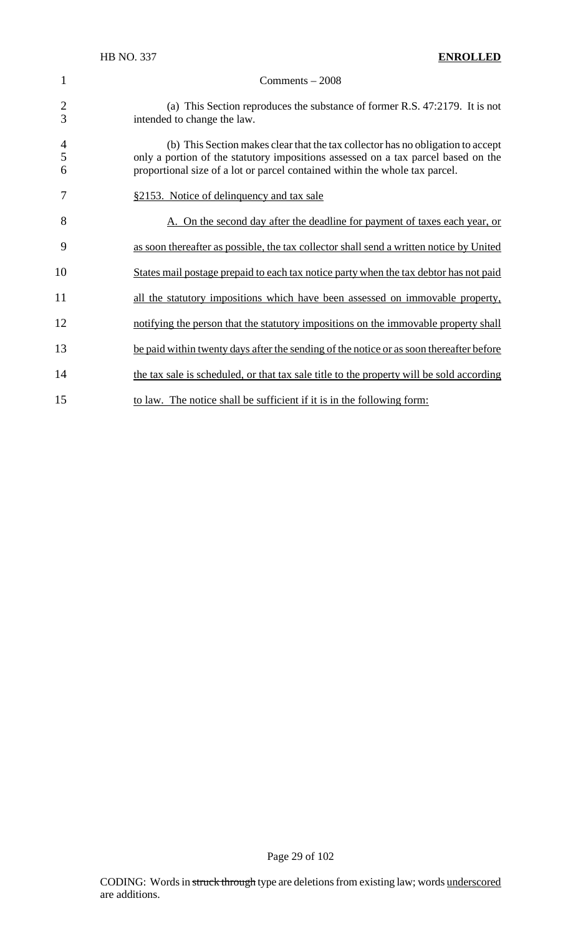| $\mathbf{1}$             | $Comments - 2008$                                                                                                                                                                                                                                   |
|--------------------------|-----------------------------------------------------------------------------------------------------------------------------------------------------------------------------------------------------------------------------------------------------|
| $\overline{2}$<br>3      | (a) This Section reproduces the substance of former R.S. 47:2179. It is not<br>intended to change the law.                                                                                                                                          |
| $\overline{4}$<br>5<br>6 | (b) This Section makes clear that the tax collector has no obligation to accept<br>only a portion of the statutory impositions assessed on a tax parcel based on the<br>proportional size of a lot or parcel contained within the whole tax parcel. |
| 7                        | §2153. Notice of delinquency and tax sale                                                                                                                                                                                                           |
| 8                        | A. On the second day after the deadline for payment of taxes each year, or                                                                                                                                                                          |
| 9                        | as soon thereafter as possible, the tax collector shall send a written notice by United                                                                                                                                                             |
| 10                       | States mail postage prepaid to each tax notice party when the tax debtor has not paid                                                                                                                                                               |
| 11                       | all the statutory impositions which have been assessed on immovable property,                                                                                                                                                                       |
| 12                       | notifying the person that the statutory impositions on the immovable property shall                                                                                                                                                                 |
| 13                       | be paid within twenty days after the sending of the notice or as soon thereafter before                                                                                                                                                             |
| 14                       | the tax sale is scheduled, or that tax sale title to the property will be sold according                                                                                                                                                            |
| 15                       | to law. The notice shall be sufficient if it is in the following form:                                                                                                                                                                              |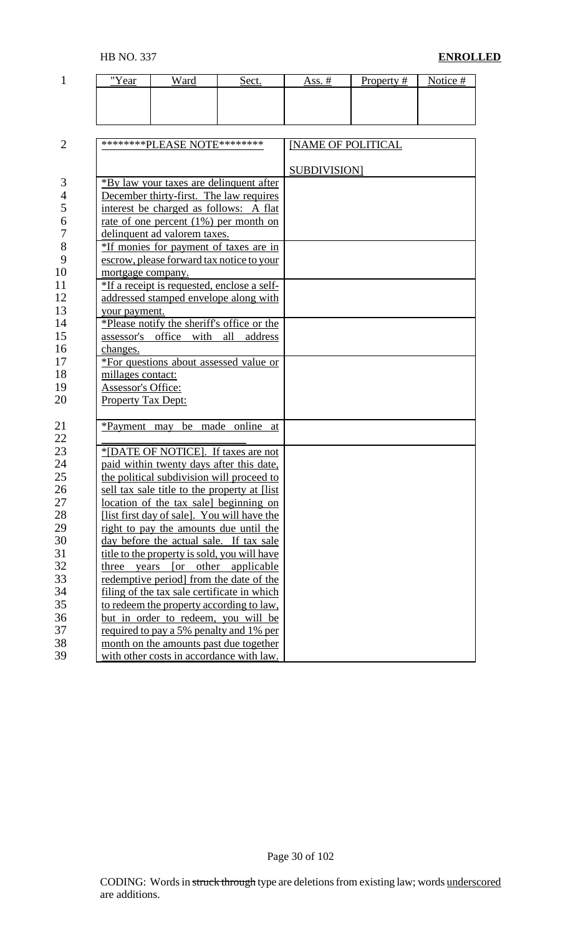| "Year | $\mathbf{v}_{\text{part}}$ | <u>Sect.</u> | $Acc$ # | Property $#$ | Notice # |
|-------|----------------------------|--------------|---------|--------------|----------|
|       |                            |              |         |              |          |
|       |                            |              |         |              |          |
|       |                            |              |         |              |          |

| $\overline{2}$ | *********PLEASE NOTE*********                        | <b>INAME OF POLITICAL</b> |
|----------------|------------------------------------------------------|---------------------------|
|                |                                                      |                           |
|                |                                                      | <b>SUBDIVISION</b>        |
| 3              | *By law your taxes are delinquent after              |                           |
| $\overline{4}$ | December thirty-first. The law requires              |                           |
| 5              | interest be charged as follows: A flat               |                           |
| 6              | rate of one percent $(1%)$ per month on              |                           |
| $\overline{7}$ | delinquent ad valorem taxes.                         |                           |
| 8              | *If monies for payment of taxes are in               |                           |
| 9              | escrow, please forward tax notice to your            |                           |
| 10             | mortgage company.                                    |                           |
| 11             | *If a receipt is requested, enclose a self-          |                           |
| 12             | addressed stamped envelope along with                |                           |
| 13             | your payment.                                        |                           |
| 14             | *Please notify the sheriff's office or the           |                           |
| 15             | assessor's office with<br>all<br>address             |                           |
| 16             | changes.                                             |                           |
| 17             | *For questions about assessed value or               |                           |
| 18             | millages contact:                                    |                           |
| 19             | Assessor's Office:                                   |                           |
| 20             | <b>Property Tax Dept:</b>                            |                           |
|                |                                                      |                           |
| 21             | be<br>made online<br>*Payment may<br>at              |                           |
| 22             |                                                      |                           |
| 23             | *[DATE OF NOTICE]. If taxes are not                  |                           |
| 24             | paid within twenty days after this date,             |                           |
| 25             | the political subdivision will proceed to            |                           |
| 26             | sell tax sale title to the property at [list]        |                           |
| 27             | location of the tax sale] beginning on               |                           |
| 28             | [list first day of sale]. You will have the          |                           |
| 29             | right to pay the amounts due until the               |                           |
| 30             | day before the actual sale. If tax sale              |                           |
| 31             | title to the property is sold, you will have         |                           |
| 32             | other<br>$\lceil$ or<br>applicable<br>three<br>years |                           |
| 33             | redemptive period] from the date of the              |                           |
| 34             | filing of the tax sale certificate in which          |                           |
| 35             | to redeem the property according to law,             |                           |
| 36             | but in order to redeem, you will be                  |                           |
| 37             | required to pay a 5% penalty and 1% per              |                           |
| 38             | month on the amounts past due together               |                           |
| 39             | with other costs in accordance with law.             |                           |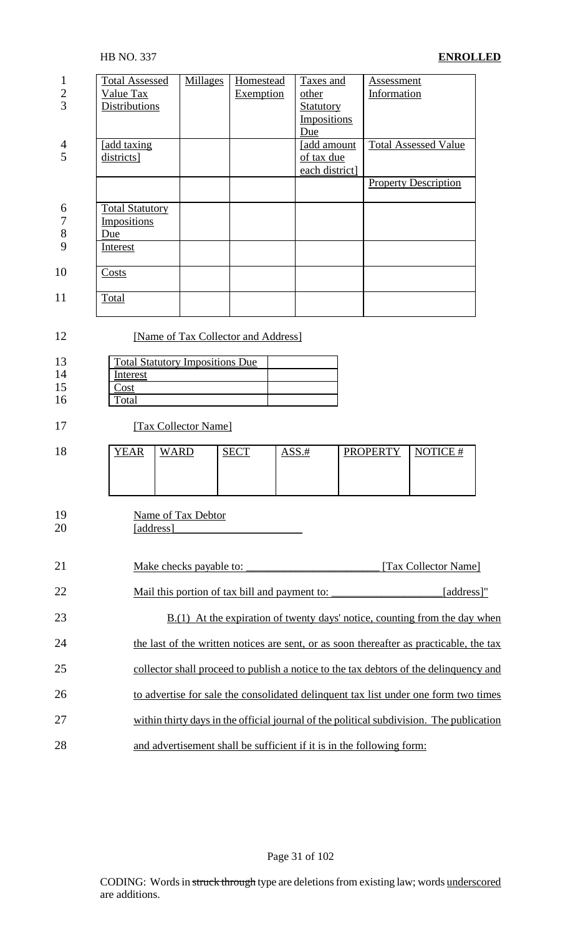| 1<br>$\frac{2}{3}$            | <b>Total Assessed</b><br>Value Tax<br>Distributions             | <b>Millages</b>                                                               | Homestead<br>Exemption | Taxes and<br>other<br><b>Statutory</b><br><b>Impositions</b>          | Assessment<br>Information                                                                |            |
|-------------------------------|-----------------------------------------------------------------|-------------------------------------------------------------------------------|------------------------|-----------------------------------------------------------------------|------------------------------------------------------------------------------------------|------------|
| 4<br>5                        | [add taxing]<br>districts]                                      |                                                                               |                        | Due<br>[add amount<br>of tax due<br>each district]                    | <b>Total Assessed Value</b>                                                              |            |
| 6<br>$\overline{7}$<br>8<br>9 | <b>Total Statutory</b><br>Impositions<br>Due<br><b>Interest</b> |                                                                               |                        |                                                                       | <b>Property Description</b>                                                              |            |
| 10                            | Costs                                                           |                                                                               |                        |                                                                       |                                                                                          |            |
| 11                            | Total                                                           |                                                                               |                        |                                                                       |                                                                                          |            |
| 12<br>13<br>14<br>15<br>16    | Interest<br>Cost<br>Total                                       | [Name of Tax Collector and Address]<br><b>Total Statutory Impositions Due</b> |                        |                                                                       |                                                                                          |            |
| 17                            |                                                                 | [Tax Collector Name]                                                          |                        |                                                                       |                                                                                          |            |
| 18                            | <b>YEAR</b>                                                     | <b>WARD</b>                                                                   | <b>SECT</b>            | ASS.#                                                                 | <b>PROPERTY</b><br>NOTICE $#$                                                            |            |
| 19<br>20                      | [address]                                                       | Name of Tax Debtor                                                            |                        |                                                                       |                                                                                          |            |
| 21                            |                                                                 | Make checks payable to:                                                       |                        |                                                                       | [Tax Collector Name]                                                                     |            |
| 22                            |                                                                 | Mail this portion of tax bill and payment to:                                 |                        |                                                                       |                                                                                          | [address]" |
| 23                            |                                                                 |                                                                               |                        |                                                                       | $B(1)$ At the expiration of twenty days' notice, counting from the day when              |            |
| 24                            |                                                                 |                                                                               |                        |                                                                       | the last of the written notices are sent, or as soon thereafter as practicable, the tax  |            |
| 25                            |                                                                 |                                                                               |                        |                                                                       | collector shall proceed to publish a notice to the tax debtors of the delinquency and    |            |
| 26                            |                                                                 |                                                                               |                        |                                                                       | to advertise for sale the consolidated delinquent tax list under one form two times      |            |
| 27                            |                                                                 |                                                                               |                        |                                                                       | within thirty days in the official journal of the political subdivision. The publication |            |
| 28                            |                                                                 |                                                                               |                        | and advertisement shall be sufficient if it is in the following form: |                                                                                          |            |

Page 31 of 102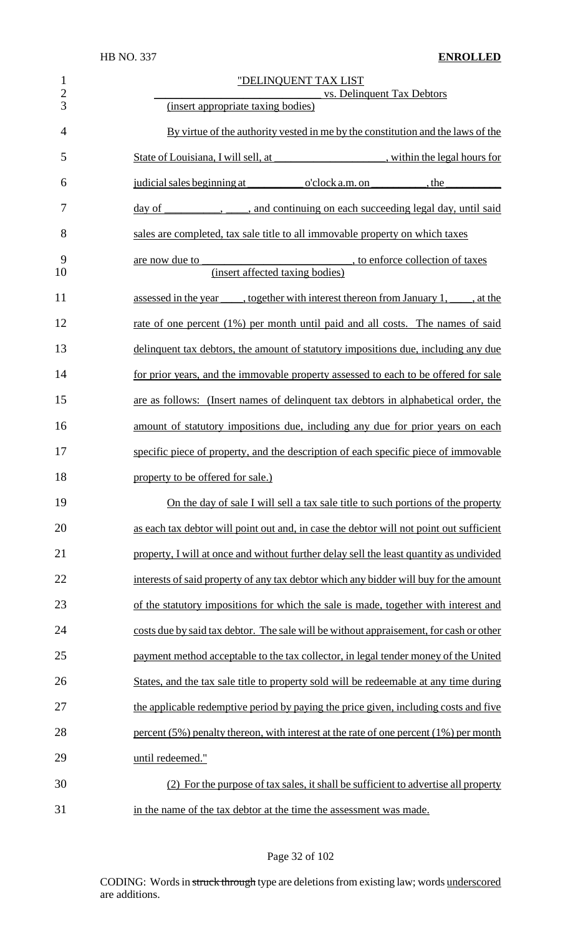| $\mathbf{1}$<br>$\overline{2}$<br>3 | "DELINQUENT TAX LIST<br>vs. Delinquent Tax Debtors<br>(insert appropriate taxing bodies)                |
|-------------------------------------|---------------------------------------------------------------------------------------------------------|
| $\overline{4}$                      | By virtue of the authority vested in me by the constitution and the laws of the                         |
| 5                                   | State of Louisiana, I will sell, at ______________________, within the legal hours for                  |
| 6                                   | judicial sales beginning at o'clock a.m. on the                                                         |
| 7                                   | , and continuing on each succeeding legal day, until said<br><u>day</u> of                              |
| 8                                   | sales are completed, tax sale title to all immovable property on which taxes                            |
| 9<br>10                             | are now due to<br><i>statements</i> , to enforce collection of taxes<br>(insert affected taxing bodies) |
| 11                                  | assessed in the year ______, together with interest thereon from January 1, _____, at the               |
| 12                                  | rate of one percent (1%) per month until paid and all costs. The names of said                          |
| 13                                  | delinquent tax debtors, the amount of statutory impositions due, including any due                      |
| 14                                  | for prior years, and the immovable property assessed to each to be offered for sale                     |
| 15                                  | are as follows: (Insert names of delinquent tax debtors in alphabetical order, the                      |
| 16                                  | amount of statutory impositions due, including any due for prior years on each                          |
| 17                                  | specific piece of property, and the description of each specific piece of immovable                     |
| 18                                  | property to be offered for sale.)                                                                       |
| 19                                  | On the day of sale I will sell a tax sale title to such portions of the property                        |
| 20                                  | as each tax debtor will point out and, in case the debtor will not point out sufficient                 |
| 21                                  | property, I will at once and without further delay sell the least quantity as undivided                 |
| 22                                  | interests of said property of any tax debtor which any bidder will buy for the amount                   |
| 23                                  | of the statutory impositions for which the sale is made, together with interest and                     |
| 24                                  | costs due by said tax debtor. The sale will be without appraisement, for cash or other                  |
| 25                                  | payment method acceptable to the tax collector, in legal tender money of the United                     |
| 26                                  | States, and the tax sale title to property sold will be redeemable at any time during                   |
| 27                                  | the applicable redemptive period by paying the price given, including costs and five                    |
| 28                                  | percent $(5\%)$ penalty thereon, with interest at the rate of one percent $(1\%)$ per month             |
| 29                                  | until redeemed."                                                                                        |
| 30                                  | (2) For the purpose of tax sales, it shall be sufficient to advertise all property                      |
| 31                                  | in the name of the tax debtor at the time the assessment was made.                                      |

Page 32 of 102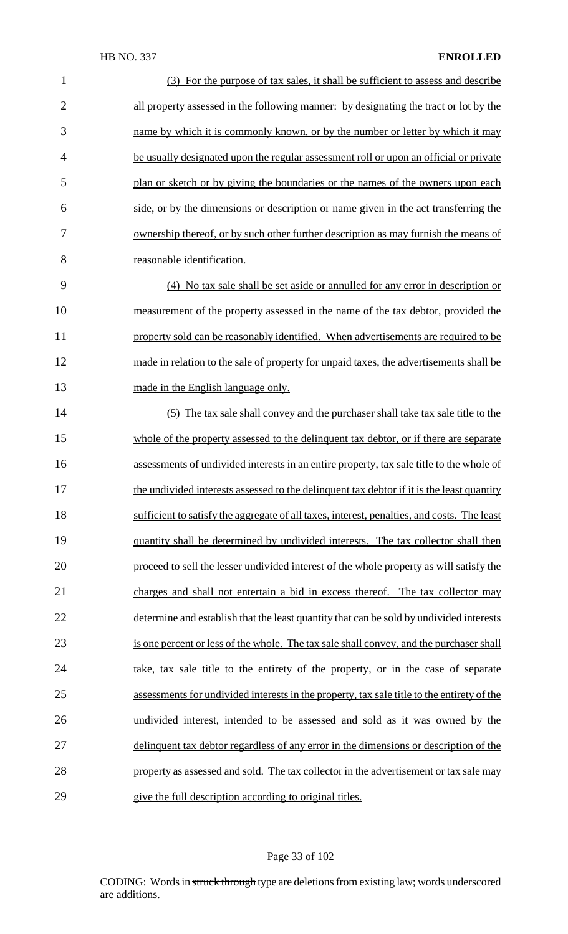| $\mathbf{1}$   | (3) For the purpose of tax sales, it shall be sufficient to assess and describe             |
|----------------|---------------------------------------------------------------------------------------------|
| $\overline{2}$ | all property assessed in the following manner: by designating the tract or lot by the       |
| 3              | name by which it is commonly known, or by the number or letter by which it may              |
| $\overline{4}$ | be usually designated upon the regular assessment roll or upon an official or private       |
| 5              | plan or sketch or by giving the boundaries or the names of the owners upon each             |
| 6              | side, or by the dimensions or description or name given in the act transferring the         |
| 7              | ownership thereof, or by such other further description as may furnish the means of         |
| 8              | reasonable identification.                                                                  |
| 9              | (4) No tax sale shall be set aside or annulled for any error in description or              |
| 10             | measurement of the property assessed in the name of the tax debtor, provided the            |
| 11             | property sold can be reasonably identified. When advertisements are required to be          |
| 12             | made in relation to the sale of property for unpaid taxes, the advertisements shall be      |
| 13             | made in the English language only.                                                          |
| 14             | (5) The tax sale shall convey and the purchaser shall take tax sale title to the            |
| 15             | whole of the property assessed to the delinquent tax debtor, or if there are separate       |
| 16             | assessments of undivided interests in an entire property, tax sale title to the whole of    |
| 17             | the undivided interests assessed to the delinquent tax debtor if it is the least quantity   |
| 18             | sufficient to satisfy the aggregate of all taxes, interest, penalties, and costs. The least |
| 19             | quantity shall be determined by undivided interests. The tax collector shall then           |
| 20             | proceed to sell the lesser undivided interest of the whole property as will satisfy the     |
| 21             | charges and shall not entertain a bid in excess thereof. The tax collector may              |
| 22             | determine and establish that the least quantity that can be sold by undivided interests     |
| 23             | is one percent or less of the whole. The tax sale shall convey, and the purchaser shall     |
| 24             | take, tax sale title to the entirety of the property, or in the case of separate            |
| 25             | assessments for undivided interests in the property, tax sale title to the entirety of the  |
| 26             | undivided interest, intended to be assessed and sold as it was owned by the                 |
| 27             | delinquent tax debtor regardless of any error in the dimensions or description of the       |
| 28             | property as assessed and sold. The tax collector in the advertisement or tax sale may       |
| 29             | give the full description according to original titles.                                     |

# Page 33 of 102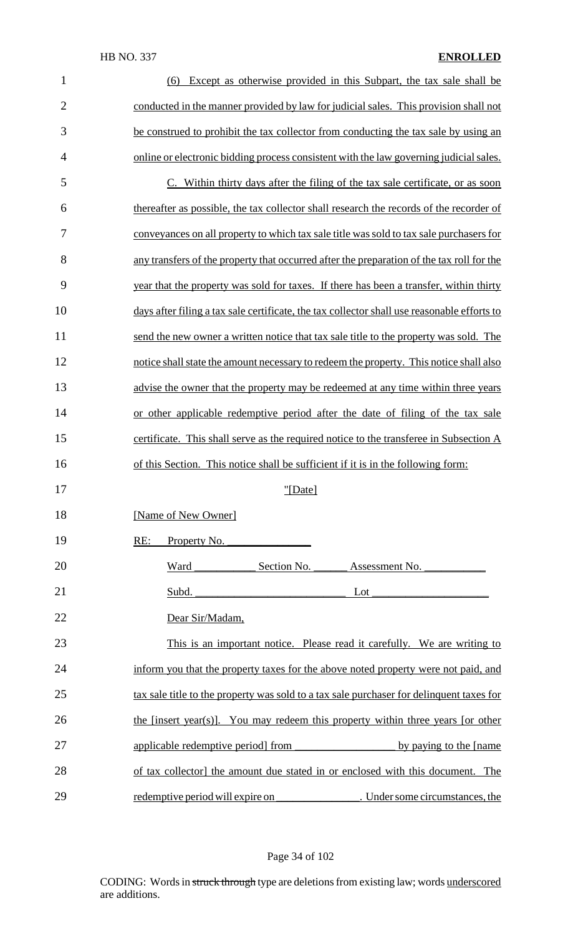| $\mathbf{1}$   | Except as otherwise provided in this Subpart, the tax sale shall be<br>(6)                  |
|----------------|---------------------------------------------------------------------------------------------|
| $\overline{2}$ | conducted in the manner provided by law for judicial sales. This provision shall not        |
| 3              | be construed to prohibit the tax collector from conducting the tax sale by using an         |
| $\overline{4}$ | online or electronic bidding process consistent with the law governing judicial sales.      |
| 5              | C. Within thirty days after the filing of the tax sale certificate, or as soon              |
| 6              | thereafter as possible, the tax collector shall research the records of the recorder of     |
| 7              | conveyances on all property to which tax sale title was sold to tax sale purchasers for     |
| 8              | any transfers of the property that occurred after the preparation of the tax roll for the   |
| 9              | year that the property was sold for taxes. If there has been a transfer, within thirty      |
| 10             | days after filing a tax sale certificate, the tax collector shall use reasonable efforts to |
| 11             | send the new owner a written notice that tax sale title to the property was sold. The       |
| 12             | notice shall state the amount necessary to redeem the property. This notice shall also      |
| 13             | advise the owner that the property may be redeemed at any time within three years           |
| 14             | or other applicable redemptive period after the date of filing of the tax sale              |
| 15             | certificate. This shall serve as the required notice to the transferee in Subsection A      |
| 16             | of this Section. This notice shall be sufficient if it is in the following form:            |
| 17             | "[Date]                                                                                     |
| 18             | [Name of New Owner]                                                                         |
| 19             | Property No.<br>RE:                                                                         |
| 20             | Ward Section No.<br>Assessment No.                                                          |
| 21             | Subd. $\overline{\phantom{a}}$<br>Lot                                                       |
| 22             | Dear Sir/Madam,                                                                             |
| 23             | This is an important notice. Please read it carefully. We are writing to                    |
| 24             | inform you that the property taxes for the above noted property were not paid, and          |
| 25             | tax sale title to the property was sold to a tax sale purchaser for delinquent taxes for    |
| 26             | the [insert year(s)]. You may redeem this property within three years [or other             |
| 27             | applicable redemptive period from<br>by paying to the [name]                                |
| 28             | of tax collector] the amount due stated in or enclosed with this document. The              |
| 29             |                                                                                             |

# Page 34 of 102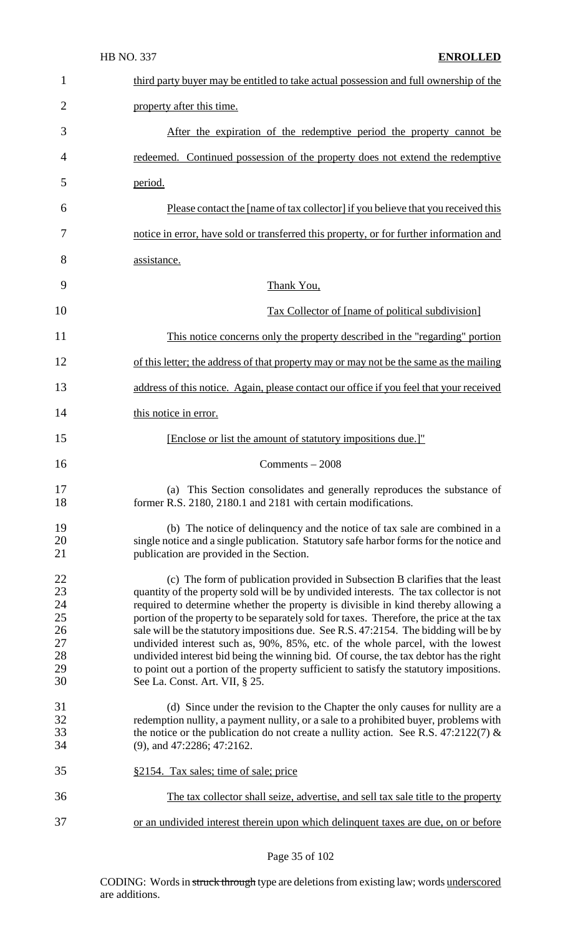|                                                    | <b>HB NO. 337</b><br><b>ENROLLED</b>                                                                                                                                                                                                                                                                                                                                                                                                                                                                                                                                                                                                                                                                                                                       |
|----------------------------------------------------|------------------------------------------------------------------------------------------------------------------------------------------------------------------------------------------------------------------------------------------------------------------------------------------------------------------------------------------------------------------------------------------------------------------------------------------------------------------------------------------------------------------------------------------------------------------------------------------------------------------------------------------------------------------------------------------------------------------------------------------------------------|
| 1                                                  | third party buyer may be entitled to take actual possession and full ownership of the                                                                                                                                                                                                                                                                                                                                                                                                                                                                                                                                                                                                                                                                      |
| $\overline{2}$                                     | property after this time.                                                                                                                                                                                                                                                                                                                                                                                                                                                                                                                                                                                                                                                                                                                                  |
| 3                                                  | After the expiration of the redemptive period the property cannot be                                                                                                                                                                                                                                                                                                                                                                                                                                                                                                                                                                                                                                                                                       |
| 4                                                  | redeemed. Continued possession of the property does not extend the redemptive                                                                                                                                                                                                                                                                                                                                                                                                                                                                                                                                                                                                                                                                              |
| 5                                                  | period.                                                                                                                                                                                                                                                                                                                                                                                                                                                                                                                                                                                                                                                                                                                                                    |
| 6                                                  | Please contact the [name of tax collector] if you believe that you received this                                                                                                                                                                                                                                                                                                                                                                                                                                                                                                                                                                                                                                                                           |
| 7                                                  | notice in error, have sold or transferred this property, or for further information and                                                                                                                                                                                                                                                                                                                                                                                                                                                                                                                                                                                                                                                                    |
| 8                                                  | assistance.                                                                                                                                                                                                                                                                                                                                                                                                                                                                                                                                                                                                                                                                                                                                                |
| 9                                                  | Thank You,                                                                                                                                                                                                                                                                                                                                                                                                                                                                                                                                                                                                                                                                                                                                                 |
| 10                                                 | Tax Collector of [name of political subdivision]                                                                                                                                                                                                                                                                                                                                                                                                                                                                                                                                                                                                                                                                                                           |
| 11                                                 | This notice concerns only the property described in the "regarding" portion                                                                                                                                                                                                                                                                                                                                                                                                                                                                                                                                                                                                                                                                                |
| 12                                                 | of this letter; the address of that property may or may not be the same as the mailing                                                                                                                                                                                                                                                                                                                                                                                                                                                                                                                                                                                                                                                                     |
| 13                                                 | address of this notice. Again, please contact our office if you feel that your received                                                                                                                                                                                                                                                                                                                                                                                                                                                                                                                                                                                                                                                                    |
| 14                                                 | this notice in error.                                                                                                                                                                                                                                                                                                                                                                                                                                                                                                                                                                                                                                                                                                                                      |
| 15                                                 | [Enclose or list the amount of statutory impositions due.]"                                                                                                                                                                                                                                                                                                                                                                                                                                                                                                                                                                                                                                                                                                |
| 16                                                 | $Comments - 2008$                                                                                                                                                                                                                                                                                                                                                                                                                                                                                                                                                                                                                                                                                                                                          |
| 17<br>18                                           | (a) This Section consolidates and generally reproduces the substance of<br>former R.S. 2180, 2180.1 and 2181 with certain modifications.                                                                                                                                                                                                                                                                                                                                                                                                                                                                                                                                                                                                                   |
| 19<br>20<br>21                                     | (b) The notice of delinquency and the notice of tax sale are combined in a<br>single notice and a single publication. Statutory safe harbor forms for the notice and<br>publication are provided in the Section.                                                                                                                                                                                                                                                                                                                                                                                                                                                                                                                                           |
| 22<br>23<br>24<br>25<br>26<br>27<br>28<br>29<br>30 | (c) The form of publication provided in Subsection B clarifies that the least<br>quantity of the property sold will be by undivided interests. The tax collector is not<br>required to determine whether the property is divisible in kind thereby allowing a<br>portion of the property to be separately sold for taxes. Therefore, the price at the tax<br>sale will be the statutory impositions due. See R.S. 47:2154. The bidding will be by<br>undivided interest such as, 90%, 85%, etc. of the whole parcel, with the lowest<br>undivided interest bid being the winning bid. Of course, the tax debtor has the right<br>to point out a portion of the property sufficient to satisfy the statutory impositions.<br>See La. Const. Art. VII, § 25. |
| 31<br>32<br>33<br>34                               | (d) Since under the revision to the Chapter the only causes for nullity are a<br>redemption nullity, a payment nullity, or a sale to a prohibited buyer, problems with<br>the notice or the publication do not create a nullity action. See R.S. 47:2122(7) &<br>$(9)$ , and 47:2286; 47:2162.                                                                                                                                                                                                                                                                                                                                                                                                                                                             |
| 35                                                 | §2154. Tax sales; time of sale; price                                                                                                                                                                                                                                                                                                                                                                                                                                                                                                                                                                                                                                                                                                                      |
| 36                                                 | The tax collector shall seize, advertise, and sell tax sale title to the property                                                                                                                                                                                                                                                                                                                                                                                                                                                                                                                                                                                                                                                                          |
| 37                                                 | or an undivided interest therein upon which delinquent taxes are due, on or before                                                                                                                                                                                                                                                                                                                                                                                                                                                                                                                                                                                                                                                                         |

Page 35 of 102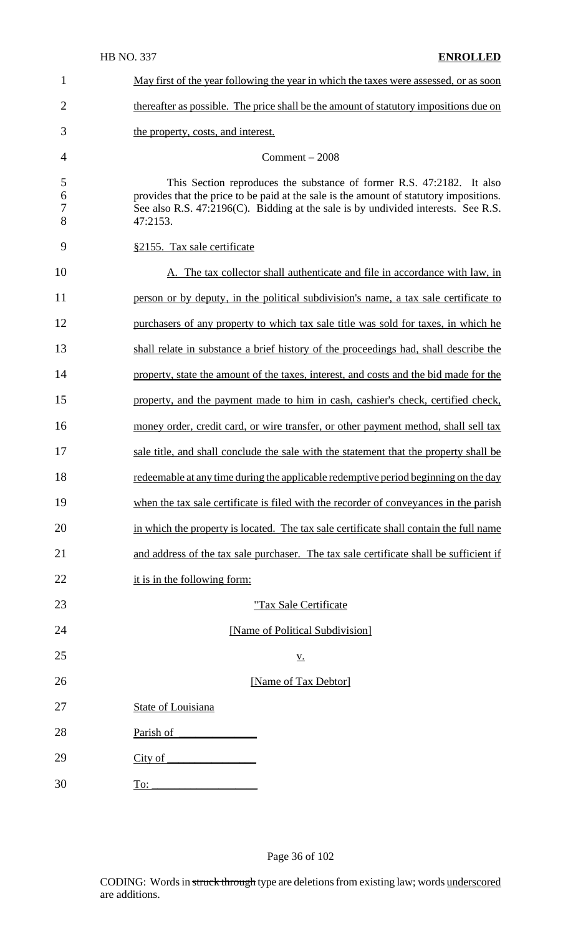| 1                | May first of the year following the year in which the taxes were assessed, or as soon                                                                                                                                                                            |
|------------------|------------------------------------------------------------------------------------------------------------------------------------------------------------------------------------------------------------------------------------------------------------------|
| $\overline{2}$   | thereafter as possible. The price shall be the amount of statutory impositions due on                                                                                                                                                                            |
| 3                | the property, costs, and interest.                                                                                                                                                                                                                               |
| 4                | $Comment - 2008$                                                                                                                                                                                                                                                 |
| 5<br>6<br>7<br>8 | This Section reproduces the substance of former R.S. 47:2182. It also<br>provides that the price to be paid at the sale is the amount of statutory impositions.<br>See also R.S. 47:2196(C). Bidding at the sale is by undivided interests. See R.S.<br>47:2153. |
| 9                | §2155. Tax sale certificate                                                                                                                                                                                                                                      |
| 10               | A. The tax collector shall authenticate and file in accordance with law, in                                                                                                                                                                                      |
| 11               | person or by deputy, in the political subdivision's name, a tax sale certificate to                                                                                                                                                                              |
| 12               | purchasers of any property to which tax sale title was sold for taxes, in which he                                                                                                                                                                               |
| 13               | shall relate in substance a brief history of the proceedings had, shall describe the                                                                                                                                                                             |
| 14               | property, state the amount of the taxes, interest, and costs and the bid made for the                                                                                                                                                                            |
| 15               | property, and the payment made to him in cash, cashier's check, certified check,                                                                                                                                                                                 |
| 16               | money order, credit card, or wire transfer, or other payment method, shall sell tax                                                                                                                                                                              |
| 17               | sale title, and shall conclude the sale with the statement that the property shall be                                                                                                                                                                            |
| 18               | redeemable at any time during the applicable redemptive period beginning on the day                                                                                                                                                                              |
| 19               | when the tax sale certificate is filed with the recorder of conveyances in the parish                                                                                                                                                                            |
| 20               | in which the property is located. The tax sale certificate shall contain the full name                                                                                                                                                                           |
| 21               | and address of the tax sale purchaser. The tax sale certificate shall be sufficient if                                                                                                                                                                           |
| 22               | it is in the following form:                                                                                                                                                                                                                                     |
| 23               | "Tax Sale Certificate                                                                                                                                                                                                                                            |
| 24               | [Name of Political Subdivision]                                                                                                                                                                                                                                  |
| 25               | <u>V.</u>                                                                                                                                                                                                                                                        |
| 26               | [Name of Tax Debtor]                                                                                                                                                                                                                                             |
| 27               | <b>State of Louisiana</b>                                                                                                                                                                                                                                        |
| 28               | Parish of                                                                                                                                                                                                                                                        |
| 29               | City of                                                                                                                                                                                                                                                          |
| 30               | To:                                                                                                                                                                                                                                                              |

Page 36 of 102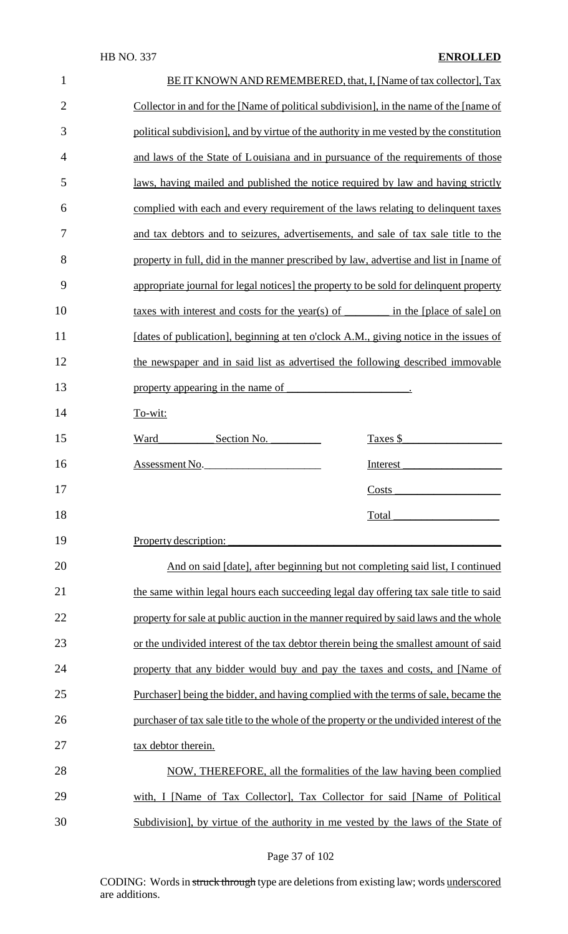| $\mathbf{1}$   | BE IT KNOWN AND REMEMBERED, that, I, [Name of tax collector], Tax                         |  |  |
|----------------|-------------------------------------------------------------------------------------------|--|--|
| $\overline{2}$ | Collector in and for the [Name of political subdivision], in the name of the [name of     |  |  |
| 3              | political subdivision], and by virtue of the authority in me vested by the constitution   |  |  |
| $\overline{4}$ | and laws of the State of Louisiana and in pursuance of the requirements of those          |  |  |
| 5              | laws, having mailed and published the notice required by law and having strictly          |  |  |
| 6              | complied with each and every requirement of the laws relating to delinquent taxes         |  |  |
| 7              | and tax debtors and to seizures, advertisements, and sale of tax sale title to the        |  |  |
| 8              | property in full, did in the manner prescribed by law, advertise and list in [name of     |  |  |
| 9              | appropriate journal for legal notices] the property to be sold for delinquent property    |  |  |
| 10             |                                                                                           |  |  |
| 11             | [dates of publication], beginning at ten o'clock A.M., giving notice in the issues of     |  |  |
| 12             | the newspaper and in said list as advertised the following described immovable            |  |  |
| 13             | property appearing in the name of<br><u> 1989 - Jan Barbara Barat, manala</u>             |  |  |
| 14             | To-wit:                                                                                   |  |  |
| 15             | Section No.<br>Taxes \$<br>Ward                                                           |  |  |
| 16             | Assessment No.<br>Interest                                                                |  |  |
| 17             | Costs                                                                                     |  |  |
| 18             | Total                                                                                     |  |  |
| 19             | Property description:                                                                     |  |  |
| 20             | And on said [date], after beginning but not completing said list, I continued             |  |  |
| 21             | the same within legal hours each succeeding legal day offering tax sale title to said     |  |  |
| 22             | property for sale at public auction in the manner required by said laws and the whole     |  |  |
| 23             | or the undivided interest of the tax debtor therein being the smallest amount of said     |  |  |
| 24             | property that any bidder would buy and pay the taxes and costs, and [Name of              |  |  |
| 25             | Purchaser] being the bidder, and having complied with the terms of sale, became the       |  |  |
| 26             | purchaser of tax sale title to the whole of the property or the undivided interest of the |  |  |
| 27             | tax debtor therein.                                                                       |  |  |
| 28             | NOW, THEREFORE, all the formalities of the law having been complied                       |  |  |
| 29             | with, I [Name of Tax Collector], Tax Collector for said [Name of Political                |  |  |
| 30             | Subdivision], by virtue of the authority in me vested by the laws of the State of         |  |  |

Page 37 of 102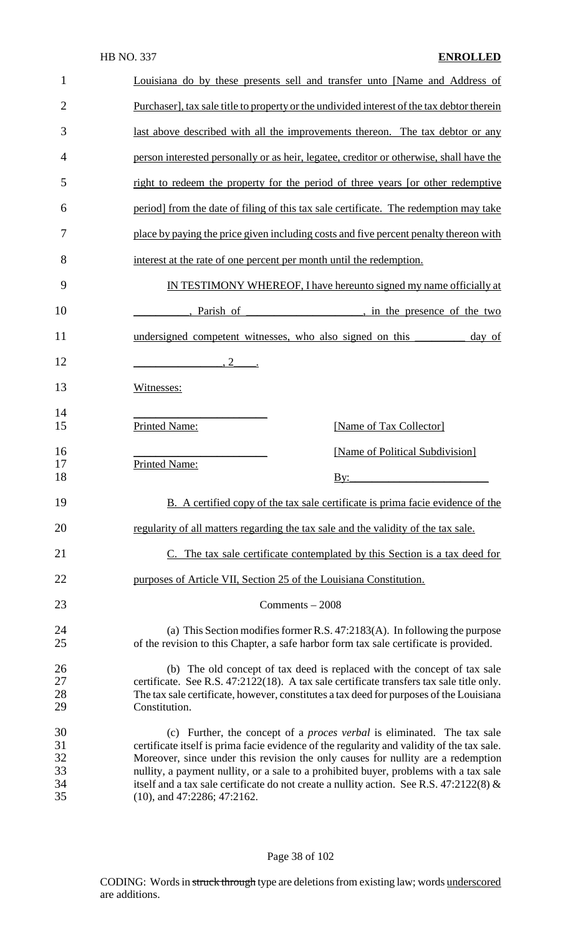#### HB NO. 337 **ENROLLED**

| $\mathbf{1}$               | Louisiana do by these presents sell and transfer unto [Name and Address of                                                                                                                                                                                                                                                                                |  |  |
|----------------------------|-----------------------------------------------------------------------------------------------------------------------------------------------------------------------------------------------------------------------------------------------------------------------------------------------------------------------------------------------------------|--|--|
| $\overline{2}$             | Purchaser], tax sale title to property or the undivided interest of the tax debtor therein                                                                                                                                                                                                                                                                |  |  |
| 3                          | last above described with all the improvements thereon. The tax debtor or any                                                                                                                                                                                                                                                                             |  |  |
| 4                          | person interested personally or as heir, legatee, creditor or otherwise, shall have the                                                                                                                                                                                                                                                                   |  |  |
| 5                          | right to redeem the property for the period of three years [or other redemptive                                                                                                                                                                                                                                                                           |  |  |
| 6                          | period] from the date of filing of this tax sale certificate. The redemption may take                                                                                                                                                                                                                                                                     |  |  |
| 7                          | place by paying the price given including costs and five percent penalty thereon with                                                                                                                                                                                                                                                                     |  |  |
| 8                          | interest at the rate of one percent per month until the redemption.                                                                                                                                                                                                                                                                                       |  |  |
| 9                          | IN TESTIMONY WHEREOF, I have hereunto signed my name officially at                                                                                                                                                                                                                                                                                        |  |  |
| 10                         | parish of network, in the presence of the two                                                                                                                                                                                                                                                                                                             |  |  |
| 11                         | undersigned competent witnesses, who also signed on this<br>day of                                                                                                                                                                                                                                                                                        |  |  |
| 12                         | $\overline{\phantom{a}1}$                                                                                                                                                                                                                                                                                                                                 |  |  |
| 13                         | Witnesses:                                                                                                                                                                                                                                                                                                                                                |  |  |
| 14<br>15                   | <b>Printed Name:</b><br>[Name of Tax Collector]                                                                                                                                                                                                                                                                                                           |  |  |
| 16                         | [Name of Political Subdivision]                                                                                                                                                                                                                                                                                                                           |  |  |
| 17<br>18                   | <b>Printed Name:</b><br>$\mathbf{B}$ y:                                                                                                                                                                                                                                                                                                                   |  |  |
| 19                         | B. A certified copy of the tax sale certificate is prima facie evidence of the                                                                                                                                                                                                                                                                            |  |  |
| 20                         | regularity of all matters regarding the tax sale and the validity of the tax sale.                                                                                                                                                                                                                                                                        |  |  |
| 21                         | C. The tax sale certificate contemplated by this Section is a tax deed for                                                                                                                                                                                                                                                                                |  |  |
| 22                         | purposes of Article VII, Section 25 of the Louisiana Constitution.                                                                                                                                                                                                                                                                                        |  |  |
| 23                         | $Comments - 2008$                                                                                                                                                                                                                                                                                                                                         |  |  |
| 24<br>25                   | (a) This Section modifies former R.S. $47:2183(A)$ . In following the purpose<br>of the revision to this Chapter, a safe harbor form tax sale certificate is provided.                                                                                                                                                                                    |  |  |
| 26<br>27<br>28<br>29       | (b) The old concept of tax deed is replaced with the concept of tax sale<br>certificate. See R.S. 47:2122(18). A tax sale certificate transfers tax sale title only.<br>The tax sale certificate, however, constitutes a tax deed for purposes of the Louisiana<br>Constitution.                                                                          |  |  |
| 30<br>31<br>32<br>33<br>34 | (c) Further, the concept of a <i>proces verbal</i> is eliminated. The tax sale<br>certificate itself is prima facie evidence of the regularity and validity of the tax sale.<br>Moreover, since under this revision the only causes for nullity are a redemption<br>nullity, a payment nullity, or a sale to a prohibited buyer, problems with a tax sale |  |  |

# Page 38 of 102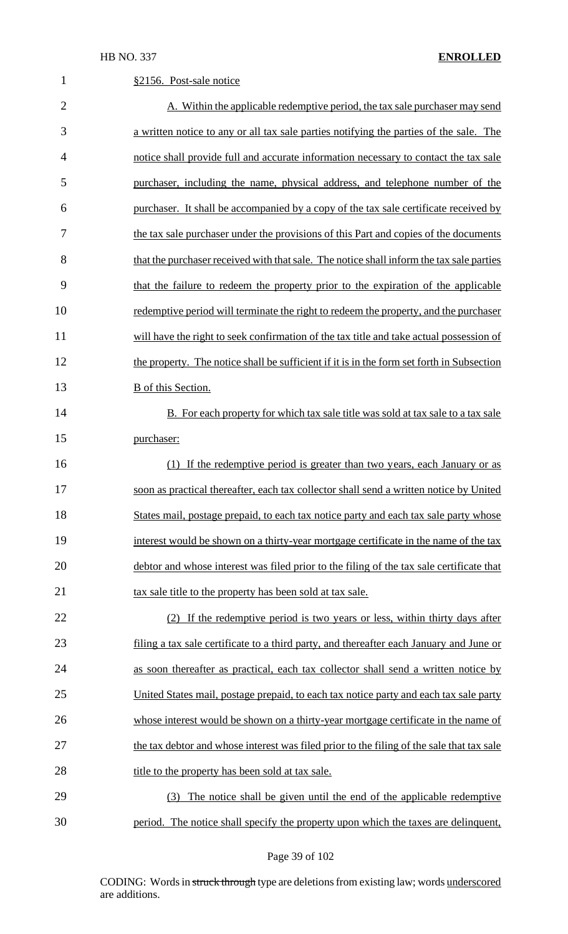| $\mathbf{1}$   | §2156. Post-sale notice                                                                   |
|----------------|-------------------------------------------------------------------------------------------|
| $\overline{2}$ | A. Within the applicable redemptive period, the tax sale purchaser may send               |
| 3              | a written notice to any or all tax sale parties notifying the parties of the sale. The    |
| $\overline{4}$ | notice shall provide full and accurate information necessary to contact the tax sale      |
| 5              | purchaser, including the name, physical address, and telephone number of the              |
| 6              | purchaser. It shall be accompanied by a copy of the tax sale certificate received by      |
| 7              | the tax sale purchaser under the provisions of this Part and copies of the documents      |
| 8              | that the purchaser received with that sale. The notice shall inform the tax sale parties  |
| 9              | that the failure to redeem the property prior to the expiration of the applicable         |
| 10             | redemptive period will terminate the right to redeem the property, and the purchaser      |
| 11             | will have the right to seek confirmation of the tax title and take actual possession of   |
| 12             | the property. The notice shall be sufficient if it is in the form set forth in Subsection |
| 13             | <b>B</b> of this Section.                                                                 |
| 14             | <b>B.</b> For each property for which tax sale title was sold at tax sale to a tax sale   |
| 15             | purchaser:                                                                                |
| 16             | (1) If the redemptive period is greater than two years, each January or as                |
| 17             | soon as practical thereafter, each tax collector shall send a written notice by United    |
| 18             | States mail, postage prepaid, to each tax notice party and each tax sale party whose      |
| 19             | interest would be shown on a thirty-year mortgage certificate in the name of the tax      |
| 20             | debtor and whose interest was filed prior to the filing of the tax sale certificate that  |
| 21             | tax sale title to the property has been sold at tax sale.                                 |
| 22             | (2) If the redemptive period is two years or less, within thirty days after               |
| 23             | filing a tax sale certificate to a third party, and thereafter each January and June or   |
| 24             | as soon thereafter as practical, each tax collector shall send a written notice by        |
| 25             | United States mail, postage prepaid, to each tax notice party and each tax sale party     |
| 26             | whose interest would be shown on a thirty-year mortgage certificate in the name of        |
| 27             | the tax debtor and whose interest was filed prior to the filing of the sale that tax sale |
| 28             | title to the property has been sold at tax sale.                                          |
| 29             | (3) The notice shall be given until the end of the applicable redemptive                  |
| 30             | period. The notice shall specify the property upon which the taxes are delinquent,        |

Page 39 of 102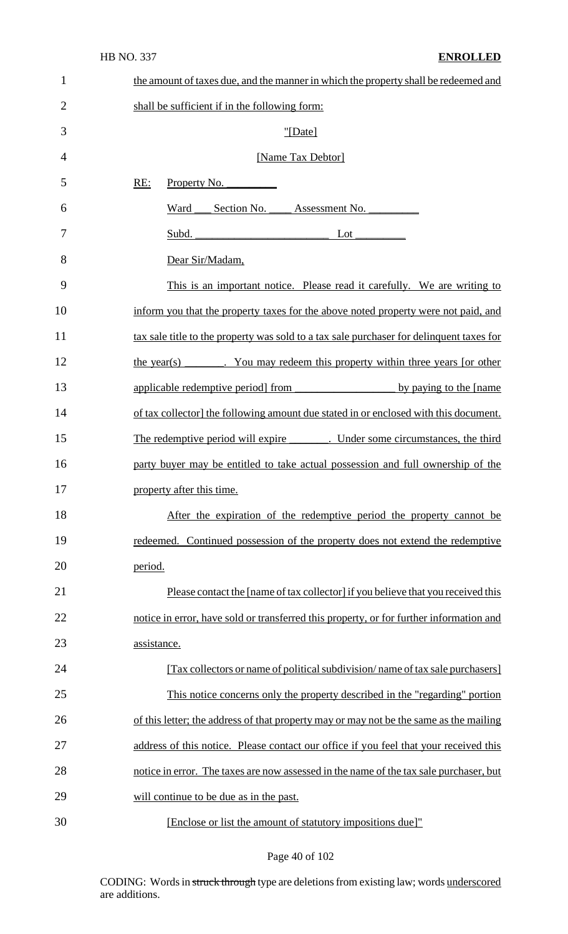| $\mathbf{1}$   | the amount of taxes due, and the manner in which the property shall be redeemed and      |  |  |
|----------------|------------------------------------------------------------------------------------------|--|--|
| $\overline{2}$ | shall be sufficient if in the following form:                                            |  |  |
| 3              | "[Date]                                                                                  |  |  |
| $\overline{4}$ | [Name Tax Debtor]                                                                        |  |  |
| 5              | RE:<br>Property No.                                                                      |  |  |
| 6              | Ward<br>Section No. Assessment No.                                                       |  |  |
| 7              | Subd. Lot Lot                                                                            |  |  |
| 8              | Dear Sir/Madam,                                                                          |  |  |
| 9              | This is an important notice. Please read it carefully. We are writing to                 |  |  |
| 10             | inform you that the property taxes for the above noted property were not paid, and       |  |  |
| 11             | tax sale title to the property was sold to a tax sale purchaser for delinquent taxes for |  |  |
| 12             | the year(s) ________. You may redeem this property within three years [or other          |  |  |
| 13             | applicable redemptive period from by paying to the [name]                                |  |  |
| 14             | of tax collector] the following amount due stated in or enclosed with this document.     |  |  |
| 15             | The redemptive period will expire _________. Under some circumstances, the third         |  |  |
| 16             | party buyer may be entitled to take actual possession and full ownership of the          |  |  |
| 17             | property after this time.                                                                |  |  |
| 18             | After the expiration of the redemptive period the property cannot be                     |  |  |
| 19             | redeemed. Continued possession of the property does not extend the redemptive            |  |  |
| 20             | period.                                                                                  |  |  |
| 21             | Please contact the [name of tax collector] if you believe that you received this         |  |  |
| 22             | notice in error, have sold or transferred this property, or for further information and  |  |  |
| 23             | assistance.                                                                              |  |  |
| 24             | [Tax collectors or name of political subdivision/name of tax sale purchasers]            |  |  |
| 25             | This notice concerns only the property described in the "regarding" portion              |  |  |
| 26             | of this letter; the address of that property may or may not be the same as the mailing   |  |  |
| 27             | address of this notice. Please contact our office if you feel that your received this    |  |  |
| 28             | notice in error. The taxes are now assessed in the name of the tax sale purchaser, but   |  |  |
| 29             | will continue to be due as in the past.                                                  |  |  |
| 30             | [Enclose or list the amount of statutory impositions due]"                               |  |  |

# Page 40 of 102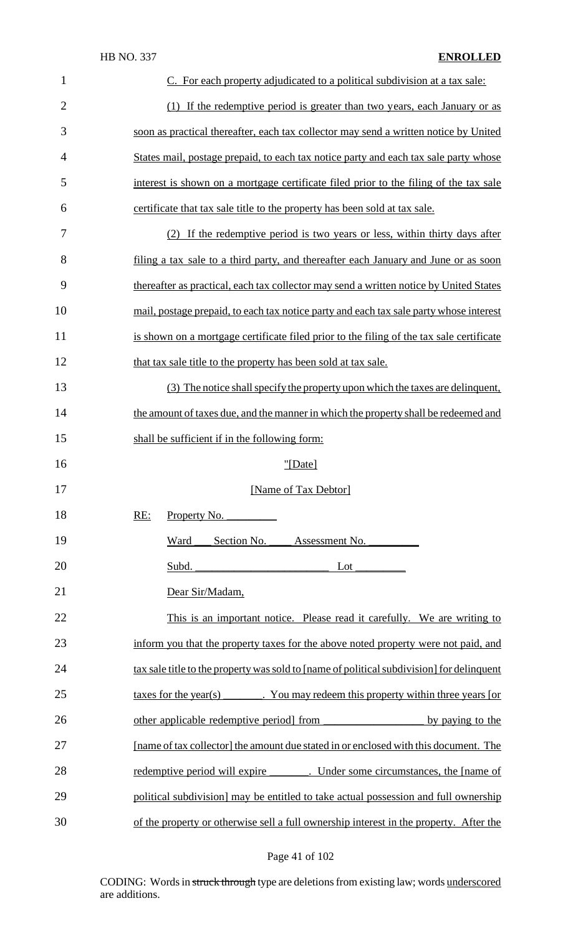| $\mathbf{1}$   | C. For each property adjudicated to a political subdivision at a tax sale:                              |
|----------------|---------------------------------------------------------------------------------------------------------|
| $\overline{2}$ | (1) If the redemptive period is greater than two years, each January or as                              |
| 3              | soon as practical thereafter, each tax collector may send a written notice by United                    |
| $\overline{4}$ | States mail, postage prepaid, to each tax notice party and each tax sale party whose                    |
| 5              | interest is shown on a mortgage certificate filed prior to the filing of the tax sale                   |
| 6              | certificate that tax sale title to the property has been sold at tax sale.                              |
| 7              | (2) If the redemptive period is two years or less, within thirty days after                             |
| 8              | filing a tax sale to a third party, and thereafter each January and June or as soon                     |
| 9              | thereafter as practical, each tax collector may send a written notice by United States                  |
| 10             | mail, postage prepaid, to each tax notice party and each tax sale party whose interest                  |
| 11             | is shown on a mortgage certificate filed prior to the filing of the tax sale certificate                |
| 12             | that tax sale title to the property has been sold at tax sale.                                          |
| 13             | (3) The notice shall specify the property upon which the taxes are delinquent,                          |
| 14             | the amount of taxes due, and the manner in which the property shall be redeemed and                     |
| 15             | shall be sufficient if in the following form:                                                           |
| 16             | "[Date]                                                                                                 |
| 17             | [Name of Tax Debtor]                                                                                    |
| 18             | Property No. $\overline{\phantom{a}}$<br>RE:                                                            |
| 19             | Section No.<br>Assessment No.<br>Ward                                                                   |
| 20             | Subd. Lot Lot                                                                                           |
| 21             | Dear Sir/Madam,                                                                                         |
| 22             | This is an important notice. Please read it carefully. We are writing to                                |
| 23             | inform you that the property taxes for the above noted property were not paid, and                      |
| 24             | tax sale title to the property was sold to [name of political subdivision] for delinquent               |
| 25             | $\frac{3}{2}$ taxes for the year(s) $\frac{3}{2}$ . You may redeem this property within three years [or |
| 26             |                                                                                                         |
| 27             | [name of tax collector] the amount due stated in or enclosed with this document. The                    |
| 28             | redemptive period will expire _______. Under some circumstances, the [name of                           |
| 29             | political subdivision] may be entitled to take actual possession and full ownership                     |
| 30             | of the property or otherwise sell a full ownership interest in the property. After the                  |

# Page 41 of 102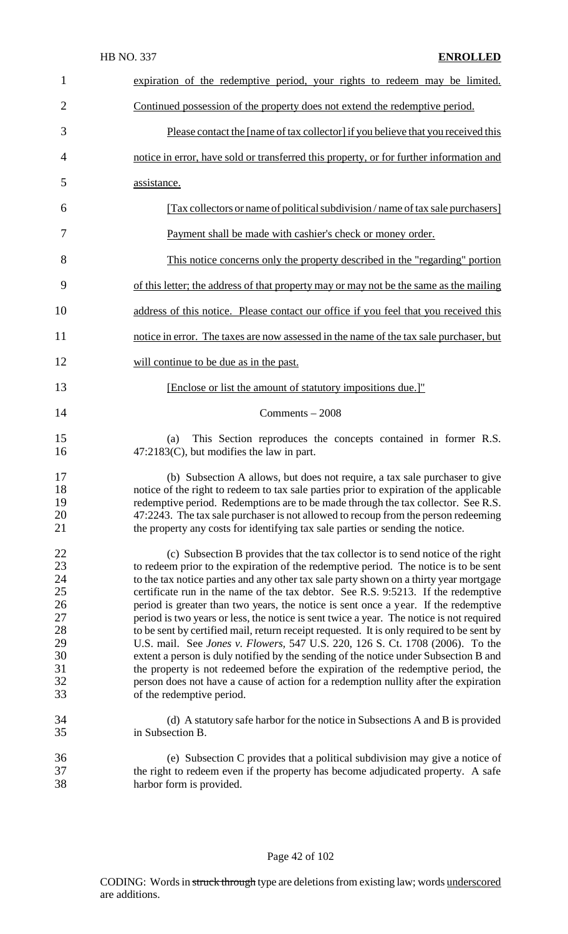| $\mathbf{1}$                                                         | expiration of the redemptive period, your rights to redeem may be limited.                                                                                                                                                                                                                                                                                                                                                                                                                                                                                                                                                                                                                                                                                                                                                                                                                                                                                                                                               |
|----------------------------------------------------------------------|--------------------------------------------------------------------------------------------------------------------------------------------------------------------------------------------------------------------------------------------------------------------------------------------------------------------------------------------------------------------------------------------------------------------------------------------------------------------------------------------------------------------------------------------------------------------------------------------------------------------------------------------------------------------------------------------------------------------------------------------------------------------------------------------------------------------------------------------------------------------------------------------------------------------------------------------------------------------------------------------------------------------------|
| $\overline{2}$                                                       | Continued possession of the property does not extend the redemptive period.                                                                                                                                                                                                                                                                                                                                                                                                                                                                                                                                                                                                                                                                                                                                                                                                                                                                                                                                              |
| 3                                                                    | Please contact the [name of tax collector] if you believe that you received this                                                                                                                                                                                                                                                                                                                                                                                                                                                                                                                                                                                                                                                                                                                                                                                                                                                                                                                                         |
| 4                                                                    | notice in error, have sold or transferred this property, or for further information and                                                                                                                                                                                                                                                                                                                                                                                                                                                                                                                                                                                                                                                                                                                                                                                                                                                                                                                                  |
| 5                                                                    | assistance.                                                                                                                                                                                                                                                                                                                                                                                                                                                                                                                                                                                                                                                                                                                                                                                                                                                                                                                                                                                                              |
| 6                                                                    | [Tax collectors or name of political subdivision / name of tax sale purchasers]                                                                                                                                                                                                                                                                                                                                                                                                                                                                                                                                                                                                                                                                                                                                                                                                                                                                                                                                          |
| 7                                                                    | Payment shall be made with cashier's check or money order.                                                                                                                                                                                                                                                                                                                                                                                                                                                                                                                                                                                                                                                                                                                                                                                                                                                                                                                                                               |
| 8                                                                    | This notice concerns only the property described in the "regarding" portion                                                                                                                                                                                                                                                                                                                                                                                                                                                                                                                                                                                                                                                                                                                                                                                                                                                                                                                                              |
| 9                                                                    | of this letter; the address of that property may or may not be the same as the mailing                                                                                                                                                                                                                                                                                                                                                                                                                                                                                                                                                                                                                                                                                                                                                                                                                                                                                                                                   |
| 10                                                                   | address of this notice. Please contact our office if you feel that you received this                                                                                                                                                                                                                                                                                                                                                                                                                                                                                                                                                                                                                                                                                                                                                                                                                                                                                                                                     |
| 11                                                                   | notice in error. The taxes are now assessed in the name of the tax sale purchaser, but                                                                                                                                                                                                                                                                                                                                                                                                                                                                                                                                                                                                                                                                                                                                                                                                                                                                                                                                   |
| 12                                                                   | will continue to be due as in the past.                                                                                                                                                                                                                                                                                                                                                                                                                                                                                                                                                                                                                                                                                                                                                                                                                                                                                                                                                                                  |
| 13                                                                   | [Enclose or list the amount of statutory impositions due.]"                                                                                                                                                                                                                                                                                                                                                                                                                                                                                                                                                                                                                                                                                                                                                                                                                                                                                                                                                              |
| 14                                                                   | Comments $-2008$                                                                                                                                                                                                                                                                                                                                                                                                                                                                                                                                                                                                                                                                                                                                                                                                                                                                                                                                                                                                         |
| 15<br>16                                                             | This Section reproduces the concepts contained in former R.S.<br>(a)<br>47:2183(C), but modifies the law in part.                                                                                                                                                                                                                                                                                                                                                                                                                                                                                                                                                                                                                                                                                                                                                                                                                                                                                                        |
| 17<br>18<br>19<br>20<br>21                                           | (b) Subsection A allows, but does not require, a tax sale purchaser to give<br>notice of the right to redeem to tax sale parties prior to expiration of the applicable<br>redemptive period. Redemptions are to be made through the tax collector. See R.S.<br>47:2243. The tax sale purchaser is not allowed to recoup from the person redeeming<br>the property any costs for identifying tax sale parties or sending the notice.                                                                                                                                                                                                                                                                                                                                                                                                                                                                                                                                                                                      |
| 22<br>23<br>24<br>25<br>26<br>27<br>28<br>29<br>30<br>31<br>32<br>33 | (c) Subsection B provides that the tax collector is to send notice of the right<br>to redeem prior to the expiration of the redemptive period. The notice is to be sent<br>to the tax notice parties and any other tax sale party shown on a thirty year mortgage<br>certificate run in the name of the tax debtor. See R.S. 9:5213. If the redemptive<br>period is greater than two years, the notice is sent once a year. If the redemptive<br>period is two years or less, the notice is sent twice a year. The notice is not required<br>to be sent by certified mail, return receipt requested. It is only required to be sent by<br>U.S. mail. See Jones v. Flowers, 547 U.S. 220, 126 S. Ct. 1708 (2006). To the<br>extent a person is duly notified by the sending of the notice under Subsection B and<br>the property is not redeemed before the expiration of the redemptive period, the<br>person does not have a cause of action for a redemption nullity after the expiration<br>of the redemptive period. |
| 34<br>35                                                             | (d) A statutory safe harbor for the notice in Subsections A and B is provided<br>in Subsection B.                                                                                                                                                                                                                                                                                                                                                                                                                                                                                                                                                                                                                                                                                                                                                                                                                                                                                                                        |
| 36<br>37<br>38                                                       | (e) Subsection C provides that a political subdivision may give a notice of<br>the right to redeem even if the property has become adjudicated property. A safe<br>harbor form is provided.                                                                                                                                                                                                                                                                                                                                                                                                                                                                                                                                                                                                                                                                                                                                                                                                                              |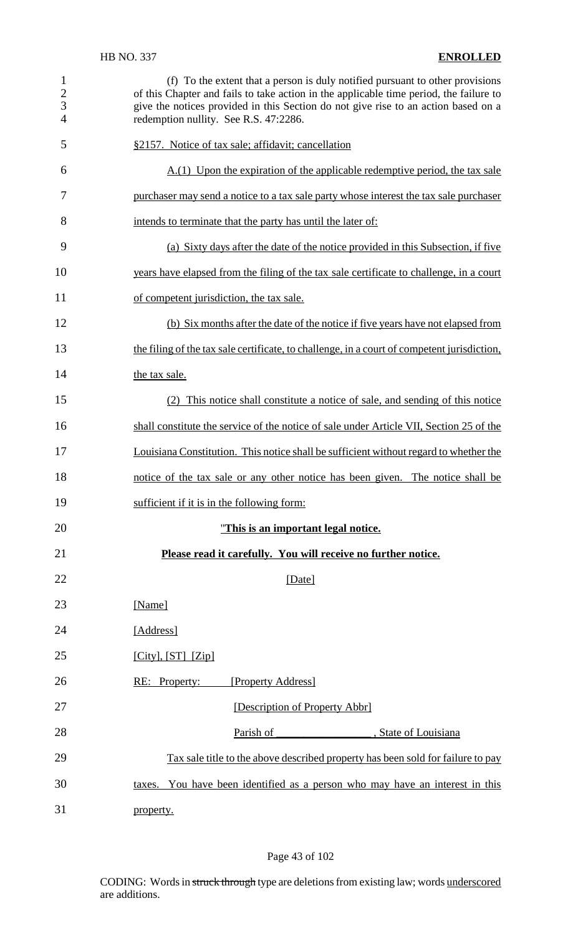| $\mathbf{1}$<br>$rac{2}{3}$<br>$\overline{4}$ | (f) To the extent that a person is duly notified pursuant to other provisions<br>of this Chapter and fails to take action in the applicable time period, the failure to<br>give the notices provided in this Section do not give rise to an action based on a<br>redemption nullity. See R.S. 47:2286. |
|-----------------------------------------------|--------------------------------------------------------------------------------------------------------------------------------------------------------------------------------------------------------------------------------------------------------------------------------------------------------|
| 5                                             | §2157. Notice of tax sale; affidavit; cancellation                                                                                                                                                                                                                                                     |
| 6                                             | $A(1)$ Upon the expiration of the applicable redemptive period, the tax sale                                                                                                                                                                                                                           |
| 7                                             | purchaser may send a notice to a tax sale party whose interest the tax sale purchaser                                                                                                                                                                                                                  |
| 8                                             | intends to terminate that the party has until the later of:                                                                                                                                                                                                                                            |
| 9                                             | (a) Sixty days after the date of the notice provided in this Subsection, if five                                                                                                                                                                                                                       |
| 10                                            | years have elapsed from the filing of the tax sale certificate to challenge, in a court                                                                                                                                                                                                                |
| 11                                            | of competent jurisdiction, the tax sale.                                                                                                                                                                                                                                                               |
| 12                                            | (b) Six months after the date of the notice if five years have not elapsed from                                                                                                                                                                                                                        |
| 13                                            | the filing of the tax sale certificate, to challenge, in a court of competent jurisdiction,                                                                                                                                                                                                            |
| 14                                            | the tax sale.                                                                                                                                                                                                                                                                                          |
| 15                                            | (2) This notice shall constitute a notice of sale, and sending of this notice                                                                                                                                                                                                                          |
| 16                                            | shall constitute the service of the notice of sale under Article VII, Section 25 of the                                                                                                                                                                                                                |
| 17                                            | Louisiana Constitution. This notice shall be sufficient without regard to whether the                                                                                                                                                                                                                  |
| 18                                            | notice of the tax sale or any other notice has been given. The notice shall be                                                                                                                                                                                                                         |
| 19                                            | sufficient if it is in the following form:                                                                                                                                                                                                                                                             |
| 20                                            | "This is an important legal notice.                                                                                                                                                                                                                                                                    |
| 21                                            | Please read it carefully. You will receive no further notice.                                                                                                                                                                                                                                          |
| 22                                            | [Date]                                                                                                                                                                                                                                                                                                 |
| 23                                            | [Name]                                                                                                                                                                                                                                                                                                 |
| 24                                            | [Address]                                                                                                                                                                                                                                                                                              |
| 25                                            | $[City], [ST]$ $[Zip]$                                                                                                                                                                                                                                                                                 |
| 26                                            | RE: Property:<br>[Property Address]                                                                                                                                                                                                                                                                    |
| 27                                            | [Description of Property Abbr]                                                                                                                                                                                                                                                                         |
| 28                                            | Parish of<br>, State of Louisiana                                                                                                                                                                                                                                                                      |
| 29                                            | Tax sale title to the above described property has been sold for failure to pay                                                                                                                                                                                                                        |
| 30                                            | taxes. You have been identified as a person who may have an interest in this                                                                                                                                                                                                                           |
| 31                                            | property.                                                                                                                                                                                                                                                                                              |

# Page 43 of 102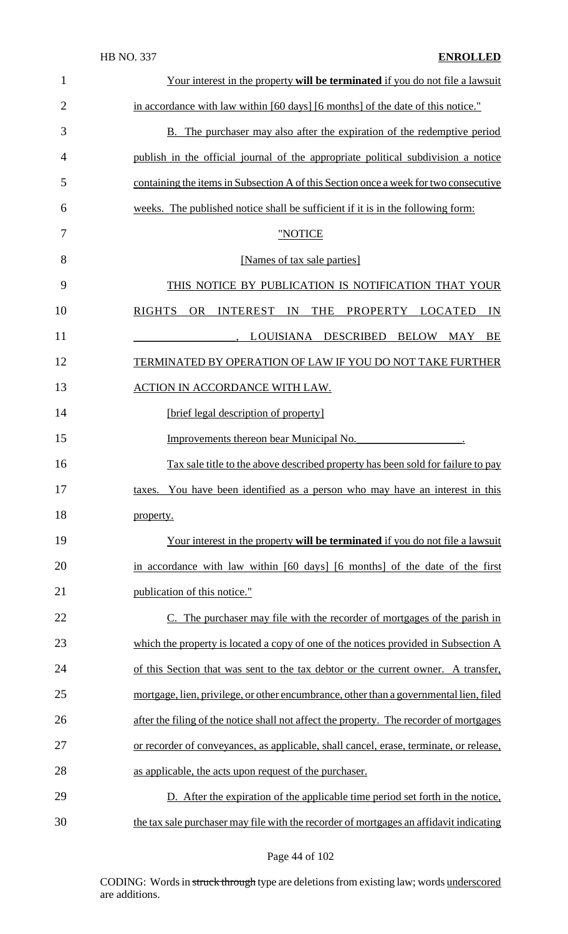| $\mathbf{1}$   | Your interest in the property will be terminated if you do not file a lawsuit                    |
|----------------|--------------------------------------------------------------------------------------------------|
| $\overline{2}$ | in accordance with law within [60 days] [6 months] of the date of this notice."                  |
| 3              | <b>B.</b> The purchaser may also after the expiration of the redemptive period                   |
| $\overline{4}$ | publish in the official journal of the appropriate political subdivision a notice                |
| 5              | containing the items in Subsection A of this Section once a week for two consecutive             |
| 6              | weeks. The published notice shall be sufficient if it is in the following form:                  |
| 7              | "NOTICE                                                                                          |
| 8              | [Names of tax sale parties]                                                                      |
| 9              | THIS NOTICE BY PUBLICATION IS NOTIFICATION THAT YOUR                                             |
| 10             | <b>RIGHTS</b><br>THE<br>OR<br>INTEREST IN<br>PROPERTY LOCATED<br>IN                              |
| 11             | LOUISIANA DESCRIBED BELOW MAY BE                                                                 |
| 12             | TERMINATED BY OPERATION OF LAW IF YOU DO NOT TAKE FURTHER                                        |
| 13             | <b>ACTION IN ACCORDANCE WITH LAW.</b>                                                            |
| 14             | [brief legal description of property]                                                            |
| 15             | Improvements thereon bear Municipal No.                                                          |
| 16             | Tax sale title to the above described property has been sold for failure to pay                  |
| 17             | You have been identified as a person who may have an interest in this<br>taxes.                  |
| 18             | property.                                                                                        |
| 19             | <u>Your interest in the property will be terminated if you do not file a lawsuit</u>             |
| 20             | in accordance with law within [60 days] [6 months] of the date of the first                      |
| 21             | publication of this notice."                                                                     |
| 22             | C. The purchaser may file with the recorder of mortgages of the parish in                        |
| 23             | which the property is located a copy of one of the notices provided in Subsection $\overline{A}$ |
| 24             | of this Section that was sent to the tax debtor or the current owner. A transfer,                |
| 25             | mortgage, lien, privilege, or other encumbrance, other than a governmental lien, filed           |
| 26             | after the filing of the notice shall not affect the property. The recorder of mortgages          |
| 27             | or recorder of conveyances, as applicable, shall cancel, erase, terminate, or release,           |
| 28             | as applicable, the acts upon request of the purchaser.                                           |
| 29             | D. After the expiration of the applicable time period set forth in the notice,                   |
| 30             | the tax sale purchaser may file with the recorder of mortgages an affidavit indicating           |

Page 44 of 102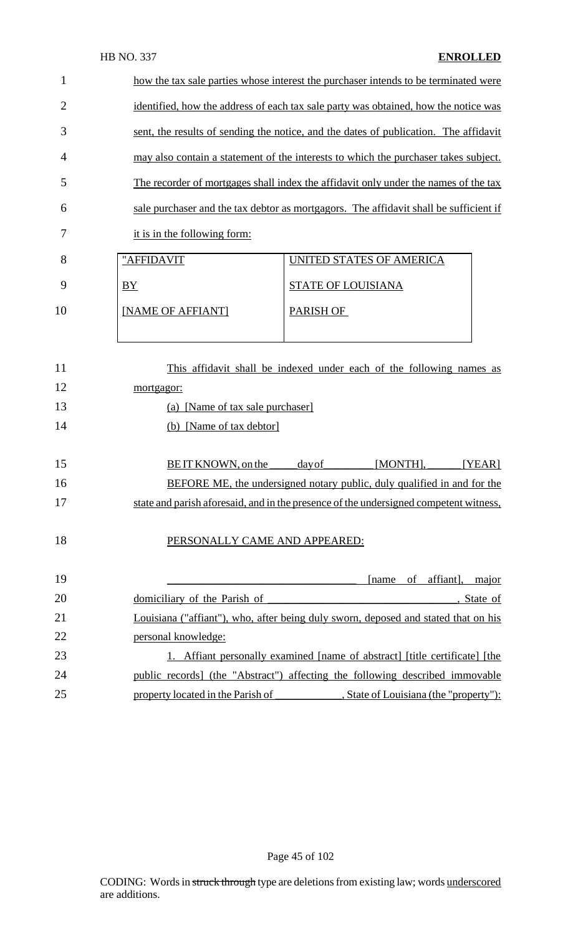#### HB NO. 337 **ENROLLED**

| 1              | how the tax sale parties whose interest the purchaser intends to be terminated were |                                                                                       |  |  |
|----------------|-------------------------------------------------------------------------------------|---------------------------------------------------------------------------------------|--|--|
| $\overline{2}$ |                                                                                     | identified, how the address of each tax sale party was obtained, how the notice was   |  |  |
| 3              |                                                                                     | sent, the results of sending the notice, and the dates of publication. The affidavity |  |  |
| 4              | may also contain a statement of the interests to which the purchaser takes subject. |                                                                                       |  |  |
| 5              |                                                                                     | The recorder of mortgages shall index the affidavit only under the names of the tax   |  |  |
| 6              |                                                                                     | sale purchaser and the tax debtor as mortgagors. The affidavit shall be sufficient if |  |  |
| 7              | it is in the following form:                                                        |                                                                                       |  |  |
| 8              | "AFFIDAVIT                                                                          | UNITED STATES OF AMERICA                                                              |  |  |
| 9              | BY                                                                                  | STATE OF LOUISIANA                                                                    |  |  |
| 10             | [NAME OF AFFIANT]                                                                   | <b>PARISH OF</b>                                                                      |  |  |
|                |                                                                                     |                                                                                       |  |  |
| 11             |                                                                                     | This affidavit shall be indexed under each of the following names as                  |  |  |
| $\sim$         |                                                                                     |                                                                                       |  |  |

| 12 | mortgagor:                                                                            |
|----|---------------------------------------------------------------------------------------|
| 13 | (a) [Name of tax sale purchaser]                                                      |
| 14 | (b) [Name of tax debtor]                                                              |
|    |                                                                                       |
| 15 | <b>BEIT KNOWN</b> , on the<br>[MONTH],<br><u>day of</u><br>[YEAR]                     |
| 16 | <b>BEFORE ME, the undersigned notary public, duly qualified in and for the</b>        |
| 17 | state and parish aforesaid, and in the presence of the undersigned competent witness, |
|    |                                                                                       |
| 18 | PERSONALLY CAME AND APPEARED:                                                         |
|    |                                                                                       |
| 19 | affiant],<br>of<br>[name<br>major                                                     |
| 20 | domiciliary of the Parish of<br>., State of                                           |
| 21 | Louisiana ("affiant"), who, after being duly sworn, deposed and stated that on his    |
| 22 | personal knowledge:                                                                   |
| 23 | 1. Affiant personally examined [name of abstract] [title certificate] [the            |
| 24 | public records) (the "Abstract") affecting the following described immovable          |
| 25 | , State of Louisiana (the "property"):<br>property located in the Parish of           |
|    |                                                                                       |

Page 45 of 102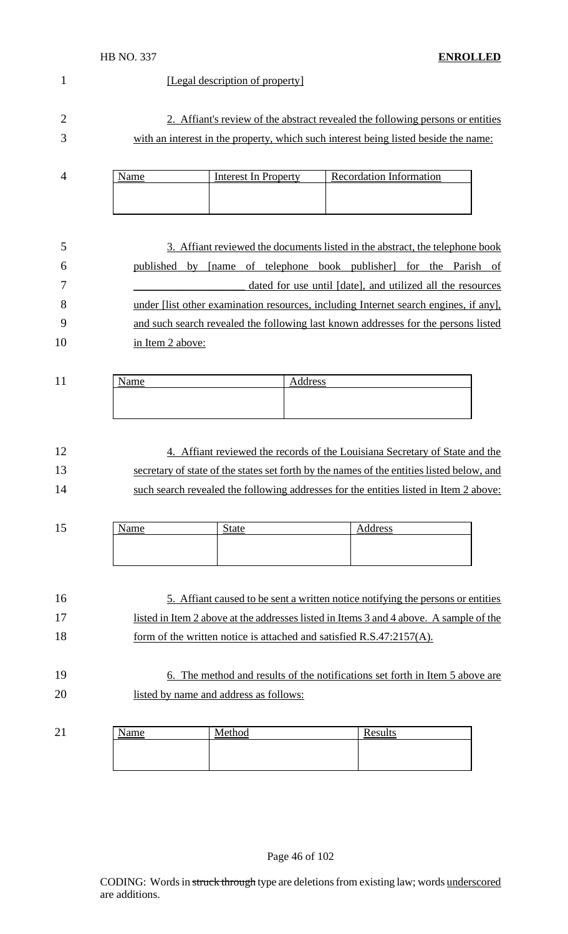#### HB NO. 337 **ENROLLED**

# 1 [Legal description of property] 2 2. Affiant's review of the abstract revealed the following persons or entities with an interest in the property, which such interest being listed beside the name: 4 Name Interest In Property Recordation Information 3. Affiant reviewed the documents listed in the abstract, the telephone book published by [name of telephone book publisher] for the Parish of \_\_\_\_\_\_\_\_\_\_\_\_\_\_\_\_\_\_\_\_ dated for use until [date], and utilized all the resources

8 under [list other examination resources, including Internet search engines, if any], and such search revealed the following last known addresses for the persons listed in Item 2 above:

| . . | <u></u> | r |
|-----|---------|---|
|     |         |   |
|     |         |   |

# 4. Affiant reviewed the records of the Louisiana Secretary of State and the secretary of state of the states set forth by the names of the entities listed below, and such search revealed the following addresses for the entities listed in Item 2 above:

| -<br>19 | <b>Name</b> | $^{\circ}_{\text{+ofa}}$ | Address |
|---------|-------------|--------------------------|---------|
|         |             |                          |         |
|         |             |                          |         |
|         |             |                          |         |

| 16 | 5. Affiant caused to be sent a written notice notifying the persons or entities        |
|----|----------------------------------------------------------------------------------------|
| 17 | listed in Item 2 above at the addresses listed in Items 3 and 4 above. A sample of the |
| 18 | form of the written notice is attached and satisfied $R.S.47:2157(A)$ .                |

# 6. The method and results of the notifications set forth in Item 5 above are listed by name and address as follows:

| 21 | lame | Method | Results |
|----|------|--------|---------|
|    |      |        |         |
|    |      |        |         |
|    |      |        |         |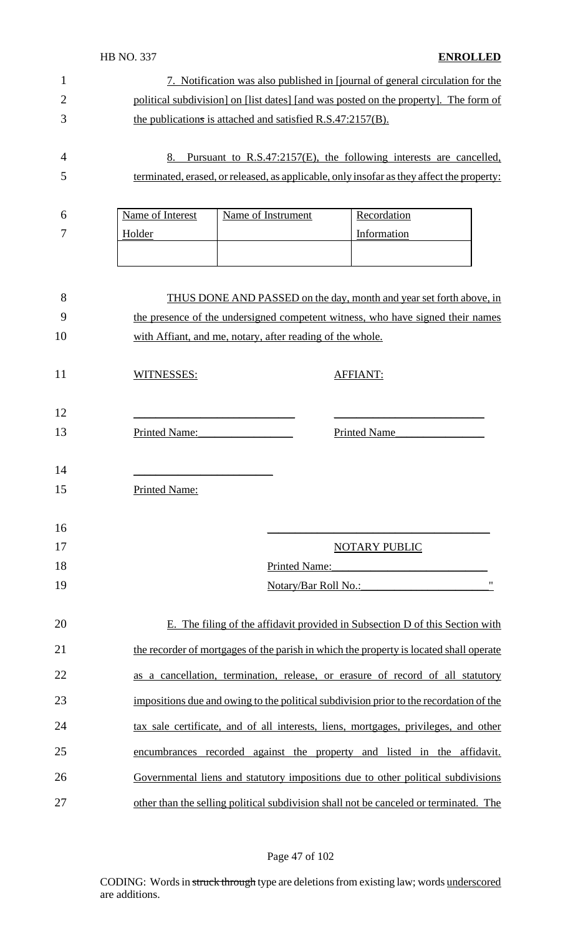|                | <b>HB NO. 337</b><br><b>ENROLLED</b>                                                                                                        |
|----------------|---------------------------------------------------------------------------------------------------------------------------------------------|
| 1              | 7. Notification was also published in [journal of general circulation for the                                                               |
| $\overline{2}$ | political subdivision] on [list dates] [and was posted on the property]. The form of                                                        |
| 3              | the publications is attached and satisfied R.S.47:2157(B).                                                                                  |
|                |                                                                                                                                             |
| 4              | Pursuant to R.S.47:2157(E), the following interests are cancelled,<br>8.                                                                    |
| 5              | terminated, erased, or released, as applicable, only insofar as they affect the property:                                                   |
|                |                                                                                                                                             |
| 6              | Name of Interest<br>Name of Instrument<br>Recordation                                                                                       |
| 7              | Information<br>Holder                                                                                                                       |
|                |                                                                                                                                             |
|                |                                                                                                                                             |
| 8              | THUS DONE AND PASSED on the day, month and year set forth above, in                                                                         |
| 9<br>10        | the presence of the undersigned competent witness, who have signed their names<br>with Affiant, and me, notary, after reading of the whole. |
|                |                                                                                                                                             |
| 11             | WITNESSES:<br><b>AFFIANT:</b>                                                                                                               |
|                |                                                                                                                                             |
| 12             |                                                                                                                                             |
| 13             | Printed Name:<br><b>Printed Name</b>                                                                                                        |
|                |                                                                                                                                             |
| 14             |                                                                                                                                             |
| 15             | <b>Printed Name:</b>                                                                                                                        |
|                |                                                                                                                                             |
| 16             |                                                                                                                                             |
| 17             | <b>NOTARY PUBLIC</b>                                                                                                                        |
| 18<br>19       | Printed Name:<br>$^{\prime\prime}$                                                                                                          |
|                | Notary/Bar Roll No.:                                                                                                                        |
| 20             | E. The filing of the affidavit provided in Subsection D of this Section with                                                                |
| 21             | the recorder of mortgages of the parish in which the property is located shall operate                                                      |
| 22             | as a cancellation, termination, release, or erasure of record of all statutory                                                              |
| 23             | impositions due and owing to the political subdivision prior to the recordation of the                                                      |
| 24             | tax sale certificate, and of all interests, liens, mortgages, privileges, and other                                                         |
| 25             | encumbrances recorded against the property and listed in the affidavit.                                                                     |
| 26             | Governmental liens and statutory impositions due to other political subdivisions                                                            |
| 27             | other than the selling political subdivision shall not be canceled or terminated. The                                                       |

# Page 47 of 102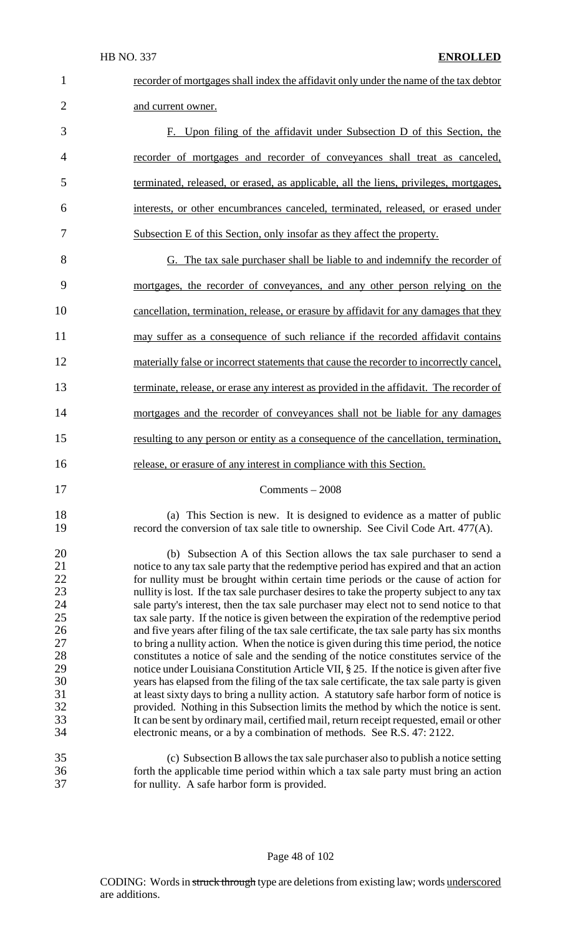| $\mathbf{1}$                                                                           | recorder of mortgages shall index the affidavit only under the name of the tax debtor                                                                                                                                                                                                                                                                                                                                                                                                                                                                                                                                                                                                                                                                                                                                                                                                                                                                                                                                                                                                                                                                                                                                                                                                                                                                                             |
|----------------------------------------------------------------------------------------|-----------------------------------------------------------------------------------------------------------------------------------------------------------------------------------------------------------------------------------------------------------------------------------------------------------------------------------------------------------------------------------------------------------------------------------------------------------------------------------------------------------------------------------------------------------------------------------------------------------------------------------------------------------------------------------------------------------------------------------------------------------------------------------------------------------------------------------------------------------------------------------------------------------------------------------------------------------------------------------------------------------------------------------------------------------------------------------------------------------------------------------------------------------------------------------------------------------------------------------------------------------------------------------------------------------------------------------------------------------------------------------|
| $\overline{2}$                                                                         | and current owner.                                                                                                                                                                                                                                                                                                                                                                                                                                                                                                                                                                                                                                                                                                                                                                                                                                                                                                                                                                                                                                                                                                                                                                                                                                                                                                                                                                |
| 3                                                                                      | F. Upon filing of the affidavit under Subsection D of this Section, the                                                                                                                                                                                                                                                                                                                                                                                                                                                                                                                                                                                                                                                                                                                                                                                                                                                                                                                                                                                                                                                                                                                                                                                                                                                                                                           |
| $\overline{4}$                                                                         | recorder of mortgages and recorder of conveyances shall treat as canceled,                                                                                                                                                                                                                                                                                                                                                                                                                                                                                                                                                                                                                                                                                                                                                                                                                                                                                                                                                                                                                                                                                                                                                                                                                                                                                                        |
| 5                                                                                      | terminated, released, or erased, as applicable, all the liens, privileges, mortgages,                                                                                                                                                                                                                                                                                                                                                                                                                                                                                                                                                                                                                                                                                                                                                                                                                                                                                                                                                                                                                                                                                                                                                                                                                                                                                             |
| 6                                                                                      | interests, or other encumbrances canceled, terminated, released, or erased under                                                                                                                                                                                                                                                                                                                                                                                                                                                                                                                                                                                                                                                                                                                                                                                                                                                                                                                                                                                                                                                                                                                                                                                                                                                                                                  |
| 7                                                                                      | Subsection E of this Section, only insofar as they affect the property.                                                                                                                                                                                                                                                                                                                                                                                                                                                                                                                                                                                                                                                                                                                                                                                                                                                                                                                                                                                                                                                                                                                                                                                                                                                                                                           |
| 8                                                                                      | G. The tax sale purchaser shall be liable to and indemnify the recorder of                                                                                                                                                                                                                                                                                                                                                                                                                                                                                                                                                                                                                                                                                                                                                                                                                                                                                                                                                                                                                                                                                                                                                                                                                                                                                                        |
| 9                                                                                      | mortgages, the recorder of conveyances, and any other person relying on the                                                                                                                                                                                                                                                                                                                                                                                                                                                                                                                                                                                                                                                                                                                                                                                                                                                                                                                                                                                                                                                                                                                                                                                                                                                                                                       |
| 10                                                                                     | cancellation, termination, release, or erasure by affidavit for any damages that they                                                                                                                                                                                                                                                                                                                                                                                                                                                                                                                                                                                                                                                                                                                                                                                                                                                                                                                                                                                                                                                                                                                                                                                                                                                                                             |
| 11                                                                                     | may suffer as a consequence of such reliance if the recorded affidavit contains                                                                                                                                                                                                                                                                                                                                                                                                                                                                                                                                                                                                                                                                                                                                                                                                                                                                                                                                                                                                                                                                                                                                                                                                                                                                                                   |
| 12                                                                                     | materially false or incorrect statements that cause the recorder to incorrectly cancel,                                                                                                                                                                                                                                                                                                                                                                                                                                                                                                                                                                                                                                                                                                                                                                                                                                                                                                                                                                                                                                                                                                                                                                                                                                                                                           |
| 13                                                                                     | terminate, release, or erase any interest as provided in the affidavit. The recorder of                                                                                                                                                                                                                                                                                                                                                                                                                                                                                                                                                                                                                                                                                                                                                                                                                                                                                                                                                                                                                                                                                                                                                                                                                                                                                           |
| 14                                                                                     | mortgages and the recorder of conveyances shall not be liable for any damages                                                                                                                                                                                                                                                                                                                                                                                                                                                                                                                                                                                                                                                                                                                                                                                                                                                                                                                                                                                                                                                                                                                                                                                                                                                                                                     |
| 15                                                                                     | resulting to any person or entity as a consequence of the cancellation, termination,                                                                                                                                                                                                                                                                                                                                                                                                                                                                                                                                                                                                                                                                                                                                                                                                                                                                                                                                                                                                                                                                                                                                                                                                                                                                                              |
| 16                                                                                     | release, or erasure of any interest in compliance with this Section.                                                                                                                                                                                                                                                                                                                                                                                                                                                                                                                                                                                                                                                                                                                                                                                                                                                                                                                                                                                                                                                                                                                                                                                                                                                                                                              |
| 17                                                                                     | $Comments - 2008$                                                                                                                                                                                                                                                                                                                                                                                                                                                                                                                                                                                                                                                                                                                                                                                                                                                                                                                                                                                                                                                                                                                                                                                                                                                                                                                                                                 |
| 18<br>19                                                                               | (a) This Section is new. It is designed to evidence as a matter of public<br>record the conversion of tax sale title to ownership. See Civil Code Art. 477(A).                                                                                                                                                                                                                                                                                                                                                                                                                                                                                                                                                                                                                                                                                                                                                                                                                                                                                                                                                                                                                                                                                                                                                                                                                    |
| 20<br>21<br>22<br>23<br>24<br>25<br>26<br>27<br>28<br>29<br>30<br>31<br>32<br>33<br>34 | (b) Subsection A of this Section allows the tax sale purchaser to send a<br>notice to any tax sale party that the redemptive period has expired and that an action<br>for nullity must be brought within certain time periods or the cause of action for<br>nullity is lost. If the tax sale purchaser desires to take the property subject to any tax<br>sale party's interest, then the tax sale purchaser may elect not to send notice to that<br>tax sale party. If the notice is given between the expiration of the redemptive period<br>and five years after filing of the tax sale certificate, the tax sale party has six months<br>to bring a nullity action. When the notice is given during this time period, the notice<br>constitutes a notice of sale and the sending of the notice constitutes service of the<br>notice under Louisiana Constitution Article VII, § 25. If the notice is given after five<br>years has elapsed from the filing of the tax sale certificate, the tax sale party is given<br>at least sixty days to bring a nullity action. A statutory safe harbor form of notice is<br>provided. Nothing in this Subsection limits the method by which the notice is sent.<br>It can be sent by ordinary mail, certified mail, return receipt requested, email or other<br>electronic means, or a by a combination of methods. See R.S. 47: 2122. |
| 35<br>36<br>37                                                                         | (c) Subsection B allows the tax sale purchaser also to publish a notice setting<br>forth the applicable time period within which a tax sale party must bring an action<br>for nullity. A safe harbor form is provided.                                                                                                                                                                                                                                                                                                                                                                                                                                                                                                                                                                                                                                                                                                                                                                                                                                                                                                                                                                                                                                                                                                                                                            |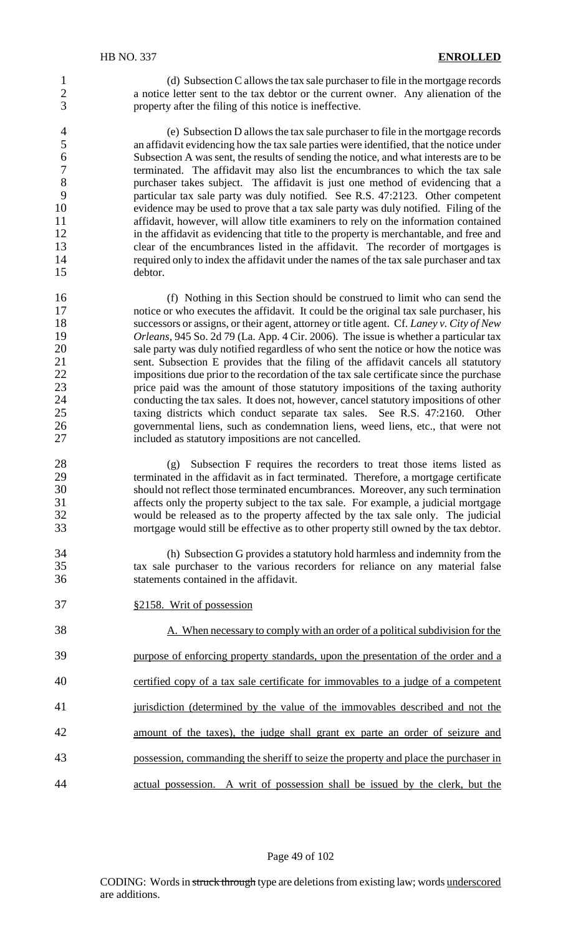1 (d) Subsection C allows the tax sale purchaser to file in the mortgage records 2 a notice letter sent to the tax debtor or the current owner. Any alienation of the property after the filing of this notice is ineffective. property after the filing of this notice is ineffective.

4 (e) Subsection D allows the tax sale purchaser to file in the mortgage records<br>5 an affidavit evidencing how the tax sale parties were identified, that the notice under 5 an affidavit evidencing how the tax sale parties were identified, that the notice under 6 Subsection A was sent, the results of sending the notice, and what interests are to be<br>ferminated. The affidavit may also list the encumbrances to which the tax sale terminated. The affidavit may also list the encumbrances to which the tax sale 8 purchaser takes subject. The affidavit is just one method of evidencing that a<br>9 particular tax sale party was duly notified. See R.S. 47:2123. Other competent 9 particular tax sale party was duly notified. See R.S. 47:2123. Other competent evidence may be used to prove that a tax sale party was duly notified. Filing of the 10 evidence may be used to prove that a tax sale party was duly notified. Filing of the 11 affidavit, however, will allow title examiners to rely on the information contained 12 in the affidavit as evidencing that title to the property is merchantable, and free and 13 clear of the encumbrances listed in the affidavit. The recorder of mortgages is 14 required only to index the affidavit under the names of the tax sale purchaser and tax 15 debtor.

16 (f) Nothing in this Section should be construed to limit who can send the 17 notice or who executes the affidavit. It could be the original tax sale purchaser, his 18 successors or assigns, or their agent, attorney or title agent. Cf. *Laney v. City of New* 19 *Orleans,* 945 So. 2d 79 (La. App. 4 Cir. 2006). The issue is whether a particular tax 20 sale party was duly notified regardless of who sent the notice or how the notice was<br>21 sent. Subsection E provides that the filing of the affidavit cancels all statutory sent. Subsection E provides that the filing of the affidavit cancels all statutory 22 impositions due prior to the recordation of the tax sale certificate since the purchase<br>23 extending the amount of those statutory impositions of the taxing authority 23 price paid was the amount of those statutory impositions of the taxing authority<br>24 conducting the tax sales. It does not however, cancel statutory impositions of other 24 conducting the tax sales. It does not, however, cancel statutory impositions of other<br>25 taxing districts which conduct separate tax sales. See R.S. 47:2160. Other taxing districts which conduct separate tax sales. See R.S. 47:2160. Other 26 governmental liens, such as condemnation liens, weed liens, etc., that were not 27 included as statutory impositions are not cancelled.

28 (g) Subsection F requires the recorders to treat those items listed as terminated in the affidavit as in fact terminated. Therefore, a mortgage certificate 29 terminated in the affidavit as in fact terminated. Therefore, a mortgage certificate<br>30 should not reflect those terminated encumbrances. Moreover, any such termination should not reflect those terminated encumbrances. Moreover, any such termination 31 affects only the property subject to the tax sale. For example, a judicial mortgage<br>32 would be released as to the property affected by the tax sale only. The judicial 32 would be released as to the property affected by the tax sale only. The judicial<br>33 mortgage would still be effective as to other property still owned by the tax debtor. mortgage would still be effective as to other property still owned by the tax debtor.

34 (h) Subsection G provides a statutory hold harmless and indemnity from the 35 tax sale purchaser to the various recorders for reliance on any material false 36 statements contained in the affidavit.

37 §2158. Writ of possession

38 A. When necessary to comply with an order of a political subdivision for the purpose of enforcing property standards, upon the presentation of the order and a certified copy of a tax sale certificate for immovables to a judge of a competent jurisdiction (determined by the value of the immovables described and not the amount of the taxes), the judge shall grant ex parte an order of seizure and possession, commanding the sheriff to seize the property and place the purchaser in actual possession. A writ of possession shall be issued by the clerk, but the

Page 49 of 102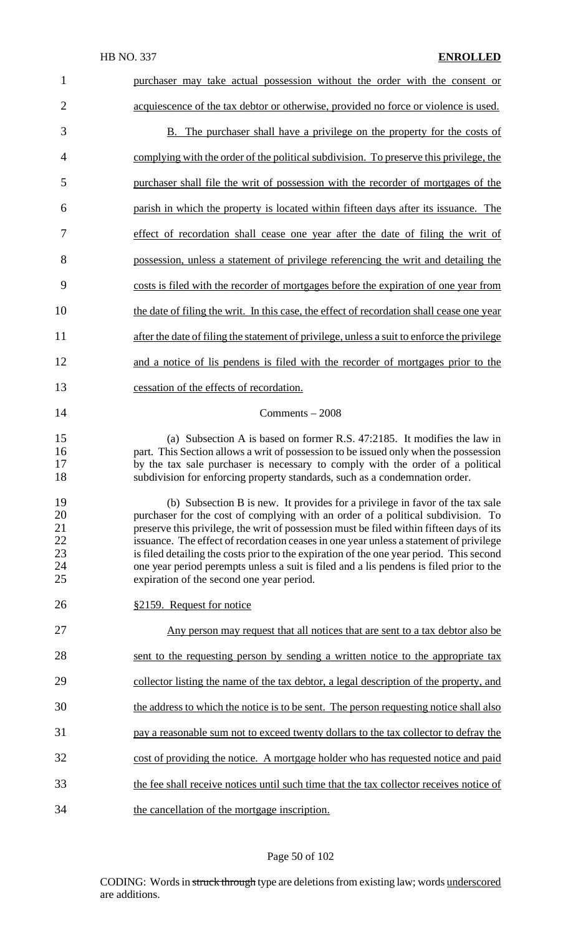| 1                                      | purchaser may take actual possession without the order with the consent or                                                                                                                                                                                                                                                                                                                                                                                                                                                                                                                  |
|----------------------------------------|---------------------------------------------------------------------------------------------------------------------------------------------------------------------------------------------------------------------------------------------------------------------------------------------------------------------------------------------------------------------------------------------------------------------------------------------------------------------------------------------------------------------------------------------------------------------------------------------|
| $\overline{2}$                         | acquiescence of the tax debtor or otherwise, provided no force or violence is used.                                                                                                                                                                                                                                                                                                                                                                                                                                                                                                         |
| 3                                      | B. The purchaser shall have a privilege on the property for the costs of                                                                                                                                                                                                                                                                                                                                                                                                                                                                                                                    |
| $\overline{4}$                         | complying with the order of the political subdivision. To preserve this privilege, the                                                                                                                                                                                                                                                                                                                                                                                                                                                                                                      |
| 5                                      | purchaser shall file the writ of possession with the recorder of mortgages of the                                                                                                                                                                                                                                                                                                                                                                                                                                                                                                           |
| 6                                      | parish in which the property is located within fifteen days after its issuance. The                                                                                                                                                                                                                                                                                                                                                                                                                                                                                                         |
| 7                                      | effect of recordation shall cease one year after the date of filing the writ of                                                                                                                                                                                                                                                                                                                                                                                                                                                                                                             |
| 8                                      | possession, unless a statement of privilege referencing the writ and detailing the                                                                                                                                                                                                                                                                                                                                                                                                                                                                                                          |
| 9                                      | costs is filed with the recorder of mortgages before the expiration of one year from                                                                                                                                                                                                                                                                                                                                                                                                                                                                                                        |
| 10                                     | the date of filing the writ. In this case, the effect of recordation shall cease one year                                                                                                                                                                                                                                                                                                                                                                                                                                                                                                   |
| 11                                     | after the date of filing the statement of privilege, unless a suit to enforce the privilege                                                                                                                                                                                                                                                                                                                                                                                                                                                                                                 |
| 12                                     | and a notice of lis pendens is filed with the recorder of mortgages prior to the                                                                                                                                                                                                                                                                                                                                                                                                                                                                                                            |
| 13                                     | cessation of the effects of recordation.                                                                                                                                                                                                                                                                                                                                                                                                                                                                                                                                                    |
| 14                                     | Comments $-2008$                                                                                                                                                                                                                                                                                                                                                                                                                                                                                                                                                                            |
| 15<br>16<br>17<br>18                   | (a) Subsection A is based on former R.S. 47:2185. It modifies the law in<br>part. This Section allows a writ of possession to be issued only when the possession<br>by the tax sale purchaser is necessary to comply with the order of a political<br>subdivision for enforcing property standards, such as a condemnation order.                                                                                                                                                                                                                                                           |
| 19<br>20<br>21<br>22<br>23<br>24<br>25 | (b) Subsection B is new. It provides for a privilege in favor of the tax sale<br>purchaser for the cost of complying with an order of a political subdivision. To<br>preserve this privilege, the writ of possession must be filed within fifteen days of its<br>issuance. The effect of recordation ceases in one year unless a statement of privilege<br>is filed detailing the costs prior to the expiration of the one year period. This second<br>one year period perempts unless a suit is filed and a lis pendens is filed prior to the<br>expiration of the second one year period. |
| 26                                     | §2159. Request for notice                                                                                                                                                                                                                                                                                                                                                                                                                                                                                                                                                                   |
| 27                                     | <u>Any person may request that all notices that are sent to a tax debtor also be</u>                                                                                                                                                                                                                                                                                                                                                                                                                                                                                                        |
| 28                                     | sent to the requesting person by sending a written notice to the appropriate tax                                                                                                                                                                                                                                                                                                                                                                                                                                                                                                            |
| 29                                     | collector listing the name of the tax debtor, a legal description of the property, and                                                                                                                                                                                                                                                                                                                                                                                                                                                                                                      |
| 30                                     | the address to which the notice is to be sent. The person requesting notice shall also                                                                                                                                                                                                                                                                                                                                                                                                                                                                                                      |
| 31                                     | pay a reasonable sum not to exceed twenty dollars to the tax collector to defray the                                                                                                                                                                                                                                                                                                                                                                                                                                                                                                        |
| 32                                     | cost of providing the notice. A mortgage holder who has requested notice and paid                                                                                                                                                                                                                                                                                                                                                                                                                                                                                                           |
| 33                                     | the fee shall receive notices until such time that the tax collector receives notice of                                                                                                                                                                                                                                                                                                                                                                                                                                                                                                     |
| 34                                     | the cancellation of the mortgage inscription.                                                                                                                                                                                                                                                                                                                                                                                                                                                                                                                                               |

# Page 50 of 102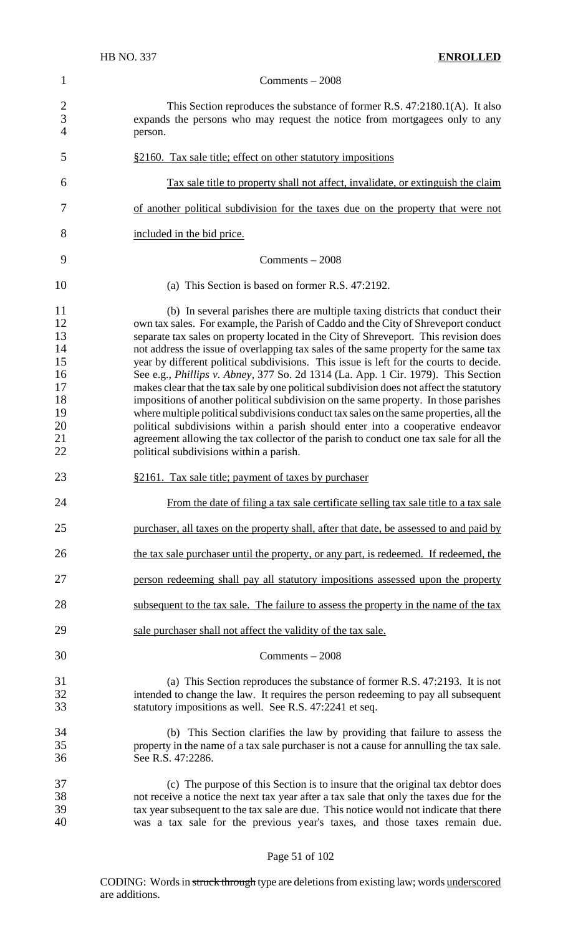|                                                                      | <b>HB NO. 337</b><br><b>ENROLLED</b>                                                                                                                                                                                                                                                                                                                                                                                                                                                                                                                                                                                                                                                                                                                                                                                                                                                                                                                                                                                                               |
|----------------------------------------------------------------------|----------------------------------------------------------------------------------------------------------------------------------------------------------------------------------------------------------------------------------------------------------------------------------------------------------------------------------------------------------------------------------------------------------------------------------------------------------------------------------------------------------------------------------------------------------------------------------------------------------------------------------------------------------------------------------------------------------------------------------------------------------------------------------------------------------------------------------------------------------------------------------------------------------------------------------------------------------------------------------------------------------------------------------------------------|
| $\mathbf{1}$                                                         | $Comments - 2008$                                                                                                                                                                                                                                                                                                                                                                                                                                                                                                                                                                                                                                                                                                                                                                                                                                                                                                                                                                                                                                  |
| $\overline{2}$<br>$\overline{3}$<br>$\overline{4}$                   | This Section reproduces the substance of former R.S. 47:2180.1(A). It also<br>expands the persons who may request the notice from mortgagees only to any<br>person.                                                                                                                                                                                                                                                                                                                                                                                                                                                                                                                                                                                                                                                                                                                                                                                                                                                                                |
| 5                                                                    | §2160. Tax sale title; effect on other statutory impositions                                                                                                                                                                                                                                                                                                                                                                                                                                                                                                                                                                                                                                                                                                                                                                                                                                                                                                                                                                                       |
| 6                                                                    | Tax sale title to property shall not affect, invalidate, or extinguish the claim                                                                                                                                                                                                                                                                                                                                                                                                                                                                                                                                                                                                                                                                                                                                                                                                                                                                                                                                                                   |
| 7                                                                    | of another political subdivision for the taxes due on the property that were not                                                                                                                                                                                                                                                                                                                                                                                                                                                                                                                                                                                                                                                                                                                                                                                                                                                                                                                                                                   |
| 8                                                                    | included in the bid price.                                                                                                                                                                                                                                                                                                                                                                                                                                                                                                                                                                                                                                                                                                                                                                                                                                                                                                                                                                                                                         |
| 9                                                                    | Comments $-2008$                                                                                                                                                                                                                                                                                                                                                                                                                                                                                                                                                                                                                                                                                                                                                                                                                                                                                                                                                                                                                                   |
| 10                                                                   | (a) This Section is based on former R.S. 47:2192.                                                                                                                                                                                                                                                                                                                                                                                                                                                                                                                                                                                                                                                                                                                                                                                                                                                                                                                                                                                                  |
| 11<br>12<br>13<br>14<br>15<br>16<br>17<br>18<br>19<br>20<br>21<br>22 | (b) In several parishes there are multiple taxing districts that conduct their<br>own tax sales. For example, the Parish of Caddo and the City of Shreveport conduct<br>separate tax sales on property located in the City of Shreveport. This revision does<br>not address the issue of overlapping tax sales of the same property for the same tax<br>year by different political subdivisions. This issue is left for the courts to decide.<br>See e.g., <i>Phillips v. Abney</i> , 377 So. 2d 1314 (La. App. 1 Cir. 1979). This Section<br>makes clear that the tax sale by one political subdivision does not affect the statutory<br>impositions of another political subdivision on the same property. In those parishes<br>where multiple political subdivisions conduct tax sales on the same properties, all the<br>political subdivisions within a parish should enter into a cooperative endeavor<br>agreement allowing the tax collector of the parish to conduct one tax sale for all the<br>political subdivisions within a parish. |
| 23                                                                   | §2161. Tax sale title; payment of taxes by purchaser                                                                                                                                                                                                                                                                                                                                                                                                                                                                                                                                                                                                                                                                                                                                                                                                                                                                                                                                                                                               |
| 24                                                                   | From the date of filing a tax sale certificate selling tax sale title to a tax sale                                                                                                                                                                                                                                                                                                                                                                                                                                                                                                                                                                                                                                                                                                                                                                                                                                                                                                                                                                |
| 25                                                                   | purchaser, all taxes on the property shall, after that date, be assessed to and paid by                                                                                                                                                                                                                                                                                                                                                                                                                                                                                                                                                                                                                                                                                                                                                                                                                                                                                                                                                            |
| 26                                                                   | the tax sale purchaser until the property, or any part, is redeemed. If redeemed, the                                                                                                                                                                                                                                                                                                                                                                                                                                                                                                                                                                                                                                                                                                                                                                                                                                                                                                                                                              |
| 27                                                                   | person redeeming shall pay all statutory impositions assessed upon the property                                                                                                                                                                                                                                                                                                                                                                                                                                                                                                                                                                                                                                                                                                                                                                                                                                                                                                                                                                    |
| 28                                                                   | subsequent to the tax sale. The failure to assess the property in the name of the tax                                                                                                                                                                                                                                                                                                                                                                                                                                                                                                                                                                                                                                                                                                                                                                                                                                                                                                                                                              |
| 29                                                                   | sale purchaser shall not affect the validity of the tax sale.                                                                                                                                                                                                                                                                                                                                                                                                                                                                                                                                                                                                                                                                                                                                                                                                                                                                                                                                                                                      |
| 30                                                                   | Comments $-2008$                                                                                                                                                                                                                                                                                                                                                                                                                                                                                                                                                                                                                                                                                                                                                                                                                                                                                                                                                                                                                                   |
| 31<br>32<br>33                                                       | (a) This Section reproduces the substance of former R.S. 47:2193. It is not<br>intended to change the law. It requires the person redeeming to pay all subsequent<br>statutory impositions as well. See R.S. 47:2241 et seq.                                                                                                                                                                                                                                                                                                                                                                                                                                                                                                                                                                                                                                                                                                                                                                                                                       |
| 34<br>35<br>36                                                       | (b) This Section clarifies the law by providing that failure to assess the<br>property in the name of a tax sale purchaser is not a cause for annulling the tax sale.<br>See R.S. 47:2286.                                                                                                                                                                                                                                                                                                                                                                                                                                                                                                                                                                                                                                                                                                                                                                                                                                                         |
| 37<br>38<br>39<br>40                                                 | (c) The purpose of this Section is to insure that the original tax debtor does<br>not receive a notice the next tax year after a tax sale that only the taxes due for the<br>tax year subsequent to the tax sale are due. This notice would not indicate that there<br>was a tax sale for the previous year's taxes, and those taxes remain due.                                                                                                                                                                                                                                                                                                                                                                                                                                                                                                                                                                                                                                                                                                   |
|                                                                      |                                                                                                                                                                                                                                                                                                                                                                                                                                                                                                                                                                                                                                                                                                                                                                                                                                                                                                                                                                                                                                                    |

# Page 51 of 102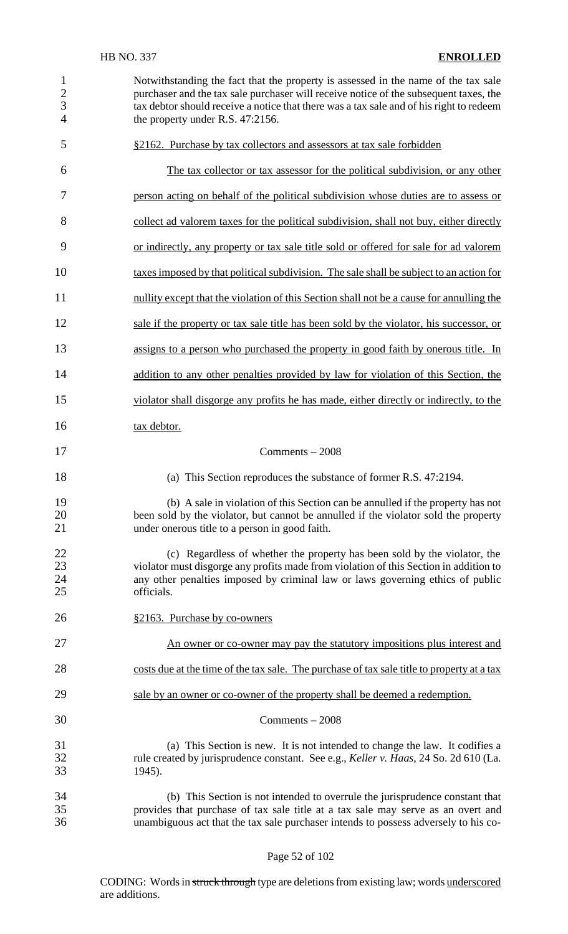| $\mathbf{1}$<br>$\overline{2}$<br>3<br>$\overline{4}$ | Notwithstanding the fact that the property is assessed in the name of the tax sale<br>purchaser and the tax sale purchaser will receive notice of the subsequent taxes, the<br>tax debtor should receive a notice that there was a tax sale and of his right to redeem<br>the property under R.S. 47:2156. |
|-------------------------------------------------------|------------------------------------------------------------------------------------------------------------------------------------------------------------------------------------------------------------------------------------------------------------------------------------------------------------|
| 5                                                     | §2162. Purchase by tax collectors and assessors at tax sale forbidden                                                                                                                                                                                                                                      |
| 6                                                     | The tax collector or tax assessor for the political subdivision, or any other                                                                                                                                                                                                                              |
| 7                                                     | person acting on behalf of the political subdivision whose duties are to assess or                                                                                                                                                                                                                         |
| 8                                                     | collect ad valorem taxes for the political subdivision, shall not buy, either directly                                                                                                                                                                                                                     |
| 9                                                     | or indirectly, any property or tax sale title sold or offered for sale for ad valorem                                                                                                                                                                                                                      |
| 10                                                    | taxes imposed by that political subdivision. The sale shall be subject to an action for                                                                                                                                                                                                                    |
| 11                                                    | nullity except that the violation of this Section shall not be a cause for annulling the                                                                                                                                                                                                                   |
| 12                                                    | sale if the property or tax sale title has been sold by the violator, his successor, or                                                                                                                                                                                                                    |
| 13                                                    | assigns to a person who purchased the property in good faith by onerous title. In                                                                                                                                                                                                                          |
| 14                                                    | addition to any other penalties provided by law for violation of this Section, the                                                                                                                                                                                                                         |
| 15                                                    | violator shall disgorge any profits he has made, either directly or indirectly, to the                                                                                                                                                                                                                     |
| 16                                                    | tax debtor.                                                                                                                                                                                                                                                                                                |
| 17                                                    | Comments $-2008$                                                                                                                                                                                                                                                                                           |
| 18                                                    | (a) This Section reproduces the substance of former R.S. 47:2194.                                                                                                                                                                                                                                          |
| 19<br>20<br>21                                        | (b) A sale in violation of this Section can be annulled if the property has not<br>been sold by the violator, but cannot be annulled if the violator sold the property<br>under onerous title to a person in good faith.                                                                                   |
| 22<br>23<br>24<br>25                                  | (c) Regardless of whether the property has been sold by the violator, the<br>violator must disgorge any profits made from violation of this Section in addition to<br>any other penalties imposed by criminal law or laws governing ethics of public<br>officials.                                         |
| 26                                                    | §2163. Purchase by co-owners                                                                                                                                                                                                                                                                               |
| 27                                                    | An owner or co-owner may pay the statutory impositions plus interest and                                                                                                                                                                                                                                   |
| 28                                                    | costs due at the time of the tax sale. The purchase of tax sale title to property at a tax                                                                                                                                                                                                                 |
| 29                                                    | sale by an owner or co-owner of the property shall be deemed a redemption.                                                                                                                                                                                                                                 |
| 30                                                    | $Comments - 2008$                                                                                                                                                                                                                                                                                          |
| 31<br>32<br>33                                        | (a) This Section is new. It is not intended to change the law. It codifies a<br>rule created by jurisprudence constant. See e.g., Keller v. Haas, 24 So. 2d 610 (La.<br>1945).                                                                                                                             |
| 34<br>35<br>36                                        | (b) This Section is not intended to overrule the jurisprudence constant that<br>provides that purchase of tax sale title at a tax sale may serve as an overt and<br>unambiguous act that the tax sale purchaser intends to possess adversely to his co-                                                    |

Page 52 of 102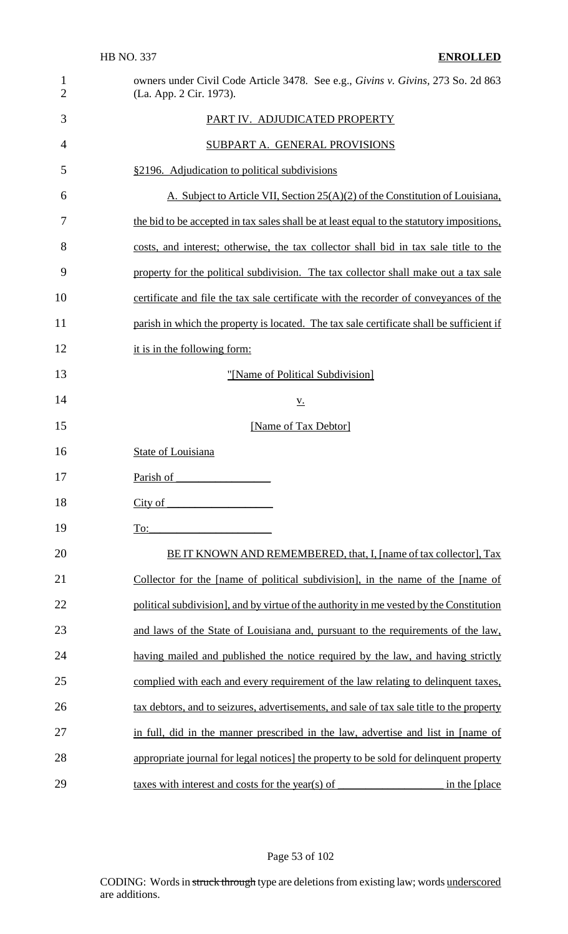| $\mathbf{1}$<br>$\overline{2}$ | owners under Civil Code Article 3478. See e.g., Givins v. Givins, 273 So. 2d 863<br>(La. App. 2 Cir. 1973). |
|--------------------------------|-------------------------------------------------------------------------------------------------------------|
| 3                              | PART IV. ADJUDICATED PROPERTY                                                                               |
| 4                              | SUBPART A. GENERAL PROVISIONS                                                                               |
| 5                              | §2196. Adjudication to political subdivisions                                                               |
| 6                              | A. Subject to Article VII, Section 25(A)(2) of the Constitution of Louisiana,                               |
| 7                              | the bid to be accepted in tax sales shall be at least equal to the statutory impositions,                   |
| 8                              | costs, and interest; otherwise, the tax collector shall bid in tax sale title to the                        |
| 9                              | property for the political subdivision. The tax collector shall make out a tax sale                         |
| 10                             | certificate and file the tax sale certificate with the recorder of conveyances of the                       |
| 11                             | parish in which the property is located. The tax sale certificate shall be sufficient if                    |
| 12                             | it is in the following form:                                                                                |
| 13                             | "[Name of Political Subdivision]                                                                            |
| 14                             | <u>v.</u>                                                                                                   |
| 15                             | [Name of Tax Debtor]                                                                                        |
| 16                             | <b>State of Louisiana</b>                                                                                   |
| 17                             | Parish of                                                                                                   |
| 18                             | City of                                                                                                     |
| 19                             | To:                                                                                                         |
| 20                             | BE IT KNOWN AND REMEMBERED, that, I, [name of tax collector], Tax                                           |
| 21                             | Collector for the [name of political subdivision], in the name of the [name of                              |
| 22                             | political subdivision], and by virtue of the authority in me vested by the Constitution                     |
| 23                             | and laws of the State of Louisiana and, pursuant to the requirements of the law,                            |
| 24                             | having mailed and published the notice required by the law, and having strictly                             |
| 25                             | complied with each and every requirement of the law relating to delinquent taxes,                           |
| 26                             | tax debtors, and to seizures, advertisements, and sale of tax sale title to the property                    |
| 27                             | in full, did in the manner prescribed in the law, advertise and list in [name of                            |
| 28                             | appropriate journal for legal notices] the property to be sold for delinquent property                      |
| 29                             | taxes with interest and costs for the year(s) of<br>in the [place]                                          |

Page 53 of 102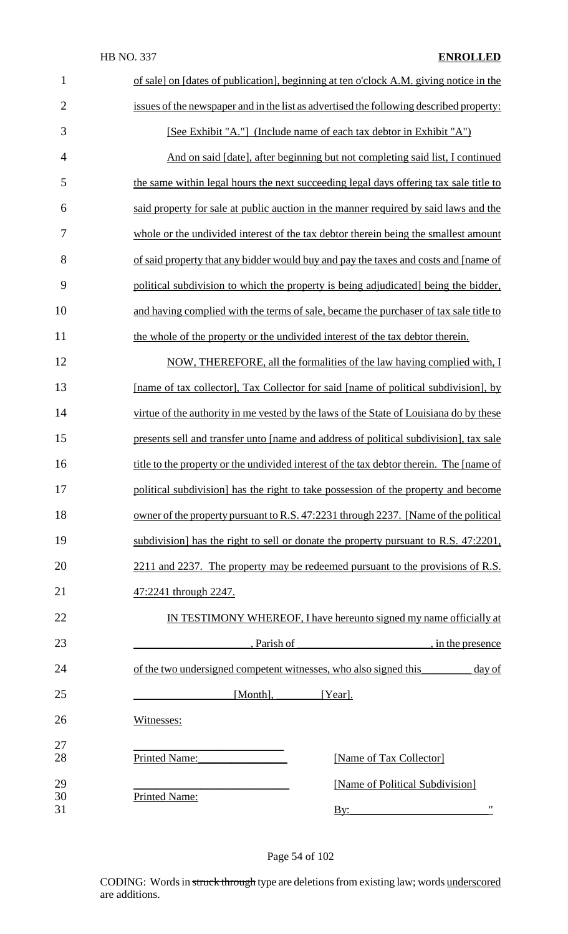| $\mathbf{1}$   | of sale] on [dates of publication], beginning at ten o'clock A.M. giving notice in the             |
|----------------|----------------------------------------------------------------------------------------------------|
| $\overline{2}$ | issues of the newspaper and in the list as advertised the following described property:            |
| 3              | [See Exhibit "A."] (Include name of each tax debtor in Exhibit "A")                                |
| $\overline{4}$ | And on said [date], after beginning but not completing said list, I continued                      |
| 5              | the same within legal hours the next succeeding legal days offering tax sale title to              |
| 6              | said property for sale at public auction in the manner required by said laws and the               |
| 7              | whole or the undivided interest of the tax debtor therein being the smallest amount                |
| 8              | of said property that any bidder would buy and pay the taxes and costs and [name of                |
| 9              | political subdivision to which the property is being adjudicated being the bidder,                 |
| 10             | and having complied with the terms of sale, became the purchaser of tax sale title to              |
| 11             | the whole of the property or the undivided interest of the tax debtor therein.                     |
| 12             | NOW, THEREFORE, all the formalities of the law having complied with, I                             |
| 13             | [name of tax collector], Tax Collector for said [name of political subdivision], by                |
| 14             | virtue of the authority in me vested by the laws of the State of Louisiana do by these             |
| 15             | presents sell and transfer unto [name and address of political subdivision], tax sale              |
| 16             | title to the property or the undivided interest of the tax debtor therein. The [name of            |
| 17             | political subdivision] has the right to take possession of the property and become                 |
| 18             | owner of the property pursuant to R.S. 47:2231 through 2237. [Name of the political                |
| 19             | subdivision] has the right to sell or donate the property pursuant to R.S. 47:2201,                |
| 20             | 2211 and 2237. The property may be redeemed pursuant to the provisions of R.S.                     |
| 21             | 47:2241 through 2247.                                                                              |
| 22             | IN TESTIMONY WHEREOF, I have hereunto signed my name officially at                                 |
| 23             | , Parish of<br>$\frac{1}{2}$ , in the presence                                                     |
| 24             | of the two undersigned competent witnesses, who also signed this<br>day of                         |
| 25             | [Month], [Year].                                                                                   |
| 26             | Witnesses:                                                                                         |
| 27<br>28       | Printed Name:<br>[Name of Tax Collector]                                                           |
| 29<br>30<br>31 | [Name of Political Subdivision]<br><b>Printed Name:</b><br>$^{\bullet}$<br>$\overline{\text{By:}}$ |

Page 54 of 102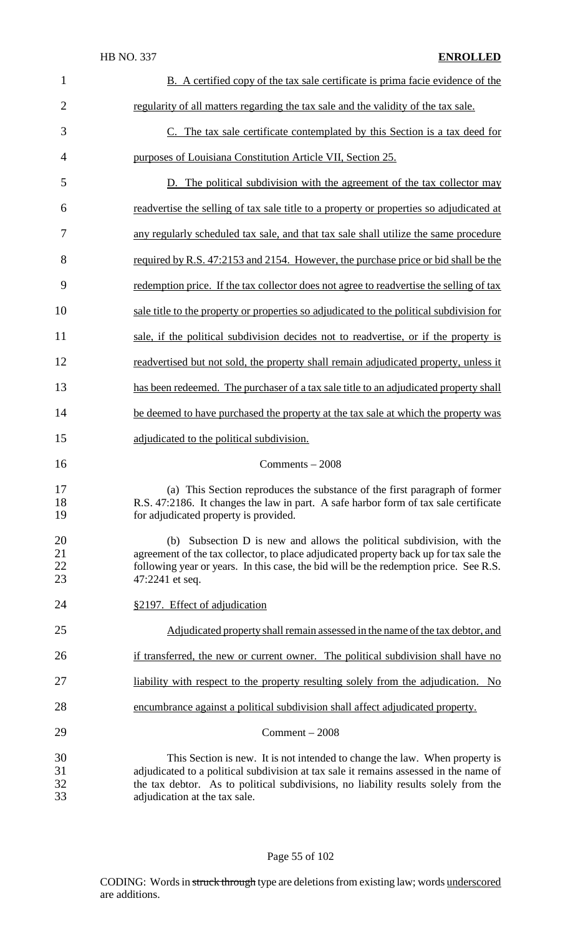| $\mathbf{1}$         | B. A certified copy of the tax sale certificate is prima facie evidence of the                                                                                                                                                                                                              |
|----------------------|---------------------------------------------------------------------------------------------------------------------------------------------------------------------------------------------------------------------------------------------------------------------------------------------|
| $\overline{2}$       | regularity of all matters regarding the tax sale and the validity of the tax sale.                                                                                                                                                                                                          |
| 3                    | C. The tax sale certificate contemplated by this Section is a tax deed for                                                                                                                                                                                                                  |
| 4                    | purposes of Louisiana Constitution Article VII, Section 25.                                                                                                                                                                                                                                 |
| 5                    | D. The political subdivision with the agreement of the tax collector may                                                                                                                                                                                                                    |
| 6                    | readvertise the selling of tax sale title to a property or properties so adjudicated at                                                                                                                                                                                                     |
| 7                    | any regularly scheduled tax sale, and that tax sale shall utilize the same procedure                                                                                                                                                                                                        |
| 8                    | required by R.S. 47:2153 and 2154. However, the purchase price or bid shall be the                                                                                                                                                                                                          |
| 9                    | redemption price. If the tax collector does not agree to readvertise the selling of tax                                                                                                                                                                                                     |
| 10                   | sale title to the property or properties so adjudicated to the political subdivision for                                                                                                                                                                                                    |
| 11                   | sale, if the political subdivision decides not to readvertise, or if the property is                                                                                                                                                                                                        |
| 12                   | readvertised but not sold, the property shall remain adjudicated property, unless it                                                                                                                                                                                                        |
| 13                   | has been redeemed. The purchaser of a tax sale title to an adjudicated property shall                                                                                                                                                                                                       |
| 14                   | be deemed to have purchased the property at the tax sale at which the property was                                                                                                                                                                                                          |
| 15                   | adjudicated to the political subdivision.                                                                                                                                                                                                                                                   |
| 16                   | Comments $-2008$                                                                                                                                                                                                                                                                            |
| 17<br>18<br>19       | (a) This Section reproduces the substance of the first paragraph of former<br>R.S. 47:2186. It changes the law in part. A safe harbor form of tax sale certificate<br>for adjudicated property is provided.                                                                                 |
| 20<br>21<br>22<br>23 | (b) Subsection D is new and allows the political subdivision, with the<br>agreement of the tax collector, to place adjudicated property back up for tax sale the<br>following year or years. In this case, the bid will be the redemption price. See R.S.<br>47:2241 et seq.                |
| 24                   | §2197. Effect of adjudication                                                                                                                                                                                                                                                               |
| 25                   | Adjudicated property shall remain assessed in the name of the tax debtor, and                                                                                                                                                                                                               |
| 26                   | if transferred, the new or current owner. The political subdivision shall have no                                                                                                                                                                                                           |
| 27                   | liability with respect to the property resulting solely from the adjudication. No                                                                                                                                                                                                           |
| 28                   | encumbrance against a political subdivision shall affect adjudicated property.                                                                                                                                                                                                              |
| 29                   | $Comment - 2008$                                                                                                                                                                                                                                                                            |
| 30<br>31<br>32<br>33 | This Section is new. It is not intended to change the law. When property is<br>adjudicated to a political subdivision at tax sale it remains assessed in the name of<br>the tax debtor. As to political subdivisions, no liability results solely from the<br>adjudication at the tax sale. |

# Page 55 of 102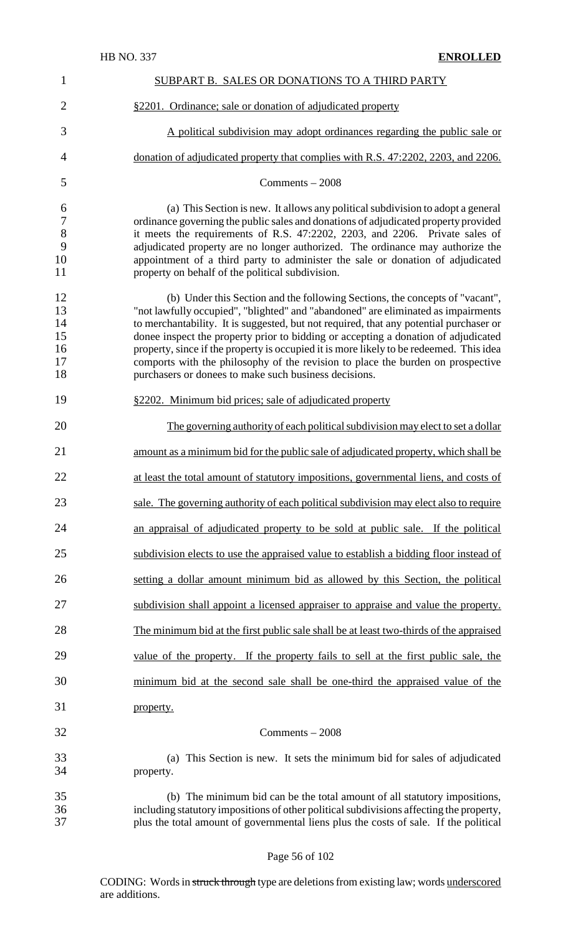| $\mathbf{1}$                                | SUBPART B. SALES OR DONATIONS TO A THIRD PARTY                                                                                                                                                                                                                                                                                                                                                                                                                                                                                                                                           |
|---------------------------------------------|------------------------------------------------------------------------------------------------------------------------------------------------------------------------------------------------------------------------------------------------------------------------------------------------------------------------------------------------------------------------------------------------------------------------------------------------------------------------------------------------------------------------------------------------------------------------------------------|
| $\overline{2}$                              | §2201. Ordinance; sale or donation of adjudicated property                                                                                                                                                                                                                                                                                                                                                                                                                                                                                                                               |
| 3                                           | A political subdivision may adopt ordinances regarding the public sale or                                                                                                                                                                                                                                                                                                                                                                                                                                                                                                                |
| 4                                           | donation of adjudicated property that complies with R.S. 47:2202, 2203, and 2206.                                                                                                                                                                                                                                                                                                                                                                                                                                                                                                        |
| 5                                           | Comments $-2008$                                                                                                                                                                                                                                                                                                                                                                                                                                                                                                                                                                         |
| 6<br>$\boldsymbol{7}$<br>8<br>9<br>10<br>11 | (a) This Section is new. It allows any political subdivision to adopt a general<br>ordinance governing the public sales and donations of adjudicated property provided<br>it meets the requirements of R.S. 47:2202, 2203, and 2206. Private sales of<br>adjudicated property are no longer authorized. The ordinance may authorize the<br>appointment of a third party to administer the sale or donation of adjudicated<br>property on behalf of the political subdivision.                                                                                                            |
| 12<br>13<br>14<br>15<br>16<br>17<br>18      | (b) Under this Section and the following Sections, the concepts of "vacant",<br>"not lawfully occupied", "blighted" and "abandoned" are eliminated as impairments<br>to merchantability. It is suggested, but not required, that any potential purchaser or<br>donee inspect the property prior to bidding or accepting a donation of adjudicated<br>property, since if the property is occupied it is more likely to be redeemed. This idea<br>comports with the philosophy of the revision to place the burden on prospective<br>purchasers or donees to make such business decisions. |
| 19                                          | §2202. Minimum bid prices; sale of adjudicated property                                                                                                                                                                                                                                                                                                                                                                                                                                                                                                                                  |
| 20                                          | The governing authority of each political subdivision may elect to set a dollar                                                                                                                                                                                                                                                                                                                                                                                                                                                                                                          |
| 21                                          | amount as a minimum bid for the public sale of adjudicated property, which shall be                                                                                                                                                                                                                                                                                                                                                                                                                                                                                                      |
| 22                                          | at least the total amount of statutory impositions, governmental liens, and costs of                                                                                                                                                                                                                                                                                                                                                                                                                                                                                                     |
| 23                                          | sale. The governing authority of each political subdivision may elect also to require                                                                                                                                                                                                                                                                                                                                                                                                                                                                                                    |
| 24                                          | an appraisal of adjudicated property to be sold at public sale. If the political                                                                                                                                                                                                                                                                                                                                                                                                                                                                                                         |
| 25                                          | subdivision elects to use the appraised value to establish a bidding floor instead of                                                                                                                                                                                                                                                                                                                                                                                                                                                                                                    |
| 26                                          | setting a dollar amount minimum bid as allowed by this Section, the political                                                                                                                                                                                                                                                                                                                                                                                                                                                                                                            |
| 27                                          | subdivision shall appoint a licensed appraiser to appraise and value the property.                                                                                                                                                                                                                                                                                                                                                                                                                                                                                                       |
| 28                                          | The minimum bid at the first public sale shall be at least two-thirds of the appraised                                                                                                                                                                                                                                                                                                                                                                                                                                                                                                   |
| 29                                          | value of the property. If the property fails to sell at the first public sale, the                                                                                                                                                                                                                                                                                                                                                                                                                                                                                                       |
| 30                                          | minimum bid at the second sale shall be one-third the appraised value of the                                                                                                                                                                                                                                                                                                                                                                                                                                                                                                             |
| 31                                          | property.                                                                                                                                                                                                                                                                                                                                                                                                                                                                                                                                                                                |
| 32                                          | Comments $-2008$                                                                                                                                                                                                                                                                                                                                                                                                                                                                                                                                                                         |
| 33<br>34                                    | This Section is new. It sets the minimum bid for sales of adjudicated<br>(a)<br>property.                                                                                                                                                                                                                                                                                                                                                                                                                                                                                                |
| 35<br>36<br>37                              | (b) The minimum bid can be the total amount of all statutory impositions,<br>including statutory impositions of other political subdivisions affecting the property,<br>plus the total amount of governmental liens plus the costs of sale. If the political                                                                                                                                                                                                                                                                                                                             |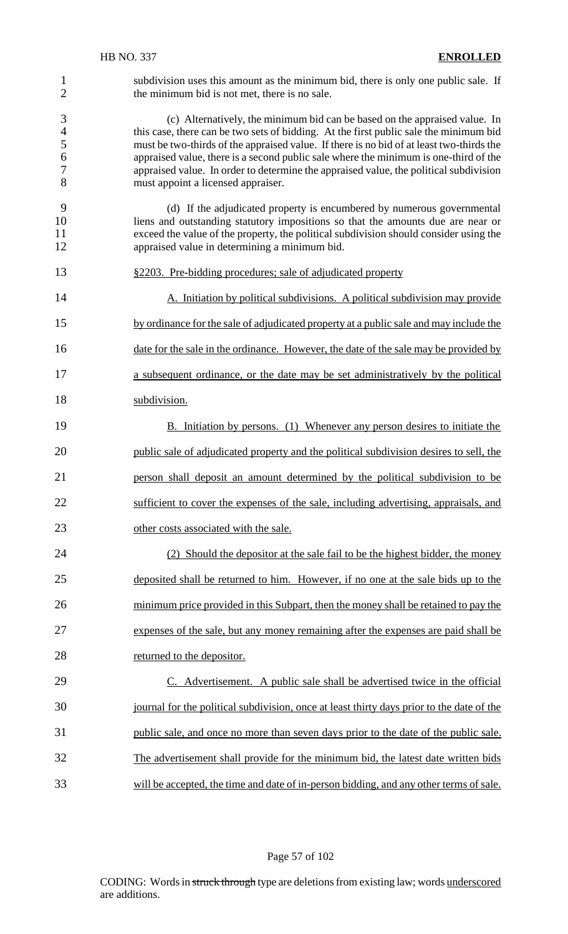1 subdivision uses this amount as the minimum bid, there is only one public sale. If<br>2 the minimum bid is not met, there is no sale. the minimum bid is not met, there is no sale.

3 (c) Alternatively, the minimum bid can be based on the appraised value. In this case, there can be two sets of bidding. At the first public sale the minimum bid 4 this case, there can be two sets of bidding. At the first public sale the minimum bid<br>5 must be two-thirds of the appraised value. If there is no bid of at least two-thirds the must be two-thirds of the appraised value. If there is no bid of at least two-thirds the appraised value, there is a second public sale where the minimum is one-third of the appraised value. In order to determine the appraised value, the political subdivision must appoint a licensed appraiser.

- (d) If the adjudicated property is encumbered by numerous governmental liens and outstanding statutory impositions so that the amounts due are near or exceed the value of the property, the political subdivision should consider using the appraised value in determining a minimum bid.
- 
- §2203. Pre-bidding procedures; sale of adjudicated property

14 A. Initiation by political subdivisions. A political subdivision may provide by ordinance for the sale of adjudicated property at a public sale and may include the 16 date for the sale in the ordinance. However, the date of the sale may be provided by

- a subsequent ordinance, or the date may be set administratively by the political
- subdivision.

19 B. Initiation by persons. (1) Whenever any person desires to initiate the public sale of adjudicated property and the political subdivision desires to sell, the person shall deposit an amount determined by the political subdivision to be sufficient to cover the expenses of the sale, including advertising, appraisals, and 23 other costs associated with the sale.

 (2) Should the depositor at the sale fail to be the highest bidder, the money deposited shall be returned to him. However, if no one at the sale bids up to the 26 minimum price provided in this Subpart, then the money shall be retained to pay the expenses of the sale, but any money remaining after the expenses are paid shall be 28 returned to the depositor.

 C. Advertisement. A public sale shall be advertised twice in the official journal for the political subdivision, once at least thirty days prior to the date of the public sale, and once no more than seven days prior to the date of the public sale. The advertisement shall provide for the minimum bid, the latest date written bids will be accepted, the time and date of in-person bidding, and any other terms of sale.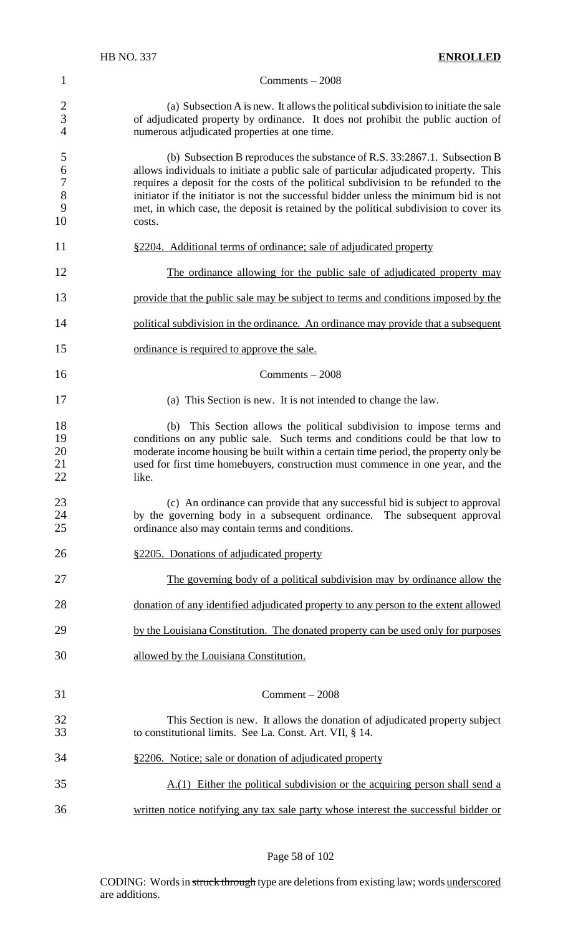(a) Subsection A is new. It allows the political subdivision to initiate the sale of adjudicated property by ordinance. It does not prohibit the public auction of numerous adjudicated properties at one time.

 (b) Subsection B reproduces the substance of R.S. 33:2867.1. Subsection B allows individuals to initiate a public sale of particular adjudicated property. This requires a deposit for the costs of the political subdivision to be refunded to the initiator if the initiator is not the successful bidder unless the minimum bid is not met, in which case, the deposit is retained by the political subdivision to cover its costs.

- 11 §2204. Additional terms of ordinance; sale of adjudicated property
- The ordinance allowing for the public sale of adjudicated property may
- provide that the public sale may be subject to terms and conditions imposed by the
- 14 political subdivision in the ordinance. An ordinance may provide that a subsequent
- ordinance is required to approve the sale.
- Comments 2008
- (a) This Section is new. It is not intended to change the law.

 (b) This Section allows the political subdivision to impose terms and conditions on any public sale. Such terms and conditions could be that low to moderate income housing be built within a certain time period, the property only be used for first time homebuyers, construction must commence in one year, and the 22 like.

- 23 (c) An ordinance can provide that any successful bid is subject to approval<br>24 by the governing body in a subsequent ordinance. The subsequent approval 24 by the governing body in a subsequent ordinance. The subsequent approval<br>25 continuous also may contain terms and conditions ordinance also may contain terms and conditions.
- §2205. Donations of adjudicated property
- The governing body of a political subdivision may by ordinance allow the
- donation of any identified adjudicated property to any person to the extent allowed
- 29 by the Louisiana Constitution. The donated property can be used only for purposes
- allowed by the Louisiana Constitution.

#### Comment – 2008

- This Section is new. It allows the donation of adjudicated property subject to constitutional limits. See La. Const. Art. VII, § 14.
- §2206. Notice; sale or donation of adjudicated property A.(1) Either the political subdivision or the acquiring person shall send a
- written notice notifying any tax sale party whose interest the successful bidder or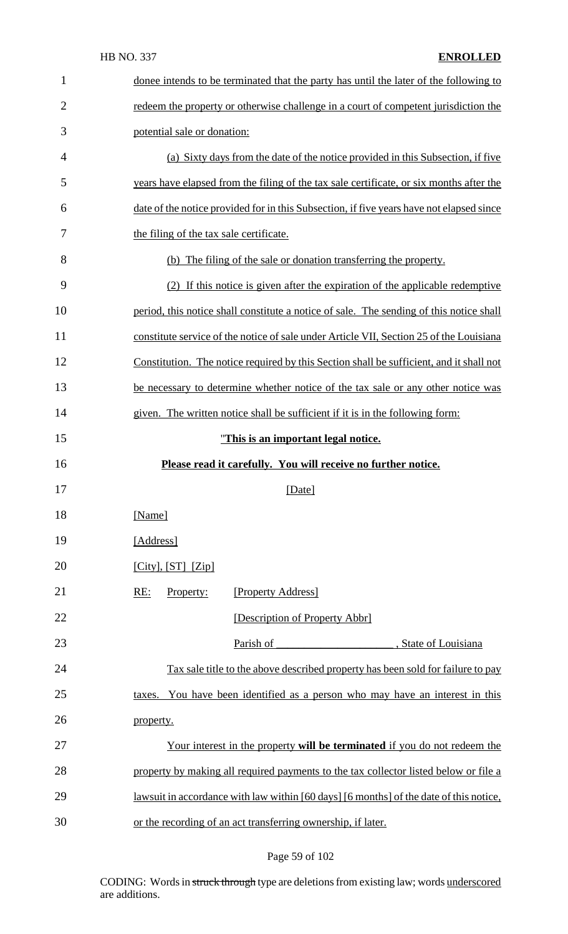| $\mathbf{1}$   | donee intends to be terminated that the party has until the later of the following to         |  |
|----------------|-----------------------------------------------------------------------------------------------|--|
| $\overline{2}$ | redeem the property or otherwise challenge in a court of competent jurisdiction the           |  |
| 3              | potential sale or donation:                                                                   |  |
| 4              | (a) Sixty days from the date of the notice provided in this Subsection, if five               |  |
| 5              | years have elapsed from the filing of the tax sale certificate, or six months after the       |  |
| 6              | date of the notice provided for in this Subsection, if five years have not elapsed since      |  |
| 7              | the filing of the tax sale certificate.                                                       |  |
| 8              | (b) The filing of the sale or donation transferring the property.                             |  |
| 9              | (2) If this notice is given after the expiration of the applicable redemptive                 |  |
| 10             | period, this notice shall constitute a notice of sale. The sending of this notice shall       |  |
| 11             | constitute service of the notice of sale under Article VII, Section 25 of the Louisiana       |  |
| 12             | Constitution. The notice required by this Section shall be sufficient, and it shall not       |  |
| 13             | be necessary to determine whether notice of the tax sale or any other notice was              |  |
| 14             | given. The written notice shall be sufficient if it is in the following form:                 |  |
| 15             | "This is an important legal notice.                                                           |  |
|                |                                                                                               |  |
| 16             | Please read it carefully. You will receive no further notice.                                 |  |
| 17             | [Date]                                                                                        |  |
| 18             | [Name]                                                                                        |  |
| 19             | [Address]                                                                                     |  |
| 20             | $[City], [ST]$ $[Zip]$                                                                        |  |
| 21             | [Property Address]<br>RE:<br>Property:                                                        |  |
| 22             | [Description of Property Abbr]                                                                |  |
| 23             | Parish of<br>, State of Louisiana                                                             |  |
| 24             | <u>Tax sale title to the above described property has been sold for failure to pay</u>        |  |
| 25             | You have been identified as a person who may have an interest in this<br>taxes.               |  |
| 26             | property.                                                                                     |  |
| 27             | <u>Your interest in the property will be terminated if you do not redeem the</u>              |  |
| 28             | property by making all required payments to the tax collector listed below or file a          |  |
| 29             | <u>lawsuit in accordance with law within [60 days]</u> [6 months] of the date of this notice, |  |

# Page 59 of 102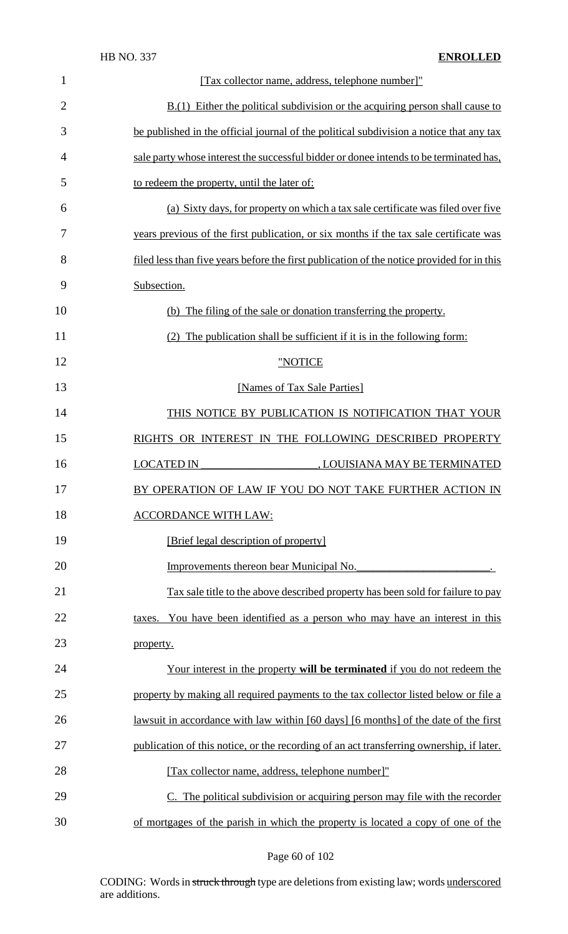| $\mathbf{1}$   | [Tax collector name, address, telephone number]"                                           |  |  |
|----------------|--------------------------------------------------------------------------------------------|--|--|
| $\overline{2}$ | $B(1)$ Either the political subdivision or the acquiring person shall cause to             |  |  |
| 3              | be published in the official journal of the political subdivision a notice that any tax    |  |  |
| $\overline{4}$ | sale party whose interest the successful bidder or donee intends to be terminated has,     |  |  |
| 5              | to redeem the property, until the later of:                                                |  |  |
| 6              | (a) Sixty days, for property on which a tax sale certificate was filed over five           |  |  |
| 7              | years previous of the first publication, or six months if the tax sale certificate was     |  |  |
| 8              | filed less than five years before the first publication of the notice provided for in this |  |  |
| 9              | Subsection.                                                                                |  |  |
| 10             | (b) The filing of the sale or donation transferring the property.                          |  |  |
| 11             | (2) The publication shall be sufficient if it is in the following form:                    |  |  |
| 12             | "NOTICE                                                                                    |  |  |
| 13             | [Names of Tax Sale Parties]                                                                |  |  |
| 14             | THIS NOTICE BY PUBLICATION IS NOTIFICATION THAT YOUR                                       |  |  |
| 15             | RIGHTS OR INTEREST IN THE FOLLOWING DESCRIBED PROPERTY                                     |  |  |
| 16             | <b>LOCATED IN</b><br>, LOUISIANA MAY BE TERMINATED                                         |  |  |
| 17             | BY OPERATION OF LAW IF YOU DO NOT TAKE FURTHER ACTION IN                                   |  |  |
| 18             | <b>ACCORDANCE WITH LAW:</b>                                                                |  |  |
| 19             | [Brief legal description of property]                                                      |  |  |
| 20             | Improvements thereon bear Municipal No.                                                    |  |  |
| 21             | Tax sale title to the above described property has been sold for failure to pay            |  |  |
| 22             | taxes. You have been identified as a person who may have an interest in this               |  |  |
| 23             | property.                                                                                  |  |  |
| 24             | <u>Your interest in the property will be terminated if you do not redeem the</u>           |  |  |
| 25             | property by making all required payments to the tax collector listed below or file a       |  |  |
| 26             | lawsuit in accordance with law within [60 days] [6 months] of the date of the first        |  |  |
| 27             | publication of this notice, or the recording of an act transferring ownership, if later.   |  |  |
| 28             | [Tax collector name, address, telephone number]"                                           |  |  |
| 29             | C. The political subdivision or acquiring person may file with the recorder                |  |  |
| 30             | of mortgages of the parish in which the property is located a copy of one of the           |  |  |

Page 60 of 102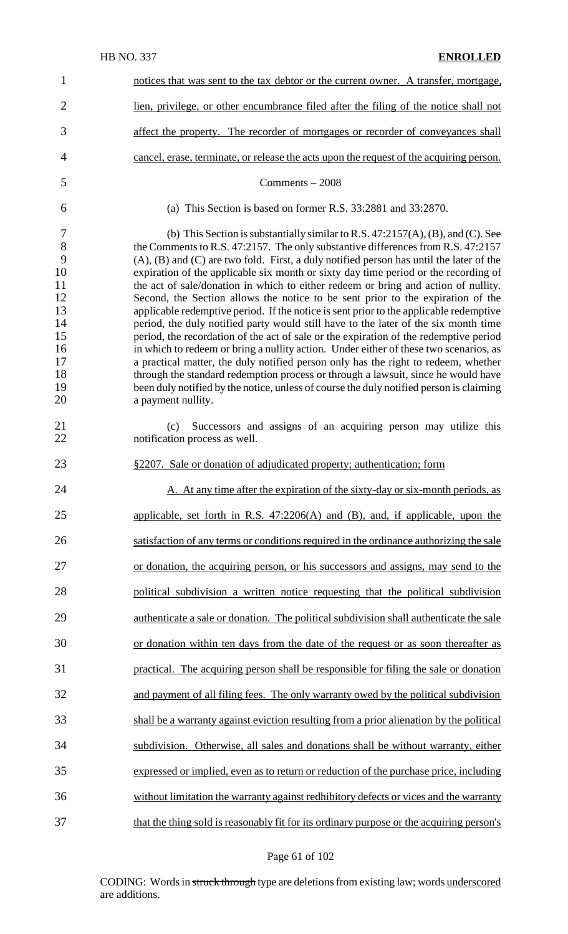| $\mathbf{1}$                                                                               | notices that was sent to the tax debtor or the current owner. A transfer, mortgage,                                                                                                                                                                                                                                                                                                                                                                                                                                                                                                                                                                                                                                                                                                                                                                                                                                                                                                                                                                                                                                                                                                                     |
|--------------------------------------------------------------------------------------------|---------------------------------------------------------------------------------------------------------------------------------------------------------------------------------------------------------------------------------------------------------------------------------------------------------------------------------------------------------------------------------------------------------------------------------------------------------------------------------------------------------------------------------------------------------------------------------------------------------------------------------------------------------------------------------------------------------------------------------------------------------------------------------------------------------------------------------------------------------------------------------------------------------------------------------------------------------------------------------------------------------------------------------------------------------------------------------------------------------------------------------------------------------------------------------------------------------|
| $\overline{2}$                                                                             | lien, privilege, or other encumbrance filed after the filing of the notice shall not                                                                                                                                                                                                                                                                                                                                                                                                                                                                                                                                                                                                                                                                                                                                                                                                                                                                                                                                                                                                                                                                                                                    |
| 3                                                                                          | affect the property. The recorder of mortgages or recorder of conveyances shall                                                                                                                                                                                                                                                                                                                                                                                                                                                                                                                                                                                                                                                                                                                                                                                                                                                                                                                                                                                                                                                                                                                         |
| 4                                                                                          | cancel, erase, terminate, or release the acts upon the request of the acquiring person.                                                                                                                                                                                                                                                                                                                                                                                                                                                                                                                                                                                                                                                                                                                                                                                                                                                                                                                                                                                                                                                                                                                 |
| 5                                                                                          | Comments $-2008$                                                                                                                                                                                                                                                                                                                                                                                                                                                                                                                                                                                                                                                                                                                                                                                                                                                                                                                                                                                                                                                                                                                                                                                        |
| 6                                                                                          | (a) This Section is based on former R.S. $33:2881$ and $33:2870$ .                                                                                                                                                                                                                                                                                                                                                                                                                                                                                                                                                                                                                                                                                                                                                                                                                                                                                                                                                                                                                                                                                                                                      |
| $\overline{7}$<br>8<br>9<br>10<br>11<br>12<br>13<br>14<br>15<br>16<br>17<br>18<br>19<br>20 | (b) This Section is substantially similar to R.S. $47:2157(A)$ , (B), and (C). See<br>the Comments to R.S. 47:2157. The only substantive differences from R.S. 47:2157<br>$(A)$ , $(B)$ and $(C)$ are two fold. First, a duly notified person has until the later of the<br>expiration of the applicable six month or sixty day time period or the recording of<br>the act of sale/donation in which to either redeem or bring and action of nullity.<br>Second, the Section allows the notice to be sent prior to the expiration of the<br>applicable redemptive period. If the notice is sent prior to the applicable redemptive<br>period, the duly notified party would still have to the later of the six month time<br>period, the recordation of the act of sale or the expiration of the redemptive period<br>in which to redeem or bring a nullity action. Under either of these two scenarios, as<br>a practical matter, the duly notified person only has the right to redeem, whether<br>through the standard redemption process or through a lawsuit, since he would have<br>been duly notified by the notice, unless of course the duly notified person is claiming<br>a payment nullity. |
| 21<br>22                                                                                   | Successors and assigns of an acquiring person may utilize this<br>(c)<br>notification process as well.                                                                                                                                                                                                                                                                                                                                                                                                                                                                                                                                                                                                                                                                                                                                                                                                                                                                                                                                                                                                                                                                                                  |
| 23                                                                                         | §2207. Sale or donation of adjudicated property; authentication; form                                                                                                                                                                                                                                                                                                                                                                                                                                                                                                                                                                                                                                                                                                                                                                                                                                                                                                                                                                                                                                                                                                                                   |
| 24                                                                                         | A. At any time after the expiration of the sixty-day or six-month periods, as                                                                                                                                                                                                                                                                                                                                                                                                                                                                                                                                                                                                                                                                                                                                                                                                                                                                                                                                                                                                                                                                                                                           |
| 25                                                                                         | applicable, set forth in R.S. $47:2206(A)$ and (B), and, if applicable, upon the                                                                                                                                                                                                                                                                                                                                                                                                                                                                                                                                                                                                                                                                                                                                                                                                                                                                                                                                                                                                                                                                                                                        |
| 26                                                                                         | satisfaction of any terms or conditions required in the ordinance authorizing the sale                                                                                                                                                                                                                                                                                                                                                                                                                                                                                                                                                                                                                                                                                                                                                                                                                                                                                                                                                                                                                                                                                                                  |
| 27                                                                                         | or donation, the acquiring person, or his successors and assigns, may send to the                                                                                                                                                                                                                                                                                                                                                                                                                                                                                                                                                                                                                                                                                                                                                                                                                                                                                                                                                                                                                                                                                                                       |
| 28                                                                                         | political subdivision a written notice requesting that the political subdivision                                                                                                                                                                                                                                                                                                                                                                                                                                                                                                                                                                                                                                                                                                                                                                                                                                                                                                                                                                                                                                                                                                                        |
| 29                                                                                         | authenticate a sale or donation. The political subdivision shall authenticate the sale                                                                                                                                                                                                                                                                                                                                                                                                                                                                                                                                                                                                                                                                                                                                                                                                                                                                                                                                                                                                                                                                                                                  |
| 30                                                                                         | or donation within ten days from the date of the request or as soon thereafter as                                                                                                                                                                                                                                                                                                                                                                                                                                                                                                                                                                                                                                                                                                                                                                                                                                                                                                                                                                                                                                                                                                                       |
| 31                                                                                         | practical. The acquiring person shall be responsible for filing the sale or donation                                                                                                                                                                                                                                                                                                                                                                                                                                                                                                                                                                                                                                                                                                                                                                                                                                                                                                                                                                                                                                                                                                                    |
| 32                                                                                         | and payment of all filing fees. The only warranty owed by the political subdivision                                                                                                                                                                                                                                                                                                                                                                                                                                                                                                                                                                                                                                                                                                                                                                                                                                                                                                                                                                                                                                                                                                                     |
| 33                                                                                         | shall be a warranty against eviction resulting from a prior alienation by the political                                                                                                                                                                                                                                                                                                                                                                                                                                                                                                                                                                                                                                                                                                                                                                                                                                                                                                                                                                                                                                                                                                                 |
| 34                                                                                         | subdivision. Otherwise, all sales and donations shall be without warranty, either                                                                                                                                                                                                                                                                                                                                                                                                                                                                                                                                                                                                                                                                                                                                                                                                                                                                                                                                                                                                                                                                                                                       |
| 35                                                                                         | expressed or implied, even as to return or reduction of the purchase price, including                                                                                                                                                                                                                                                                                                                                                                                                                                                                                                                                                                                                                                                                                                                                                                                                                                                                                                                                                                                                                                                                                                                   |
| 36                                                                                         | without limitation the warranty against redhibitory defects or vices and the warranty                                                                                                                                                                                                                                                                                                                                                                                                                                                                                                                                                                                                                                                                                                                                                                                                                                                                                                                                                                                                                                                                                                                   |
| 37                                                                                         | that the thing sold is reasonably fit for its ordinary purpose or the acquiring person's                                                                                                                                                                                                                                                                                                                                                                                                                                                                                                                                                                                                                                                                                                                                                                                                                                                                                                                                                                                                                                                                                                                |

Page 61 of 102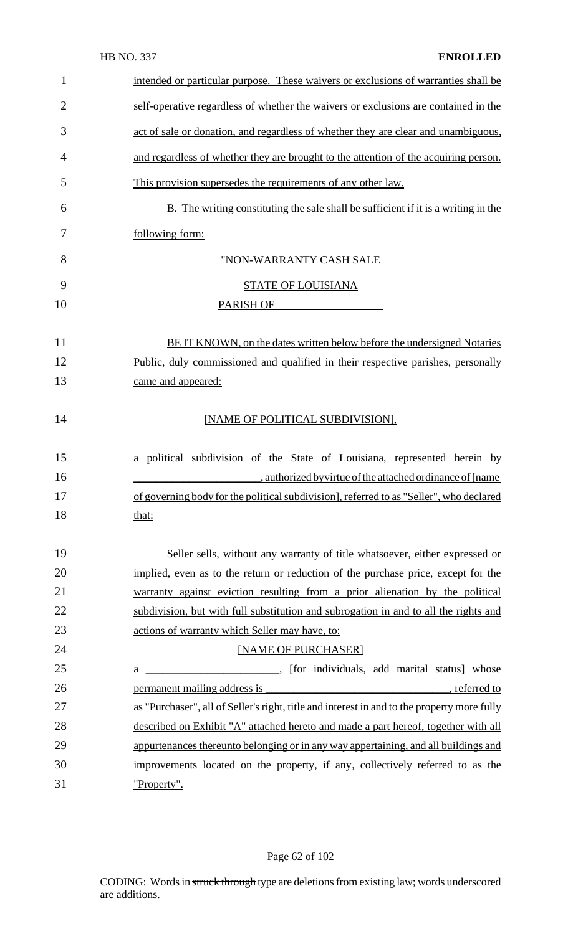| $\mathbf{1}$   | intended or particular purpose. These waivers or exclusions of warranties shall be                                                                                     |
|----------------|------------------------------------------------------------------------------------------------------------------------------------------------------------------------|
| $\overline{2}$ | self-operative regardless of whether the waivers or exclusions are contained in the                                                                                    |
| 3              | act of sale or donation, and regardless of whether they are clear and unambiguous,                                                                                     |
| 4              | and regardless of whether they are brought to the attention of the acquiring person.                                                                                   |
| 5              | This provision supersedes the requirements of any other law.                                                                                                           |
| 6              | B. The writing constituting the sale shall be sufficient if it is a writing in the                                                                                     |
| 7              | following form:                                                                                                                                                        |
| 8              | "NON-WARRANTY CASH SALE                                                                                                                                                |
| 9              | <b>STATE OF LOUISIANA</b>                                                                                                                                              |
| 10             | PARISH OF                                                                                                                                                              |
| 11             | BE IT KNOWN, on the dates written below before the undersigned Notaries                                                                                                |
| 12             | Public, duly commissioned and qualified in their respective parishes, personally                                                                                       |
| 13             | came and appeared:                                                                                                                                                     |
| 14             | [NAME OF POLITICAL SUBDIVISION],                                                                                                                                       |
| 15             | a political subdivision of the State of Louisiana, represented herein by                                                                                               |
| 16             | , authorized by virtue of the attached ordinance of [name                                                                                                              |
| 17             | of governing body for the political subdivision], referred to as "Seller", who declared                                                                                |
| 18             | that:                                                                                                                                                                  |
| 19             | Seller sells, without any warranty of title whatsoever, either expressed or                                                                                            |
| 20             | implied, even as to the return or reduction of the purchase price, except for the                                                                                      |
| 21             | warranty against eviction resulting from a prior alienation by the political                                                                                           |
| 22             | subdivision, but with full substitution and subrogation in and to all the rights and                                                                                   |
| 23             | actions of warranty which Seller may have, to:                                                                                                                         |
| 24             | [NAME OF PURCHASER]                                                                                                                                                    |
| 25             | . [for individuals, add marital status] whose<br>a                                                                                                                     |
| 26             | , referred to<br>permanent mailing address is<br><u> 1989 - Johann Barn, mars ann an t-Amhain an t-Amhain an t-Amhain an t-Amhain an t-Amhain an t-Amhain an t-Amh</u> |
| 27             | as "Purchaser", all of Seller's right, title and interest in and to the property more fully                                                                            |
| 28             | described on Exhibit "A" attached hereto and made a part hereof, together with all                                                                                     |
| 29             | appurtenances thereunto belonging or in any way appertaining, and all buildings and                                                                                    |
| 30             | improvements located on the property, if any, collectively referred to as the                                                                                          |
| 31             | "Property".                                                                                                                                                            |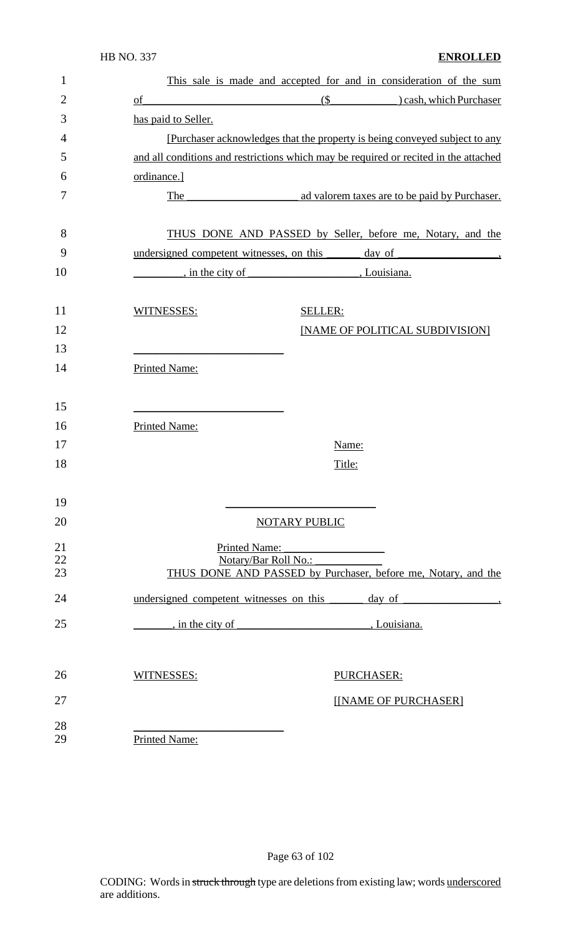| 1              |                                         | This sale is made and accepted for and in consideration of the sum                                                                                                                                                             |  |  |
|----------------|-----------------------------------------|--------------------------------------------------------------------------------------------------------------------------------------------------------------------------------------------------------------------------------|--|--|
| $\overline{2}$ | $\underline{\mathrm{of}}$               | $(\$ ( $\)$ cash, which Purchaser                                                                                                                                                                                              |  |  |
| 3              | has paid to Seller.                     |                                                                                                                                                                                                                                |  |  |
| $\overline{4}$ |                                         | [Purchaser acknowledges that the property is being conveyed subject to any                                                                                                                                                     |  |  |
| 5              |                                         | and all conditions and restrictions which may be required or recited in the attached                                                                                                                                           |  |  |
| 6              | ordinance.]                             |                                                                                                                                                                                                                                |  |  |
| 7              | The                                     | ad valorem taxes are to be paid by Purchaser.                                                                                                                                                                                  |  |  |
| 8              |                                         | THUS DONE AND PASSED by Seller, before me, Notary, and the                                                                                                                                                                     |  |  |
| 9              |                                         | undersigned competent witnesses, on this day of day of strategies of the strategies of the strategies of the strategies of the strategies of the strategies of the strategies of the strategies of the strategies of the strat |  |  |
| 10             |                                         |                                                                                                                                                                                                                                |  |  |
| 11             | WITNESSES:                              | <b>SELLER:</b>                                                                                                                                                                                                                 |  |  |
| 12             |                                         | [NAME OF POLITICAL SUBDIVISION]                                                                                                                                                                                                |  |  |
| 13             |                                         |                                                                                                                                                                                                                                |  |  |
| 14             | <b>Printed Name:</b>                    |                                                                                                                                                                                                                                |  |  |
| 15             |                                         |                                                                                                                                                                                                                                |  |  |
| 16             | Printed Name:                           |                                                                                                                                                                                                                                |  |  |
| 17             |                                         | Name:                                                                                                                                                                                                                          |  |  |
| 18             |                                         | Title:                                                                                                                                                                                                                         |  |  |
| 19             |                                         |                                                                                                                                                                                                                                |  |  |
| 20             |                                         | <b>NOTARY PUBLIC</b>                                                                                                                                                                                                           |  |  |
| 21             | <b>Printed Name:</b>                    |                                                                                                                                                                                                                                |  |  |
| 22             |                                         | Notary/Bar Roll No.:                                                                                                                                                                                                           |  |  |
| 23             |                                         | THUS DONE AND PASSED by Purchaser, before me, Notary, and the                                                                                                                                                                  |  |  |
| 24             | undersigned competent witnesses on this | day of                                                                                                                                                                                                                         |  |  |
| 25             | , in the city of                        | Louisiana.                                                                                                                                                                                                                     |  |  |
|                |                                         |                                                                                                                                                                                                                                |  |  |
| 26             | WITNESSES:                              | PURCHASER:                                                                                                                                                                                                                     |  |  |
| 27             |                                         | [[NAME OF PURCHASER]                                                                                                                                                                                                           |  |  |
| 28<br>29       | <b>Printed Name:</b>                    |                                                                                                                                                                                                                                |  |  |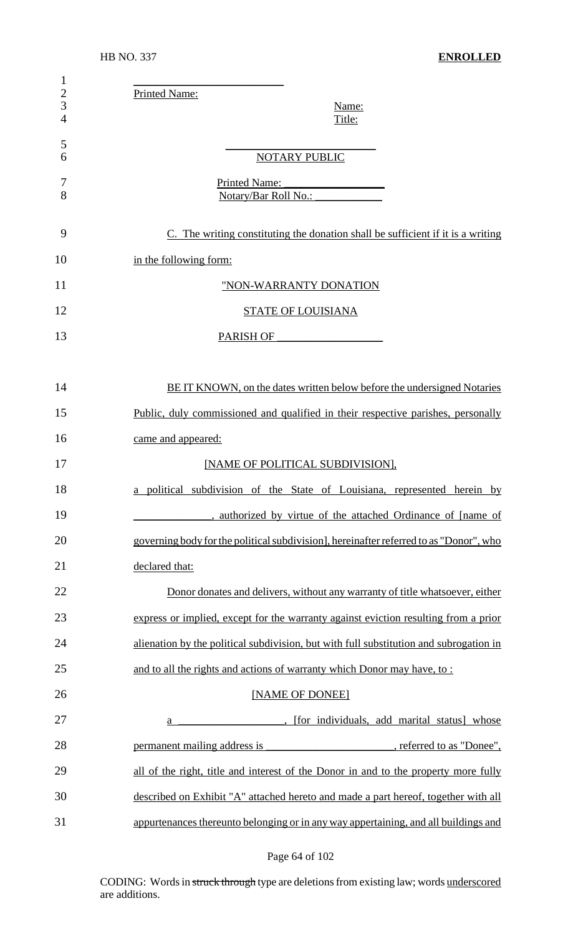| $\mathbf{1}$<br>$rac{2}{3}$<br>$\overline{4}$ | Printed Name:<br>Name:<br>Title:                                                       |
|-----------------------------------------------|----------------------------------------------------------------------------------------|
| 5<br>6                                        | <b>NOTARY PUBLIC</b>                                                                   |
| 7<br>8                                        | <b>Printed Name:</b><br>Notary/Bar Roll No.: ___                                       |
| 9                                             | C. The writing constituting the donation shall be sufficient if it is a writing        |
| 10                                            | in the following form:                                                                 |
| 11                                            | "NON-WARRANTY DONATION                                                                 |
| 12                                            | <b>STATE OF LOUISIANA</b>                                                              |
| 13                                            | PARISH OF                                                                              |
|                                               |                                                                                        |
| 14                                            | BE IT KNOWN, on the dates written below before the undersigned Notaries                |
| 15                                            | Public, duly commissioned and qualified in their respective parishes, personally       |
| 16                                            | came and appeared:                                                                     |
| 17                                            | [NAME OF POLITICAL SUBDIVISION],                                                       |
| 18                                            | a political subdivision of the State of Louisiana, represented herein by               |
| 19                                            | , authorized by virtue of the attached Ordinance of [name of                           |
| 20                                            | governing body for the political subdivision], hereinafter referred to as "Donor", who |
| 21                                            | declared that:                                                                         |
| 22                                            | Donor donates and delivers, without any warranty of title whatsoever, either           |
| 23                                            | express or implied, except for the warranty against eviction resulting from a prior    |
| 24                                            | alienation by the political subdivision, but with full substitution and subrogation in |
| 25                                            | and to all the rights and actions of warranty which Donor may have, to:                |
| 26                                            | [NAME OF DONEE]                                                                        |
| 27                                            | . [for individuals, add marital status] whose<br>a                                     |
| 28                                            | referred to as "Donee",<br>permanent mailing address is                                |
| 29                                            | all of the right, title and interest of the Donor in and to the property more fully    |
| 30                                            | described on Exhibit "A" attached hereto and made a part hereof, together with all     |
| 31                                            | appurtenances thereunto belonging or in any way appertaining, and all buildings and    |

# Page 64 of 102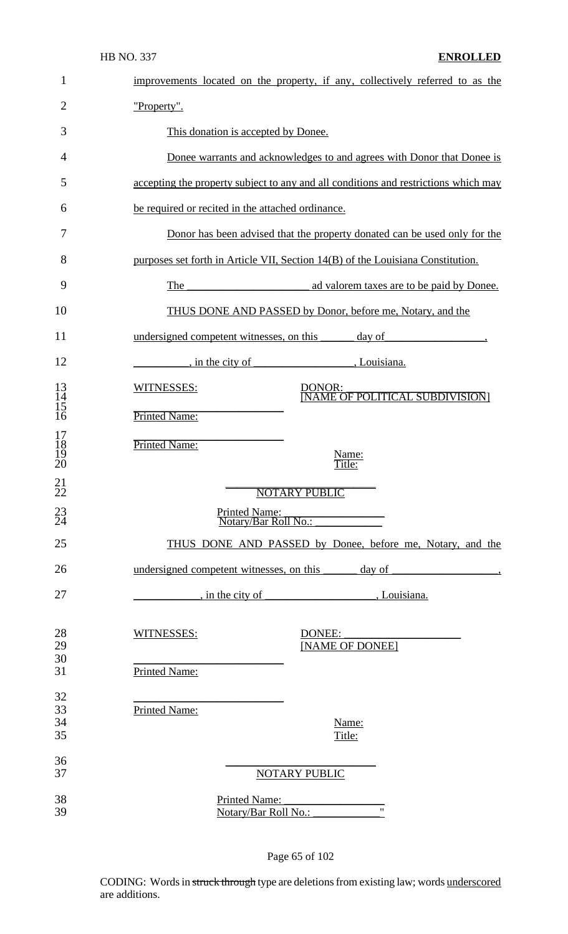| $\mathbf{1}$                                        | improvements located on the property, if any, collectively referred to as the          |  |  |
|-----------------------------------------------------|----------------------------------------------------------------------------------------|--|--|
| $\overline{2}$                                      | "Property".                                                                            |  |  |
| 3                                                   | This donation is accepted by Donee.                                                    |  |  |
| 4                                                   | Donee warrants and acknowledges to and agrees with Donor that Donee is                 |  |  |
| 5                                                   | accepting the property subject to any and all conditions and restrictions which may    |  |  |
| 6                                                   | be required or recited in the attached ordinance.                                      |  |  |
| 7                                                   | Donor has been advised that the property donated can be used only for the              |  |  |
| 8                                                   | purposes set forth in Article VII, Section 14(B) of the Louisiana Constitution.        |  |  |
| 9                                                   | ad valorem taxes are to be paid by Donee.<br>The                                       |  |  |
| 10                                                  | THUS DONE AND PASSED by Donor, before me, Notary, and the                              |  |  |
| 11                                                  | undersigned competent witnesses, on this day of day of                                 |  |  |
| 12                                                  | $\frac{1}{2}$ , in the city of<br><i>de Company</i> , Louisiana.                       |  |  |
| $\begin{array}{c} 13 \\ 14 \\ 15 \\ 16 \end{array}$ | WITNESSES:<br><u>DONOR:</u><br>[NAME OF POLITICAL SUBDIVISION]<br><b>Printed Name:</b> |  |  |
|                                                     |                                                                                        |  |  |
| $\begin{array}{c} 17 \\ 18 \\ 19 \\ 20 \end{array}$ | Printed Name:<br>Name:<br>Title:                                                       |  |  |
| 21<br>$\bar{2}\bar{2}$                              | <b>NOTARY PUBLIC</b>                                                                   |  |  |
| $^{23}_{24}$                                        | Printed Name:<br>Notary/Bar Roll No.:                                                  |  |  |
| 25                                                  | THUS DONE AND PASSED by Donee, before me, Notary, and the                              |  |  |
| 26                                                  | undersigned competent witnesses, on this<br>$\frac{1}{2}$ day of                       |  |  |
| 27                                                  |                                                                                        |  |  |
| 28<br>29<br>30                                      | WITNESSES:<br>DONEE:<br>[NAME OF DONEE]                                                |  |  |
| 31                                                  | <b>Printed Name:</b>                                                                   |  |  |
| 32<br>33<br>34<br>35                                | Printed Name:<br>Name:<br>Title:                                                       |  |  |
| 36                                                  |                                                                                        |  |  |
| 37<br>38<br>39                                      | <b>NOTARY PUBLIC</b><br>Printed Name:<br>$^{\prime\prime}$<br>Notary/Bar Roll No.:     |  |  |

Page 65 of 102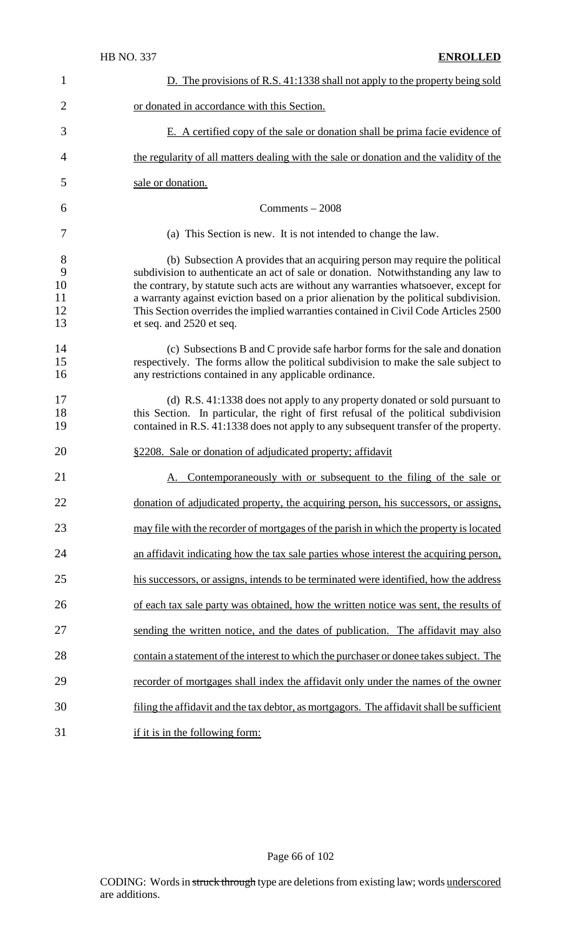| 1                              | D. The provisions of R.S. 41:1338 shall not apply to the property being sold                                                                                                                                                                                                                                                                                                                                                                                           |  |
|--------------------------------|------------------------------------------------------------------------------------------------------------------------------------------------------------------------------------------------------------------------------------------------------------------------------------------------------------------------------------------------------------------------------------------------------------------------------------------------------------------------|--|
| $\overline{2}$                 | or donated in accordance with this Section.                                                                                                                                                                                                                                                                                                                                                                                                                            |  |
| 3                              | E. A certified copy of the sale or donation shall be prima facie evidence of                                                                                                                                                                                                                                                                                                                                                                                           |  |
| $\overline{4}$                 | the regularity of all matters dealing with the sale or donation and the validity of the                                                                                                                                                                                                                                                                                                                                                                                |  |
| 5                              | sale or donation.                                                                                                                                                                                                                                                                                                                                                                                                                                                      |  |
| 6                              | Comments $-2008$                                                                                                                                                                                                                                                                                                                                                                                                                                                       |  |
| 7                              | (a) This Section is new. It is not intended to change the law.                                                                                                                                                                                                                                                                                                                                                                                                         |  |
| 8<br>9<br>10<br>11<br>12<br>13 | (b) Subsection A provides that an acquiring person may require the political<br>subdivision to authenticate an act of sale or donation. Notwithstanding any law to<br>the contrary, by statute such acts are without any warranties whatsoever, except for<br>a warranty against eviction based on a prior alienation by the political subdivision.<br>This Section overrides the implied warranties contained in Civil Code Articles 2500<br>et seq. and 2520 et seq. |  |
| 14<br>15<br>16                 | (c) Subsections B and C provide safe harbor forms for the sale and donation<br>respectively. The forms allow the political subdivision to make the sale subject to<br>any restrictions contained in any applicable ordinance.                                                                                                                                                                                                                                          |  |
| 17<br>18<br>19                 | (d) R.S. 41:1338 does not apply to any property donated or sold pursuant to<br>this Section. In particular, the right of first refusal of the political subdivision<br>contained in R.S. 41:1338 does not apply to any subsequent transfer of the property.                                                                                                                                                                                                            |  |
| 20                             | §2208. Sale or donation of adjudicated property; affidavit                                                                                                                                                                                                                                                                                                                                                                                                             |  |
| 21                             | Contemporaneously with or subsequent to the filing of the sale or                                                                                                                                                                                                                                                                                                                                                                                                      |  |
| 22                             | donation of adjudicated property, the acquiring person, his successors, or assigns,                                                                                                                                                                                                                                                                                                                                                                                    |  |
| 23                             | may file with the recorder of mortgages of the parish in which the property is located                                                                                                                                                                                                                                                                                                                                                                                 |  |
| 24                             | an affidavit indicating how the tax sale parties whose interest the acquiring person,                                                                                                                                                                                                                                                                                                                                                                                  |  |
| 25                             | his successors, or assigns, intends to be terminated were identified, how the address                                                                                                                                                                                                                                                                                                                                                                                  |  |
| 26                             | of each tax sale party was obtained, how the written notice was sent, the results of                                                                                                                                                                                                                                                                                                                                                                                   |  |
| 27                             | sending the written notice, and the dates of publication. The affidavit may also                                                                                                                                                                                                                                                                                                                                                                                       |  |
| 28                             | contain a statement of the interest to which the purchaser or donee takes subject. The                                                                                                                                                                                                                                                                                                                                                                                 |  |
| 29                             | recorder of mortgages shall index the affidavit only under the names of the owner                                                                                                                                                                                                                                                                                                                                                                                      |  |
| 30                             | filing the affidavit and the tax debtor, as mortgagors. The affidavit shall be sufficient                                                                                                                                                                                                                                                                                                                                                                              |  |
| 31                             | if it is in the following form:                                                                                                                                                                                                                                                                                                                                                                                                                                        |  |

Page 66 of 102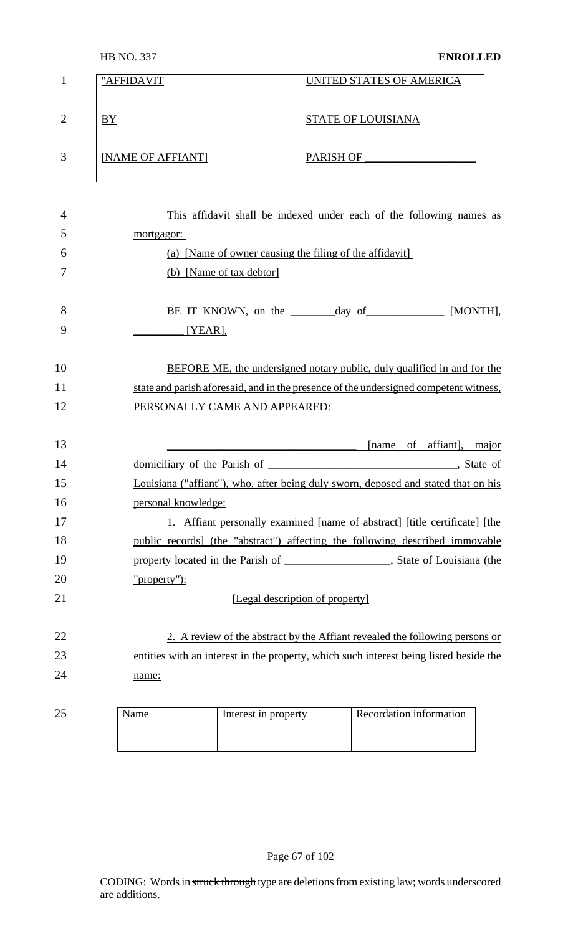|                | "AFFIDAVIT        | UNITED STATES OF AMERICA  |
|----------------|-------------------|---------------------------|
|                |                   |                           |
|                |                   |                           |
| $\overline{2}$ | BY                | <b>STATE OF LOUISIANA</b> |
|                |                   |                           |
|                |                   |                           |
|                |                   |                           |
| 3              | [NAME OF AFFIANT] | <b>PARISH OF</b>          |
|                |                   |                           |
|                |                   |                           |

| $\overline{4}$ | This affidavit shall be indexed under each of the following names as                   |  |  |
|----------------|----------------------------------------------------------------------------------------|--|--|
| 5              | mortgagor:                                                                             |  |  |
| 6              | (a) [Name of owner causing the filing of the affidavit]                                |  |  |
| 7              | (b) [Name of tax debtor]                                                               |  |  |
| 8              | BE IT KNOWN, on the <u>day of</u><br>[MONTH],                                          |  |  |
| 9              | [YEAR]                                                                                 |  |  |
| 10             | <b>BEFORE ME, the undersigned notary public, duly qualified in and for the</b>         |  |  |
| 11             | state and parish aforesaid, and in the presence of the undersigned competent witness,  |  |  |
| 12             | PERSONALLY CAME AND APPEARED:                                                          |  |  |
| 13             | of affiant],<br>[name]<br>major                                                        |  |  |
| 14             | domiciliary of the Parish of<br>, State of                                             |  |  |
| 15             | Louisiana ("affiant"), who, after being duly sworn, deposed and stated that on his     |  |  |
| 16             | personal knowledge:                                                                    |  |  |
| 17             | 1. Affiant personally examined [name of abstract] [title certificate] [the             |  |  |
| 18             | public records] (the "abstract") affecting the following described immovable           |  |  |
| 19             |                                                                                        |  |  |
| 20             | "property"):                                                                           |  |  |
| 21             | [Legal description of property]                                                        |  |  |
| 22             | 2. A review of the abstract by the Affiant revealed the following persons or           |  |  |
| 23             | entities with an interest in the property, which such interest being listed beside the |  |  |
| 24             | name:                                                                                  |  |  |
|                |                                                                                        |  |  |

| $\cap$<br>رے | Interest in property | Recordation information |
|--------------|----------------------|-------------------------|
|              |                      |                         |
|              |                      |                         |
|              |                      |                         |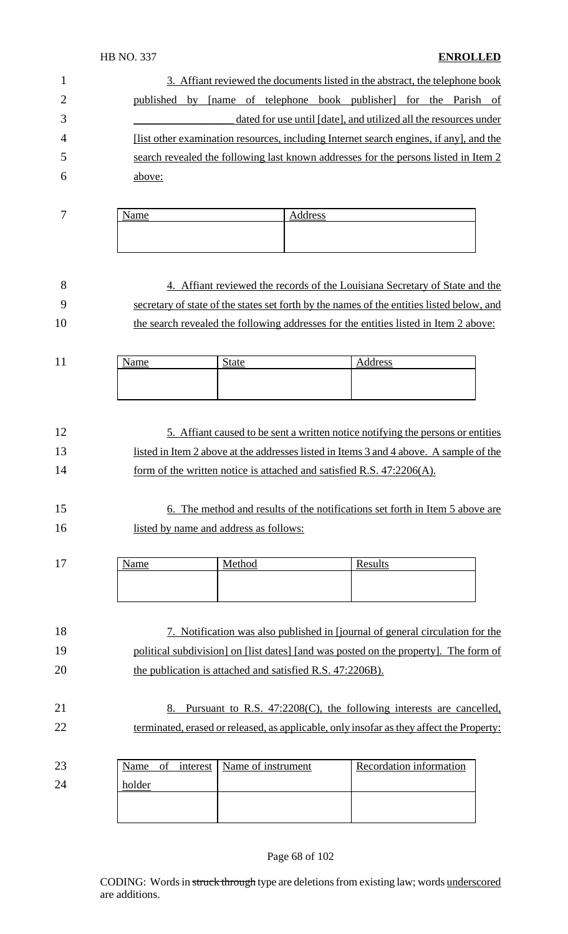#### HB NO. 337 **ENROLLED**

| 3. Affiant reviewed the documents listed in the abstract, the telephone book           |
|----------------------------------------------------------------------------------------|
| [name of telephone book publisher] for the Parish of<br>published by                   |
| dated for use until [date], and utilized all the resources under                       |
| [list other examination resources, including Internet search engines, if any], and the |
| search revealed the following last known addresses for the persons listed in Item 2    |
| above:                                                                                 |
|                                                                                        |

| $\overline{ }$ | -<br>. | $-0.0$<br>ט ט |
|----------------|--------|---------------|
|                |        |               |
|                |        |               |

| - 8 | 4. Affiant reviewed the records of the Louisiana Secretary of State and the               |
|-----|-------------------------------------------------------------------------------------------|
| - 9 | secretary of state of the states set forth by the names of the entities listed below, and |
| 10  | the search revealed the following addresses for the entities listed in Item 2 above:      |

| 11<br>$\mathbf{1}$ | $\mathbf{v}$<br>$\alpha$ m $\alpha$ | $\sim$<br>tate | 2000<br><br>്റ |
|--------------------|-------------------------------------|----------------|----------------|
|                    |                                     |                |                |
|                    |                                     |                |                |
|                    |                                     |                |                |

#### 12 5. Affiant caused to be sent a written notice notifying the persons or entities 13 listed in Item 2 above at the addresses listed in Items 3 and 4 above. A sample of the 14 form of the written notice is attached and satisfied R.S. 47:2206(A).

#### 15 6. The method and results of the notifications set forth in Item 5 above are 16 listed by name and address as follows:

| 1 <sub>7</sub><br>$\mathbf{I}$ . | <b>NT</b><br>lame<br>$\mathbf{u}$ | Method | Results |
|----------------------------------|-----------------------------------|--------|---------|
|                                  |                                   |        |         |
|                                  |                                   |        |         |

# 18 7. Notification was also published in [journal of general circulation for the 19 political subdivision] on [list dates] [and was posted on the property]. The form of 20 the publication is attached and satisfied R.S. 47:2206B).

#### 21 8. Pursuant to R.S. 47:2208(C), the following interests are cancelled, 22 terminated, erased or released, as applicable, only insofar as they affect the Property:

| 23 |        |  | Name of interest   Name of instrument | Recordation information |
|----|--------|--|---------------------------------------|-------------------------|
| 24 | holder |  |                                       |                         |
|    |        |  |                                       |                         |
|    |        |  |                                       |                         |

#### Page 68 of 102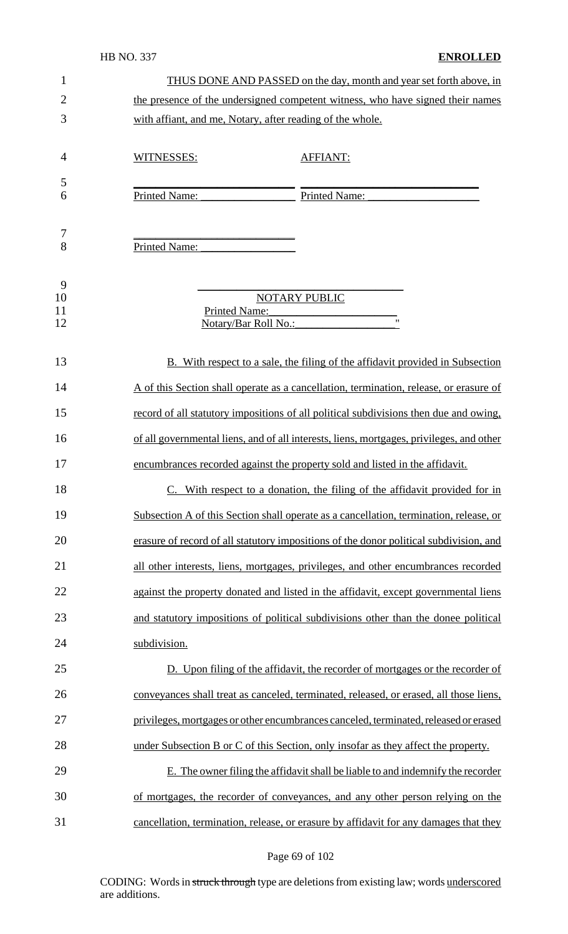#### HB NO. 337 **ENROLLED**

| $\mathbf{1}$   | THUS DONE AND PASSED on the day, month and year set forth above, in                      |
|----------------|------------------------------------------------------------------------------------------|
| $\overline{2}$ | the presence of the undersigned competent witness, who have signed their names           |
| 3              | with affiant, and me, Notary, after reading of the whole.                                |
| 4              | WITNESSES:<br><b>AFFIANT:</b>                                                            |
| 5              |                                                                                          |
| 6              | Printed Name:<br>Printed Name:                                                           |
| 7<br>8         | Printed Name:                                                                            |
| 9<br>10        | <b>NOTARY PUBLIC</b>                                                                     |
| 11             | <b>Printed Name:</b>                                                                     |
| 12             | Notary/Bar Roll No.:                                                                     |
| 13             | B. With respect to a sale, the filing of the affidavit provided in Subsection            |
| 14             | A of this Section shall operate as a cancellation, termination, release, or erasure of   |
| 15             | record of all statutory impositions of all political subdivisions then due and owing,    |
| 16             | of all governmental liens, and of all interests, liens, mortgages, privileges, and other |
| 17             | encumbrances recorded against the property sold and listed in the affidavit.             |
| 18             | With respect to a donation, the filing of the affidavit provided for in                  |
| 19             | Subsection A of this Section shall operate as a cancellation, termination, release, or   |
| 20             | erasure of record of all statutory impositions of the donor political subdivision, and   |
| 21             | all other interests, liens, mortgages, privileges, and other encumbrances recorded       |
| 22             | against the property donated and listed in the affidavit, except governmental liens      |
| 23             | and statutory impositions of political subdivisions other than the donee political       |
| 24             | subdivision.                                                                             |
| 25             | D. Upon filing of the affidavit, the recorder of mortgages or the recorder of            |
| 26             | conveyances shall treat as canceled, terminated, released, or erased, all those liens,   |
| 27             | privileges, mortgages or other encumbrances canceled, terminated, released or erased     |
| 28             | under Subsection B or C of this Section, only insofar as they affect the property.       |
| 29             | E. The owner filing the affidavit shall be liable to and indemnify the recorder          |
| 30             | of mortgages, the recorder of conveyances, and any other person relying on the           |
| 31             | cancellation, termination, release, or erasure by affidavit for any damages that they    |

Page 69 of 102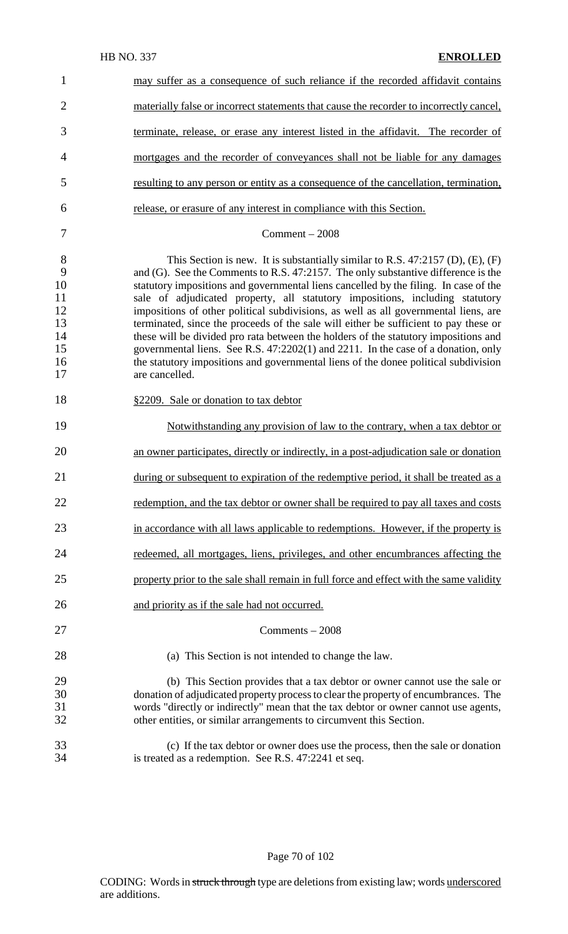| $\mathbf{1}$                                           | may suffer as a consequence of such reliance if the recorded affidavit contains                                                                                                                                                                                                                                                                                                                                                                                                                                                                                                                                                                                                                                                                                                                                   |
|--------------------------------------------------------|-------------------------------------------------------------------------------------------------------------------------------------------------------------------------------------------------------------------------------------------------------------------------------------------------------------------------------------------------------------------------------------------------------------------------------------------------------------------------------------------------------------------------------------------------------------------------------------------------------------------------------------------------------------------------------------------------------------------------------------------------------------------------------------------------------------------|
| $\overline{2}$                                         | materially false or incorrect statements that cause the recorder to incorrectly cancel,                                                                                                                                                                                                                                                                                                                                                                                                                                                                                                                                                                                                                                                                                                                           |
| 3                                                      | terminate, release, or erase any interest listed in the affidavit. The recorder of                                                                                                                                                                                                                                                                                                                                                                                                                                                                                                                                                                                                                                                                                                                                |
| 4                                                      | mortgages and the recorder of conveyances shall not be liable for any damages                                                                                                                                                                                                                                                                                                                                                                                                                                                                                                                                                                                                                                                                                                                                     |
| 5                                                      | resulting to any person or entity as a consequence of the cancellation, termination,                                                                                                                                                                                                                                                                                                                                                                                                                                                                                                                                                                                                                                                                                                                              |
| 6                                                      | release, or erasure of any interest in compliance with this Section.                                                                                                                                                                                                                                                                                                                                                                                                                                                                                                                                                                                                                                                                                                                                              |
| 7                                                      | $Comment - 2008$                                                                                                                                                                                                                                                                                                                                                                                                                                                                                                                                                                                                                                                                                                                                                                                                  |
| 8<br>9<br>10<br>11<br>12<br>13<br>14<br>15<br>16<br>17 | This Section is new. It is substantially similar to R.S. $47:2157$ (D), (E), (F)<br>and (G). See the Comments to R.S. 47:2157. The only substantive difference is the<br>statutory impositions and governmental liens cancelled by the filing. In case of the<br>sale of adjudicated property, all statutory impositions, including statutory<br>impositions of other political subdivisions, as well as all governmental liens, are<br>terminated, since the proceeds of the sale will either be sufficient to pay these or<br>these will be divided pro rata between the holders of the statutory impositions and<br>governmental liens. See R.S. 47:2202(1) and 2211. In the case of a donation, only<br>the statutory impositions and governmental liens of the donee political subdivision<br>are cancelled. |
| 18                                                     | §2209. Sale or donation to tax debtor                                                                                                                                                                                                                                                                                                                                                                                                                                                                                                                                                                                                                                                                                                                                                                             |
| 19                                                     | Notwithstanding any provision of law to the contrary, when a tax debtor or                                                                                                                                                                                                                                                                                                                                                                                                                                                                                                                                                                                                                                                                                                                                        |
| 20                                                     | an owner participates, directly or indirectly, in a post-adjudication sale or donation                                                                                                                                                                                                                                                                                                                                                                                                                                                                                                                                                                                                                                                                                                                            |
| 21                                                     | during or subsequent to expiration of the redemptive period, it shall be treated as a                                                                                                                                                                                                                                                                                                                                                                                                                                                                                                                                                                                                                                                                                                                             |
| 22                                                     | redemption, and the tax debtor or owner shall be required to pay all taxes and costs                                                                                                                                                                                                                                                                                                                                                                                                                                                                                                                                                                                                                                                                                                                              |
| 23                                                     | in accordance with all laws applicable to redemptions. However, if the property is                                                                                                                                                                                                                                                                                                                                                                                                                                                                                                                                                                                                                                                                                                                                |
| 24                                                     | redeemed, all mortgages, liens, privileges, and other encumbrances affecting the                                                                                                                                                                                                                                                                                                                                                                                                                                                                                                                                                                                                                                                                                                                                  |
| 25                                                     | property prior to the sale shall remain in full force and effect with the same validity                                                                                                                                                                                                                                                                                                                                                                                                                                                                                                                                                                                                                                                                                                                           |
| 26                                                     | and priority as if the sale had not occurred.                                                                                                                                                                                                                                                                                                                                                                                                                                                                                                                                                                                                                                                                                                                                                                     |
| 27                                                     | $Comments - 2008$                                                                                                                                                                                                                                                                                                                                                                                                                                                                                                                                                                                                                                                                                                                                                                                                 |
| 28                                                     | (a) This Section is not intended to change the law.                                                                                                                                                                                                                                                                                                                                                                                                                                                                                                                                                                                                                                                                                                                                                               |
| 29<br>30<br>31<br>32                                   | (b) This Section provides that a tax debtor or owner cannot use the sale or<br>donation of adjudicated property process to clear the property of encumbrances. The<br>words "directly or indirectly" mean that the tax debtor or owner cannot use agents,<br>other entities, or similar arrangements to circumvent this Section.                                                                                                                                                                                                                                                                                                                                                                                                                                                                                  |
| 33<br>34                                               | (c) If the tax debtor or owner does use the process, then the sale or donation<br>is treated as a redemption. See R.S. 47:2241 et seq.                                                                                                                                                                                                                                                                                                                                                                                                                                                                                                                                                                                                                                                                            |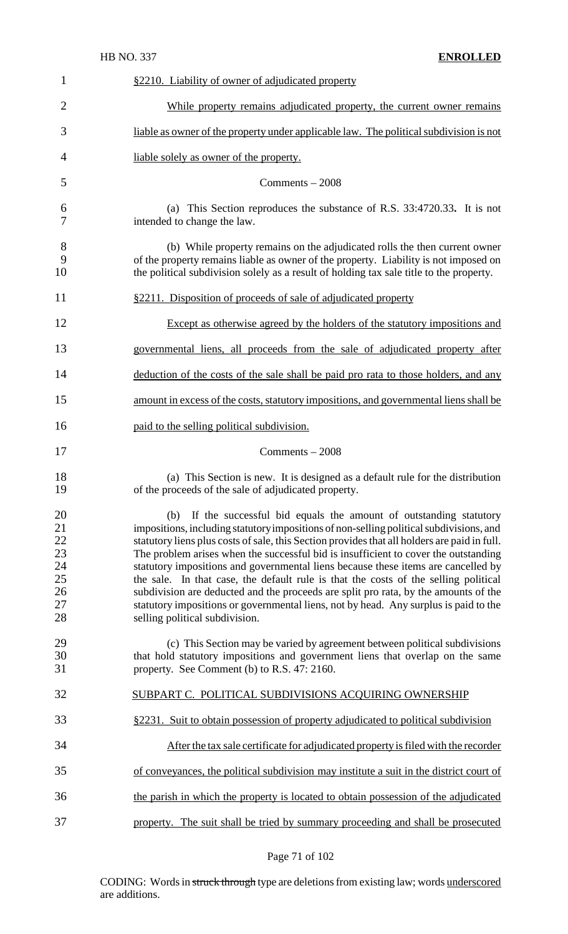| $\mathbf{1}$                                           | §2210. Liability of owner of adjudicated property                                                                                                                                                                                                                                                                                                                                                                                                                                                                                                                                                                                                                                                                                                      |
|--------------------------------------------------------|--------------------------------------------------------------------------------------------------------------------------------------------------------------------------------------------------------------------------------------------------------------------------------------------------------------------------------------------------------------------------------------------------------------------------------------------------------------------------------------------------------------------------------------------------------------------------------------------------------------------------------------------------------------------------------------------------------------------------------------------------------|
| $\overline{2}$                                         | While property remains adjudicated property, the current owner remains                                                                                                                                                                                                                                                                                                                                                                                                                                                                                                                                                                                                                                                                                 |
| 3                                                      | liable as owner of the property under applicable law. The political subdivision is not                                                                                                                                                                                                                                                                                                                                                                                                                                                                                                                                                                                                                                                                 |
| 4                                                      | liable solely as owner of the property.                                                                                                                                                                                                                                                                                                                                                                                                                                                                                                                                                                                                                                                                                                                |
| 5                                                      | Comments $-2008$                                                                                                                                                                                                                                                                                                                                                                                                                                                                                                                                                                                                                                                                                                                                       |
| 6<br>7                                                 | (a) This Section reproduces the substance of R.S. 33:4720.33. It is not<br>intended to change the law.                                                                                                                                                                                                                                                                                                                                                                                                                                                                                                                                                                                                                                                 |
| 8<br>9<br>10                                           | (b) While property remains on the adjudicated rolls the then current owner<br>of the property remains liable as owner of the property. Liability is not imposed on<br>the political subdivision solely as a result of holding tax sale title to the property.                                                                                                                                                                                                                                                                                                                                                                                                                                                                                          |
| 11                                                     | §2211. Disposition of proceeds of sale of adjudicated property                                                                                                                                                                                                                                                                                                                                                                                                                                                                                                                                                                                                                                                                                         |
| 12                                                     | Except as otherwise agreed by the holders of the statutory impositions and                                                                                                                                                                                                                                                                                                                                                                                                                                                                                                                                                                                                                                                                             |
| 13                                                     | governmental liens, all proceeds from the sale of adjudicated property after                                                                                                                                                                                                                                                                                                                                                                                                                                                                                                                                                                                                                                                                           |
| 14                                                     | deduction of the costs of the sale shall be paid pro rata to those holders, and any                                                                                                                                                                                                                                                                                                                                                                                                                                                                                                                                                                                                                                                                    |
| 15                                                     | amount in excess of the costs, statutory impositions, and governmental liens shall be                                                                                                                                                                                                                                                                                                                                                                                                                                                                                                                                                                                                                                                                  |
| 16                                                     | paid to the selling political subdivision.                                                                                                                                                                                                                                                                                                                                                                                                                                                                                                                                                                                                                                                                                                             |
| 17                                                     | $Comments - 2008$                                                                                                                                                                                                                                                                                                                                                                                                                                                                                                                                                                                                                                                                                                                                      |
| 18<br>19                                               | (a) This Section is new. It is designed as a default rule for the distribution<br>of the proceeds of the sale of adjudicated property.                                                                                                                                                                                                                                                                                                                                                                                                                                                                                                                                                                                                                 |
| 20<br>21<br>22<br>23<br>24<br>$25\,$<br>26<br>27<br>28 | If the successful bid equals the amount of outstanding statutory<br>(b)<br>impositions, including statutory impositions of non-selling political subdivisions, and<br>statutory liens plus costs of sale, this Section provides that all holders are paid in full.<br>The problem arises when the successful bid is insufficient to cover the outstanding<br>statutory impositions and governmental liens because these items are cancelled by<br>the sale. In that case, the default rule is that the costs of the selling political<br>subdivision are deducted and the proceeds are split pro rata, by the amounts of the<br>statutory impositions or governmental liens, not by head. Any surplus is paid to the<br>selling political subdivision. |
| 29<br>30<br>31                                         | (c) This Section may be varied by agreement between political subdivisions<br>that hold statutory impositions and government liens that overlap on the same<br>property. See Comment (b) to R.S. 47: 2160.                                                                                                                                                                                                                                                                                                                                                                                                                                                                                                                                             |
| 32                                                     | SUBPART C. POLITICAL SUBDIVISIONS ACQUIRING OWNERSHIP                                                                                                                                                                                                                                                                                                                                                                                                                                                                                                                                                                                                                                                                                                  |
| 33                                                     | §2231. Suit to obtain possession of property adjudicated to political subdivision                                                                                                                                                                                                                                                                                                                                                                                                                                                                                                                                                                                                                                                                      |
| 34                                                     | After the tax sale certificate for adjudicated property is filed with the recorder                                                                                                                                                                                                                                                                                                                                                                                                                                                                                                                                                                                                                                                                     |
| 35                                                     | of conveyances, the political subdivision may institute a suit in the district court of                                                                                                                                                                                                                                                                                                                                                                                                                                                                                                                                                                                                                                                                |
| 36                                                     | the parish in which the property is located to obtain possession of the adjudicated                                                                                                                                                                                                                                                                                                                                                                                                                                                                                                                                                                                                                                                                    |
| 37                                                     | property. The suit shall be tried by summary proceeding and shall be prosecuted                                                                                                                                                                                                                                                                                                                                                                                                                                                                                                                                                                                                                                                                        |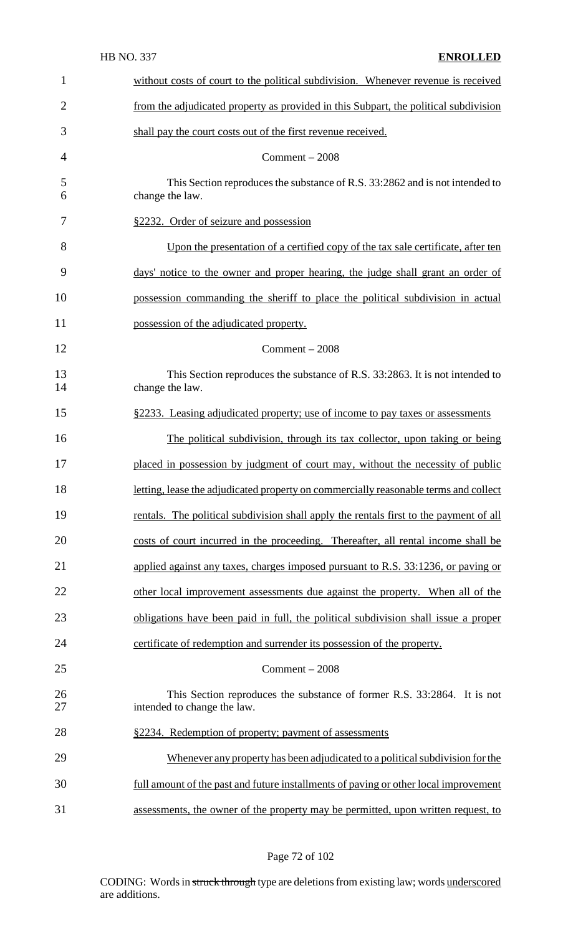| $\mathbf{1}$   | without costs of court to the political subdivision. Whenever revenue is received                      |
|----------------|--------------------------------------------------------------------------------------------------------|
| $\overline{2}$ | from the adjudicated property as provided in this Subpart, the political subdivision                   |
| 3              | shall pay the court costs out of the first revenue received.                                           |
| $\overline{4}$ | $Comment - 2008$                                                                                       |
| 5<br>6         | This Section reproduces the substance of R.S. 33:2862 and is not intended to<br>change the law.        |
| 7              | §2232. Order of seizure and possession                                                                 |
| 8              | Upon the presentation of a certified copy of the tax sale certificate, after ten                       |
| 9              | days' notice to the owner and proper hearing, the judge shall grant an order of                        |
| 10             | possession commanding the sheriff to place the political subdivision in actual                         |
| 11             | possession of the adjudicated property.                                                                |
| 12             | $Comment - 2008$                                                                                       |
| 13<br>14       | This Section reproduces the substance of R.S. 33:2863. It is not intended to<br>change the law.        |
| 15             | §2233. Leasing adjudicated property; use of income to pay taxes or assessments                         |
| 16             | The political subdivision, through its tax collector, upon taking or being                             |
| 17             | placed in possession by judgment of court may, without the necessity of public                         |
| 18             | letting, lease the adjudicated property on commercially reasonable terms and collect                   |
| 19             | rentals. The political subdivision shall apply the rentals first to the payment of all                 |
| 20             | costs of court incurred in the proceeding. Thereafter, all rental income shall be                      |
| 21             | applied against any taxes, charges imposed pursuant to R.S. 33:1236, or paying or                      |
| 22             | other local improvement assessments due against the property. When all of the                          |
| 23             | obligations have been paid in full, the political subdivision shall issue a proper                     |
| 24             | certificate of redemption and surrender its possession of the property.                                |
| 25             | $Comment - 2008$                                                                                       |
| 26<br>27       | This Section reproduces the substance of former R.S. 33:2864. It is not<br>intended to change the law. |
| 28             | §2234. Redemption of property; payment of assessments                                                  |
| 29             | Whenever any property has been adjudicated to a political subdivision for the                          |
| 30             | full amount of the past and future installments of paving or other local improvement                   |
| 31             | assessments, the owner of the property may be permitted, upon written request, to                      |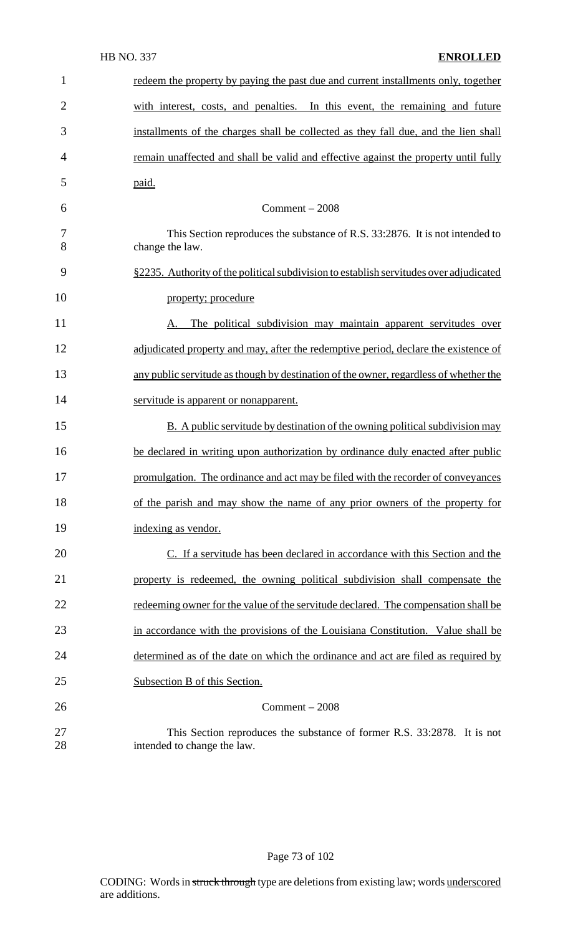| $\mathbf{1}$   | redeem the property by paying the past due and current installments only, together                     |
|----------------|--------------------------------------------------------------------------------------------------------|
| $\overline{2}$ | with interest, costs, and penalties. In this event, the remaining and future                           |
| 3              | installments of the charges shall be collected as they fall due, and the lien shall                    |
| 4              | remain unaffected and shall be valid and effective against the property until fully                    |
| 5              | paid.                                                                                                  |
| 6              | $Comment - 2008$                                                                                       |
| 7<br>8         | This Section reproduces the substance of R.S. 33:2876. It is not intended to<br>change the law.        |
| 9              | §2235. Authority of the political subdivision to establish servitudes over adjudicated                 |
| 10             | property; procedure                                                                                    |
| 11             | The political subdivision may maintain apparent servitudes over<br>A.                                  |
| 12             | adjudicated property and may, after the redemptive period, declare the existence of                    |
| 13             | any public servitude as though by destination of the owner, regardless of whether the                  |
| 14             | servitude is apparent or nonapparent.                                                                  |
| 15             | B. A public servitude by destination of the owning political subdivision may                           |
| 16             | be declared in writing upon authorization by ordinance duly enacted after public                       |
| 17             | promulgation. The ordinance and act may be filed with the recorder of conveyances                      |
| 18             | of the parish and may show the name of any prior owners of the property for                            |
| 19             | indexing as vendor.                                                                                    |
| 20             | C. If a servitude has been declared in accordance with this Section and the                            |
| 21             | property is redeemed, the owning political subdivision shall compensate the                            |
| 22             | redeeming owner for the value of the servitude declared. The compensation shall be                     |
| 23             | in accordance with the provisions of the Louisiana Constitution. Value shall be                        |
| 24             | determined as of the date on which the ordinance and act are filed as required by                      |
| 25             | Subsection B of this Section.                                                                          |
| 26             | $Comment - 2008$                                                                                       |
| 27<br>28       | This Section reproduces the substance of former R.S. 33:2878. It is not<br>intended to change the law. |

Page 73 of 102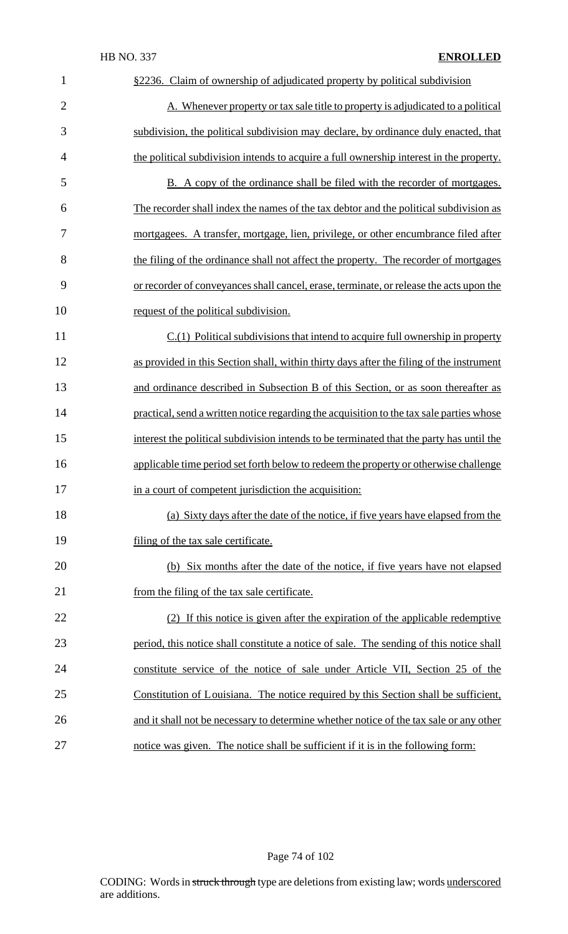| $\mathbf{1}$   | §2236. Claim of ownership of adjudicated property by political subdivision               |
|----------------|------------------------------------------------------------------------------------------|
| $\overline{2}$ | A. Whenever property or tax sale title to property is adjudicated to a political         |
| 3              | subdivision, the political subdivision may declare, by ordinance duly enacted, that      |
| $\overline{4}$ | the political subdivision intends to acquire a full ownership interest in the property.  |
| 5              | B. A copy of the ordinance shall be filed with the recorder of mortgages.                |
| 6              | The recorder shall index the names of the tax debtor and the political subdivision as    |
| $\overline{7}$ | mortgagees. A transfer, mortgage, lien, privilege, or other encumbrance filed after      |
| 8              | the filing of the ordinance shall not affect the property. The recorder of mortgages     |
| 9              | or recorder of conveyances shall cancel, erase, terminate, or release the acts upon the  |
| 10             | request of the political subdivision.                                                    |
| 11             | $C(1)$ Political subdivisions that intend to acquire full ownership in property          |
| 12             | as provided in this Section shall, within thirty days after the filing of the instrument |
| 13             | and ordinance described in Subsection B of this Section, or as soon thereafter as        |
| 14             | practical, send a written notice regarding the acquisition to the tax sale parties whose |
| 15             | interest the political subdivision intends to be terminated that the party has until the |
| 16             | applicable time period set forth below to redeem the property or otherwise challenge     |
| 17             | in a court of competent jurisdiction the acquisition:                                    |
| 18             | (a) Sixty days after the date of the notice, if five years have elapsed from the         |
| 19             | filing of the tax sale certificate.                                                      |
| 20             | (b) Six months after the date of the notice, if five years have not elapsed              |
| 21             | from the filing of the tax sale certificate.                                             |
| 22             | (2) If this notice is given after the expiration of the applicable redemptive            |
| 23             | period, this notice shall constitute a notice of sale. The sending of this notice shall  |
| 24             | constitute service of the notice of sale under Article VII, Section 25 of the            |
| 25             | Constitution of Louisiana. The notice required by this Section shall be sufficient,      |
| 26             | and it shall not be necessary to determine whether notice of the tax sale or any other   |
| 27             | notice was given. The notice shall be sufficient if it is in the following form:         |

Page 74 of 102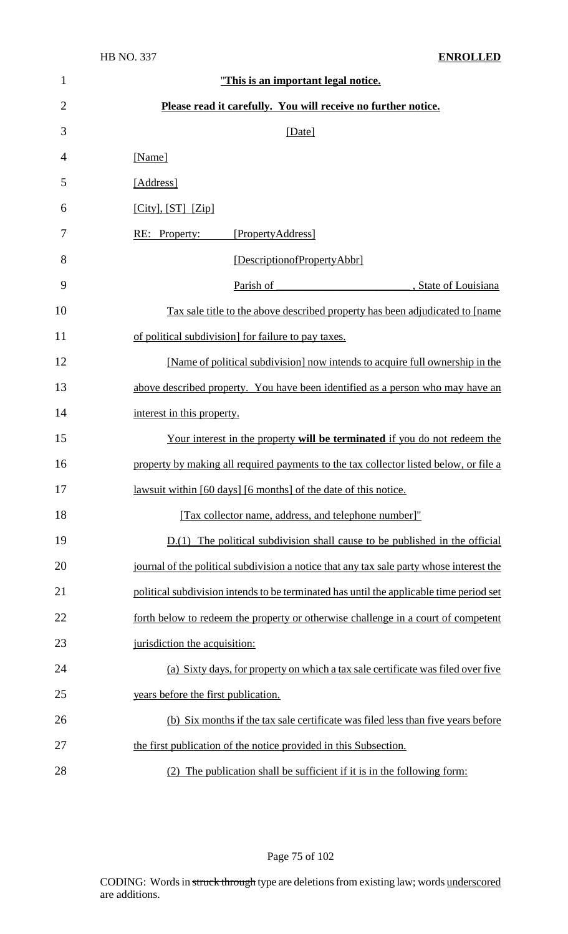| $\mathbf{1}$   | "This is an important legal notice.                                                      |
|----------------|------------------------------------------------------------------------------------------|
| $\overline{2}$ | Please read it carefully. You will receive no further notice.                            |
| 3              | [Date]                                                                                   |
| 4              | [Name]                                                                                   |
| 5              | [Address]                                                                                |
| 6              | $[City], [ST]$ $[Zip]$                                                                   |
| 7              | [PropertyAddress]<br>RE: Property:                                                       |
| 8              | [DescriptionofPropertyAbbr]                                                              |
| 9              | Parish of<br>, State of Louisiana                                                        |
| 10             | Tax sale title to the above described property has been adjudicated to [name]            |
| 11             | of political subdivision] for failure to pay taxes.                                      |
| 12             | [Name of political subdivision] now intends to acquire full ownership in the             |
| 13             | above described property. You have been identified as a person who may have an           |
| 14             | interest in this property.                                                               |
| 15             | Your interest in the property will be terminated if you do not redeem the                |
| 16             | property by making all required payments to the tax collector listed below, or file a    |
| 17             | <u>lawsuit within [60 days]</u> [6 months] of the date of this notice.                   |
| 18             | [Tax collector name, address, and telephone number]"                                     |
| 19             | $D(1)$ The political subdivision shall cause to be published in the official             |
| 20             | journal of the political subdivision a notice that any tax sale party whose interest the |
| 21             | political subdivision intends to be terminated has until the applicable time period set  |
| 22             | forth below to redeem the property or otherwise challenge in a court of competent        |
| 23             | jurisdiction the acquisition:                                                            |
| 24             | (a) Sixty days, for property on which a tax sale certificate was filed over five         |
| 25             | years before the first publication.                                                      |
| 26             | (b) Six months if the tax sale certificate was filed less than five years before         |
| 27             | the first publication of the notice provided in this Subsection.                         |
| 28             | (2) The publication shall be sufficient if it is in the following form:                  |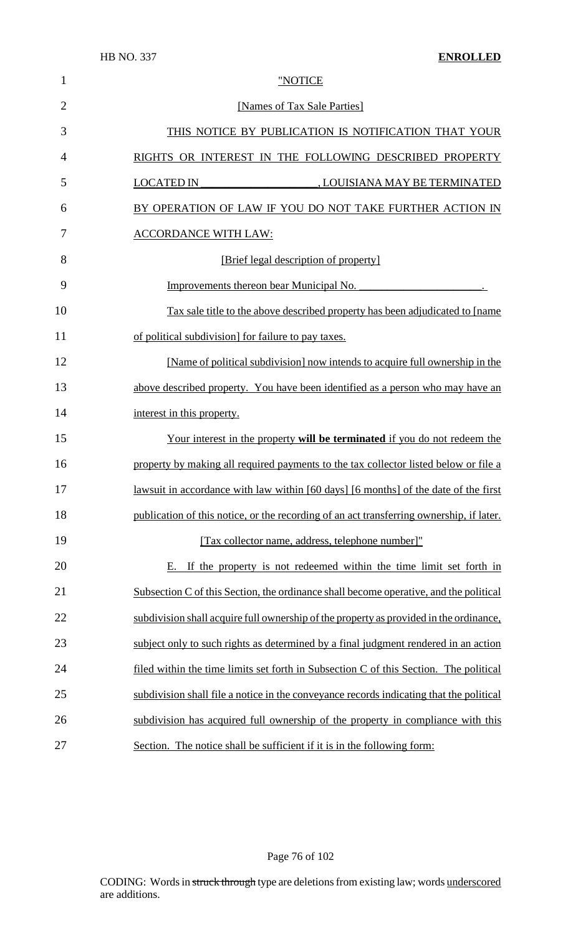| $\mathbf{1}$   | "NOTICE                                                                                  |
|----------------|------------------------------------------------------------------------------------------|
| $\overline{2}$ | [Names of Tax Sale Parties]                                                              |
| 3              | THIS NOTICE BY PUBLICATION IS NOTIFICATION THAT YOUR                                     |
| $\overline{4}$ | RIGHTS OR INTEREST IN THE FOLLOWING DESCRIBED PROPERTY                                   |
| 5              | <b>LOCATED IN</b><br>LOUISIANA MAY BE TERMINATED                                         |
| 6              | BY OPERATION OF LAW IF YOU DO NOT TAKE FURTHER ACTION IN                                 |
| 7              | <b>ACCORDANCE WITH LAW:</b>                                                              |
| 8              | [Brief legal description of property]                                                    |
| 9              | Improvements thereon bear Municipal No.                                                  |
| 10             | Tax sale title to the above described property has been adjudicated to [name]            |
| 11             | of political subdivision] for failure to pay taxes.                                      |
| 12             | [Name of political subdivision] now intends to acquire full ownership in the             |
| 13             | above described property. You have been identified as a person who may have an           |
| 14             | interest in this property.                                                               |
| 15             | Your interest in the property will be terminated if you do not redeem the                |
| 16             | property by making all required payments to the tax collector listed below or file a     |
| 17             | lawsuit in accordance with law within [60 days] [6 months] of the date of the first      |
| 18             | publication of this notice, or the recording of an act transferring ownership, if later. |
| 19             | [Tax collector name, address, telephone number]"                                         |
| 20             | E. If the property is not redeemed within the time limit set forth in                    |
| 21             | Subsection C of this Section, the ordinance shall become operative, and the political    |
| 22             | subdivision shall acquire full ownership of the property as provided in the ordinance,   |
| 23             | subject only to such rights as determined by a final judgment rendered in an action      |
| 24             | filed within the time limits set forth in Subsection C of this Section. The political    |
| 25             | subdivision shall file a notice in the conveyance records indicating that the political  |
| 26             | subdivision has acquired full ownership of the property in compliance with this          |
| 27             | Section. The notice shall be sufficient if it is in the following form:                  |

Page 76 of 102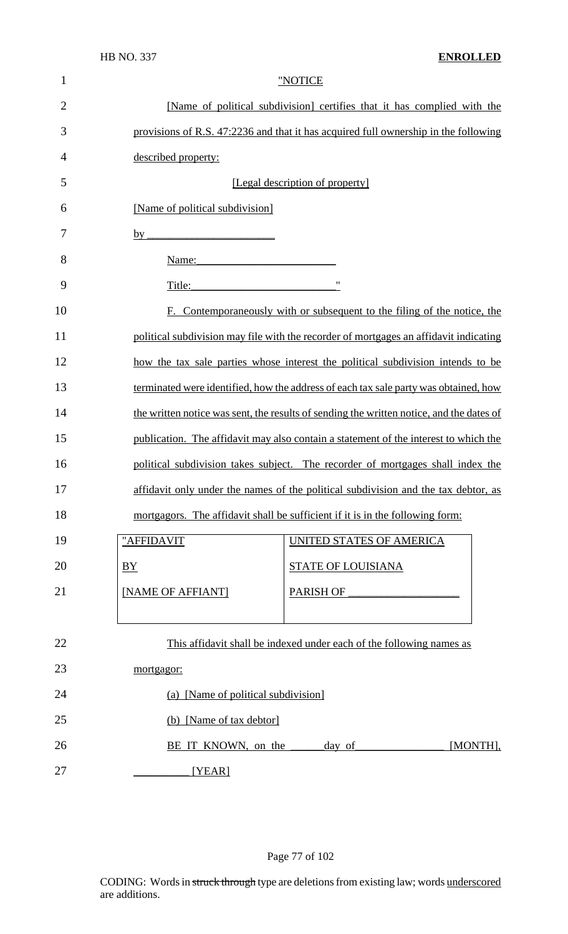|                |                                                                                                                                                                                                                                | ,,,,,,,,,,, |
|----------------|--------------------------------------------------------------------------------------------------------------------------------------------------------------------------------------------------------------------------------|-------------|
| $\mathbf{1}$   | "NOTICE                                                                                                                                                                                                                        |             |
| $\overline{2}$ | [Name of political subdivision] certifies that it has complied with the                                                                                                                                                        |             |
| 3              | provisions of R.S. 47:2236 and that it has acquired full ownership in the following                                                                                                                                            |             |
| 4              | described property:                                                                                                                                                                                                            |             |
| 5              | [Legal description of property]                                                                                                                                                                                                |             |
| 6              | [Name of political subdivision]                                                                                                                                                                                                |             |
| 7              | <u> 1989 - Johann Barbara, martxa alemani</u> ar a<br>$by_$                                                                                                                                                                    |             |
| 8              | Name: Name and the state of the state of the state of the state of the state of the state of the state of the state of the state of the state of the state of the state of the state of the state of the state of the state of |             |
| 9              | $\pmb{\mathsf{H}}$<br>Title:                                                                                                                                                                                                   |             |
| 10             | F. Contemporaneously with or subsequent to the filing of the notice, the                                                                                                                                                       |             |
| 11             | political subdivision may file with the recorder of mortgages an affidavit indicating                                                                                                                                          |             |
| 12             | how the tax sale parties whose interest the political subdivision intends to be                                                                                                                                                |             |
| 13             | terminated were identified, how the address of each tax sale party was obtained, how                                                                                                                                           |             |
| 14             | the written notice was sent, the results of sending the written notice, and the dates of                                                                                                                                       |             |
| 15             | publication. The affidavit may also contain a statement of the interest to which the                                                                                                                                           |             |
| 16             | political subdivision takes subject. The recorder of mortgages shall index the                                                                                                                                                 |             |
| 17             | affidavit only under the names of the political subdivision and the tax debtor, as                                                                                                                                             |             |
| 18             | mortgagors. The affidavit shall be sufficient if it is in the following form:                                                                                                                                                  |             |
| 19             | "AFFIDAVIT<br>UNITED STATES OF AMERICA                                                                                                                                                                                         |             |
| 20             | <b>STATE OF LOUISIANA</b><br>BY                                                                                                                                                                                                |             |
| 21             | [NAME OF AFFIANT]<br><b>PARISH OF</b>                                                                                                                                                                                          |             |
|                |                                                                                                                                                                                                                                |             |
| 22             | This affidavit shall be indexed under each of the following names as                                                                                                                                                           |             |
| 23             | mortgagor:                                                                                                                                                                                                                     |             |
| 24             | (a) [Name of political subdivision]                                                                                                                                                                                            |             |
| 25             | (b) [Name of tax debtor]                                                                                                                                                                                                       |             |
| 26             | BE IT KNOWN, on the<br>day of                                                                                                                                                                                                  | [MONTH],    |
| 27             | [YEAR]                                                                                                                                                                                                                         |             |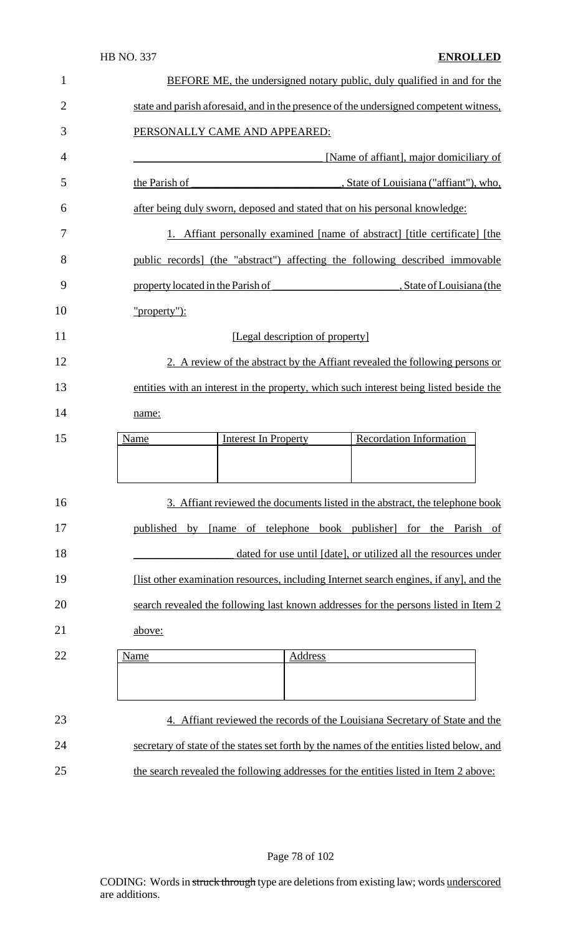| $\mathbf{1}$   | <b>BEFORE ME, the undersigned notary public, duly qualified in and for the</b>            |
|----------------|-------------------------------------------------------------------------------------------|
| $\overline{2}$ | state and parish aforesaid, and in the presence of the undersigned competent witness,     |
| 3              | PERSONALLY CAME AND APPEARED:                                                             |
| 4              | [Name of affiant], major domiciliary of                                                   |
| 5              | the Parish of<br>State of Louisiana ("affiant"), who,                                     |
| 6              | after being duly sworn, deposed and stated that on his personal knowledge:                |
| 7              | 1. Affiant personally examined [name of abstract] [title certificate] [the                |
| 8              | public records] (the "abstract") affecting the following described immovable              |
| 9              | property located in the Parish of<br>, State of Louisiana (the                            |
| 10             | "property"):                                                                              |
| 11             | [Legal description of property]                                                           |
| 12             | 2. A review of the abstract by the Affiant revealed the following persons or              |
| 13             | entities with an interest in the property, which such interest being listed beside the    |
| 14             | name:                                                                                     |
| 15             | <b>Recordation Information</b><br><b>Interest In Property</b><br>Name                     |
|                |                                                                                           |
| 16             | 3. Affiant reviewed the documents listed in the abstract, the telephone book              |
| 17             | [name of telephone book publisher] for the Parish of<br>published by                      |
| 18             | dated for use until [date], or utilized all the resources under                           |
| 19             | [list other examination resources, including Internet search engines, if any], and the    |
| 20             | search revealed the following last known addresses for the persons listed in Item 2       |
| 21             | above:                                                                                    |
| 22             | Address<br>Name                                                                           |
|                |                                                                                           |
| 23             | 4. Affiant reviewed the records of the Louisiana Secretary of State and the               |
| 24             | secretary of state of the states set forth by the names of the entities listed below, and |
| 25             | the search revealed the following addresses for the entities listed in Item 2 above:      |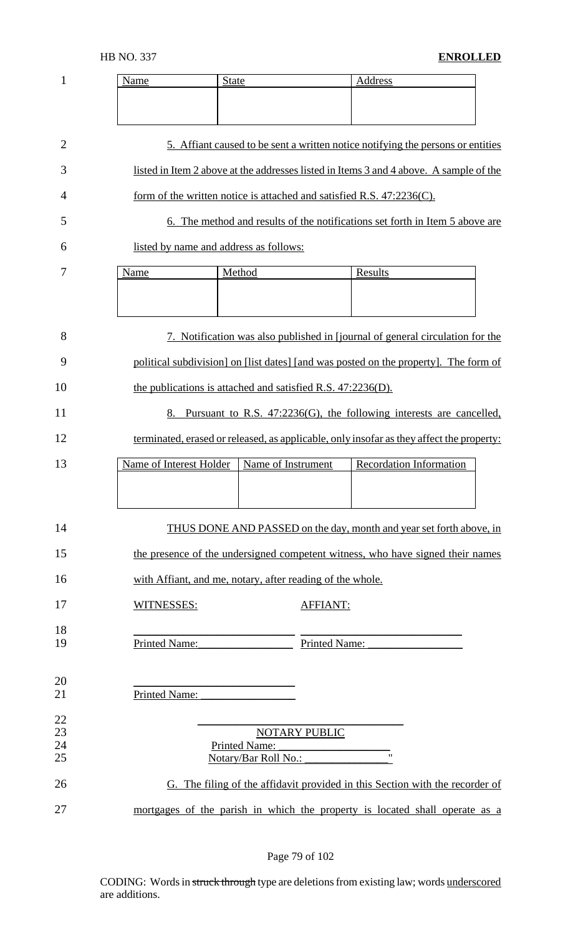| 1        | Name                                                        | <b>State</b>                          |                 | Address                                                                                                                                                     |  |
|----------|-------------------------------------------------------------|---------------------------------------|-----------------|-------------------------------------------------------------------------------------------------------------------------------------------------------------|--|
|          |                                                             |                                       |                 |                                                                                                                                                             |  |
| 2        |                                                             |                                       |                 | 5. Affiant caused to be sent a written notice notifying the persons or entities                                                                             |  |
| 3        |                                                             |                                       |                 | listed in Item 2 above at the addresses listed in Items 3 and 4 above. A sample of the                                                                      |  |
| 4        |                                                             |                                       |                 | form of the written notice is attached and satisfied R.S. $47:2236(C)$ .                                                                                    |  |
| 5        |                                                             |                                       |                 | 6. The method and results of the notifications set forth in Item 5 above are                                                                                |  |
| 6        | listed by name and address as follows:                      |                                       |                 |                                                                                                                                                             |  |
| 7        | Name                                                        | Method                                |                 | Results                                                                                                                                                     |  |
|          |                                                             |                                       |                 |                                                                                                                                                             |  |
| 8        |                                                             |                                       |                 | 7. Notification was also published in [journal of general circulation for the                                                                               |  |
| 9        |                                                             |                                       |                 | political subdivision] on [list dates] [and was posted on the property]. The form of                                                                        |  |
| 10       | the publications is attached and satisfied R.S. 47:2236(D). |                                       |                 |                                                                                                                                                             |  |
| 11       |                                                             |                                       |                 | 8. Pursuant to R.S. 47:2236(G), the following interests are cancelled,                                                                                      |  |
| 12       |                                                             |                                       |                 | terminated, erased or released, as applicable, only insofar as they affect the property:                                                                    |  |
| 13       | Name of Interest Holder                                     | Name of Instrument                    |                 | <b>Recordation Information</b>                                                                                                                              |  |
|          |                                                             |                                       |                 |                                                                                                                                                             |  |
| 14       |                                                             |                                       |                 | THUS DONE AND PASSED on the day, month and year set forth above, in                                                                                         |  |
| 15       |                                                             |                                       |                 | the presence of the undersigned competent witness, who have signed their names                                                                              |  |
| 16       | with Affiant, and me, notary, after reading of the whole.   |                                       |                 |                                                                                                                                                             |  |
| 17       | WITNESSES:                                                  |                                       | <b>AFFIANT:</b> |                                                                                                                                                             |  |
| 18<br>19 | <b>Printed Name:</b>                                        |                                       | Printed Name:   |                                                                                                                                                             |  |
|          |                                                             |                                       |                 |                                                                                                                                                             |  |
| 20<br>21 | <b>Printed Name:</b>                                        |                                       |                 |                                                                                                                                                             |  |
| 22       |                                                             |                                       |                 |                                                                                                                                                             |  |
| 23<br>24 |                                                             | NOTARY PUBLIC<br><b>Printed Name:</b> |                 |                                                                                                                                                             |  |
| 25<br>26 |                                                             | Notary/Bar Roll No.:                  |                 |                                                                                                                                                             |  |
| 27       |                                                             |                                       |                 | G. The filing of the affidavit provided in this Section with the recorder of<br>mortgages of the parish in which the property is located shall operate as a |  |
|          |                                                             |                                       |                 |                                                                                                                                                             |  |

Page 79 of 102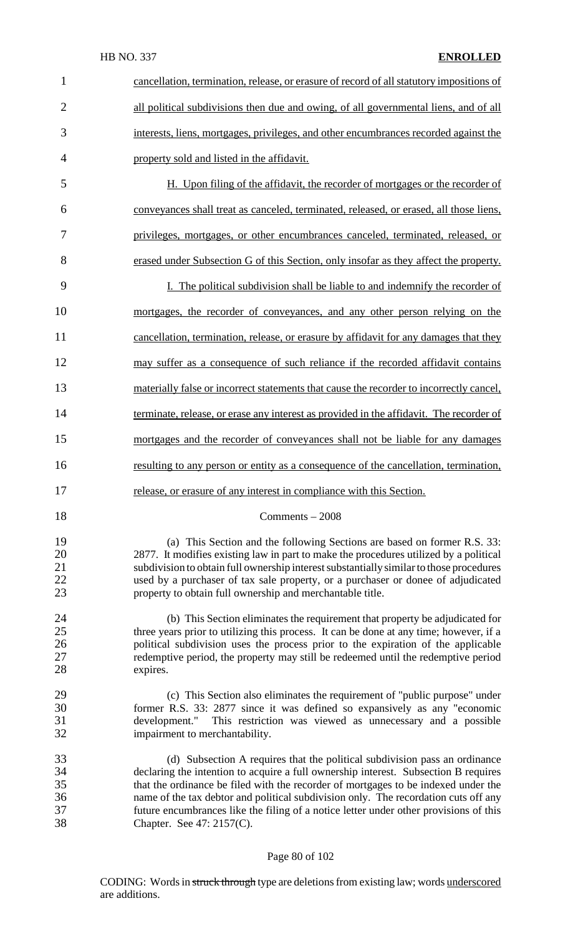## HB NO. 337 **ENROLLED**

| $\mathbf{1}$                     | cancellation, termination, release, or erasure of record of all statutory impositions of                                                                                                                                                                                                                                                                                                                                                                             |
|----------------------------------|----------------------------------------------------------------------------------------------------------------------------------------------------------------------------------------------------------------------------------------------------------------------------------------------------------------------------------------------------------------------------------------------------------------------------------------------------------------------|
| $\overline{2}$                   | all political subdivisions then due and owing, of all governmental liens, and of all                                                                                                                                                                                                                                                                                                                                                                                 |
| 3                                | interests, liens, mortgages, privileges, and other encumbrances recorded against the                                                                                                                                                                                                                                                                                                                                                                                 |
| $\overline{4}$                   | property sold and listed in the affidavit.                                                                                                                                                                                                                                                                                                                                                                                                                           |
| 5                                | H. Upon filing of the affidavit, the recorder of mortgages or the recorder of                                                                                                                                                                                                                                                                                                                                                                                        |
| 6                                | conveyances shall treat as canceled, terminated, released, or erased, all those liens,                                                                                                                                                                                                                                                                                                                                                                               |
| 7                                | privileges, mortgages, or other encumbrances canceled, terminated, released, or                                                                                                                                                                                                                                                                                                                                                                                      |
| 8                                | erased under Subsection G of this Section, only insofar as they affect the property.                                                                                                                                                                                                                                                                                                                                                                                 |
| 9                                | I. The political subdivision shall be liable to and indemnify the recorder of                                                                                                                                                                                                                                                                                                                                                                                        |
| 10                               | mortgages, the recorder of conveyances, and any other person relying on the                                                                                                                                                                                                                                                                                                                                                                                          |
| 11                               | cancellation, termination, release, or erasure by affidavit for any damages that they                                                                                                                                                                                                                                                                                                                                                                                |
| 12                               | may suffer as a consequence of such reliance if the recorded affidavit contains                                                                                                                                                                                                                                                                                                                                                                                      |
| 13                               | materially false or incorrect statements that cause the recorder to incorrectly cancel,                                                                                                                                                                                                                                                                                                                                                                              |
| 14                               | terminate, release, or erase any interest as provided in the affidavit. The recorder of                                                                                                                                                                                                                                                                                                                                                                              |
| 15                               | mortgages and the recorder of conveyances shall not be liable for any damages                                                                                                                                                                                                                                                                                                                                                                                        |
| 16                               | resulting to any person or entity as a consequence of the cancellation, termination,                                                                                                                                                                                                                                                                                                                                                                                 |
| 17                               | release, or erasure of any interest in compliance with this Section.                                                                                                                                                                                                                                                                                                                                                                                                 |
| 18                               | Comments $-2008$                                                                                                                                                                                                                                                                                                                                                                                                                                                     |
| 19<br>20<br>21<br>22<br>23       | (a) This Section and the following Sections are based on former R.S. 33:<br>2877. It modifies existing law in part to make the procedures utilized by a political<br>subdivision to obtain full ownership interest substantially similar to those procedures<br>used by a purchaser of tax sale property, or a purchaser or donee of adjudicated<br>property to obtain full ownership and merchantable title.                                                        |
| 24<br>25<br>26<br>$27\,$<br>28   | (b) This Section eliminates the requirement that property be adjudicated for<br>three years prior to utilizing this process. It can be done at any time; however, if a<br>political subdivision uses the process prior to the expiration of the applicable<br>redemptive period, the property may still be redeemed until the redemptive period<br>expires.                                                                                                          |
| 29<br>30<br>31<br>32             | (c) This Section also eliminates the requirement of "public purpose" under<br>former R.S. 33: 2877 since it was defined so expansively as any "economic<br>This restriction was viewed as unnecessary and a possible<br>development."<br>impairment to merchantability.                                                                                                                                                                                              |
| 33<br>34<br>35<br>36<br>37<br>38 | (d) Subsection A requires that the political subdivision pass an ordinance<br>declaring the intention to acquire a full ownership interest. Subsection B requires<br>that the ordinance be filed with the recorder of mortgages to be indexed under the<br>name of the tax debtor and political subdivision only. The recordation cuts off any<br>future encumbrances like the filing of a notice letter under other provisions of this<br>Chapter. See 47: 2157(C). |

## Page 80 of 102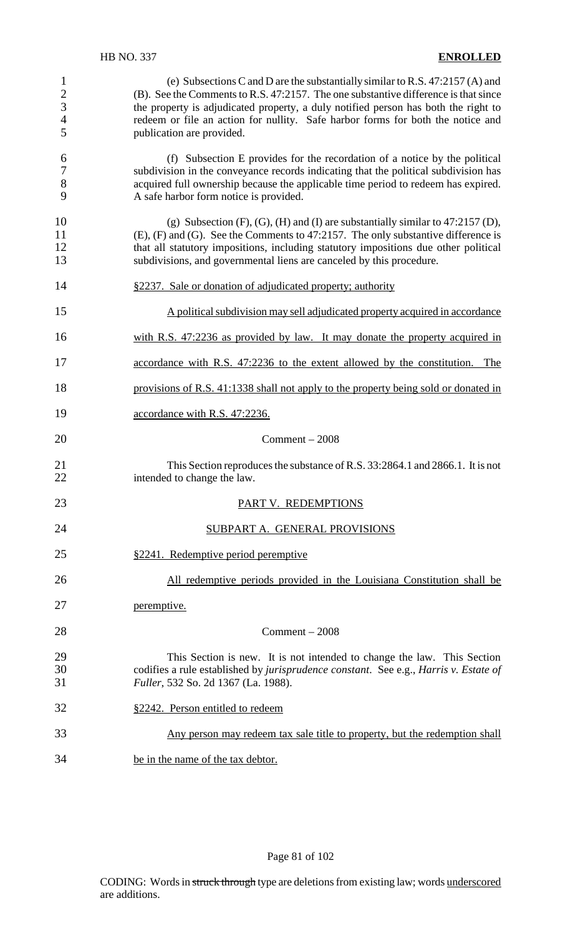| $\mathbf{1}$<br>$\overline{c}$<br>$\overline{3}$<br>$\overline{\mathcal{L}}$<br>5 | (e) Subsections C and D are the substantially similar to R.S. $47:2157(A)$ and<br>(B). See the Comments to R.S. 47:2157. The one substantive difference is that since<br>the property is adjudicated property, a duly notified person has both the right to<br>redeem or file an action for nullity. Safe harbor forms for both the notice and<br>publication are provided. |
|-----------------------------------------------------------------------------------|-----------------------------------------------------------------------------------------------------------------------------------------------------------------------------------------------------------------------------------------------------------------------------------------------------------------------------------------------------------------------------|
| 6<br>$\overline{7}$<br>$\,8\,$<br>9                                               | (f) Subsection E provides for the recordation of a notice by the political<br>subdivision in the conveyance records indicating that the political subdivision has<br>acquired full ownership because the applicable time period to redeem has expired.<br>A safe harbor form notice is provided.                                                                            |
| 10<br>11<br>12<br>13                                                              | (g) Subsection $(F)$ , $(G)$ , $(H)$ and $(I)$ are substantially similar to 47:2157 $(D)$ ,<br>$(E)$ , $(F)$ and $(G)$ . See the Comments to 47:2157. The only substantive difference is<br>that all statutory impositions, including statutory impositions due other political<br>subdivisions, and governmental liens are canceled by this procedure.                     |
| 14                                                                                | §2237. Sale or donation of adjudicated property; authority                                                                                                                                                                                                                                                                                                                  |
| 15                                                                                | A political subdivision may sell adjudicated property acquired in accordance                                                                                                                                                                                                                                                                                                |
| 16                                                                                | with R.S. 47:2236 as provided by law. It may donate the property acquired in                                                                                                                                                                                                                                                                                                |
| 17                                                                                | accordance with R.S. 47:2236 to the extent allowed by the constitution. The                                                                                                                                                                                                                                                                                                 |
| 18                                                                                | provisions of R.S. 41:1338 shall not apply to the property being sold or donated in                                                                                                                                                                                                                                                                                         |
| 19                                                                                | accordance with R.S. 47:2236.                                                                                                                                                                                                                                                                                                                                               |
| 20                                                                                | $Comment - 2008$                                                                                                                                                                                                                                                                                                                                                            |
| 21<br>22                                                                          | This Section reproduces the substance of R.S. 33:2864.1 and 2866.1. It is not<br>intended to change the law.                                                                                                                                                                                                                                                                |
| 23                                                                                | PART V. REDEMPTIONS                                                                                                                                                                                                                                                                                                                                                         |
| 24                                                                                | SUBPART A. GENERAL PROVISIONS                                                                                                                                                                                                                                                                                                                                               |
| 25                                                                                | §2241. Redemptive period peremptive                                                                                                                                                                                                                                                                                                                                         |
| 26                                                                                | All redemptive periods provided in the Louisiana Constitution shall be                                                                                                                                                                                                                                                                                                      |
| 27                                                                                | peremptive.                                                                                                                                                                                                                                                                                                                                                                 |
| 28                                                                                | $Comment - 2008$                                                                                                                                                                                                                                                                                                                                                            |
| 29<br>30<br>31                                                                    | This Section is new. It is not intended to change the law. This Section<br>codifies a rule established by jurisprudence constant. See e.g., Harris v. Estate of<br>Fuller, 532 So. 2d 1367 (La. 1988).                                                                                                                                                                      |
| 32                                                                                | §2242. Person entitled to redeem                                                                                                                                                                                                                                                                                                                                            |
| 33                                                                                |                                                                                                                                                                                                                                                                                                                                                                             |
|                                                                                   | Any person may redeem tax sale title to property, but the redemption shall                                                                                                                                                                                                                                                                                                  |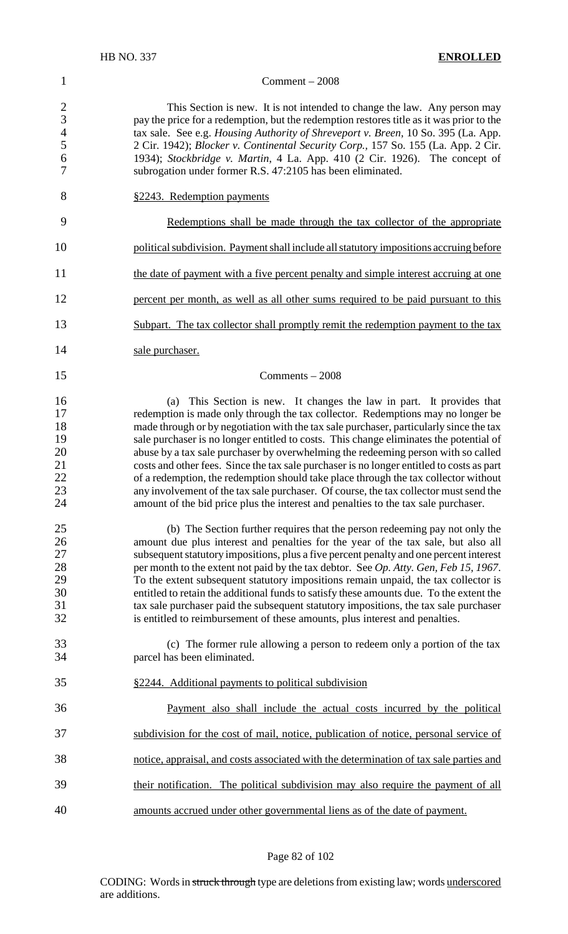#### 1 Comment – 2008

2 This Section is new. It is not intended to change the law. Any person may<br>3 pay the price for a redemption, but the redemption restores title as it was prior to the 3 pay the price for a redemption, but the redemption restores title as it was prior to the tax sale. See e.g. *Housing Authority of Shreveport v. Breen*. 10 So. 395 (La. App. tax sale. See e.g. *Housing Authority of Shreveport v. Breen,* 10 So. 395 (La. App. 2 Cir. 1942); *Blocker v. Continental Security Corp.,* 157 So. 155 (La. App. 2 Cir. 1934); *Stockbridge v. Martin*, 4 La. App. 410 (2 Cir. 1926). The concept of subrogation under former R.S. 47:2105 has been eliminated.

8 §2243. Redemption payments

- 9 Redemptions shall be made through the tax collector of the appropriate
- 10 political subdivision. Payment shall include all statutory impositions accruing before
- 11 the date of payment with a five percent penalty and simple interest accruing at one
- 12 percent per month, as well as all other sums required to be paid pursuant to this
- 13 Subpart. The tax collector shall promptly remit the redemption payment to the tax
- 14 sale purchaser.
	-

### $15$  Comments – 2008

16 (a) This Section is new. It changes the law in part. It provides that 17 redemption is made only through the tax collector. Redemptions may no longer be 18 made through or by negotiation with the tax sale purchaser, particularly since the tax<br>19 sale purchaser is no longer entitled to costs. This change eliminates the potential of 19 sale purchaser is no longer entitled to costs. This change eliminates the potential of abuse by a tax sale purchaser by overwhelming the redeeming person with so called abuse by a tax sale purchaser by overwhelming the redeeming person with so called 21 costs and other fees. Since the tax sale purchaser is no longer entitled to costs as part<br>22 costs are demption, the redemption should take place through the tax collector without 22 of a redemption, the redemption should take place through the tax collector without 23 any involvement of the tax sale purchaser. Of course, the tax collector must send the amount of the bid price plus the interest and penalties to the tax sale purchaser. amount of the bid price plus the interest and penalties to the tax sale purchaser.

- 25 (b) The Section further requires that the person redeeming pay not only the 26 amount due plus interest and penalties for the year of the tax sale, but also all 27 subsequent statutory impositions, plus a five percent penalty and one percent interest<br>28 per month to the extent not paid by the tax debtor. See Op. Atty. Gen. Feb 15, 1967. 28 per month to the extent not paid by the tax debtor. See *Op. Atty. Gen, Feb 15, 1967*.<br>29 To the extent subsequent statutory impositions remain unpaid, the tax collector is To the extent subsequent statutory impositions remain unpaid, the tax collector is 30 entitled to retain the additional funds to satisfy these amounts due. To the extent the tax sale purchaser tax sale purchaser tax sale purchaser paid the subsequent statutory impositions, the tax sale purchaser 32 is entitled to reimbursement of these amounts, plus interest and penalties.
- 33 (c) The former rule allowing a person to redeem only a portion of the tax 34 parcel has been eliminated.
- 35 §2244. Additional payments to political subdivision
- 36 Payment also shall include the actual costs incurred by the political 37 subdivision for the cost of mail, notice, publication of notice, personal service of 38 notice, appraisal, and costs associated with the determination of tax sale parties and 39 their notification. The political subdivision may also require the payment of all 40 amounts accrued under other governmental liens as of the date of payment.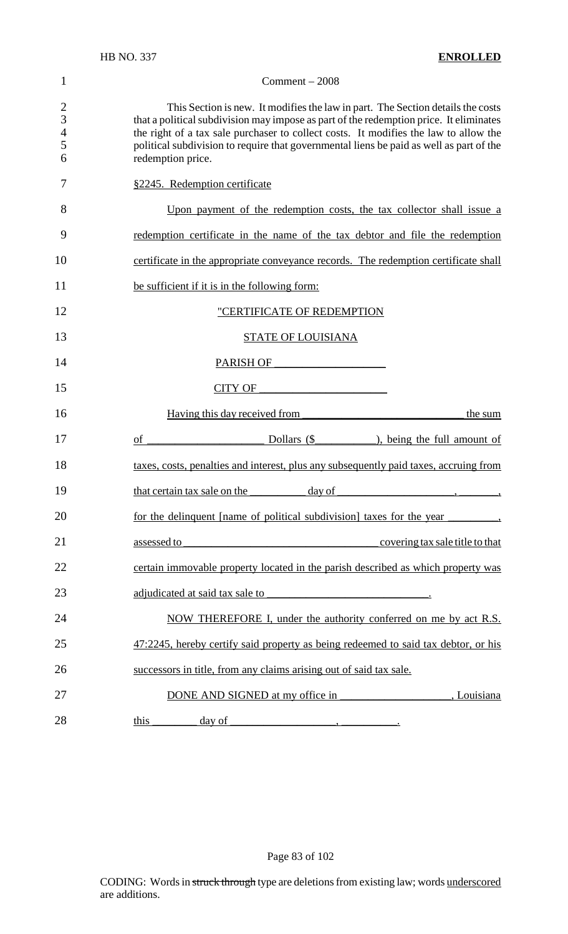|                                                        | <b>HB NO. 337</b><br><b>ENROLLED</b>                                                                                                                                                                                                                                                                                                                                              |
|--------------------------------------------------------|-----------------------------------------------------------------------------------------------------------------------------------------------------------------------------------------------------------------------------------------------------------------------------------------------------------------------------------------------------------------------------------|
| 1                                                      | Comment $-2008$                                                                                                                                                                                                                                                                                                                                                                   |
| $\overline{2}$<br>$\overline{3}$<br>$\frac{4}{5}$<br>6 | This Section is new. It modifies the law in part. The Section details the costs<br>that a political subdivision may impose as part of the redemption price. It eliminates<br>the right of a tax sale purchaser to collect costs. It modifies the law to allow the<br>political subdivision to require that governmental liens be paid as well as part of the<br>redemption price. |
| 7                                                      | §2245. Redemption certificate                                                                                                                                                                                                                                                                                                                                                     |
| 8                                                      | Upon payment of the redemption costs, the tax collector shall issue a                                                                                                                                                                                                                                                                                                             |
| 9                                                      | redemption certificate in the name of the tax debtor and file the redemption                                                                                                                                                                                                                                                                                                      |
| 10                                                     | certificate in the appropriate conveyance records. The redemption certificate shall                                                                                                                                                                                                                                                                                               |
| 11                                                     | be sufficient if it is in the following form:                                                                                                                                                                                                                                                                                                                                     |
| 12                                                     | "CERTIFICATE OF REDEMPTION                                                                                                                                                                                                                                                                                                                                                        |
| 13                                                     | <b>STATE OF LOUISIANA</b>                                                                                                                                                                                                                                                                                                                                                         |
| 14                                                     | PARISH OF                                                                                                                                                                                                                                                                                                                                                                         |
| 15                                                     | <b>CITY OF</b><br><u> 1980 - Jan Barbara Barbara, prima popular popular popular popular popular popular popular popular popular po</u>                                                                                                                                                                                                                                            |
| 16                                                     | Having this day received from<br>the sum                                                                                                                                                                                                                                                                                                                                          |
| 17                                                     | Dollars $(\$$<br>$\qquad$ , being the full amount of<br>of                                                                                                                                                                                                                                                                                                                        |
| 18                                                     | taxes, costs, penalties and interest, plus any subsequently paid taxes, accruing from                                                                                                                                                                                                                                                                                             |
| 19                                                     | $\frac{day \text{ of } }{x}$<br>that certain tax sale on the                                                                                                                                                                                                                                                                                                                      |
| 20                                                     | for the delinquent [name of political subdivision] taxes for the year                                                                                                                                                                                                                                                                                                             |
| 21                                                     | assessed to<br>covering tax sale title to that<br><u> 1989 - Johann Barbara, martxa alemaniar arg</u>                                                                                                                                                                                                                                                                             |
| 22                                                     | certain immovable property located in the parish described as which property was                                                                                                                                                                                                                                                                                                  |
| 23                                                     | adjudicated at said tax sale to<br><u> 1989 - Johann Barbara, martin amerikan personal (</u>                                                                                                                                                                                                                                                                                      |
| 24                                                     | NOW THEREFORE I, under the authority conferred on me by act R.S.                                                                                                                                                                                                                                                                                                                  |
| 25                                                     | 47:2245, hereby certify said property as being redeemed to said tax debtor, or his                                                                                                                                                                                                                                                                                                |
| 26                                                     | successors in title, from any claims arising out of said tax sale.                                                                                                                                                                                                                                                                                                                |
| 27                                                     | DONE AND SIGNED at my office in<br>, Louisiana                                                                                                                                                                                                                                                                                                                                    |

28 this day of the set of the set of the set of the set of the set of the set of the set of the set of the set of the set of the set of the set of the set of the set of the set of the set of the set of the set of the set o

Page 83 of 102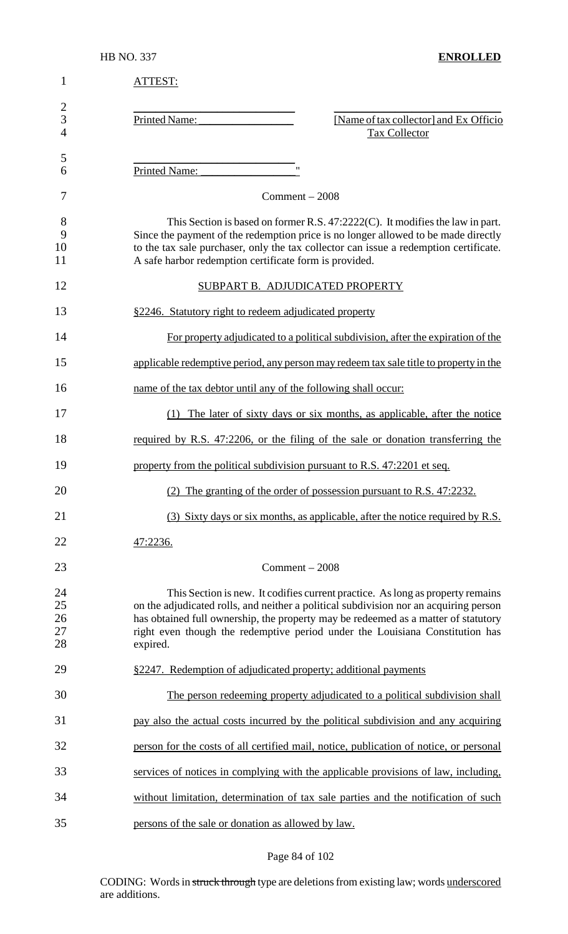| $\mathbf{1}$                          | ATTEST:                                                                                                                                                                                                                                                                                                                                                   |
|---------------------------------------|-----------------------------------------------------------------------------------------------------------------------------------------------------------------------------------------------------------------------------------------------------------------------------------------------------------------------------------------------------------|
| $\overline{2}$<br>3<br>$\overline{4}$ | [Name of tax collector] and Ex Officio<br><b>Printed Name:</b><br><b>Tax Collector</b>                                                                                                                                                                                                                                                                    |
| 5<br>6                                | $^{\prime\prime}$<br>Printed Name:                                                                                                                                                                                                                                                                                                                        |
| 7                                     | $Comment - 2008$                                                                                                                                                                                                                                                                                                                                          |
| 8<br>9<br>10<br>11                    | This Section is based on former R.S. 47:2222(C). It modifies the law in part.<br>Since the payment of the redemption price is no longer allowed to be made directly<br>to the tax sale purchaser, only the tax collector can issue a redemption certificate.<br>A safe harbor redemption certificate form is provided.                                    |
| 12                                    | SUBPART B. ADJUDICATED PROPERTY                                                                                                                                                                                                                                                                                                                           |
| 13                                    | §2246. Statutory right to redeem adjudicated property                                                                                                                                                                                                                                                                                                     |
| 14                                    | For property adjudicated to a political subdivision, after the expiration of the                                                                                                                                                                                                                                                                          |
| 15                                    | applicable redemptive period, any person may redeem tax sale title to property in the                                                                                                                                                                                                                                                                     |
| 16                                    | name of the tax debtor until any of the following shall occur:                                                                                                                                                                                                                                                                                            |
| 17                                    | (1) The later of sixty days or six months, as applicable, after the notice                                                                                                                                                                                                                                                                                |
| 18                                    | required by R.S. 47:2206, or the filing of the sale or donation transferring the                                                                                                                                                                                                                                                                          |
| 19                                    | property from the political subdivision pursuant to R.S. 47:2201 et seq.                                                                                                                                                                                                                                                                                  |
| 20                                    | (2) The granting of the order of possession pursuant to R.S. 47:2232.                                                                                                                                                                                                                                                                                     |
| 21                                    | (3) Sixty days or six months, as applicable, after the notice required by R.S.                                                                                                                                                                                                                                                                            |
| 22                                    | 47:2236.                                                                                                                                                                                                                                                                                                                                                  |
| 23                                    | $Comment - 2008$                                                                                                                                                                                                                                                                                                                                          |
| 24<br>25<br>26<br>27<br>28            | This Section is new. It codifies current practice. As long as property remains<br>on the adjudicated rolls, and neither a political subdivision nor an acquiring person<br>has obtained full ownership, the property may be redeemed as a matter of statutory<br>right even though the redemptive period under the Louisiana Constitution has<br>expired. |
| 29                                    | §2247. Redemption of adjudicated property; additional payments                                                                                                                                                                                                                                                                                            |
| 30                                    | The person redeeming property adjudicated to a political subdivision shall                                                                                                                                                                                                                                                                                |
| 31                                    | pay also the actual costs incurred by the political subdivision and any acquiring                                                                                                                                                                                                                                                                         |
| 32                                    | person for the costs of all certified mail, notice, publication of notice, or personal                                                                                                                                                                                                                                                                    |
| 33                                    | services of notices in complying with the applicable provisions of law, including,                                                                                                                                                                                                                                                                        |
| 34                                    | without limitation, determination of tax sale parties and the notification of such                                                                                                                                                                                                                                                                        |
| 35                                    | persons of the sale or donation as allowed by law.                                                                                                                                                                                                                                                                                                        |

## Page 84 of 102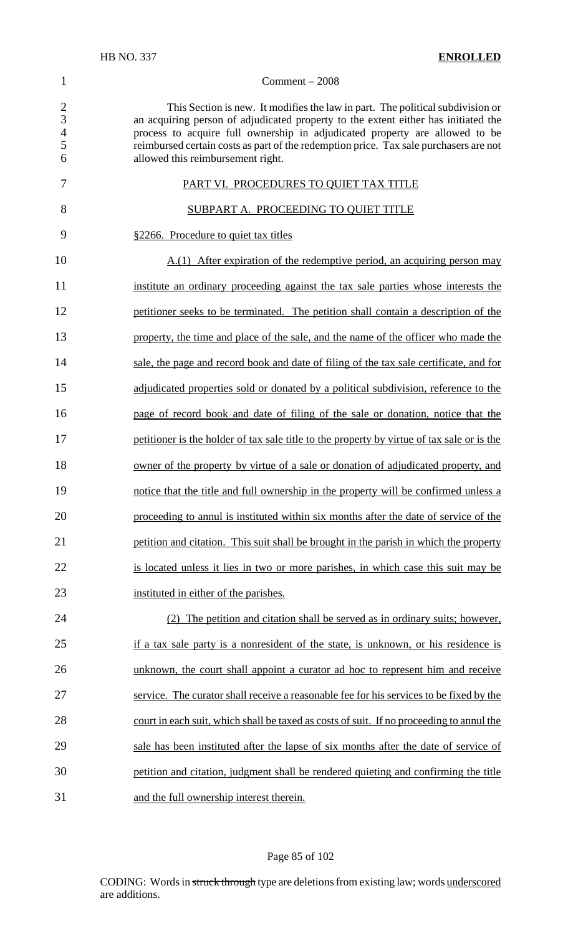#### Comment – 2008

2 This Section is new. It modifies the law in part. The political subdivision or<br>3 an acquiring person of adjudicated property to the extent either has initiated the 3 an acquiring person of adjudicated property to the extent either has initiated the process to acquire full ownership in adjudicated property are allowed to be process to acquire full ownership in adjudicated property are allowed to be reimbursed certain costs as part of the redemption price. Tax sale purchasers are not allowed this reimbursement right.

| 7  | PART VI. PROCEDURES TO QUIET TAX TITLE                                                     |
|----|--------------------------------------------------------------------------------------------|
| 8  | SUBPART A. PROCEEDING TO QUIET TITLE                                                       |
| 9  | §2266. Procedure to quiet tax titles                                                       |
| 10 | A.(1) After expiration of the redemptive period, an acquiring person may                   |
| 11 | institute an ordinary proceeding against the tax sale parties whose interests the          |
| 12 | petitioner seeks to be terminated. The petition shall contain a description of the         |
| 13 | property, the time and place of the sale, and the name of the officer who made the         |
| 14 | sale, the page and record book and date of filing of the tax sale certificate, and for     |
| 15 | adjudicated properties sold or donated by a political subdivision, reference to the        |
| 16 | page of record book and date of filing of the sale or donation, notice that the            |
| 17 | petitioner is the holder of tax sale title to the property by virtue of tax sale or is the |
| 18 | owner of the property by virtue of a sale or donation of adjudicated property, and         |
| 19 | notice that the title and full ownership in the property will be confirmed unless a        |
| 20 | proceeding to annul is instituted within six months after the date of service of the       |
| 21 | petition and citation. This suit shall be brought in the parish in which the property      |
| 22 | is located unless it lies in two or more parishes, in which case this suit may be          |
| 23 | instituted in either of the parishes.                                                      |
| 24 | The petition and citation shall be served as in ordinary suits; however,<br>(2)            |
| 25 | if a tax sale party is a nonresident of the state, is unknown, or his residence is         |

26 unknown, the court shall appoint a curator ad hoc to represent him and receive service. The curator shall receive a reasonable fee for his services to be fixed by the 28 court in each suit, which shall be taxed as costs of suit. If no proceeding to annul the sale has been instituted after the lapse of six months after the date of service of petition and citation, judgment shall be rendered quieting and confirming the title and the full ownership interest therein.

#### Page 85 of 102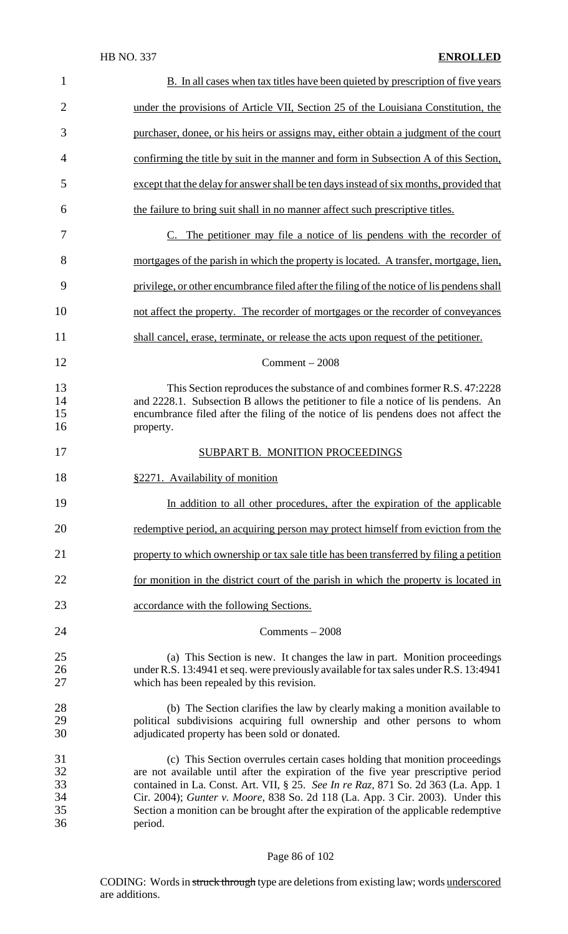| $\mathbf{1}$                     | <b>B.</b> In all cases when tax titles have been quieted by prescription of five years                                                                                                                                                                                                                                                                                                                                                   |
|----------------------------------|------------------------------------------------------------------------------------------------------------------------------------------------------------------------------------------------------------------------------------------------------------------------------------------------------------------------------------------------------------------------------------------------------------------------------------------|
| $\overline{2}$                   | under the provisions of Article VII, Section 25 of the Louisiana Constitution, the                                                                                                                                                                                                                                                                                                                                                       |
| 3                                | purchaser, donee, or his heirs or assigns may, either obtain a judgment of the court                                                                                                                                                                                                                                                                                                                                                     |
| 4                                | confirming the title by suit in the manner and form in Subsection A of this Section,                                                                                                                                                                                                                                                                                                                                                     |
| 5                                | except that the delay for answer shall be ten days instead of six months, provided that                                                                                                                                                                                                                                                                                                                                                  |
| 6                                | the failure to bring suit shall in no manner affect such prescriptive titles.                                                                                                                                                                                                                                                                                                                                                            |
| 7                                | <u>C. The petitioner may file a notice of lis pendens with the recorder of</u>                                                                                                                                                                                                                                                                                                                                                           |
| 8                                | mortgages of the parish in which the property is located. A transfer, mortgage, lien,                                                                                                                                                                                                                                                                                                                                                    |
| 9                                | privilege, or other encumbrance filed after the filing of the notice of lis pendens shall                                                                                                                                                                                                                                                                                                                                                |
| 10                               | not affect the property. The recorder of mortgages or the recorder of conveyances                                                                                                                                                                                                                                                                                                                                                        |
| 11                               | shall cancel, erase, terminate, or release the acts upon request of the petitioner.                                                                                                                                                                                                                                                                                                                                                      |
| 12                               | $Comment - 2008$                                                                                                                                                                                                                                                                                                                                                                                                                         |
| 13<br>14<br>15<br>16             | This Section reproduces the substance of and combines former R.S. 47:2228<br>and 2228.1. Subsection B allows the petitioner to file a notice of lis pendens. An<br>encumbrance filed after the filing of the notice of lis pendens does not affect the<br>property.                                                                                                                                                                      |
| 17                               | SUBPART B. MONITION PROCEEDINGS                                                                                                                                                                                                                                                                                                                                                                                                          |
| 18                               | §2271. Availability of monition                                                                                                                                                                                                                                                                                                                                                                                                          |
| 19                               | In addition to all other procedures, after the expiration of the applicable                                                                                                                                                                                                                                                                                                                                                              |
| 20                               | redemptive period, an acquiring person may protect himself from eviction from the                                                                                                                                                                                                                                                                                                                                                        |
| 21                               | property to which ownership or tax sale title has been transferred by filing a petition                                                                                                                                                                                                                                                                                                                                                  |
| 22                               | for monition in the district court of the parish in which the property is located in                                                                                                                                                                                                                                                                                                                                                     |
| 23                               | accordance with the following Sections.                                                                                                                                                                                                                                                                                                                                                                                                  |
| 24                               | $Comments - 2008$                                                                                                                                                                                                                                                                                                                                                                                                                        |
| 25<br>26<br>27                   | (a) This Section is new. It changes the law in part. Monition proceedings<br>under R.S. 13:4941 et seq. were previously available for tax sales under R.S. 13:4941<br>which has been repealed by this revision.                                                                                                                                                                                                                          |
| 28<br>29<br>30                   | (b) The Section clarifies the law by clearly making a monition available to<br>political subdivisions acquiring full ownership and other persons to whom<br>adjudicated property has been sold or donated.                                                                                                                                                                                                                               |
| 31<br>32<br>33<br>34<br>35<br>36 | (c) This Section overrules certain cases holding that monition proceedings<br>are not available until after the expiration of the five year prescriptive period<br>contained in La. Const. Art. VII, § 25. See In re Raz, 871 So. 2d 363 (La. App. 1<br>Cir. 2004); Gunter v. Moore, 838 So. 2d 118 (La. App. 3 Cir. 2003). Under this<br>Section a monition can be brought after the expiration of the applicable redemptive<br>period. |

## Page 86 of 102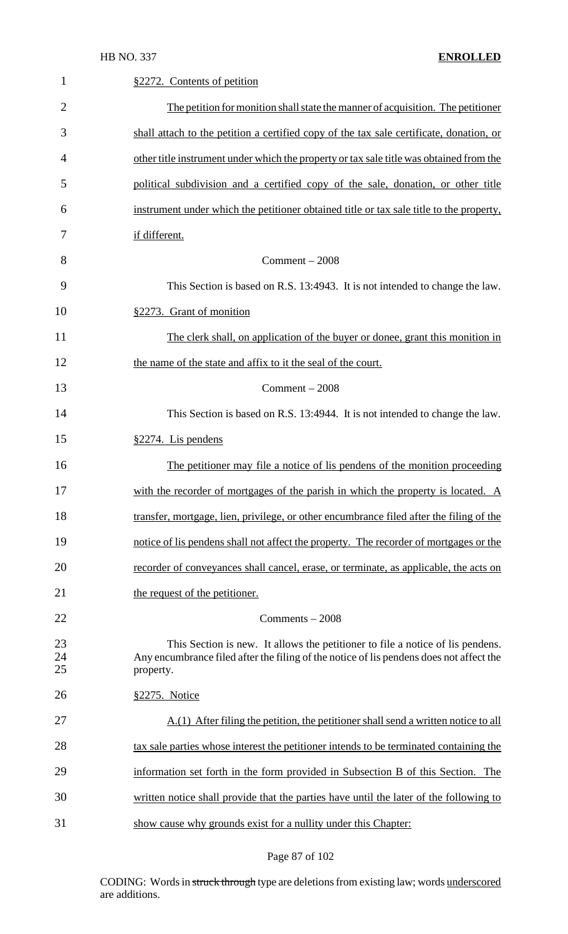1 §2272. Contents of petition

| $\overline{2}$ | The petition for monition shall state the manner of acquisition. The petitioner                                                                                                        |
|----------------|----------------------------------------------------------------------------------------------------------------------------------------------------------------------------------------|
| 3              | shall attach to the petition a certified copy of the tax sale certificate, donation, or                                                                                                |
| 4              | other title instrument under which the property or tax sale title was obtained from the                                                                                                |
| 5              | political subdivision and a certified copy of the sale, donation, or other title                                                                                                       |
| 6              | instrument under which the petitioner obtained title or tax sale title to the property,                                                                                                |
| 7              | if different.                                                                                                                                                                          |
| 8              | $Comment - 2008$                                                                                                                                                                       |
| 9              | This Section is based on R.S. 13:4943. It is not intended to change the law.                                                                                                           |
| 10             | §2273. Grant of monition                                                                                                                                                               |
| 11             | The clerk shall, on application of the buyer or donee, grant this monition in                                                                                                          |
| 12             | the name of the state and affix to it the seal of the court.                                                                                                                           |
| 13             | $Comment - 2008$                                                                                                                                                                       |
| 14             | This Section is based on R.S. 13:4944. It is not intended to change the law.                                                                                                           |
| 15             | §2274. Lis pendens                                                                                                                                                                     |
| 16             | The petitioner may file a notice of lis pendens of the monition proceeding                                                                                                             |
| 17             | with the recorder of mortgages of the parish in which the property is located. A                                                                                                       |
| 18             | transfer, mortgage, lien, privilege, or other encumbrance filed after the filing of the                                                                                                |
| 19             | notice of lis pendens shall not affect the property. The recorder of mortgages or the                                                                                                  |
| 20             | recorder of conveyances shall cancel, erase, or terminate, as applicable, the acts on                                                                                                  |
| 21             | the request of the petitioner.                                                                                                                                                         |
| 22             | Comments - 2008                                                                                                                                                                        |
| 23<br>24<br>25 | This Section is new. It allows the petitioner to file a notice of lis pendens.<br>Any encumbrance filed after the filing of the notice of lis pendens does not affect the<br>property. |
| 26             | <u>§2275. Notice</u>                                                                                                                                                                   |
| 27             | A.(1) After filing the petition, the petitioner shall send a written notice to all                                                                                                     |
| 28             | tax sale parties whose interest the petitioner intends to be terminated containing the                                                                                                 |
| 29             | information set forth in the form provided in Subsection B of this Section. The                                                                                                        |
| 30             | written notice shall provide that the parties have until the later of the following to                                                                                                 |
| 31             | show cause why grounds exist for a nullity under this Chapter:                                                                                                                         |

## Page 87 of 102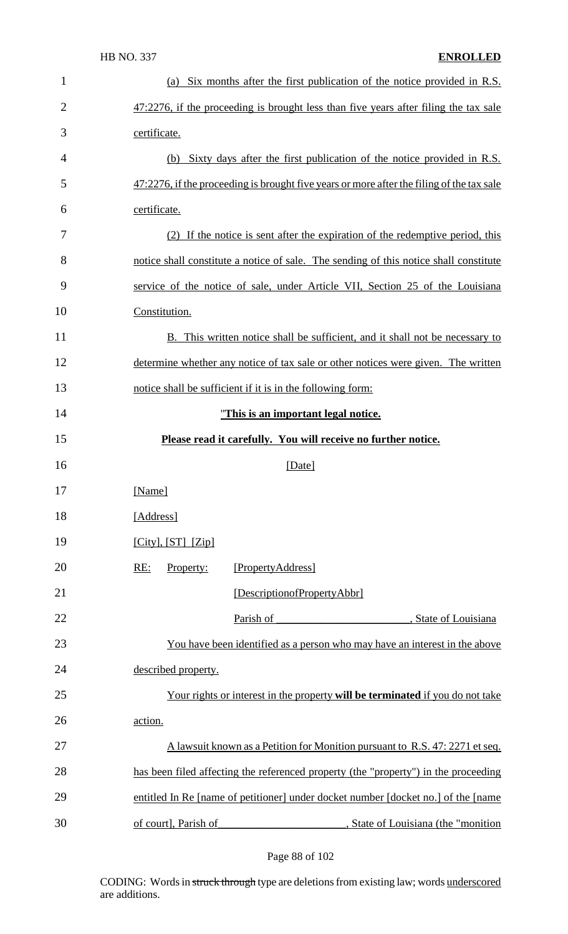| $\mathbf{1}$   | (a) Six months after the first publication of the notice provided in R.S.                 |
|----------------|-------------------------------------------------------------------------------------------|
| $\overline{2}$ | $47:2276$ , if the proceeding is brought less than five years after filing the tax sale   |
| 3              | certificate.                                                                              |
| 4              | (b) Sixty days after the first publication of the notice provided in R.S.                 |
| 5              | 47:2276, if the proceeding is brought five years or more after the filing of the tax sale |
| 6              | certificate.                                                                              |
| 7              | (2) If the notice is sent after the expiration of the redemptive period, this             |
| 8              | notice shall constitute a notice of sale. The sending of this notice shall constitute     |
| 9              | service of the notice of sale, under Article VII, Section 25 of the Louisiana             |
| 10             | Constitution.                                                                             |
| 11             | B. This written notice shall be sufficient, and it shall not be necessary to              |
| 12             | determine whether any notice of tax sale or other notices were given. The written         |
| 13             | notice shall be sufficient if it is in the following form:                                |
| 14             | "This is an important legal notice.                                                       |
| 15             | Please read it carefully. You will receive no further notice.                             |
| 16             | [Date]                                                                                    |
| 17             | [Name]                                                                                    |
| 18             | [Address]                                                                                 |
| 19             | $[City], [ST]$ $[Zip]$                                                                    |
| 20             | RE:<br>Property:<br>[PropertyAddress]                                                     |
| 21             | [DescriptionofPropertyAbbr]                                                               |
| 22             | Parish of<br>, State of Louisiana                                                         |
| 23             | You have been identified as a person who may have an interest in the above                |
| 24             | described property.                                                                       |
| 25             | Your rights or interest in the property will be terminated if you do not take             |
| 26             | action.                                                                                   |
| 27             | A lawsuit known as a Petition for Monition pursuant to R.S. 47: 2271 et seq.              |
| 28             | has been filed affecting the referenced property (the "property") in the proceeding       |
|                | entitled In Re [name of petitioner] under docket number [docket no.] of the [name         |
| 29             |                                                                                           |

Page 88 of 102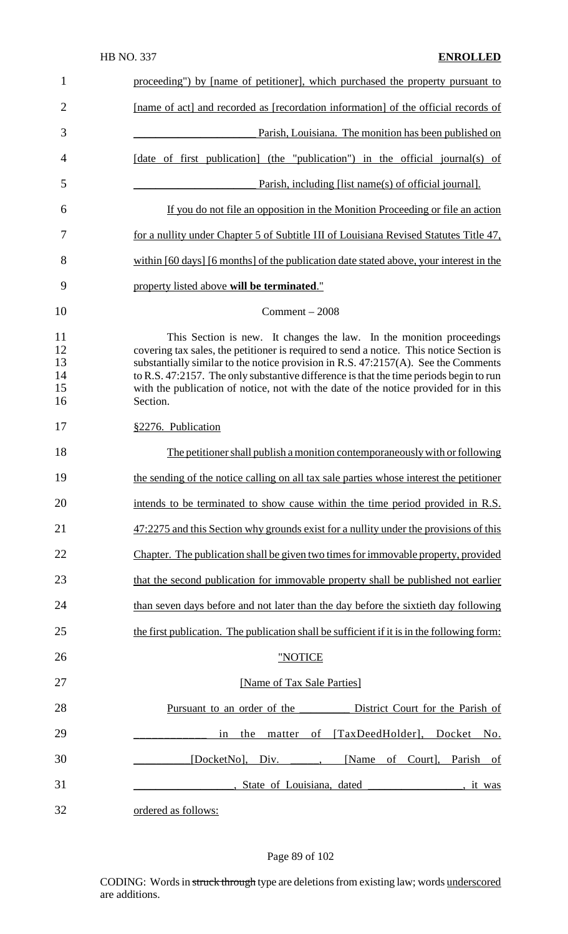| $\mathbf{1}$                     | proceeding") by [name of petitioner], which purchased the property pursuant to                                                                                                                                                                                                                                                                                                                                                                      |
|----------------------------------|-----------------------------------------------------------------------------------------------------------------------------------------------------------------------------------------------------------------------------------------------------------------------------------------------------------------------------------------------------------------------------------------------------------------------------------------------------|
| $\overline{2}$                   | [name of act] and recorded as [recordation information] of the official records of                                                                                                                                                                                                                                                                                                                                                                  |
| 3                                | Parish, Louisiana. The monition has been published on                                                                                                                                                                                                                                                                                                                                                                                               |
| 4                                | [date of first publication] (the "publication") in the official journal(s) of                                                                                                                                                                                                                                                                                                                                                                       |
| 5                                | Parish, including [list name(s) of official journal].                                                                                                                                                                                                                                                                                                                                                                                               |
| 6                                | If you do not file an opposition in the Monition Proceeding or file an action                                                                                                                                                                                                                                                                                                                                                                       |
| 7                                | for a nullity under Chapter 5 of Subtitle III of Louisiana Revised Statutes Title 47,                                                                                                                                                                                                                                                                                                                                                               |
| 8                                | within [60 days] [6 months] of the publication date stated above, your interest in the                                                                                                                                                                                                                                                                                                                                                              |
| 9                                | property listed above will be terminated."                                                                                                                                                                                                                                                                                                                                                                                                          |
| 10                               | Comment $-2008$                                                                                                                                                                                                                                                                                                                                                                                                                                     |
| 11<br>12<br>13<br>14<br>15<br>16 | This Section is new. It changes the law. In the monition proceedings<br>covering tax sales, the petitioner is required to send a notice. This notice Section is<br>substantially similar to the notice provision in R.S. 47:2157(A). See the Comments<br>to R.S. 47:2157. The only substantive difference is that the time periods begin to run<br>with the publication of notice, not with the date of the notice provided for in this<br>Section. |
| 17                               | §2276. Publication                                                                                                                                                                                                                                                                                                                                                                                                                                  |
| 18                               | The petitioner shall publish a monition contemporaneously with or following                                                                                                                                                                                                                                                                                                                                                                         |
| 19                               | the sending of the notice calling on all tax sale parties whose interest the petitioner                                                                                                                                                                                                                                                                                                                                                             |
| 20                               | intends to be terminated to show cause within the time period provided in R.S.                                                                                                                                                                                                                                                                                                                                                                      |
| 21                               | 47:2275 and this Section why grounds exist for a nullity under the provisions of this                                                                                                                                                                                                                                                                                                                                                               |
| 22                               | Chapter. The publication shall be given two times for immovable property, provided                                                                                                                                                                                                                                                                                                                                                                  |
| 23                               | that the second publication for immovable property shall be published not earlier                                                                                                                                                                                                                                                                                                                                                                   |
| 24                               | than seven days before and not later than the day before the sixtieth day following                                                                                                                                                                                                                                                                                                                                                                 |
| 25                               | the first publication. The publication shall be sufficient if it is in the following form:                                                                                                                                                                                                                                                                                                                                                          |
| 26                               | "NOTICE                                                                                                                                                                                                                                                                                                                                                                                                                                             |
| 27                               | [Name of Tax Sale Parties]                                                                                                                                                                                                                                                                                                                                                                                                                          |
| 28                               | Pursuant to an order of the<br>District Court for the Parish of                                                                                                                                                                                                                                                                                                                                                                                     |
| 29                               | of [TaxDeedHolder], Docket No.<br>in<br>the<br>matter                                                                                                                                                                                                                                                                                                                                                                                               |
| 30                               | [DocketNo], Div. _____, [Name of Court], Parish of                                                                                                                                                                                                                                                                                                                                                                                                  |
| 31                               | State of Louisiana, dated<br><u>tit was</u>                                                                                                                                                                                                                                                                                                                                                                                                         |
| 32                               | ordered as follows:                                                                                                                                                                                                                                                                                                                                                                                                                                 |

## Page 89 of 102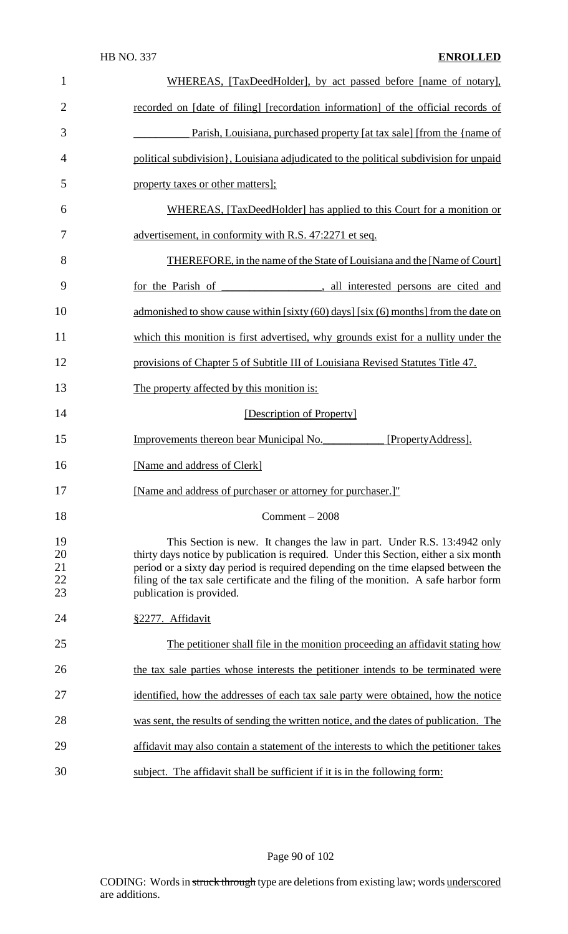| $\mathbf{1}$               | WHEREAS, [TaxDeedHolder], by act passed before [name of notary],                                                                                                                                                                                                                                                                                                             |
|----------------------------|------------------------------------------------------------------------------------------------------------------------------------------------------------------------------------------------------------------------------------------------------------------------------------------------------------------------------------------------------------------------------|
| $\overline{2}$             | recorded on [date of filing] [recordation information] of the official records of                                                                                                                                                                                                                                                                                            |
| 3                          | Parish, Louisiana, purchased property [at tax sale] [from the {name of                                                                                                                                                                                                                                                                                                       |
| 4                          | political subdivision, Louisiana adjudicated to the political subdivision for unpaid                                                                                                                                                                                                                                                                                         |
| 5                          | property taxes or other matters];                                                                                                                                                                                                                                                                                                                                            |
| 6                          | WHEREAS, [TaxDeedHolder] has applied to this Court for a monition or                                                                                                                                                                                                                                                                                                         |
| 7                          | advertisement, in conformity with R.S. 47:2271 et seq.                                                                                                                                                                                                                                                                                                                       |
| 8                          | THEREFORE, in the name of the State of Louisiana and the [Name of Court]                                                                                                                                                                                                                                                                                                     |
| 9                          | for the Parish of<br>all interested persons are cited and                                                                                                                                                                                                                                                                                                                    |
| 10                         | admonished to show cause within [sixty (60) days] [six (6) months] from the date on                                                                                                                                                                                                                                                                                          |
| 11                         | which this monition is first advertised, why grounds exist for a nullity under the                                                                                                                                                                                                                                                                                           |
| 12                         | provisions of Chapter 5 of Subtitle III of Louisiana Revised Statutes Title 47.                                                                                                                                                                                                                                                                                              |
| 13                         | The property affected by this monition is:                                                                                                                                                                                                                                                                                                                                   |
| 14                         | [Description of Property]                                                                                                                                                                                                                                                                                                                                                    |
| 15                         | Improvements thereon bear Municipal No.<br>[PropertyAddress].                                                                                                                                                                                                                                                                                                                |
| 16                         | [Name and address of Clerk]                                                                                                                                                                                                                                                                                                                                                  |
| 17                         | [Name and address of purchaser or attorney for purchaser.]"                                                                                                                                                                                                                                                                                                                  |
| 18                         | $Comment - 2008$                                                                                                                                                                                                                                                                                                                                                             |
| 19<br>20<br>21<br>22<br>23 | This Section is new. It changes the law in part. Under R.S. 13:4942 only<br>thirty days notice by publication is required. Under this Section, either a six month<br>period or a sixty day period is required depending on the time elapsed between the<br>filing of the tax sale certificate and the filing of the monition. A safe harbor form<br>publication is provided. |
| 24                         | §2277. Affidavit                                                                                                                                                                                                                                                                                                                                                             |
| 25                         | The petitioner shall file in the monition proceeding an affidavit stating how                                                                                                                                                                                                                                                                                                |
| 26                         | the tax sale parties whose interests the petitioner intends to be terminated were                                                                                                                                                                                                                                                                                            |
| 27                         | identified, how the addresses of each tax sale party were obtained, how the notice                                                                                                                                                                                                                                                                                           |
| 28                         | was sent, the results of sending the written notice, and the dates of publication. The                                                                                                                                                                                                                                                                                       |
| 29                         | affidavit may also contain a statement of the interests to which the petitioner takes                                                                                                                                                                                                                                                                                        |
| 30                         | subject. The affidavit shall be sufficient if it is in the following form:                                                                                                                                                                                                                                                                                                   |

Page 90 of 102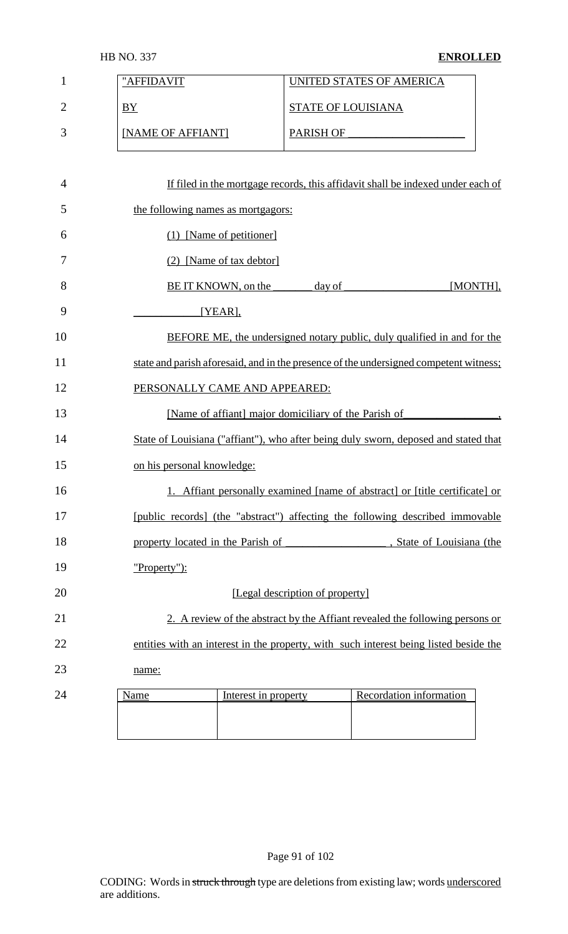| <b>HB NO. 337</b> |
|-------------------|
|-------------------|

## **ENROLLED**

| $\mathbf{1}$   | "AFFIDAVIT                                                                            |                                 | UNITED STATES OF AMERICA                                                        |  |
|----------------|---------------------------------------------------------------------------------------|---------------------------------|---------------------------------------------------------------------------------|--|
| $\overline{2}$ | BY                                                                                    | <b>STATE OF LOUISIANA</b>       |                                                                                 |  |
| 3              | [NAME OF AFFIANT]                                                                     |                                 | PARISH OF                                                                       |  |
|                |                                                                                       |                                 |                                                                                 |  |
| $\overline{4}$ |                                                                                       |                                 | If filed in the mortgage records, this affidavit shall be indexed under each of |  |
| 5              | the following names as mortgagors:                                                    |                                 |                                                                                 |  |
| 6              | (1) [Name of petitioner]                                                              |                                 |                                                                                 |  |
| 7              | (2) [Name of tax debtor]                                                              |                                 |                                                                                 |  |
| 8              | BE IT KNOWN, on the                                                                   | day of                          | [MONTH],                                                                        |  |
| 9              | $[YEAR]$ ,                                                                            |                                 |                                                                                 |  |
| 10             |                                                                                       |                                 | BEFORE ME, the undersigned notary public, duly qualified in and for the         |  |
| 11             | state and parish aforesaid, and in the presence of the undersigned competent witness; |                                 |                                                                                 |  |
| 12             | PERSONALLY CAME AND APPEARED:                                                         |                                 |                                                                                 |  |
| 13             | [Name of affiant] major domiciliary of the Parish of                                  |                                 |                                                                                 |  |
| 14             | State of Louisiana ("affiant"), who after being duly sworn, deposed and stated that   |                                 |                                                                                 |  |
| 15             | on his personal knowledge:                                                            |                                 |                                                                                 |  |
| 16             |                                                                                       |                                 | 1. Affiant personally examined [name of abstract] or [title certificate] or     |  |
| 17             | [public records] (the "abstract") affecting the following described immovable         |                                 |                                                                                 |  |
| 18             | property located in the Parish of                                                     |                                 | , State of Louisiana (the                                                       |  |
| 19             | "Property"):                                                                          |                                 |                                                                                 |  |
| 20             |                                                                                       | [Legal description of property] |                                                                                 |  |
| 21             |                                                                                       |                                 | 2. A review of the abstract by the Affiant revealed the following persons or    |  |
| 22             | entities with an interest in the property, with such interest being listed beside the |                                 |                                                                                 |  |
| 23             | name:                                                                                 |                                 |                                                                                 |  |
| 24             | Interest in property<br>Name                                                          |                                 | Recordation information                                                         |  |
|                |                                                                                       |                                 |                                                                                 |  |
|                |                                                                                       |                                 |                                                                                 |  |

Page 91 of 102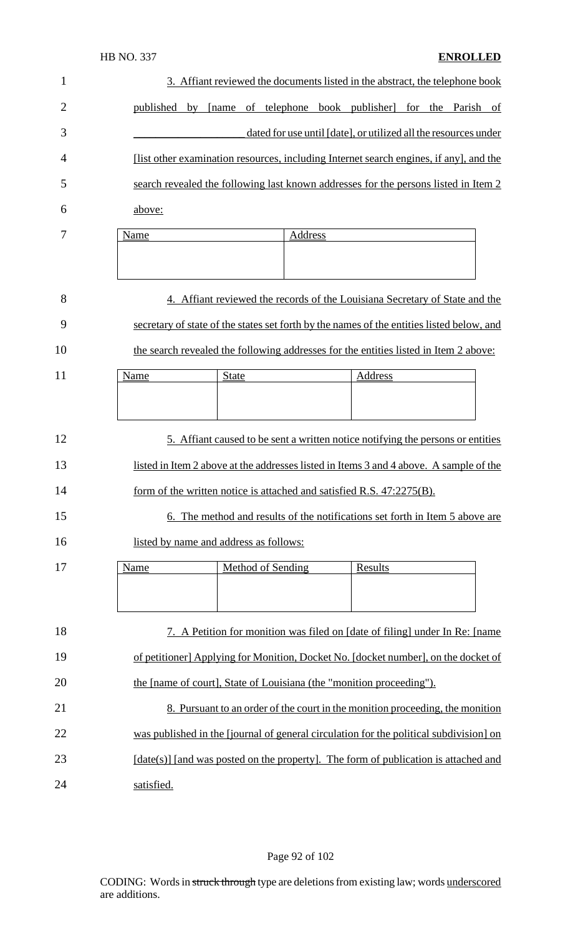| $\mathbf{1}$   |            | 3. Affiant reviewed the documents listed in the abstract, the telephone book              |         |         |                                                                 |
|----------------|------------|-------------------------------------------------------------------------------------------|---------|---------|-----------------------------------------------------------------|
| $\overline{2}$ | published  | by [name of telephone book publisher] for the Parish of                                   |         |         |                                                                 |
| 3              |            |                                                                                           |         |         | dated for use until [date], or utilized all the resources under |
| 4              |            | [list other examination resources, including Internet search engines, if any], and the    |         |         |                                                                 |
| 5              |            | search revealed the following last known addresses for the persons listed in Item 2       |         |         |                                                                 |
| 6              | above:     |                                                                                           |         |         |                                                                 |
| 7              | Name       | Address                                                                                   |         |         |                                                                 |
|                |            |                                                                                           |         |         |                                                                 |
| 8              |            | 4. Affiant reviewed the records of the Louisiana Secretary of State and the               |         |         |                                                                 |
| 9              |            | secretary of state of the states set forth by the names of the entities listed below, and |         |         |                                                                 |
| 10             |            | the search revealed the following addresses for the entities listed in Item 2 above:      |         |         |                                                                 |
| 11             | Name       | <b>State</b>                                                                              |         | Address |                                                                 |
|                |            |                                                                                           |         |         |                                                                 |
| 12             |            | 5. Affiant caused to be sent a written notice notifying the persons or entities           |         |         |                                                                 |
| 13             |            | listed in Item 2 above at the addresses listed in Items 3 and 4 above. A sample of the    |         |         |                                                                 |
| 14             |            | form of the written notice is attached and satisfied R.S. 47:2275(B).                     |         |         |                                                                 |
| 15             |            | 6. The method and results of the notifications set forth in Item 5 above are              |         |         |                                                                 |
| 16             |            | listed by name and address as follows:                                                    |         |         |                                                                 |
| 17             | Name       | <b>Method of Sending</b>                                                                  | Results |         |                                                                 |
|                |            |                                                                                           |         |         |                                                                 |
| 18             |            | 7. A Petition for monition was filed on [date of filing] under In Re: [name]              |         |         |                                                                 |
| 19             |            | of petitioner] Applying for Monition, Docket No. [docket number], on the docket of        |         |         |                                                                 |
| 20             |            | the [name of court], State of Louisiana (the "monition proceeding").                      |         |         |                                                                 |
| 21             |            | 8. Pursuant to an order of the court in the monition proceeding, the monition             |         |         |                                                                 |
| 22             |            | was published in the [journal of general circulation for the political subdivision] on    |         |         |                                                                 |
| 23             |            | $[date(s)]$ [and was posted on the property]. The form of publication is attached and     |         |         |                                                                 |
| 24             | satisfied. |                                                                                           |         |         |                                                                 |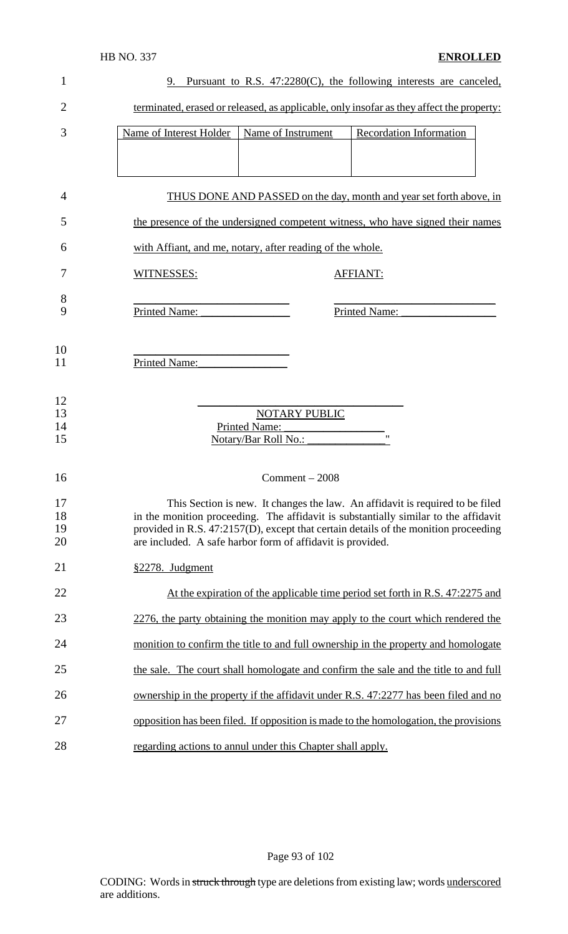| 1        | 9. Pursuant to R.S. 47:2280(C), the following interests are canceled,                    |
|----------|------------------------------------------------------------------------------------------|
| 2        | terminated, erased or released, as applicable, only insofar as they affect the property: |
| 3        | Recordation Information<br>Name of Interest Holder<br>Name of Instrument                 |
|          |                                                                                          |
| 4        | THUS DONE AND PASSED on the day, month and year set forth above, in                      |
| 5        | the presence of the undersigned competent witness, who have signed their names           |
| 6        | with Affiant, and me, notary, after reading of the whole.                                |
| 7        | WITNESSES:<br><b>AFFIANT:</b>                                                            |
| 8<br>9   | Printed Name:<br>Printed Name:                                                           |
| 10<br>11 | Printed Name:                                                                            |
| 12       |                                                                                          |
| 13       | <b>NOTARY PUBLIC</b>                                                                     |
| 14       | <b>Printed Name:</b>                                                                     |
| 15       | $^{\prime\prime}$<br>Notary/Bar Roll No.:                                                |
| 16       | $Comment - 2008$                                                                         |
| 17       | This Section is new. It changes the law. An affidavit is required to be filed            |
| 18       | in the monition proceeding. The affidavit is substantially similar to the affidavit      |
| 19       | provided in R.S. 47:2157(D), except that certain details of the monition proceeding      |
| 20       | are included. A safe harbor form of affidavit is provided.                               |
| 21       | §2278. Judgment                                                                          |
| 22       | At the expiration of the applicable time period set forth in R.S. 47:2275 and            |
| 23       | 2276, the party obtaining the monition may apply to the court which rendered the         |
| 24       | monition to confirm the title to and full ownership in the property and homologate       |
| 25       | the sale. The court shall homologate and confirm the sale and the title to and full      |
| 26       | ownership in the property if the affidavit under R.S. 47:2277 has been filed and no      |
| 27       | opposition has been filed. If opposition is made to the homologation, the provisions     |
| 28       | regarding actions to annul under this Chapter shall apply.                               |

Page 93 of 102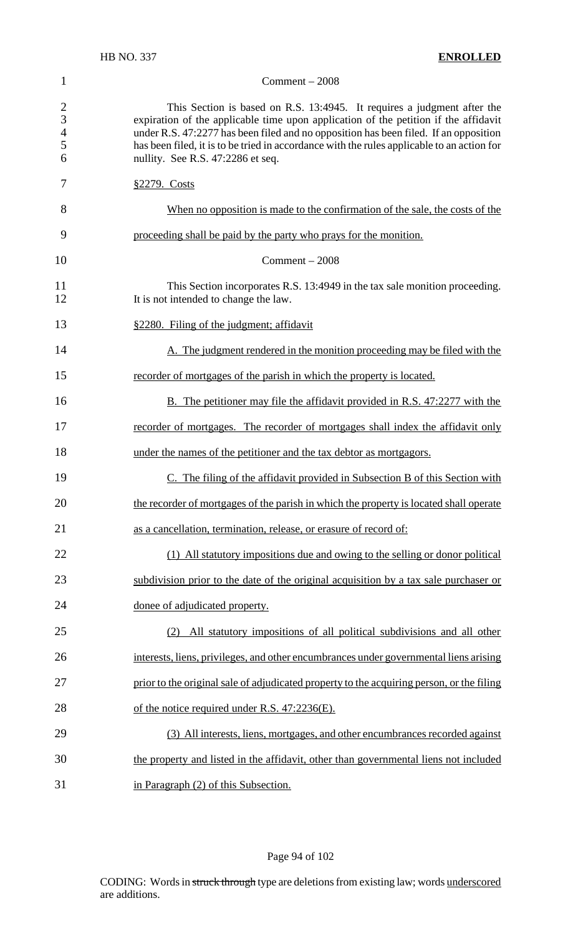#### Comment – 2008

2 This Section is based on R.S. 13:4945. It requires a judgment after the expiration of the applicable time upon application of the petition if the affidavit 3 expiration of the applicable time upon application of the petition if the affidavit under R.S. 47:2277 has been filed and no opposition has been filed. If an opposition 4 under R.S. 47:2277 has been filed and no opposition has been filed. If an opposition<br>5 has been filed, it is to be tried in accordance with the rules applicable to an action for 5 has been filed, it is to be tried in accordance with the rules applicable to an action for nullity. See R.S. 47:2286 et seq. nullity. See R.S. 47:2286 et seq.

| 7        | §2279. Costs                                                                                                         |
|----------|----------------------------------------------------------------------------------------------------------------------|
| 8        | When no opposition is made to the confirmation of the sale, the costs of the                                         |
| 9        | proceeding shall be paid by the party who prays for the monition.                                                    |
| 10       | $Comment - 2008$                                                                                                     |
| 11<br>12 | This Section incorporates R.S. 13:4949 in the tax sale monition proceeding.<br>It is not intended to change the law. |
| 13       | §2280. Filing of the judgment; affidavit                                                                             |
| 14       | A. The judgment rendered in the monition proceeding may be filed with the                                            |
| 15       | recorder of mortgages of the parish in which the property is located.                                                |
| 16       | <b>B.</b> The petitioner may file the affidavit provided in R.S. 47:2277 with the                                    |
| 17       | recorder of mortgages. The recorder of mortgages shall index the affidavit only                                      |
| 18       | under the names of the petitioner and the tax debtor as mortgagors.                                                  |
| 19       | C. The filing of the affidavit provided in Subsection B of this Section with                                         |
| 20       | the recorder of mortgages of the parish in which the property is located shall operate                               |
| 21       | as a cancellation, termination, release, or erasure of record of:                                                    |
| 22       | (1) All statutory impositions due and owing to the selling or donor political                                        |
| 23       | subdivision prior to the date of the original acquisition by a tax sale purchaser or                                 |
| 24       | donee of adjudicated property.                                                                                       |
| 25       | (2) All statutory impositions of all political subdivisions and all other                                            |
| 26       | interests, liens, privileges, and other encumbrances under governmental liens arising                                |
| 27       | prior to the original sale of adjudicated property to the acquiring person, or the filing                            |
| 28       | of the notice required under R.S. 47:2236(E).                                                                        |
| 29       | (3) All interests, liens, mortgages, and other encumbrances recorded against                                         |
| 30       | the property and listed in the affidavit, other than governmental liens not included                                 |
| 31       | in Paragraph (2) of this Subsection.                                                                                 |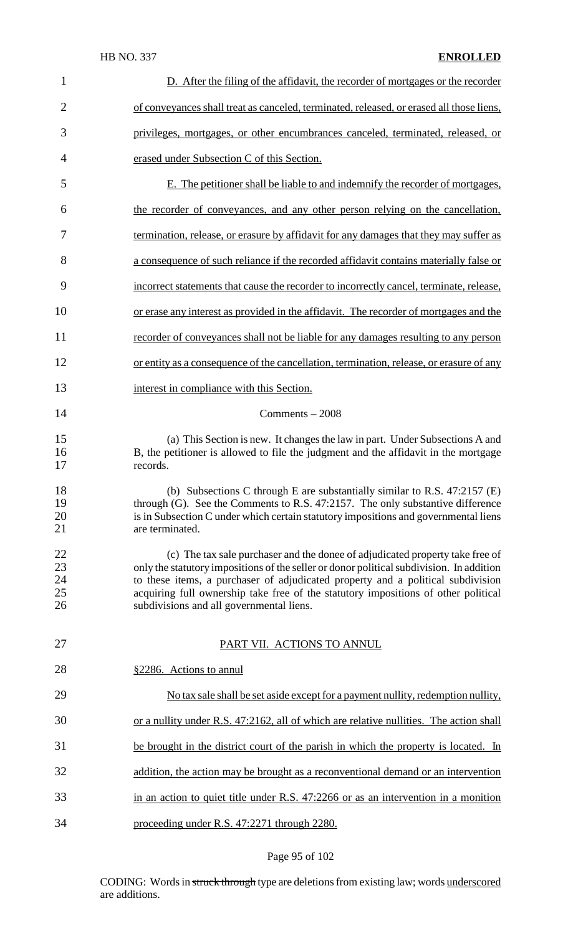## HB NO. 337 **ENROLLED**

| 1                          | D. After the filing of the affidavit, the recorder of mortgages or the recorder                                                                                                                                                                                                                                                                                                                |
|----------------------------|------------------------------------------------------------------------------------------------------------------------------------------------------------------------------------------------------------------------------------------------------------------------------------------------------------------------------------------------------------------------------------------------|
| $\overline{2}$             | of conveyances shall treat as canceled, terminated, released, or erased all those liens,                                                                                                                                                                                                                                                                                                       |
| 3                          | privileges, mortgages, or other encumbrances canceled, terminated, released, or                                                                                                                                                                                                                                                                                                                |
| 4                          | erased under Subsection C of this Section.                                                                                                                                                                                                                                                                                                                                                     |
| 5                          | E. The petitioner shall be liable to and indemnify the recorder of mortgages,                                                                                                                                                                                                                                                                                                                  |
| 6                          | the recorder of conveyances, and any other person relying on the cancellation,                                                                                                                                                                                                                                                                                                                 |
| 7                          | termination, release, or erasure by affidavit for any damages that they may suffer as                                                                                                                                                                                                                                                                                                          |
| 8                          | a consequence of such reliance if the recorded affidavit contains materially false or                                                                                                                                                                                                                                                                                                          |
| 9                          | incorrect statements that cause the recorder to incorrectly cancel, terminate, release,                                                                                                                                                                                                                                                                                                        |
| 10                         | or erase any interest as provided in the affidavit. The recorder of mortgages and the                                                                                                                                                                                                                                                                                                          |
| 11                         | recorder of conveyances shall not be liable for any damages resulting to any person                                                                                                                                                                                                                                                                                                            |
| 12                         | or entity as a consequence of the cancellation, termination, release, or erasure of any                                                                                                                                                                                                                                                                                                        |
| 13                         | interest in compliance with this Section.                                                                                                                                                                                                                                                                                                                                                      |
| 14                         | Comments $-2008$                                                                                                                                                                                                                                                                                                                                                                               |
| 15<br>16<br>17             | (a) This Section is new. It changes the law in part. Under Subsections A and<br>B, the petitioner is allowed to file the judgment and the affidavit in the mortgage<br>records.                                                                                                                                                                                                                |
| 18<br>19<br>20<br>21       | (b) Subsections C through E are substantially similar to R.S. $47:2157$ (E)<br>through (G). See the Comments to R.S. 47:2157. The only substantive difference<br>is in Subsection C under which certain statutory impositions and governmental liens<br>are terminated.                                                                                                                        |
| 22<br>23<br>24<br>25<br>26 | (c) The tax sale purchaser and the donee of adjudicated property take free of<br>only the statutory impositions of the seller or donor political subdivision. In addition<br>to these items, a purchaser of adjudicated property and a political subdivision<br>acquiring full ownership take free of the statutory impositions of other political<br>subdivisions and all governmental liens. |
| 27                         | PART VII. ACTIONS TO ANNUL                                                                                                                                                                                                                                                                                                                                                                     |
| 28                         | §2286. Actions to annul                                                                                                                                                                                                                                                                                                                                                                        |
| 29                         | No tax sale shall be set aside except for a payment nullity, redemption nullity,                                                                                                                                                                                                                                                                                                               |
| 30                         | or a nullity under R.S. 47:2162, all of which are relative nullities. The action shall                                                                                                                                                                                                                                                                                                         |
| 31                         | be brought in the district court of the parish in which the property is located. In                                                                                                                                                                                                                                                                                                            |
| 32                         | addition, the action may be brought as a reconventional demand or an intervention                                                                                                                                                                                                                                                                                                              |
| 33                         | in an action to quiet title under R.S. 47:2266 or as an intervention in a monition                                                                                                                                                                                                                                                                                                             |
| 34                         | proceeding under R.S. 47:2271 through 2280.                                                                                                                                                                                                                                                                                                                                                    |

## Page 95 of 102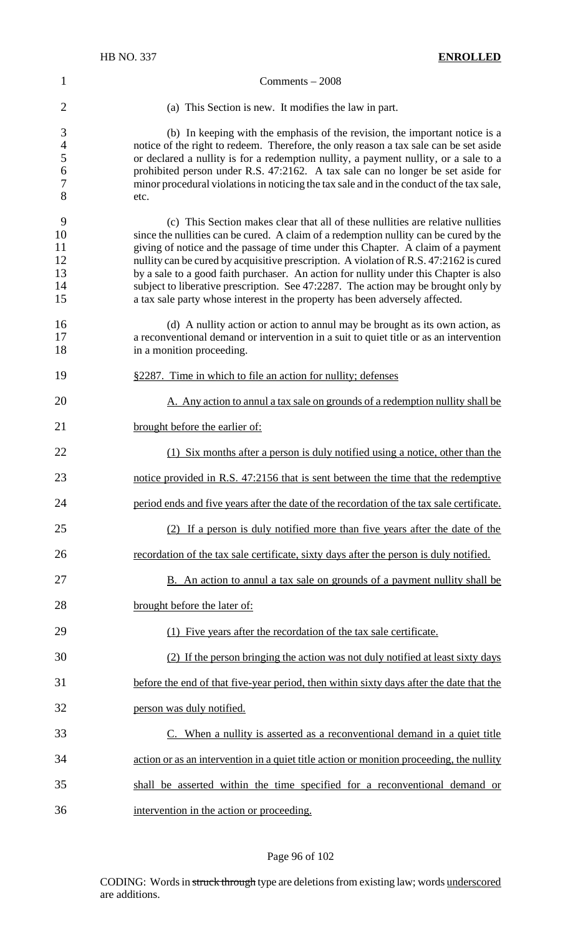# HB NO. 337 **ENROLLED** Comments – 2008 (a) This Section is new. It modifies the law in part. (b) In keeping with the emphasis of the revision, the important notice is a 4 notice of the right to redeem. Therefore, the only reason a tax sale can be set aside<br>5 or declared a nullity is for a redemption nullity, a payment nullity, or a sale to a or declared a nullity is for a redemption nullity, a payment nullity, or a sale to a prohibited person under R.S. 47:2162. A tax sale can no longer be set aside for minor procedural violationsin noticing the tax sale and in the conduct of the tax sale, etc. (c) This Section makes clear that all of these nullities are relative nullities since the nullities can be cured. A claim of a redemption nullity can be cured by the giving of notice and the passage of time under this Chapter. A claim of a payment 12 nullity can be cured by acquisitive prescription. A violation of R.S. 47:2162 is cured 13 by a sale to a good faith purchaser. An action for nullity under this Chapter is also subject to liberative prescription. See 47:2287. The action may be brought only by a tax sale party whose interest in the property has been adversely affected. (d) A nullity action or action to annul may be brought as its own action, as a reconventional demand or intervention in a suit to quiet title or as an intervention 18 in a monition proceeding. §2287. Time in which to file an action for nullity; defenses A. Any action to annul a tax sale on grounds of a redemption nullity shall be brought before the earlier of: (1) Six months after a person is duly notified using a notice, other than the notice provided in R.S. 47:2156 that is sent between the time that the redemptive period ends and five years after the date of the recordation of the tax sale certificate. (2) If a person is duly notified more than five years after the date of the 26 recordation of the tax sale certificate, sixty days after the person is duly notified. 27 B. An action to annul a tax sale on grounds of a payment nullity shall be brought before the later of: (1) Five years after the recordation of the tax sale certificate. (2) If the person bringing the action was not duly notified at least sixty days before the end of that five-year period, then within sixty days after the date that the person was duly notified. C. When a nullity is asserted as a reconventional demand in a quiet title action or as an intervention in a quiet title action or monition proceeding, the nullity shall be asserted within the time specified for a reconventional demand or intervention in the action or proceeding.

#### Page 96 of 102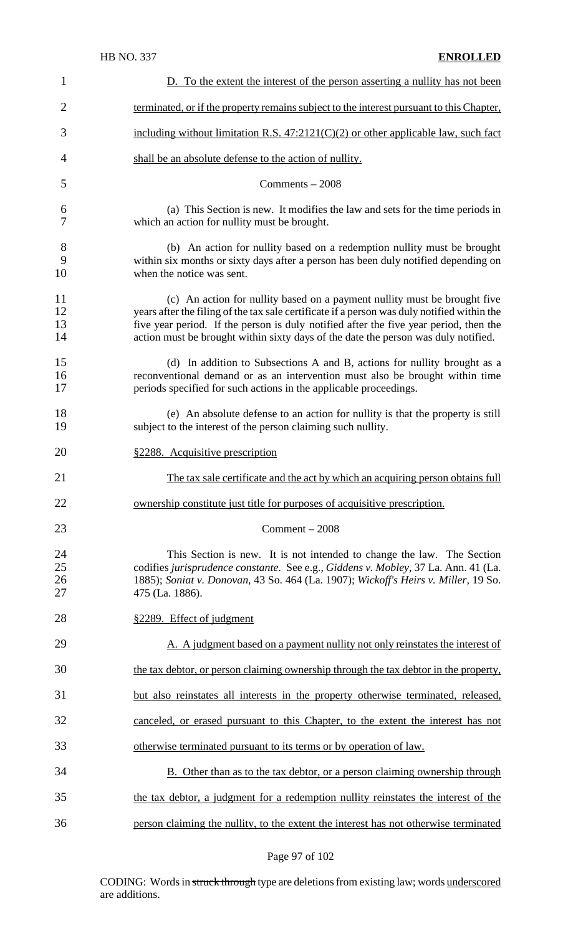| $\mathbf{1}$              | D. To the extent the interest of the person asserting a nullity has not been                                                                                                                                                                                                                                                                            |
|---------------------------|---------------------------------------------------------------------------------------------------------------------------------------------------------------------------------------------------------------------------------------------------------------------------------------------------------------------------------------------------------|
| $\overline{2}$            | terminated, or if the property remains subject to the interest pursuant to this Chapter,                                                                                                                                                                                                                                                                |
| 3                         | including without limitation R.S. $47:2121(C)(2)$ or other applicable law, such fact                                                                                                                                                                                                                                                                    |
| 4                         | shall be an absolute defense to the action of nullity.                                                                                                                                                                                                                                                                                                  |
| 5                         | $Comments - 2008$                                                                                                                                                                                                                                                                                                                                       |
| 6<br>7                    | (a) This Section is new. It modifies the law and sets for the time periods in<br>which an action for nullity must be brought.                                                                                                                                                                                                                           |
| $8\phantom{1}$<br>9<br>10 | (b) An action for nullity based on a redemption nullity must be brought<br>within six months or sixty days after a person has been duly notified depending on<br>when the notice was sent.                                                                                                                                                              |
| 11<br>12<br>13<br>14      | (c) An action for nullity based on a payment nullity must be brought five<br>years after the filing of the tax sale certificate if a person was duly notified within the<br>five year period. If the person is duly notified after the five year period, then the<br>action must be brought within sixty days of the date the person was duly notified. |
| 15<br>16<br>17            | (d) In addition to Subsections A and B, actions for nullity brought as a<br>reconventional demand or as an intervention must also be brought within time<br>periods specified for such actions in the applicable proceedings.                                                                                                                           |
| 18<br>19                  | (e) An absolute defense to an action for nullity is that the property is still<br>subject to the interest of the person claiming such nullity.                                                                                                                                                                                                          |
| 20                        | §2288. Acquisitive prescription                                                                                                                                                                                                                                                                                                                         |
| 21                        | The tax sale certificate and the act by which an acquiring person obtains full                                                                                                                                                                                                                                                                          |
| 22                        | ownership constitute just title for purposes of acquisitive prescription.                                                                                                                                                                                                                                                                               |
| 23                        | $Comment - 2008$                                                                                                                                                                                                                                                                                                                                        |
| 24<br>25<br>26<br>27      | This Section is new. It is not intended to change the law. The Section<br>codifies jurisprudence constante. See e.g., Giddens v. Mobley, 37 La. Ann. 41 (La.<br>1885); Soniat v. Donovan, 43 So. 464 (La. 1907); Wickoff's Heirs v. Miller, 19 So.<br>475 (La. 1886).                                                                                   |
| 28                        | §2289. Effect of judgment                                                                                                                                                                                                                                                                                                                               |
| 29                        | A. A judgment based on a payment nullity not only reinstates the interest of                                                                                                                                                                                                                                                                            |
| 30                        | the tax debtor, or person claiming ownership through the tax debtor in the property,                                                                                                                                                                                                                                                                    |
| 31                        | but also reinstates all interests in the property otherwise terminated, released,                                                                                                                                                                                                                                                                       |
| 32                        | canceled, or erased pursuant to this Chapter, to the extent the interest has not                                                                                                                                                                                                                                                                        |
| 33                        | otherwise terminated pursuant to its terms or by operation of law.                                                                                                                                                                                                                                                                                      |
| 34                        | <b>B.</b> Other than as to the tax debtor, or a person claiming ownership through                                                                                                                                                                                                                                                                       |
| 35                        | the tax debtor, a judgment for a redemption nullity reinstates the interest of the                                                                                                                                                                                                                                                                      |
| 36                        | person claiming the nullity, to the extent the interest has not otherwise terminated                                                                                                                                                                                                                                                                    |

Page 97 of 102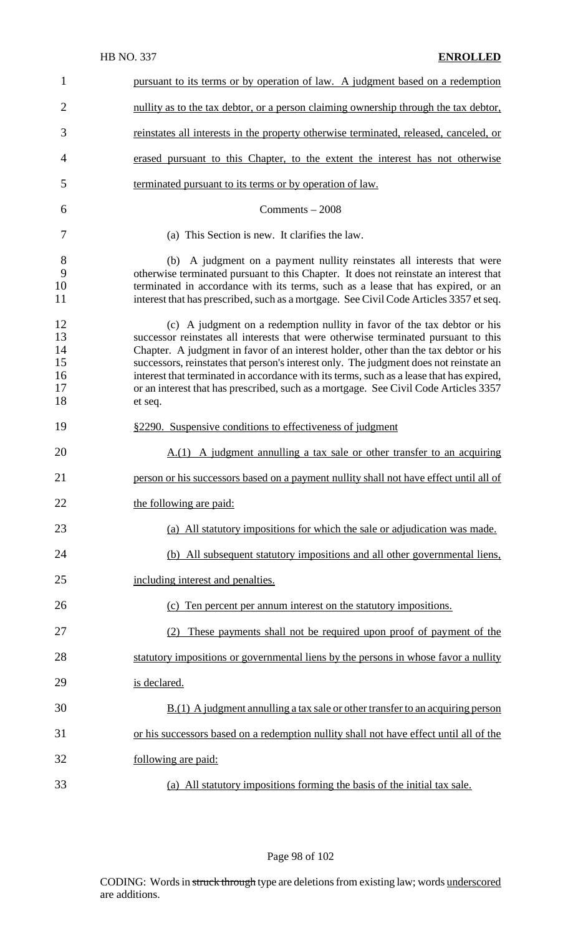## HB NO. 337 **ENROLLED**

| 1                                      | pursuant to its terms or by operation of law. A judgment based on a redemption                                                                                                                                                                                                                                                                                                                                                                                                                                                                  |
|----------------------------------------|-------------------------------------------------------------------------------------------------------------------------------------------------------------------------------------------------------------------------------------------------------------------------------------------------------------------------------------------------------------------------------------------------------------------------------------------------------------------------------------------------------------------------------------------------|
| $\overline{2}$                         | nullity as to the tax debtor, or a person claiming ownership through the tax debtor,                                                                                                                                                                                                                                                                                                                                                                                                                                                            |
| 3                                      | reinstates all interests in the property otherwise terminated, released, canceled, or                                                                                                                                                                                                                                                                                                                                                                                                                                                           |
| 4                                      | erased pursuant to this Chapter, to the extent the interest has not otherwise                                                                                                                                                                                                                                                                                                                                                                                                                                                                   |
| 5                                      | terminated pursuant to its terms or by operation of law.                                                                                                                                                                                                                                                                                                                                                                                                                                                                                        |
| 6                                      | $Comments - 2008$                                                                                                                                                                                                                                                                                                                                                                                                                                                                                                                               |
| 7                                      | (a) This Section is new. It clarifies the law.                                                                                                                                                                                                                                                                                                                                                                                                                                                                                                  |
| 8<br>9<br>10<br>11                     | (b) A judgment on a payment nullity reinstates all interests that were<br>otherwise terminated pursuant to this Chapter. It does not reinstate an interest that<br>terminated in accordance with its terms, such as a lease that has expired, or an<br>interest that has prescribed, such as a mortgage. See Civil Code Articles 3357 et seq.                                                                                                                                                                                                   |
| 12<br>13<br>14<br>15<br>16<br>17<br>18 | (c) A judgment on a redemption nullity in favor of the tax debtor or his<br>successor reinstates all interests that were otherwise terminated pursuant to this<br>Chapter. A judgment in favor of an interest holder, other than the tax debtor or his<br>successors, reinstates that person's interest only. The judgment does not reinstate an<br>interest that terminated in accordance with its terms, such as a lease that has expired,<br>or an interest that has prescribed, such as a mortgage. See Civil Code Articles 3357<br>et seq. |
| 19                                     | §2290. Suspensive conditions to effectiveness of judgment                                                                                                                                                                                                                                                                                                                                                                                                                                                                                       |
| 20                                     | A.(1) A judgment annulling a tax sale or other transfer to an acquiring                                                                                                                                                                                                                                                                                                                                                                                                                                                                         |
| 21                                     | person or his successors based on a payment nullity shall not have effect until all of                                                                                                                                                                                                                                                                                                                                                                                                                                                          |
| 22                                     | the following are paid:                                                                                                                                                                                                                                                                                                                                                                                                                                                                                                                         |
| 23                                     | (a) All statutory impositions for which the sale or adjudication was made.                                                                                                                                                                                                                                                                                                                                                                                                                                                                      |
| 24                                     | (b) All subsequent statutory impositions and all other governmental liens,                                                                                                                                                                                                                                                                                                                                                                                                                                                                      |
| 25                                     | including interest and penalties.                                                                                                                                                                                                                                                                                                                                                                                                                                                                                                               |
| 26                                     | (c) Ten percent per annum interest on the statutory impositions.                                                                                                                                                                                                                                                                                                                                                                                                                                                                                |
| 27                                     | (2) These payments shall not be required upon proof of payment of the                                                                                                                                                                                                                                                                                                                                                                                                                                                                           |
| 28                                     | statutory impositions or governmental liens by the persons in whose favor a nullity                                                                                                                                                                                                                                                                                                                                                                                                                                                             |
| 29                                     | is declared.                                                                                                                                                                                                                                                                                                                                                                                                                                                                                                                                    |
| 30                                     | $B(1)$ A judgment annulling a tax sale or other transfer to an acquiring person                                                                                                                                                                                                                                                                                                                                                                                                                                                                 |
| 31                                     | or his successors based on a redemption nullity shall not have effect until all of the                                                                                                                                                                                                                                                                                                                                                                                                                                                          |
| 32                                     | following are paid:                                                                                                                                                                                                                                                                                                                                                                                                                                                                                                                             |
| 33                                     | (a) All statutory impositions forming the basis of the initial tax sale.                                                                                                                                                                                                                                                                                                                                                                                                                                                                        |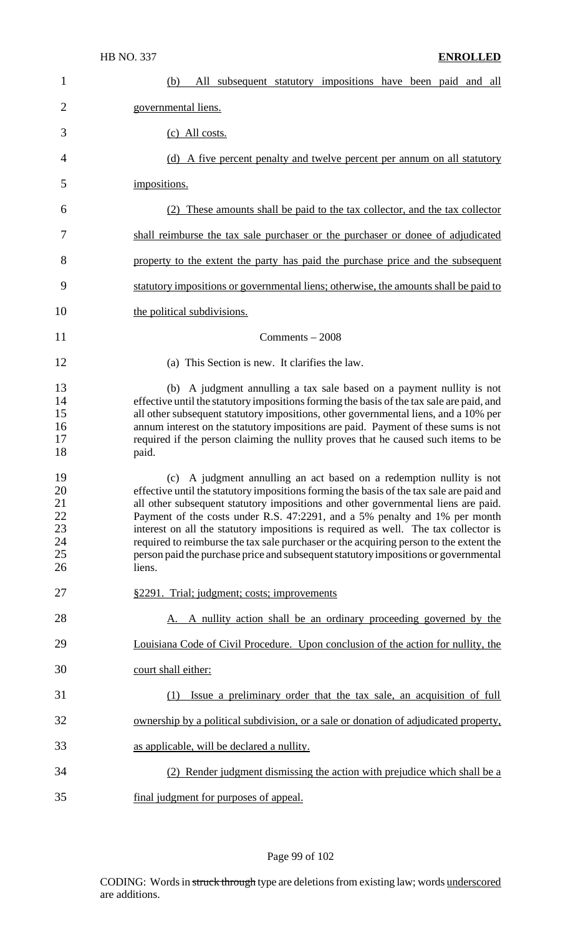| 1                                            | All subsequent statutory impositions have been paid and all<br>(b)                                                                                                                                                                                                                                                                                                                                                                                                                                                                                                                                                    |
|----------------------------------------------|-----------------------------------------------------------------------------------------------------------------------------------------------------------------------------------------------------------------------------------------------------------------------------------------------------------------------------------------------------------------------------------------------------------------------------------------------------------------------------------------------------------------------------------------------------------------------------------------------------------------------|
| $\overline{2}$                               | governmental liens.                                                                                                                                                                                                                                                                                                                                                                                                                                                                                                                                                                                                   |
| 3                                            | (c) All costs.                                                                                                                                                                                                                                                                                                                                                                                                                                                                                                                                                                                                        |
| 4                                            | (d) A five percent penalty and twelve percent per annum on all statutory                                                                                                                                                                                                                                                                                                                                                                                                                                                                                                                                              |
| 5                                            | impositions.                                                                                                                                                                                                                                                                                                                                                                                                                                                                                                                                                                                                          |
| 6                                            | (2) These amounts shall be paid to the tax collector, and the tax collector                                                                                                                                                                                                                                                                                                                                                                                                                                                                                                                                           |
| 7                                            | shall reimburse the tax sale purchaser or the purchaser or donee of adjudicated                                                                                                                                                                                                                                                                                                                                                                                                                                                                                                                                       |
| 8                                            | property to the extent the party has paid the purchase price and the subsequent                                                                                                                                                                                                                                                                                                                                                                                                                                                                                                                                       |
| 9                                            | statutory impositions or governmental liens; otherwise, the amounts shall be paid to                                                                                                                                                                                                                                                                                                                                                                                                                                                                                                                                  |
| 10                                           | the political subdivisions.                                                                                                                                                                                                                                                                                                                                                                                                                                                                                                                                                                                           |
| 11                                           | $Comments - 2008$                                                                                                                                                                                                                                                                                                                                                                                                                                                                                                                                                                                                     |
| 12                                           | (a) This Section is new. It clarifies the law.                                                                                                                                                                                                                                                                                                                                                                                                                                                                                                                                                                        |
| 13<br>14<br>15<br>16<br>17<br>18             | (b) A judgment annulling a tax sale based on a payment nullity is not<br>effective until the statutory impositions forming the basis of the tax sale are paid, and<br>all other subsequent statutory impositions, other governmental liens, and a 10% per<br>annum interest on the statutory impositions are paid. Payment of these sums is not<br>required if the person claiming the nullity proves that he caused such items to be<br>paid.                                                                                                                                                                        |
| 19<br>20<br>21<br>22<br>23<br>24<br>25<br>26 | (c) A judgment annulling an act based on a redemption nullity is not<br>effective until the statutory impositions forming the basis of the tax sale are paid and<br>all other subsequent statutory impositions and other governmental liens are paid.<br>Payment of the costs under R.S. 47:2291, and a 5% penalty and 1% per month<br>interest on all the statutory impositions is required as well. The tax collector is<br>required to reimburse the tax sale purchaser or the acquiring person to the extent the<br>person paid the purchase price and subsequent statutory impositions or governmental<br>liens. |
| 27                                           | §2291. Trial; judgment; costs; improvements                                                                                                                                                                                                                                                                                                                                                                                                                                                                                                                                                                           |
| 28                                           | A. A nullity action shall be an ordinary proceeding governed by the                                                                                                                                                                                                                                                                                                                                                                                                                                                                                                                                                   |
| 29                                           | Louisiana Code of Civil Procedure. Upon conclusion of the action for nullity, the                                                                                                                                                                                                                                                                                                                                                                                                                                                                                                                                     |
| 30                                           | court shall either:                                                                                                                                                                                                                                                                                                                                                                                                                                                                                                                                                                                                   |
| 31                                           | Issue a preliminary order that the tax sale, an acquisition of full<br>(1)                                                                                                                                                                                                                                                                                                                                                                                                                                                                                                                                            |
| 32                                           | ownership by a political subdivision, or a sale or donation of adjudicated property,                                                                                                                                                                                                                                                                                                                                                                                                                                                                                                                                  |
| 33                                           | as applicable, will be declared a nullity.                                                                                                                                                                                                                                                                                                                                                                                                                                                                                                                                                                            |
| 34                                           | (2) Render judgment dismissing the action with prejudice which shall be a                                                                                                                                                                                                                                                                                                                                                                                                                                                                                                                                             |
| 35                                           | final judgment for purposes of appeal.                                                                                                                                                                                                                                                                                                                                                                                                                                                                                                                                                                                |

## Page 99 of 102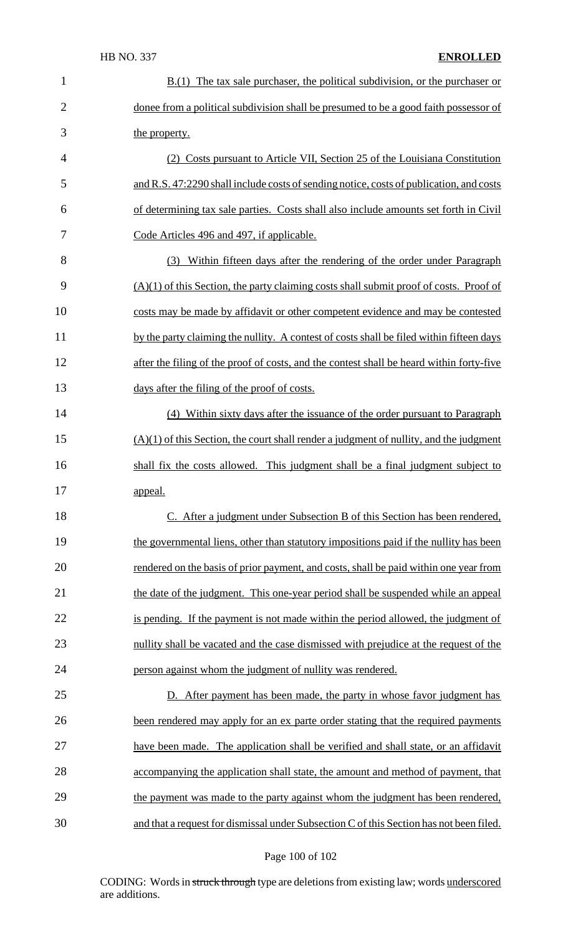## HB NO. 337 **ENROLLED**

| $\mathbf{1}$   | $B(1)$ The tax sale purchaser, the political subdivision, or the purchaser or            |
|----------------|------------------------------------------------------------------------------------------|
| $\overline{2}$ | dones from a political subdivision shall be presumed to be a good faith possessor of     |
| 3              | the property.                                                                            |
| 4              | (2) Costs pursuant to Article VII, Section 25 of the Louisiana Constitution              |
| 5              | and R.S. 47:2290 shall include costs of sending notice, costs of publication, and costs  |
| 6              | of determining tax sale parties. Costs shall also include amounts set forth in Civil     |
| 7              | Code Articles 496 and 497, if applicable.                                                |
| 8              | (3) Within fifteen days after the rendering of the order under Paragraph                 |
| 9              | $(A)(1)$ of this Section, the party claiming costs shall submit proof of costs. Proof of |
| 10             | costs may be made by affidavit or other competent evidence and may be contested          |
| 11             | by the party claiming the nullity. A contest of costs shall be filed within fifteen days |
| 12             | after the filing of the proof of costs, and the contest shall be heard within forty-five |
| 13             | days after the filing of the proof of costs.                                             |
| 14             | (4) Within sixty days after the issuance of the order pursuant to Paragraph              |
| 15             | $(A)(1)$ of this Section, the court shall render a judgment of nullity, and the judgment |
| 16             | shall fix the costs allowed. This judgment shall be a final judgment subject to          |
| 17             | <u>appeal.</u>                                                                           |
| 18             | C. After a judgment under Subsection B of this Section has been rendered,                |
| 19             | the governmental liens, other than statutory impositions paid if the nullity has been    |
| 20             | rendered on the basis of prior payment, and costs, shall be paid within one year from    |
| 21             | the date of the judgment. This one-year period shall be suspended while an appeal        |
| 22             | is pending. If the payment is not made within the period allowed, the judgment of        |
| 23             | nullity shall be vacated and the case dismissed with prejudice at the request of the     |
| 24             | person against whom the judgment of nullity was rendered.                                |
| 25             | D. After payment has been made, the party in whose favor judgment has                    |
| 26             | been rendered may apply for an ex parte order stating that the required payments         |
| 27             | have been made. The application shall be verified and shall state, or an affidavit       |
| 28             | accompanying the application shall state, the amount and method of payment, that         |
| 29             | the payment was made to the party against whom the judgment has been rendered,           |
| 30             | and that a request for dismissal under Subsection C of this Section has not been filed.  |
|                |                                                                                          |

## Page 100 of 102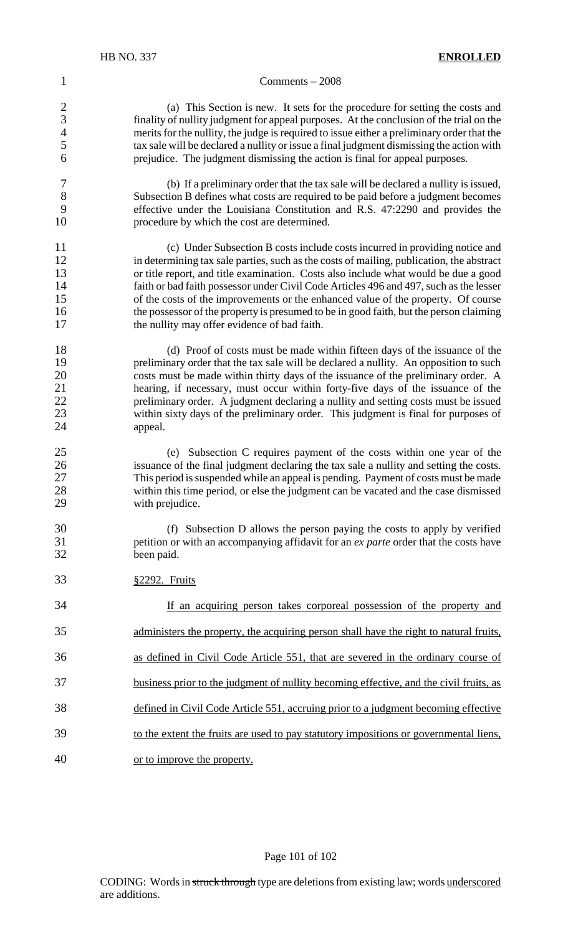#### Comments – 2008

 (a) This Section is new. It sets for the procedure for setting the costs and 3 finality of nullity judgment for appeal purposes. At the conclusion of the trial on the merits for the nullity the judge is required to issue either a preliminary order that the merits for the nullity, the judge is required to issue either a preliminary order that the tax sale will be declared a nullity or issue a final judgment dismissing the action with prejudice. The judgment dismissing the action is final for appeal purposes.

- (b) If a preliminary order that the tax sale will be declared a nullity is issued, Subsection B defines what costs are required to be paid before a judgment becomes effective under the Louisiana Constitution and R.S. 47:2290 and provides the procedure by which the cost are determined.
- 11 (c) Under Subsection B costs include costs incurred in providing notice and<br>12 in determining tax sale parties, such as the costs of mailing, publication, the abstract in determining tax sale parties, such as the costs of mailing, publication, the abstract or title report, and title examination. Costs also include what would be due a good 14 faith or bad faith possessor under Civil Code Articles 496 and 497, such as the lesser of the costs of the improvements or the enhanced value of the property. Of course the possessor of the property is presumed to be in good faith, but the person claiming the nullity may offer evidence of bad faith.
- (d) Proof of costs must be made within fifteen days of the issuance of the 19 preliminary order that the tax sale will be declared a nullity. An opposition to such costs must be made within thirty days of the issuance of the preliminary order. A hearing, if necessary, must occur within forty-five days of the issuance of the preliminary order. A judgment declaring a nullity and setting costs must be issued within sixty days of the preliminary order. This judgment is final for purposes of appeal.
- (e) Subsection C requires payment of the costs within one year of the 26 issuance of the final judgment declaring the tax sale a nullity and setting the costs.<br>27 This period is suspended while an appeal is pending. Payment of costs must be made This period is suspended while an appeal is pending. Payment of costs must be made 28 within this time period, or else the judgment can be vacated and the case dismissed<br>29 with prejudice. with prejudice.
- (f) Subsection D allows the person paying the costs to apply by verified petition or with an accompanying affidavit for an *ex parte* order that the costs have been paid.
- §2292. Fruits

| 34 | If an acquiring person takes corporeal possession of the property and                  |
|----|----------------------------------------------------------------------------------------|
| 35 | administers the property, the acquiring person shall have the right to natural fruits, |
| 36 | as defined in Civil Code Article 551, that are severed in the ordinary course of       |
| 37 | business prior to the judgment of nullity becoming effective, and the civil fruits, as |
| 38 | defined in Civil Code Article 551, accruing prior to a judgment becoming effective     |
| 39 | to the extent the fruits are used to pay statutory impositions or governmental liens,  |
| 40 | or to improve the property.                                                            |

Page 101 of 102